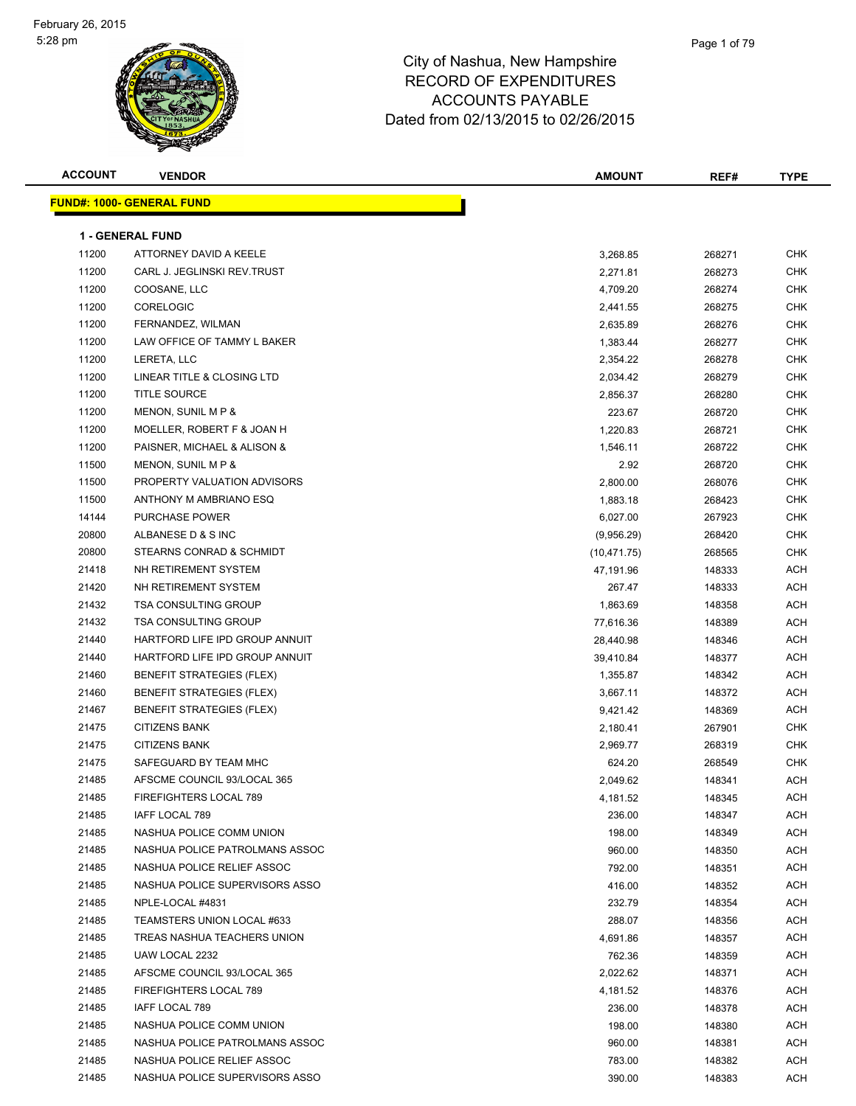

| <b>ACCOUNT</b> | <b>VENDOR</b>                    | <b>AMOUNT</b> | REF#   | <b>TYPE</b> |
|----------------|----------------------------------|---------------|--------|-------------|
|                | <b>FUND#: 1000- GENERAL FUND</b> |               |        |             |
|                |                                  |               |        |             |
|                | <b>1 - GENERAL FUND</b>          |               |        |             |
| 11200          | ATTORNEY DAVID A KEELE           | 3,268.85      | 268271 | <b>CHK</b>  |
| 11200          | CARL J. JEGLINSKI REV.TRUST      | 2,271.81      | 268273 | <b>CHK</b>  |
| 11200          | COOSANE, LLC                     | 4,709.20      | 268274 | <b>CHK</b>  |
| 11200          | CORELOGIC                        | 2,441.55      | 268275 | <b>CHK</b>  |
| 11200          | FERNANDEZ, WILMAN                | 2,635.89      | 268276 | <b>CHK</b>  |
| 11200          | LAW OFFICE OF TAMMY L BAKER      | 1,383.44      | 268277 | CHK         |
| 11200          | LERETA, LLC                      | 2,354.22      | 268278 | <b>CHK</b>  |
| 11200          | LINEAR TITLE & CLOSING LTD       | 2,034.42      | 268279 | CHK         |
| 11200          | <b>TITLE SOURCE</b>              | 2,856.37      | 268280 | CHK         |
| 11200          | MENON, SUNIL M P &               | 223.67        | 268720 | <b>CHK</b>  |
| 11200          | MOELLER, ROBERT F & JOAN H       | 1,220.83      | 268721 | <b>CHK</b>  |
| 11200          | PAISNER, MICHAEL & ALISON &      | 1,546.11      | 268722 | CHK         |
| 11500          | MENON, SUNIL M P &               | 2.92          | 268720 | <b>CHK</b>  |
| 11500          | PROPERTY VALUATION ADVISORS      | 2,800.00      | 268076 | CHK         |
| 11500          | ANTHONY M AMBRIANO ESQ           | 1,883.18      | 268423 | CHK         |
| 14144          | PURCHASE POWER                   | 6,027.00      | 267923 | CHK         |
| 20800          | ALBANESE D & S INC               | (9,956.29)    | 268420 | CHK         |
| 20800          | STEARNS CONRAD & SCHMIDT         | (10, 471.75)  | 268565 | CHK         |
| 21418          | NH RETIREMENT SYSTEM             | 47,191.96     | 148333 | ACH         |
| 21420          | NH RETIREMENT SYSTEM             | 267.47        | 148333 | ACH         |
| 21432          | <b>TSA CONSULTING GROUP</b>      | 1,863.69      | 148358 | ACH         |
| 21432          | <b>TSA CONSULTING GROUP</b>      | 77,616.36     | 148389 | ACH         |
| 21440          | HARTFORD LIFE IPD GROUP ANNUIT   | 28,440.98     | 148346 | ACH         |
| 21440          | HARTFORD LIFE IPD GROUP ANNUIT   | 39,410.84     | 148377 | ACH         |
| 21460          | <b>BENEFIT STRATEGIES (FLEX)</b> | 1,355.87      | 148342 | ACH         |
| 21460          | <b>BENEFIT STRATEGIES (FLEX)</b> | 3,667.11      | 148372 | ACH         |
| 21467          | <b>BENEFIT STRATEGIES (FLEX)</b> | 9,421.42      | 148369 | ACH         |
| 21475          | <b>CITIZENS BANK</b>             | 2,180.41      | 267901 | CHK         |
| 21475          | <b>CITIZENS BANK</b>             | 2,969.77      | 268319 | CHK         |
| 21475          | SAFEGUARD BY TEAM MHC            | 624.20        | 268549 | CHK         |
| 21485          | AFSCME COUNCIL 93/LOCAL 365      | 2,049.62      | 148341 | ACH         |
| 21485          | FIREFIGHTERS LOCAL 789           | 4,181.52      | 148345 | ACH         |
| 21485          | IAFF LOCAL 789                   | 236.00        | 148347 | ACH         |
| 21485          | NASHUA POLICE COMM UNION         | 198.00        | 148349 | ACH         |
| 21485          | NASHUA POLICE PATROLMANS ASSOC   | 960.00        | 148350 | ACH         |
| 21485          | NASHUA POLICE RELIEF ASSOC       | 792.00        | 148351 | ACH         |
| 21485          | NASHUA POLICE SUPERVISORS ASSO   | 416.00        | 148352 | ACH         |
| 21485          | NPLE-LOCAL #4831                 | 232.79        | 148354 | ACH         |
| 21485          | TEAMSTERS UNION LOCAL #633       | 288.07        | 148356 | ACH         |
| 21485          | TREAS NASHUA TEACHERS UNION      | 4,691.86      | 148357 | ACH         |
| 21485          | UAW LOCAL 2232                   | 762.36        | 148359 | ACH         |
| 21485          | AFSCME COUNCIL 93/LOCAL 365      | 2,022.62      | 148371 | ACH         |
| 21485          | FIREFIGHTERS LOCAL 789           | 4,181.52      | 148376 | ACH         |
| 21485          | IAFF LOCAL 789                   | 236.00        | 148378 | ACH         |
| 21485          | NASHUA POLICE COMM UNION         | 198.00        | 148380 | ACH         |
| 21485          | NASHUA POLICE PATROLMANS ASSOC   | 960.00        | 148381 | ACH         |
| 21485          | NASHUA POLICE RELIEF ASSOC       | 783.00        | 148382 | ACH         |
| 21485          | NASHUA POLICE SUPERVISORS ASSO   | 390.00        | 148383 | ACH         |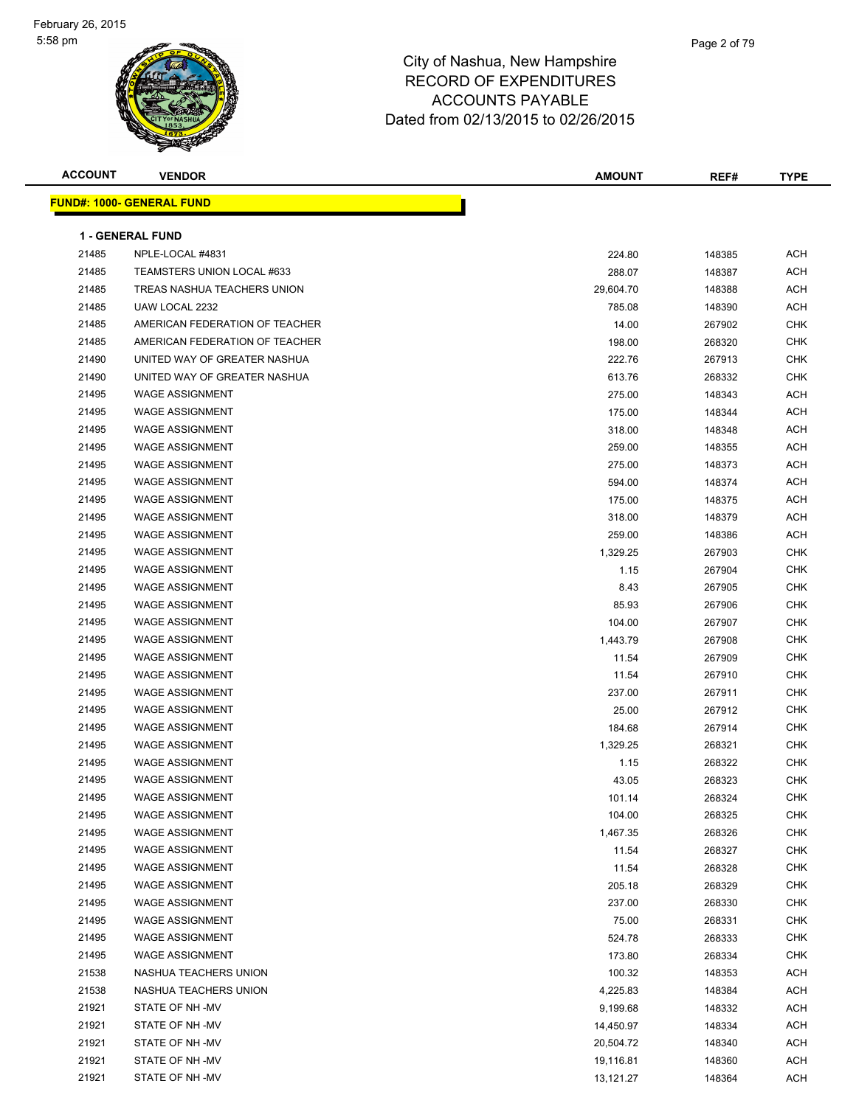

| <b>ACCOUNT</b> | <b>VENDOR</b>                     | <b>AMOUNT</b> | REF#   | <b>TYPE</b> |
|----------------|-----------------------------------|---------------|--------|-------------|
|                | <u> FUND#: 1000- GENERAL FUND</u> |               |        |             |
|                |                                   |               |        |             |
|                | <b>1 - GENERAL FUND</b>           |               |        |             |
| 21485          | NPLE-LOCAL #4831                  | 224.80        | 148385 | <b>ACH</b>  |
| 21485          | TEAMSTERS UNION LOCAL #633        | 288.07        | 148387 | <b>ACH</b>  |
| 21485          | TREAS NASHUA TEACHERS UNION       | 29,604.70     | 148388 | ACH         |
| 21485          | UAW LOCAL 2232                    | 785.08        | 148390 | ACH         |
| 21485          | AMERICAN FEDERATION OF TEACHER    | 14.00         | 267902 | CHK         |
| 21485          | AMERICAN FEDERATION OF TEACHER    | 198.00        | 268320 | <b>CHK</b>  |
| 21490          | UNITED WAY OF GREATER NASHUA      | 222.76        | 267913 | <b>CHK</b>  |
| 21490          | UNITED WAY OF GREATER NASHUA      | 613.76        | 268332 | CHK         |
| 21495          | <b>WAGE ASSIGNMENT</b>            | 275.00        | 148343 | ACH         |
| 21495          | <b>WAGE ASSIGNMENT</b>            | 175.00        | 148344 | <b>ACH</b>  |
| 21495          | <b>WAGE ASSIGNMENT</b>            | 318.00        | 148348 | ACH         |
| 21495          | <b>WAGE ASSIGNMENT</b>            | 259.00        | 148355 | ACH         |
| 21495          | <b>WAGE ASSIGNMENT</b>            | 275.00        | 148373 | ACH         |
| 21495          | <b>WAGE ASSIGNMENT</b>            | 594.00        | 148374 | ACH         |
| 21495          | <b>WAGE ASSIGNMENT</b>            | 175.00        | 148375 | ACH         |
| 21495          | <b>WAGE ASSIGNMENT</b>            | 318.00        | 148379 | ACH         |
| 21495          | <b>WAGE ASSIGNMENT</b>            | 259.00        | 148386 | ACH         |
| 21495          | <b>WAGE ASSIGNMENT</b>            | 1,329.25      | 267903 | CHK         |
| 21495          | <b>WAGE ASSIGNMENT</b>            | 1.15          | 267904 | <b>CHK</b>  |
| 21495          | <b>WAGE ASSIGNMENT</b>            | 8.43          | 267905 | <b>CHK</b>  |
| 21495          | <b>WAGE ASSIGNMENT</b>            | 85.93         | 267906 | <b>CHK</b>  |
| 21495          | <b>WAGE ASSIGNMENT</b>            | 104.00        | 267907 | CHK         |
| 21495          | <b>WAGE ASSIGNMENT</b>            | 1,443.79      | 267908 | <b>CHK</b>  |
| 21495          | <b>WAGE ASSIGNMENT</b>            | 11.54         | 267909 | <b>CHK</b>  |
| 21495          | <b>WAGE ASSIGNMENT</b>            | 11.54         | 267910 | <b>CHK</b>  |
| 21495          | <b>WAGE ASSIGNMENT</b>            | 237.00        | 267911 | CHK         |
| 21495          | <b>WAGE ASSIGNMENT</b>            | 25.00         | 267912 | CHK         |
| 21495          | <b>WAGE ASSIGNMENT</b>            | 184.68        | 267914 | CHK         |
| 21495          | <b>WAGE ASSIGNMENT</b>            | 1,329.25      | 268321 | CHK         |
| 21495          | <b>WAGE ASSIGNMENT</b>            | 1.15          | 268322 | <b>CHK</b>  |
| 21495          | <b>WAGE ASSIGNMENT</b>            | 43.05         | 268323 | <b>CHK</b>  |
| 21495          | WAGE ASSIGNMENT                   | 101.14        | 268324 | <b>CHK</b>  |
| 21495          | <b>WAGE ASSIGNMENT</b>            | 104.00        | 268325 | CHK         |
| 21495          | <b>WAGE ASSIGNMENT</b>            | 1,467.35      | 268326 | <b>CHK</b>  |
| 21495          | <b>WAGE ASSIGNMENT</b>            | 11.54         | 268327 | <b>CHK</b>  |
| 21495          | <b>WAGE ASSIGNMENT</b>            | 11.54         | 268328 | CHK         |
| 21495          | <b>WAGE ASSIGNMENT</b>            | 205.18        | 268329 | <b>CHK</b>  |
| 21495          | <b>WAGE ASSIGNMENT</b>            | 237.00        | 268330 | CHK         |
| 21495          | <b>WAGE ASSIGNMENT</b>            | 75.00         | 268331 | CHK         |
| 21495          | <b>WAGE ASSIGNMENT</b>            | 524.78        | 268333 | CHK         |
| 21495          | <b>WAGE ASSIGNMENT</b>            | 173.80        | 268334 | CHK         |
| 21538          | NASHUA TEACHERS UNION             | 100.32        | 148353 | ACH         |
| 21538          | NASHUA TEACHERS UNION             | 4,225.83      | 148384 | ACH         |
| 21921          | STATE OF NH-MV                    | 9,199.68      | 148332 | <b>ACH</b>  |
| 21921          | STATE OF NH-MV                    | 14,450.97     | 148334 | <b>ACH</b>  |
| 21921          | STATE OF NH -MV                   | 20,504.72     | 148340 | <b>ACH</b>  |
| 21921          | STATE OF NH-MV                    | 19,116.81     | 148360 | <b>ACH</b>  |
| 21921          | STATE OF NH-MV                    | 13,121.27     | 148364 | <b>ACH</b>  |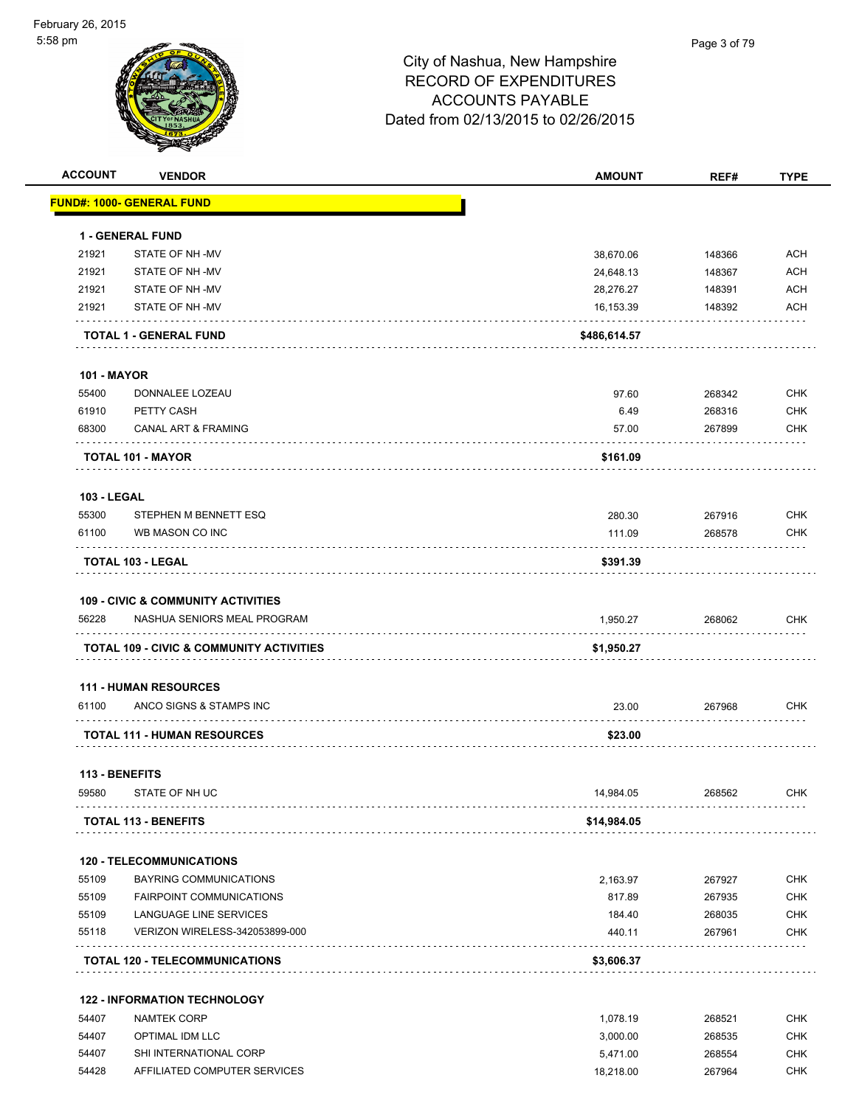

| <b>ACCOUNT</b>     | <b>VENDOR</b>                                       | <b>AMOUNT</b>         | REF#             | <b>TYPE</b> |
|--------------------|-----------------------------------------------------|-----------------------|------------------|-------------|
|                    | <u> FUND#: 1000- GENERAL FUND</u>                   |                       |                  |             |
|                    |                                                     |                       |                  |             |
|                    | <b>1 - GENERAL FUND</b>                             |                       |                  |             |
| 21921              | STATE OF NH -MV                                     | 38,670.06             | 148366           | <b>ACH</b>  |
| 21921              | STATE OF NH -MV                                     | 24,648.13             | 148367           | <b>ACH</b>  |
| 21921              | STATE OF NH-MV                                      | 28,276.27             | 148391           | <b>ACH</b>  |
| 21921              | STATE OF NH-MV                                      | 16,153.39             | 148392           | ACH         |
|                    | <b>TOTAL 1 - GENERAL FUND</b>                       | \$486,614.57          |                  |             |
| <b>101 - MAYOR</b> |                                                     |                       |                  |             |
| 55400              | DONNALEE LOZEAU                                     | 97.60                 | 268342           | <b>CHK</b>  |
| 61910              | PETTY CASH                                          | 6.49                  | 268316           | <b>CHK</b>  |
| 68300              | CANAL ART & FRAMING                                 | 57.00                 | 267899           | <b>CHK</b>  |
|                    |                                                     |                       |                  |             |
|                    | <b>TOTAL 101 - MAYOR</b>                            | \$161.09              |                  |             |
| <b>103 - LEGAL</b> |                                                     |                       |                  |             |
| 55300              | STEPHEN M BENNETT ESQ                               | 280.30                | 267916           | <b>CHK</b>  |
| 61100              | WB MASON CO INC                                     | 111.09                | 268578           | <b>CHK</b>  |
|                    | <b>TOTAL 103 - LEGAL</b>                            | \$391.39              |                  |             |
|                    |                                                     |                       |                  |             |
|                    | <b>109 - CIVIC &amp; COMMUNITY ACTIVITIES</b>       |                       |                  |             |
| 56228              | NASHUA SENIORS MEAL PROGRAM                         | 1,950.27              | 268062           | <b>CHK</b>  |
|                    | <b>TOTAL 109 - CIVIC &amp; COMMUNITY ACTIVITIES</b> | \$1,950.27            |                  |             |
|                    |                                                     |                       |                  |             |
|                    | <b>111 - HUMAN RESOURCES</b>                        |                       |                  |             |
| 61100              | ANCO SIGNS & STAMPS INC                             | 23.00                 | 267968           | <b>CHK</b>  |
|                    | <b>TOTAL 111 - HUMAN RESOURCES</b>                  | \$23.00               |                  |             |
| 113 - BENEFITS     |                                                     |                       |                  |             |
| 59580              | STATE OF NH UC                                      | 14,984.05             | 268562           | CHK         |
|                    | <b>TOTAL 113 - BENEFITS</b>                         | \$14,984.05           |                  |             |
|                    |                                                     |                       |                  |             |
|                    | <b>120 - TELECOMMUNICATIONS</b>                     |                       |                  |             |
| 55109              | BAYRING COMMUNICATIONS                              | 2,163.97              | 267927           | <b>CHK</b>  |
| 55109              | <b>FAIRPOINT COMMUNICATIONS</b>                     | 817.89                | 267935           | <b>CHK</b>  |
| 55109              | LANGUAGE LINE SERVICES                              | 184.40                | 268035           | <b>CHK</b>  |
| 55118              | VERIZON WIRELESS-342053899-000                      | 440.11                | 267961           | <b>CHK</b>  |
|                    | <b>TOTAL 120 - TELECOMMUNICATIONS</b>               | \$3,606.37            |                  |             |
|                    | <b>122 - INFORMATION TECHNOLOGY</b>                 |                       |                  |             |
| 54407              | <b>NAMTEK CORP</b>                                  |                       |                  | <b>CHK</b>  |
| 54407              | OPTIMAL IDM LLC                                     | 1,078.19<br>3,000.00  | 268521<br>268535 | <b>CHK</b>  |
| 54407              | SHI INTERNATIONAL CORP                              |                       | 268554           | <b>CHK</b>  |
| 54428              | AFFILIATED COMPUTER SERVICES                        | 5,471.00<br>18,218.00 | 267964           | <b>CHK</b>  |
|                    |                                                     |                       |                  |             |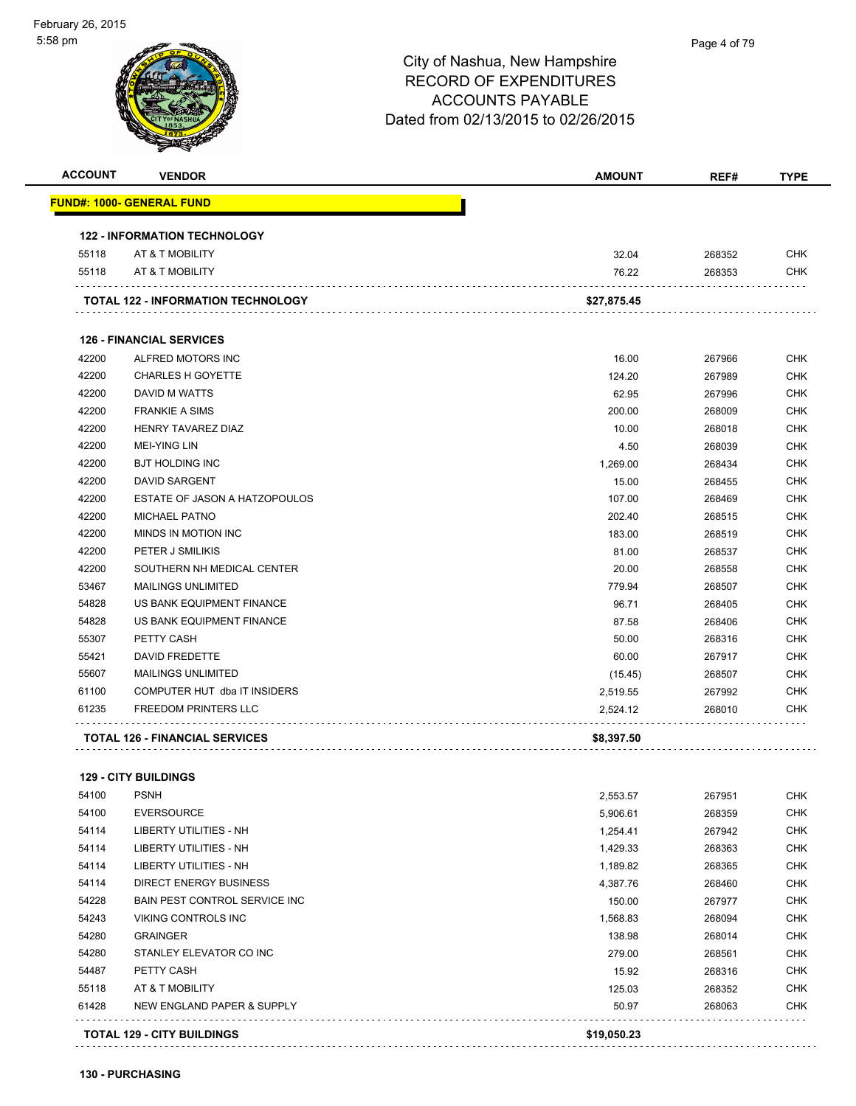| <u> FUND#: 1000- GENERAL FUND</u><br><b>122 - INFORMATION TECHNOLOGY</b><br>32.04<br>55118<br>AT & T MOBILITY<br>268352<br>55118<br>AT & T MOBILITY<br>76.22<br>268353<br><b>TOTAL 122 - INFORMATION TECHNOLOGY</b><br>\$27,875.45<br><b>126 - FINANCIAL SERVICES</b><br>42200<br>ALFRED MOTORS INC<br>16.00<br>267966<br><b>CHARLES H GOYETTE</b><br>124.20<br>267989<br>DAVID M WATTS<br>62.95<br>267996<br><b>FRANKIE A SIMS</b><br>200.00<br>268009<br>HENRY TAVAREZ DIAZ<br>10.00<br>268018<br><b>MEI-YING LIN</b><br>4.50<br>268039<br><b>BJT HOLDING INC</b><br>1,269.00<br>268434<br><b>DAVID SARGENT</b><br>15.00<br>268455<br>ESTATE OF JASON A HATZOPOULOS<br>107.00<br>268469<br>42200<br><b>MICHAEL PATNO</b><br>202.40<br>268515<br>42200<br>MINDS IN MOTION INC<br>183.00<br>268519<br>42200<br>PETER J SMILIKIS<br>81.00<br>268537<br>SOUTHERN NH MEDICAL CENTER<br>20.00<br>268558<br>53467<br>779.94<br><b>MAILINGS UNLIMITED</b><br>268507<br>54828<br>US BANK EQUIPMENT FINANCE<br>96.71<br>268405<br>54828<br>US BANK EQUIPMENT FINANCE<br>87.58<br>268406<br>55307<br>PETTY CASH<br>50.00<br>268316<br>55421<br><b>DAVID FREDETTE</b><br>60.00<br>267917<br>55607<br><b>MAILINGS UNLIMITED</b><br>(15.45)<br>268507<br>COMPUTER HUT dba IT INSIDERS<br>2,519.55<br>267992<br><b>FREEDOM PRINTERS LLC</b><br>268010<br>2,524.12<br><b>TOTAL 126 - FINANCIAL SERVICES</b><br>\$8,397.50<br><b>129 - CITY BUILDINGS</b><br><b>PSNH</b><br>2,553.57<br>267951<br>54100<br><b>EVERSOURCE</b><br>5,906.61<br>268359<br>54114<br>LIBERTY UTILITIES - NH<br>1,254.41<br>267942<br>54114<br>LIBERTY UTILITIES - NH<br>1,429.33<br>268363<br>54114<br>LIBERTY UTILITIES - NH<br>1,189.82<br>268365<br>54114<br><b>DIRECT ENERGY BUSINESS</b><br>4,387.76<br>268460<br>54228<br><b>BAIN PEST CONTROL SERVICE INC</b><br>150.00<br>267977<br>54243<br>VIKING CONTROLS INC<br>1,568.83<br>268094<br>54280<br><b>GRAINGER</b><br>138.98<br>268014<br>54280<br>STANLEY ELEVATOR CO INC<br>279.00<br>268561<br>54487<br>PETTY CASH<br>15.92<br>268316<br>55118<br>AT & T MOBILITY<br>125.03<br>268352<br>61428<br>NEW ENGLAND PAPER & SUPPLY<br>50.97<br>268063<br>\$19,050.23<br><b>TOTAL 129 - CITY BUILDINGS</b> | <b>ACCOUNT</b> | <b>VENDOR</b> | <b>AMOUNT</b> | REF# | <b>TYPE</b> |
|---------------------------------------------------------------------------------------------------------------------------------------------------------------------------------------------------------------------------------------------------------------------------------------------------------------------------------------------------------------------------------------------------------------------------------------------------------------------------------------------------------------------------------------------------------------------------------------------------------------------------------------------------------------------------------------------------------------------------------------------------------------------------------------------------------------------------------------------------------------------------------------------------------------------------------------------------------------------------------------------------------------------------------------------------------------------------------------------------------------------------------------------------------------------------------------------------------------------------------------------------------------------------------------------------------------------------------------------------------------------------------------------------------------------------------------------------------------------------------------------------------------------------------------------------------------------------------------------------------------------------------------------------------------------------------------------------------------------------------------------------------------------------------------------------------------------------------------------------------------------------------------------------------------------------------------------------------------------------------------------------------------------------------------------------------------------------------------------------------------------------------------------------------------------------------------------------------------------------|----------------|---------------|---------------|------|-------------|
|                                                                                                                                                                                                                                                                                                                                                                                                                                                                                                                                                                                                                                                                                                                                                                                                                                                                                                                                                                                                                                                                                                                                                                                                                                                                                                                                                                                                                                                                                                                                                                                                                                                                                                                                                                                                                                                                                                                                                                                                                                                                                                                                                                                                                           |                |               |               |      |             |
|                                                                                                                                                                                                                                                                                                                                                                                                                                                                                                                                                                                                                                                                                                                                                                                                                                                                                                                                                                                                                                                                                                                                                                                                                                                                                                                                                                                                                                                                                                                                                                                                                                                                                                                                                                                                                                                                                                                                                                                                                                                                                                                                                                                                                           |                |               |               |      |             |
|                                                                                                                                                                                                                                                                                                                                                                                                                                                                                                                                                                                                                                                                                                                                                                                                                                                                                                                                                                                                                                                                                                                                                                                                                                                                                                                                                                                                                                                                                                                                                                                                                                                                                                                                                                                                                                                                                                                                                                                                                                                                                                                                                                                                                           |                |               |               |      | <b>CHK</b>  |
|                                                                                                                                                                                                                                                                                                                                                                                                                                                                                                                                                                                                                                                                                                                                                                                                                                                                                                                                                                                                                                                                                                                                                                                                                                                                                                                                                                                                                                                                                                                                                                                                                                                                                                                                                                                                                                                                                                                                                                                                                                                                                                                                                                                                                           |                |               |               |      | <b>CHK</b>  |
|                                                                                                                                                                                                                                                                                                                                                                                                                                                                                                                                                                                                                                                                                                                                                                                                                                                                                                                                                                                                                                                                                                                                                                                                                                                                                                                                                                                                                                                                                                                                                                                                                                                                                                                                                                                                                                                                                                                                                                                                                                                                                                                                                                                                                           |                |               |               |      |             |
|                                                                                                                                                                                                                                                                                                                                                                                                                                                                                                                                                                                                                                                                                                                                                                                                                                                                                                                                                                                                                                                                                                                                                                                                                                                                                                                                                                                                                                                                                                                                                                                                                                                                                                                                                                                                                                                                                                                                                                                                                                                                                                                                                                                                                           |                |               |               |      |             |
|                                                                                                                                                                                                                                                                                                                                                                                                                                                                                                                                                                                                                                                                                                                                                                                                                                                                                                                                                                                                                                                                                                                                                                                                                                                                                                                                                                                                                                                                                                                                                                                                                                                                                                                                                                                                                                                                                                                                                                                                                                                                                                                                                                                                                           |                |               |               |      | <b>CHK</b>  |
|                                                                                                                                                                                                                                                                                                                                                                                                                                                                                                                                                                                                                                                                                                                                                                                                                                                                                                                                                                                                                                                                                                                                                                                                                                                                                                                                                                                                                                                                                                                                                                                                                                                                                                                                                                                                                                                                                                                                                                                                                                                                                                                                                                                                                           | 42200          |               |               |      | <b>CHK</b>  |
|                                                                                                                                                                                                                                                                                                                                                                                                                                                                                                                                                                                                                                                                                                                                                                                                                                                                                                                                                                                                                                                                                                                                                                                                                                                                                                                                                                                                                                                                                                                                                                                                                                                                                                                                                                                                                                                                                                                                                                                                                                                                                                                                                                                                                           | 42200          |               |               |      | <b>CHK</b>  |
|                                                                                                                                                                                                                                                                                                                                                                                                                                                                                                                                                                                                                                                                                                                                                                                                                                                                                                                                                                                                                                                                                                                                                                                                                                                                                                                                                                                                                                                                                                                                                                                                                                                                                                                                                                                                                                                                                                                                                                                                                                                                                                                                                                                                                           | 42200          |               |               |      | <b>CHK</b>  |
|                                                                                                                                                                                                                                                                                                                                                                                                                                                                                                                                                                                                                                                                                                                                                                                                                                                                                                                                                                                                                                                                                                                                                                                                                                                                                                                                                                                                                                                                                                                                                                                                                                                                                                                                                                                                                                                                                                                                                                                                                                                                                                                                                                                                                           | 42200          |               |               |      | <b>CHK</b>  |
|                                                                                                                                                                                                                                                                                                                                                                                                                                                                                                                                                                                                                                                                                                                                                                                                                                                                                                                                                                                                                                                                                                                                                                                                                                                                                                                                                                                                                                                                                                                                                                                                                                                                                                                                                                                                                                                                                                                                                                                                                                                                                                                                                                                                                           | 42200          |               |               |      | <b>CHK</b>  |
|                                                                                                                                                                                                                                                                                                                                                                                                                                                                                                                                                                                                                                                                                                                                                                                                                                                                                                                                                                                                                                                                                                                                                                                                                                                                                                                                                                                                                                                                                                                                                                                                                                                                                                                                                                                                                                                                                                                                                                                                                                                                                                                                                                                                                           | 42200          |               |               |      | <b>CHK</b>  |
|                                                                                                                                                                                                                                                                                                                                                                                                                                                                                                                                                                                                                                                                                                                                                                                                                                                                                                                                                                                                                                                                                                                                                                                                                                                                                                                                                                                                                                                                                                                                                                                                                                                                                                                                                                                                                                                                                                                                                                                                                                                                                                                                                                                                                           | 42200          |               |               |      | <b>CHK</b>  |
|                                                                                                                                                                                                                                                                                                                                                                                                                                                                                                                                                                                                                                                                                                                                                                                                                                                                                                                                                                                                                                                                                                                                                                                                                                                                                                                                                                                                                                                                                                                                                                                                                                                                                                                                                                                                                                                                                                                                                                                                                                                                                                                                                                                                                           | 42200          |               |               |      | <b>CHK</b>  |
|                                                                                                                                                                                                                                                                                                                                                                                                                                                                                                                                                                                                                                                                                                                                                                                                                                                                                                                                                                                                                                                                                                                                                                                                                                                                                                                                                                                                                                                                                                                                                                                                                                                                                                                                                                                                                                                                                                                                                                                                                                                                                                                                                                                                                           |                |               |               |      | <b>CHK</b>  |
|                                                                                                                                                                                                                                                                                                                                                                                                                                                                                                                                                                                                                                                                                                                                                                                                                                                                                                                                                                                                                                                                                                                                                                                                                                                                                                                                                                                                                                                                                                                                                                                                                                                                                                                                                                                                                                                                                                                                                                                                                                                                                                                                                                                                                           |                |               |               |      | <b>CHK</b>  |
|                                                                                                                                                                                                                                                                                                                                                                                                                                                                                                                                                                                                                                                                                                                                                                                                                                                                                                                                                                                                                                                                                                                                                                                                                                                                                                                                                                                                                                                                                                                                                                                                                                                                                                                                                                                                                                                                                                                                                                                                                                                                                                                                                                                                                           |                |               |               |      | <b>CHK</b>  |
|                                                                                                                                                                                                                                                                                                                                                                                                                                                                                                                                                                                                                                                                                                                                                                                                                                                                                                                                                                                                                                                                                                                                                                                                                                                                                                                                                                                                                                                                                                                                                                                                                                                                                                                                                                                                                                                                                                                                                                                                                                                                                                                                                                                                                           | 42200          |               |               |      | <b>CHK</b>  |
|                                                                                                                                                                                                                                                                                                                                                                                                                                                                                                                                                                                                                                                                                                                                                                                                                                                                                                                                                                                                                                                                                                                                                                                                                                                                                                                                                                                                                                                                                                                                                                                                                                                                                                                                                                                                                                                                                                                                                                                                                                                                                                                                                                                                                           |                |               |               |      | <b>CHK</b>  |
|                                                                                                                                                                                                                                                                                                                                                                                                                                                                                                                                                                                                                                                                                                                                                                                                                                                                                                                                                                                                                                                                                                                                                                                                                                                                                                                                                                                                                                                                                                                                                                                                                                                                                                                                                                                                                                                                                                                                                                                                                                                                                                                                                                                                                           |                |               |               |      | <b>CHK</b>  |
|                                                                                                                                                                                                                                                                                                                                                                                                                                                                                                                                                                                                                                                                                                                                                                                                                                                                                                                                                                                                                                                                                                                                                                                                                                                                                                                                                                                                                                                                                                                                                                                                                                                                                                                                                                                                                                                                                                                                                                                                                                                                                                                                                                                                                           |                |               |               |      | <b>CHK</b>  |
|                                                                                                                                                                                                                                                                                                                                                                                                                                                                                                                                                                                                                                                                                                                                                                                                                                                                                                                                                                                                                                                                                                                                                                                                                                                                                                                                                                                                                                                                                                                                                                                                                                                                                                                                                                                                                                                                                                                                                                                                                                                                                                                                                                                                                           |                |               |               |      | <b>CHK</b>  |
|                                                                                                                                                                                                                                                                                                                                                                                                                                                                                                                                                                                                                                                                                                                                                                                                                                                                                                                                                                                                                                                                                                                                                                                                                                                                                                                                                                                                                                                                                                                                                                                                                                                                                                                                                                                                                                                                                                                                                                                                                                                                                                                                                                                                                           |                |               |               |      | <b>CHK</b>  |
|                                                                                                                                                                                                                                                                                                                                                                                                                                                                                                                                                                                                                                                                                                                                                                                                                                                                                                                                                                                                                                                                                                                                                                                                                                                                                                                                                                                                                                                                                                                                                                                                                                                                                                                                                                                                                                                                                                                                                                                                                                                                                                                                                                                                                           |                |               |               |      | <b>CHK</b>  |
|                                                                                                                                                                                                                                                                                                                                                                                                                                                                                                                                                                                                                                                                                                                                                                                                                                                                                                                                                                                                                                                                                                                                                                                                                                                                                                                                                                                                                                                                                                                                                                                                                                                                                                                                                                                                                                                                                                                                                                                                                                                                                                                                                                                                                           | 61100          |               |               |      | <b>CHK</b>  |
|                                                                                                                                                                                                                                                                                                                                                                                                                                                                                                                                                                                                                                                                                                                                                                                                                                                                                                                                                                                                                                                                                                                                                                                                                                                                                                                                                                                                                                                                                                                                                                                                                                                                                                                                                                                                                                                                                                                                                                                                                                                                                                                                                                                                                           | 61235          |               |               |      | CHK         |
|                                                                                                                                                                                                                                                                                                                                                                                                                                                                                                                                                                                                                                                                                                                                                                                                                                                                                                                                                                                                                                                                                                                                                                                                                                                                                                                                                                                                                                                                                                                                                                                                                                                                                                                                                                                                                                                                                                                                                                                                                                                                                                                                                                                                                           |                |               |               |      |             |
|                                                                                                                                                                                                                                                                                                                                                                                                                                                                                                                                                                                                                                                                                                                                                                                                                                                                                                                                                                                                                                                                                                                                                                                                                                                                                                                                                                                                                                                                                                                                                                                                                                                                                                                                                                                                                                                                                                                                                                                                                                                                                                                                                                                                                           |                |               |               |      |             |
|                                                                                                                                                                                                                                                                                                                                                                                                                                                                                                                                                                                                                                                                                                                                                                                                                                                                                                                                                                                                                                                                                                                                                                                                                                                                                                                                                                                                                                                                                                                                                                                                                                                                                                                                                                                                                                                                                                                                                                                                                                                                                                                                                                                                                           | 54100          |               |               |      | <b>CHK</b>  |
|                                                                                                                                                                                                                                                                                                                                                                                                                                                                                                                                                                                                                                                                                                                                                                                                                                                                                                                                                                                                                                                                                                                                                                                                                                                                                                                                                                                                                                                                                                                                                                                                                                                                                                                                                                                                                                                                                                                                                                                                                                                                                                                                                                                                                           |                |               |               |      | <b>CHK</b>  |
|                                                                                                                                                                                                                                                                                                                                                                                                                                                                                                                                                                                                                                                                                                                                                                                                                                                                                                                                                                                                                                                                                                                                                                                                                                                                                                                                                                                                                                                                                                                                                                                                                                                                                                                                                                                                                                                                                                                                                                                                                                                                                                                                                                                                                           |                |               |               |      | <b>CHK</b>  |
|                                                                                                                                                                                                                                                                                                                                                                                                                                                                                                                                                                                                                                                                                                                                                                                                                                                                                                                                                                                                                                                                                                                                                                                                                                                                                                                                                                                                                                                                                                                                                                                                                                                                                                                                                                                                                                                                                                                                                                                                                                                                                                                                                                                                                           |                |               |               |      | <b>CHK</b>  |
|                                                                                                                                                                                                                                                                                                                                                                                                                                                                                                                                                                                                                                                                                                                                                                                                                                                                                                                                                                                                                                                                                                                                                                                                                                                                                                                                                                                                                                                                                                                                                                                                                                                                                                                                                                                                                                                                                                                                                                                                                                                                                                                                                                                                                           |                |               |               |      | <b>CHK</b>  |
|                                                                                                                                                                                                                                                                                                                                                                                                                                                                                                                                                                                                                                                                                                                                                                                                                                                                                                                                                                                                                                                                                                                                                                                                                                                                                                                                                                                                                                                                                                                                                                                                                                                                                                                                                                                                                                                                                                                                                                                                                                                                                                                                                                                                                           |                |               |               |      | <b>CHK</b>  |
|                                                                                                                                                                                                                                                                                                                                                                                                                                                                                                                                                                                                                                                                                                                                                                                                                                                                                                                                                                                                                                                                                                                                                                                                                                                                                                                                                                                                                                                                                                                                                                                                                                                                                                                                                                                                                                                                                                                                                                                                                                                                                                                                                                                                                           |                |               |               |      | <b>CHK</b>  |
|                                                                                                                                                                                                                                                                                                                                                                                                                                                                                                                                                                                                                                                                                                                                                                                                                                                                                                                                                                                                                                                                                                                                                                                                                                                                                                                                                                                                                                                                                                                                                                                                                                                                                                                                                                                                                                                                                                                                                                                                                                                                                                                                                                                                                           |                |               |               |      | <b>CHK</b>  |
|                                                                                                                                                                                                                                                                                                                                                                                                                                                                                                                                                                                                                                                                                                                                                                                                                                                                                                                                                                                                                                                                                                                                                                                                                                                                                                                                                                                                                                                                                                                                                                                                                                                                                                                                                                                                                                                                                                                                                                                                                                                                                                                                                                                                                           |                |               |               |      | <b>CHK</b>  |
|                                                                                                                                                                                                                                                                                                                                                                                                                                                                                                                                                                                                                                                                                                                                                                                                                                                                                                                                                                                                                                                                                                                                                                                                                                                                                                                                                                                                                                                                                                                                                                                                                                                                                                                                                                                                                                                                                                                                                                                                                                                                                                                                                                                                                           |                |               |               |      | <b>CHK</b>  |
|                                                                                                                                                                                                                                                                                                                                                                                                                                                                                                                                                                                                                                                                                                                                                                                                                                                                                                                                                                                                                                                                                                                                                                                                                                                                                                                                                                                                                                                                                                                                                                                                                                                                                                                                                                                                                                                                                                                                                                                                                                                                                                                                                                                                                           |                |               |               |      | <b>CHK</b>  |
|                                                                                                                                                                                                                                                                                                                                                                                                                                                                                                                                                                                                                                                                                                                                                                                                                                                                                                                                                                                                                                                                                                                                                                                                                                                                                                                                                                                                                                                                                                                                                                                                                                                                                                                                                                                                                                                                                                                                                                                                                                                                                                                                                                                                                           |                |               |               |      | <b>CHK</b>  |
|                                                                                                                                                                                                                                                                                                                                                                                                                                                                                                                                                                                                                                                                                                                                                                                                                                                                                                                                                                                                                                                                                                                                                                                                                                                                                                                                                                                                                                                                                                                                                                                                                                                                                                                                                                                                                                                                                                                                                                                                                                                                                                                                                                                                                           |                |               |               |      | <b>CHK</b>  |
|                                                                                                                                                                                                                                                                                                                                                                                                                                                                                                                                                                                                                                                                                                                                                                                                                                                                                                                                                                                                                                                                                                                                                                                                                                                                                                                                                                                                                                                                                                                                                                                                                                                                                                                                                                                                                                                                                                                                                                                                                                                                                                                                                                                                                           |                |               |               |      |             |

. . . . . . . . . . . . .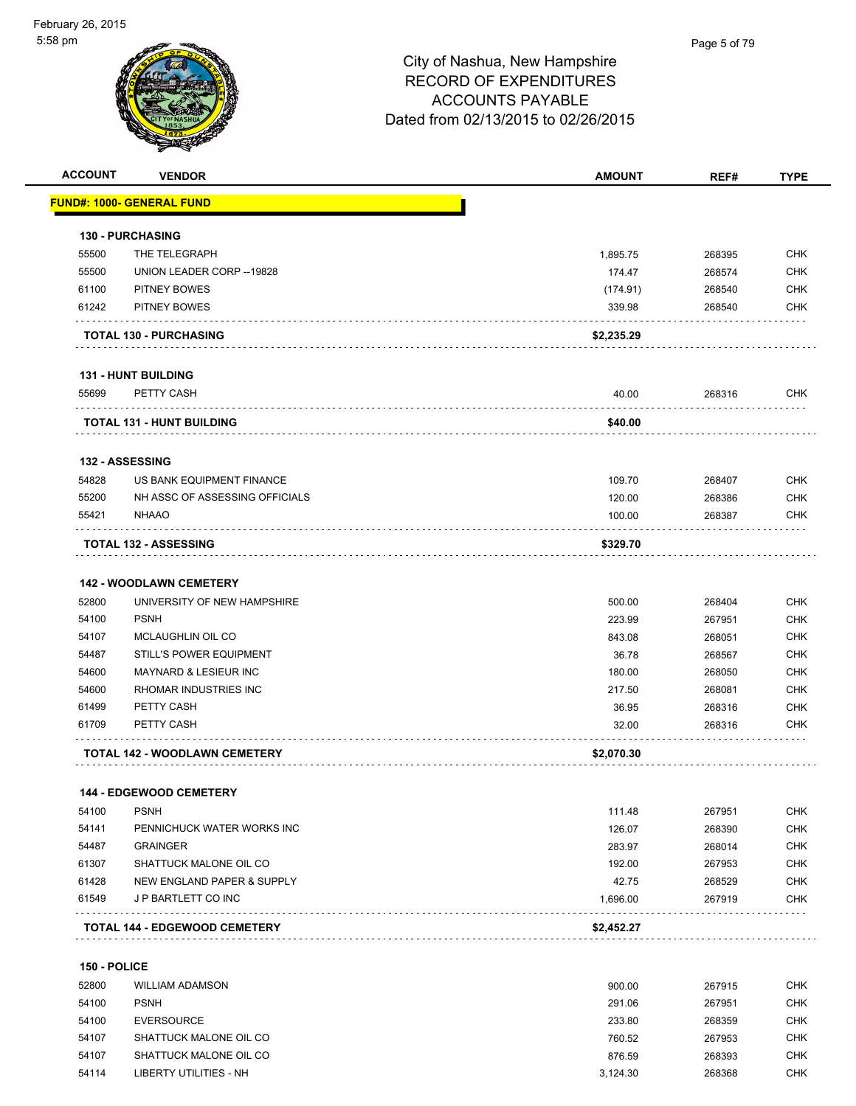| <b>ACCOUNT</b>  | <b>VENDOR</b>                        | <b>AMOUNT</b>      | REF#             | <b>TYPE</b>              |
|-----------------|--------------------------------------|--------------------|------------------|--------------------------|
|                 | <b>FUND#: 1000- GENERAL FUND</b>     |                    |                  |                          |
|                 | <b>130 - PURCHASING</b>              |                    |                  |                          |
| 55500           | THE TELEGRAPH                        | 1,895.75           | 268395           | <b>CHK</b>               |
| 55500           | UNION LEADER CORP -- 19828           | 174.47             |                  | <b>CHK</b>               |
|                 | PITNEY BOWES                         |                    | 268574           |                          |
| 61100<br>61242  | PITNEY BOWES                         | (174.91)<br>339.98 | 268540<br>268540 | <b>CHK</b><br><b>CHK</b> |
|                 | <b>TOTAL 130 - PURCHASING</b>        | \$2,235.29         |                  |                          |
|                 |                                      |                    |                  |                          |
|                 | <b>131 - HUNT BUILDING</b>           |                    |                  |                          |
| 55699           | PETTY CASH                           | 40.00              | 268316           | <b>CHK</b>               |
|                 | TOTAL 131 - HUNT BUILDING            | \$40.00            |                  |                          |
| 132 - ASSESSING |                                      |                    |                  |                          |
| 54828           | US BANK EQUIPMENT FINANCE            | 109.70             | 268407           | <b>CHK</b>               |
| 55200           | NH ASSC OF ASSESSING OFFICIALS       | 120.00             | 268386           | <b>CHK</b>               |
| 55421           | <b>NHAAO</b>                         | 100.00             | 268387           | <b>CHK</b>               |
|                 | <b>TOTAL 132 - ASSESSING</b>         | \$329.70           |                  |                          |
|                 |                                      |                    |                  |                          |
|                 | <b>142 - WOODLAWN CEMETERY</b>       |                    |                  |                          |
| 52800           | UNIVERSITY OF NEW HAMPSHIRE          | 500.00             | 268404           | <b>CHK</b>               |
| 54100           | <b>PSNH</b>                          | 223.99             | 267951           | <b>CHK</b>               |
| 54107           | MCLAUGHLIN OIL CO                    | 843.08             | 268051           | <b>CHK</b>               |
| 54487           | <b>STILL'S POWER EQUIPMENT</b>       | 36.78              | 268567           | <b>CHK</b>               |
| 54600           | MAYNARD & LESIEUR INC                | 180.00             | 268050           | <b>CHK</b>               |
| 54600           | RHOMAR INDUSTRIES INC                | 217.50             | 268081           | <b>CHK</b>               |
| 61499           | PETTY CASH                           | 36.95              | 268316           | <b>CHK</b>               |
| 61709           | PETTY CASH                           | 32.00              | 268316           | <b>CHK</b>               |
|                 | <b>TOTAL 142 - WOODLAWN CEMETERY</b> | \$2,070.30         |                  |                          |
|                 | 144 - EDGEWOOD CEMETERY              |                    |                  |                          |
| 54100           | <b>PSNH</b>                          | 111.48             | 267951           | <b>CHK</b>               |
| 54141           | PENNICHUCK WATER WORKS INC           | 126.07             | 268390           | <b>CHK</b>               |
| 54487           | <b>GRAINGER</b>                      | 283.97             | 268014           | <b>CHK</b>               |
| 61307           | SHATTUCK MALONE OIL CO               | 192.00             | 267953           | <b>CHK</b>               |
| 61428           | NEW ENGLAND PAPER & SUPPLY           | 42.75              | 268529           | <b>CHK</b>               |
| 61549           | J P BARTLETT CO INC                  | 1,696.00           | 267919           | <b>CHK</b>               |
|                 | <b>TOTAL 144 - EDGEWOOD CEMETERY</b> | \$2,452.27         |                  |                          |
|                 |                                      |                    |                  |                          |
| 150 - POLICE    |                                      |                    |                  |                          |
| 52800           | <b>WILLIAM ADAMSON</b>               | 900.00             | 267915           | <b>CHK</b>               |
| 54100           | <b>PSNH</b>                          | 291.06             | 267951           | <b>CHK</b>               |
| 54100           | <b>EVERSOURCE</b>                    | 233.80             | 268359           | <b>CHK</b>               |
| 54107           | SHATTUCK MALONE OIL CO               | 760.52             | 267953           | <b>CHK</b>               |
| 54107           | SHATTUCK MALONE OIL CO               | 876.59             | 268393           | <b>CHK</b>               |
| 54114           | <b>LIBERTY UTILITIES - NH</b>        | 3,124.30           | 268368           | <b>CHK</b>               |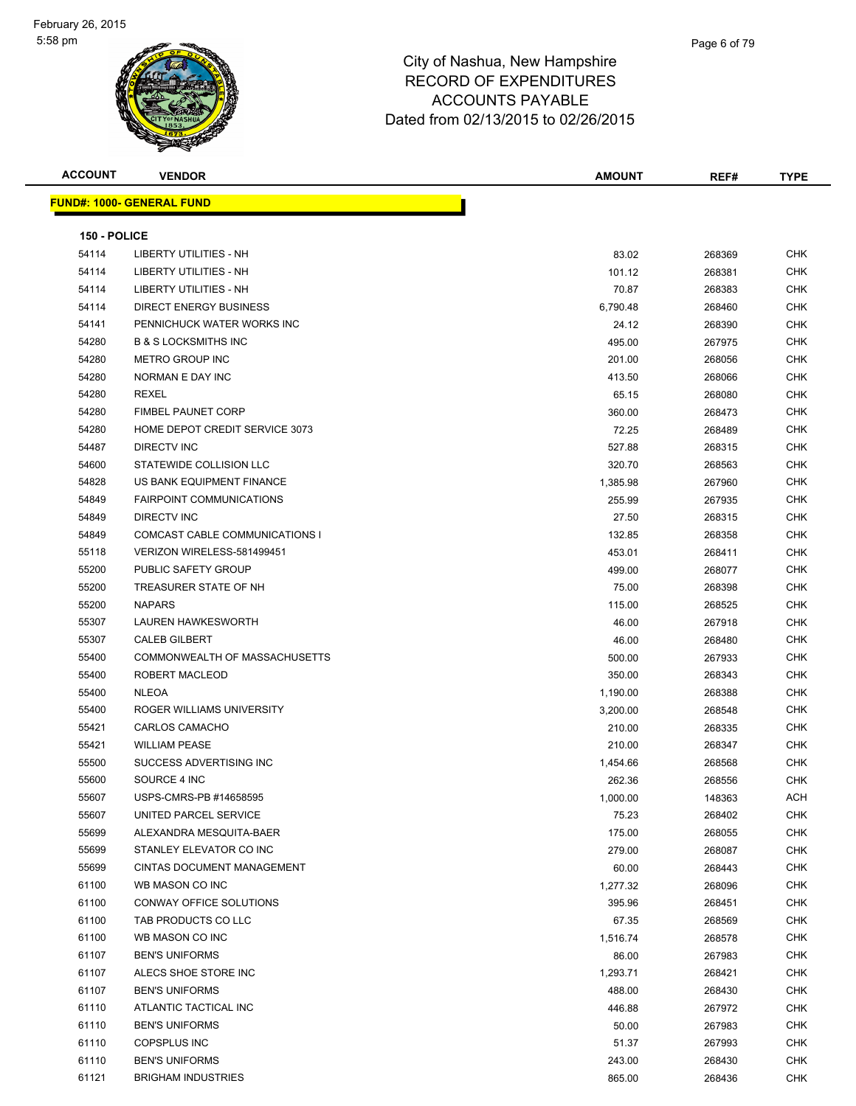| <b>ACCOUNT</b> | <b>VENDOR</b>                         | <b>AMOUNT</b> | REF#   | <b>TYPE</b> |
|----------------|---------------------------------------|---------------|--------|-------------|
|                | <b>FUND#: 1000- GENERAL FUND</b>      |               |        |             |
|                |                                       |               |        |             |
| 150 - POLICE   |                                       |               |        |             |
| 54114          | <b>LIBERTY UTILITIES - NH</b>         | 83.02         | 268369 | <b>CHK</b>  |
| 54114          | <b>LIBERTY UTILITIES - NH</b>         | 101.12        | 268381 | CHK         |
| 54114          | LIBERTY UTILITIES - NH                | 70.87         | 268383 | CHK         |
| 54114          | DIRECT ENERGY BUSINESS                | 6,790.48      | 268460 | <b>CHK</b>  |
| 54141          | PENNICHUCK WATER WORKS INC            | 24.12         | 268390 | <b>CHK</b>  |
| 54280          | <b>B &amp; S LOCKSMITHS INC</b>       | 495.00        | 267975 | CHK         |
| 54280          | <b>METRO GROUP INC</b>                | 201.00        | 268056 | <b>CHK</b>  |
| 54280          | NORMAN E DAY INC                      | 413.50        | 268066 | <b>CHK</b>  |
| 54280          | <b>REXEL</b>                          | 65.15         | 268080 | <b>CHK</b>  |
| 54280          | <b>FIMBEL PAUNET CORP</b>             | 360.00        | 268473 | CHK         |
| 54280          | HOME DEPOT CREDIT SERVICE 3073        | 72.25         | 268489 | CHK         |
| 54487          | <b>DIRECTV INC</b>                    | 527.88        | 268315 | <b>CHK</b>  |
| 54600          | STATEWIDE COLLISION LLC               | 320.70        | 268563 | CHK         |
| 54828          | US BANK EQUIPMENT FINANCE             | 1,385.98      | 267960 | CHK         |
| 54849          | <b>FAIRPOINT COMMUNICATIONS</b>       | 255.99        | 267935 | CHK         |
| 54849          | <b>DIRECTV INC</b>                    | 27.50         | 268315 | CHK         |
| 54849          | <b>COMCAST CABLE COMMUNICATIONS I</b> | 132.85        | 268358 | CHK         |
| 55118          | VERIZON WIRELESS-581499451            | 453.01        | 268411 | CHK         |
| 55200          | PUBLIC SAFETY GROUP                   | 499.00        | 268077 | CHK         |
| 55200          | TREASURER STATE OF NH                 | 75.00         | 268398 | <b>CHK</b>  |
| 55200          | <b>NAPARS</b>                         | 115.00        | 268525 | CHK         |
| 55307          | <b>LAUREN HAWKESWORTH</b>             | 46.00         | 267918 | <b>CHK</b>  |
| 55307          | <b>CALEB GILBERT</b>                  | 46.00         | 268480 | <b>CHK</b>  |
| 55400          | COMMONWEALTH OF MASSACHUSETTS         | 500.00        | 267933 | CHK         |
| 55400          | ROBERT MACLEOD                        | 350.00        | 268343 | CHK         |
| 55400          | <b>NLEOA</b>                          | 1,190.00      | 268388 | CHK         |
| 55400          | ROGER WILLIAMS UNIVERSITY             | 3,200.00      | 268548 | <b>CHK</b>  |
| 55421          | CARLOS CAMACHO                        | 210.00        | 268335 | CHK         |
| 55421          | <b>WILLIAM PEASE</b>                  | 210.00        | 268347 | <b>CHK</b>  |
| 55500          | SUCCESS ADVERTISING INC               | 1,454.66      | 268568 | <b>CHK</b>  |
| 55600          | SOURCE 4 INC                          | 262.36        | 268556 | <b>CHK</b>  |
| 55607          | USPS-CMRS-PB #14658595                | 1,000.00      | 148363 | <b>ACH</b>  |
| 55607          | UNITED PARCEL SERVICE                 | 75.23         | 268402 | <b>CHK</b>  |
| 55699          | ALEXANDRA MESQUITA-BAER               | 175.00        | 268055 | <b>CHK</b>  |
| 55699          | STANLEY ELEVATOR CO INC               | 279.00        | 268087 | CHK         |
| 55699          | CINTAS DOCUMENT MANAGEMENT            | 60.00         | 268443 | <b>CHK</b>  |
| 61100          | WB MASON CO INC                       | 1,277.32      | 268096 | CHK         |
| 61100          | CONWAY OFFICE SOLUTIONS               | 395.96        | 268451 | CHK         |
| 61100          | TAB PRODUCTS CO LLC                   | 67.35         | 268569 | <b>CHK</b>  |
| 61100          | WB MASON CO INC                       | 1,516.74      | 268578 | <b>CHK</b>  |
| 61107          | <b>BEN'S UNIFORMS</b>                 | 86.00         | 267983 | CHK         |
| 61107          | ALECS SHOE STORE INC                  | 1,293.71      | 268421 | <b>CHK</b>  |
| 61107          | <b>BEN'S UNIFORMS</b>                 | 488.00        | 268430 | CHK         |
| 61110          | ATLANTIC TACTICAL INC                 | 446.88        | 267972 | <b>CHK</b>  |
| 61110          | <b>BEN'S UNIFORMS</b>                 | 50.00         | 267983 | <b>CHK</b>  |
| 61110          | <b>COPSPLUS INC</b>                   | 51.37         | 267993 | CHK         |
| 61110          | <b>BEN'S UNIFORMS</b>                 | 243.00        | 268430 | CHK         |
| 61121          | <b>BRIGHAM INDUSTRIES</b>             | 865.00        | 268436 | CHK         |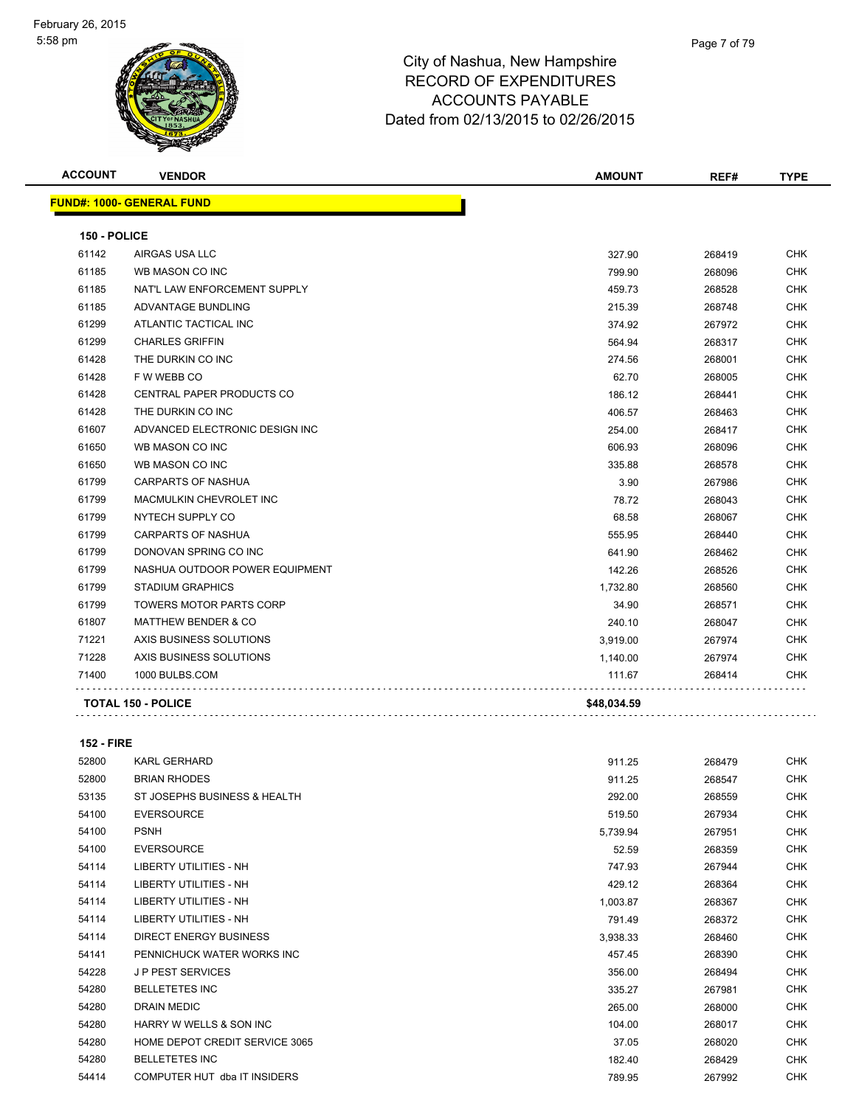

| <b>ACCOUNT</b> | <b>VENDOR</b>                    | <b>AMOUNT</b> | REF#   | <b>TYPE</b> |
|----------------|----------------------------------|---------------|--------|-------------|
|                | <b>FUND#: 1000- GENERAL FUND</b> |               |        |             |
| 150 - POLICE   |                                  |               |        |             |
| 61142          | AIRGAS USA LLC                   | 327.90        | 268419 | <b>CHK</b>  |
| 61185          | WB MASON CO INC                  | 799.90        | 268096 | <b>CHK</b>  |
| 61185          | NAT'L LAW ENFORCEMENT SUPPLY     | 459.73        | 268528 | <b>CHK</b>  |
| 61185          | ADVANTAGE BUNDLING               | 215.39        | 268748 | <b>CHK</b>  |
| 61299          | ATLANTIC TACTICAL INC            | 374.92        | 267972 | <b>CHK</b>  |
| 61299          | <b>CHARLES GRIFFIN</b>           | 564.94        | 268317 | <b>CHK</b>  |
| 61428          | THE DURKIN CO INC                | 274.56        | 268001 | <b>CHK</b>  |
| 61428          | F W WEBB CO                      | 62.70         | 268005 | <b>CHK</b>  |
| 61428          | CENTRAL PAPER PRODUCTS CO        | 186.12        | 268441 | <b>CHK</b>  |
| 61428          | THE DURKIN CO INC                | 406.57        | 268463 | <b>CHK</b>  |
| 61607          | ADVANCED ELECTRONIC DESIGN INC   | 254.00        | 268417 | <b>CHK</b>  |
| 61650          | WB MASON CO INC                  | 606.93        | 268096 | CHK         |
| 61650          | WB MASON CO INC                  | 335.88        | 268578 | <b>CHK</b>  |
| 61799          | <b>CARPARTS OF NASHUA</b>        | 3.90          | 267986 | <b>CHK</b>  |
| 61799          | MACMULKIN CHEVROLET INC          | 78.72         | 268043 | <b>CHK</b>  |
| 61799          | NYTECH SUPPLY CO                 | 68.58         | 268067 | <b>CHK</b>  |
| 61799          | CARPARTS OF NASHUA               | 555.95        | 268440 | <b>CHK</b>  |
| 61799          | DONOVAN SPRING CO INC            | 641.90        | 268462 | <b>CHK</b>  |
| 61799          | NASHUA OUTDOOR POWER EQUIPMENT   | 142.26        | 268526 | <b>CHK</b>  |
| 61799          | <b>STADIUM GRAPHICS</b>          | 1,732.80      | 268560 | <b>CHK</b>  |
| 61799          | <b>TOWERS MOTOR PARTS CORP</b>   | 34.90         | 268571 | <b>CHK</b>  |
| 61807          | <b>MATTHEW BENDER &amp; CO</b>   | 240.10        | 268047 | <b>CHK</b>  |
| 71221          | AXIS BUSINESS SOLUTIONS          | 3,919.00      | 267974 | <b>CHK</b>  |
| 71228          | AXIS BUSINESS SOLUTIONS          | 1,140.00      | 267974 | <b>CHK</b>  |
| 71400          | 1000 BULBS.COM                   | 111.67        | 268414 | <b>CHK</b>  |
|                | <b>TOTAL 150 - POLICE</b>        | \$48,034.59   |        |             |

**152 - FIRE**

| 52800 | <b>KARL GERHARD</b>            | 911.25   | 268479 | <b>CHK</b> |
|-------|--------------------------------|----------|--------|------------|
| 52800 | <b>BRIAN RHODES</b>            | 911.25   | 268547 | <b>CHK</b> |
| 53135 | ST JOSEPHS BUSINESS & HEALTH   | 292.00   | 268559 | CHK        |
| 54100 | <b>EVERSOURCE</b>              | 519.50   | 267934 | <b>CHK</b> |
| 54100 | <b>PSNH</b>                    | 5,739.94 | 267951 | <b>CHK</b> |
| 54100 | <b>EVERSOURCE</b>              | 52.59    | 268359 | <b>CHK</b> |
| 54114 | LIBERTY UTILITIES - NH         | 747.93   | 267944 | <b>CHK</b> |
| 54114 | LIBERTY UTILITIES - NH         | 429.12   | 268364 | <b>CHK</b> |
| 54114 | LIBERTY UTILITIES - NH         | 1,003.87 | 268367 | <b>CHK</b> |
| 54114 | LIBERTY UTILITIES - NH         | 791.49   | 268372 | <b>CHK</b> |
| 54114 | <b>DIRECT ENERGY BUSINESS</b>  | 3,938.33 | 268460 | <b>CHK</b> |
| 54141 | PENNICHUCK WATER WORKS INC     | 457.45   | 268390 | <b>CHK</b> |
| 54228 | <b>JP PEST SERVICES</b>        | 356.00   | 268494 | <b>CHK</b> |
| 54280 | <b>BELLETETES INC</b>          | 335.27   | 267981 | <b>CHK</b> |
| 54280 | <b>DRAIN MEDIC</b>             | 265.00   | 268000 | <b>CHK</b> |
| 54280 | HARRY W WELLS & SON INC        | 104.00   | 268017 | <b>CHK</b> |
| 54280 | HOME DEPOT CREDIT SERVICE 3065 | 37.05    | 268020 | <b>CHK</b> |
| 54280 | <b>BELLETETES INC</b>          | 182.40   | 268429 | <b>CHK</b> |
| 54414 | COMPUTER HUT dba IT INSIDERS   | 789.95   | 267992 | <b>CHK</b> |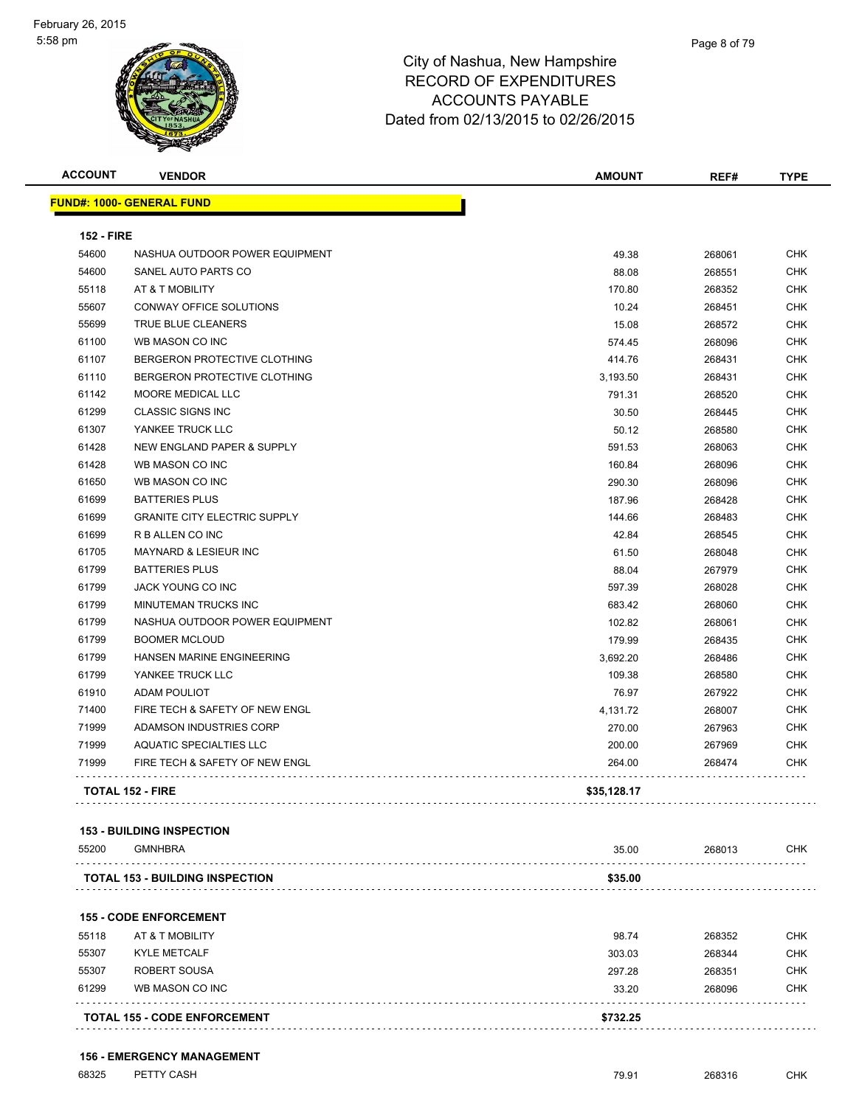

| <b>ACCOUNT</b>    | <b>VENDOR</b>                       | <b>AMOUNT</b> | REF#   | <b>TYPE</b> |
|-------------------|-------------------------------------|---------------|--------|-------------|
|                   | FUND#: 1000- GENERAL FUND           |               |        |             |
| <b>152 - FIRE</b> |                                     |               |        |             |
| 54600             | NASHUA OUTDOOR POWER EQUIPMENT      | 49.38         | 268061 | <b>CHK</b>  |
| 54600             | SANEL AUTO PARTS CO                 | 88.08         | 268551 | <b>CHK</b>  |
| 55118             | AT & T MOBILITY                     | 170.80        | 268352 | <b>CHK</b>  |
| 55607             | CONWAY OFFICE SOLUTIONS             | 10.24         | 268451 | <b>CHK</b>  |
| 55699             | <b>TRUE BLUE CLEANERS</b>           | 15.08         | 268572 | <b>CHK</b>  |
| 61100             | WB MASON CO INC                     | 574.45        | 268096 | <b>CHK</b>  |
| 61107             | BERGERON PROTECTIVE CLOTHING        | 414.76        | 268431 | <b>CHK</b>  |
| 61110             | BERGERON PROTECTIVE CLOTHING        | 3,193.50      | 268431 | <b>CHK</b>  |
| 61142             | MOORE MEDICAL LLC                   | 791.31        | 268520 | <b>CHK</b>  |
| 61299             | <b>CLASSIC SIGNS INC</b>            | 30.50         | 268445 | <b>CHK</b>  |
| 61307             | YANKEE TRUCK LLC                    | 50.12         | 268580 | <b>CHK</b>  |
| 61428             | NEW ENGLAND PAPER & SUPPLY          | 591.53        | 268063 | <b>CHK</b>  |
| 61428             | WB MASON CO INC                     | 160.84        | 268096 | <b>CHK</b>  |
| 61650             | WB MASON CO INC                     | 290.30        | 268096 | <b>CHK</b>  |
| 61699             | <b>BATTERIES PLUS</b>               | 187.96        | 268428 | <b>CHK</b>  |
| 61699             | <b>GRANITE CITY ELECTRIC SUPPLY</b> | 144.66        | 268483 | <b>CHK</b>  |
| 61699             | R B ALLEN CO INC                    | 42.84         | 268545 | <b>CHK</b>  |
| 61705             | <b>MAYNARD &amp; LESIEUR INC</b>    | 61.50         | 268048 | <b>CHK</b>  |
| 61799             | <b>BATTERIES PLUS</b>               | 88.04         | 267979 | <b>CHK</b>  |
| 61799             | JACK YOUNG CO INC                   | 597.39        | 268028 | <b>CHK</b>  |
| 61799             | MINUTEMAN TRUCKS INC                | 683.42        | 268060 | <b>CHK</b>  |
| 61799             | NASHUA OUTDOOR POWER EQUIPMENT      | 102.82        | 268061 | <b>CHK</b>  |
| 61799             | <b>BOOMER MCLOUD</b>                | 179.99        | 268435 | <b>CHK</b>  |
| 61799             | HANSEN MARINE ENGINEERING           | 3,692.20      | 268486 | <b>CHK</b>  |
| 61799             | YANKEE TRUCK LLC                    | 109.38        | 268580 | <b>CHK</b>  |
| 61910             | <b>ADAM POULIOT</b>                 | 76.97         | 267922 | <b>CHK</b>  |
| 71400             | FIRE TECH & SAFETY OF NEW ENGL      | 4,131.72      | 268007 | <b>CHK</b>  |
| 71999             | ADAMSON INDUSTRIES CORP             | 270.00        | 267963 | <b>CHK</b>  |
| 71999             | AQUATIC SPECIALTIES LLC             | 200.00        | 267969 | <b>CHK</b>  |
| 71999             | FIRE TECH & SAFETY OF NEW ENGL      | 264.00        | 268474 | <b>CHK</b>  |
|                   | <b>TOTAL 152 - FIRE</b>             | \$35,128.17   |        |             |

#### **153 - BUILDING INSPECTION**

| 55200 | <b>GMNHBRA</b>                         | 35.00   | 268013 | CHK |
|-------|----------------------------------------|---------|--------|-----|
|       | <b>TOTAL 153 - BUILDING INSPECTION</b> | \$35.00 |        |     |
|       |                                        |         |        |     |

#### **155 - CODE ENFORCEMENT**

|       | <b>TOTAL 155 - CODE ENFORCEMENT</b> | \$732.25 |        |            |
|-------|-------------------------------------|----------|--------|------------|
| 61299 | WB MASON CO INC                     | 33.20    | 268096 | CHK        |
| 55307 | ROBERT SOUSA                        | 297.28   | 268351 | <b>CHK</b> |
| 55307 | <b>KYLE METCALF</b>                 | 303.03   | 268344 | <b>CHK</b> |
| 55118 | AT & T MOBILITY                     | 98.74    | 268352 | <b>CHK</b> |

**156 - EMERGENCY MANAGEMENT**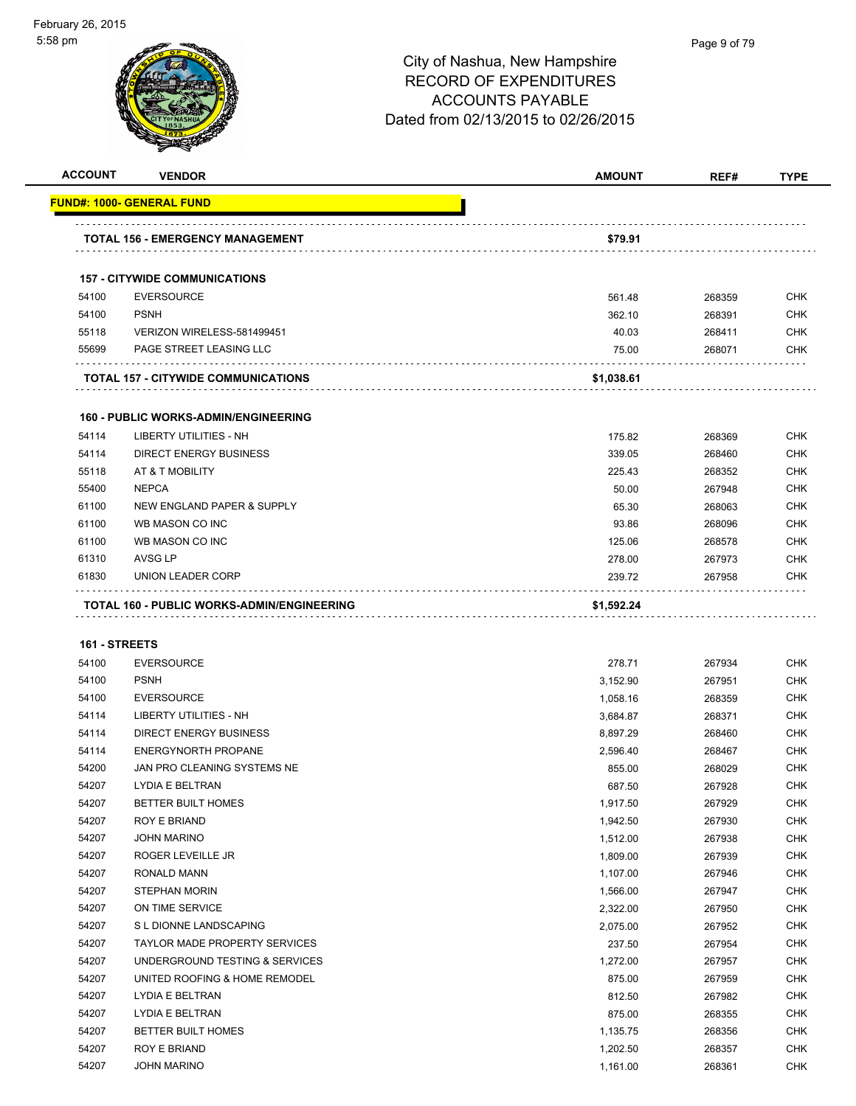| <b>ACCOUNT</b> | <b>VENDOR</b>                               | <b>AMOUNT</b>        | REF#             | <b>TYPE</b>              |
|----------------|---------------------------------------------|----------------------|------------------|--------------------------|
|                | FUND#: 1000- GENERAL FUND                   |                      |                  |                          |
|                | TOTAL 156 - EMERGENCY MANAGEMENT            | \$79.91              |                  |                          |
|                | <b>157 - CITYWIDE COMMUNICATIONS</b>        |                      |                  |                          |
| 54100          | <b>EVERSOURCE</b>                           | 561.48               | 268359           | <b>CHK</b>               |
| 54100          | <b>PSNH</b>                                 | 362.10               | 268391           | <b>CHK</b>               |
| 55118          | VERIZON WIRELESS-581499451                  | 40.03                | 268411           | <b>CHK</b>               |
| 55699          | PAGE STREET LEASING LLC                     | 75.00                | 268071           | <b>CHK</b>               |
|                | .<br>TOTAL 157 - CITYWIDE COMMUNICATIONS    | \$1,038.61           |                  |                          |
|                | <b>160 - PUBLIC WORKS-ADMIN/ENGINEERING</b> |                      |                  |                          |
| 54114          | LIBERTY UTILITIES - NH                      | 175.82               | 268369           | <b>CHK</b>               |
| 54114          | <b>DIRECT ENERGY BUSINESS</b>               | 339.05               | 268460           | <b>CHK</b>               |
| 55118          | AT & T MOBILITY                             | 225.43               | 268352           | <b>CHK</b>               |
| 55400          | <b>NEPCA</b>                                | 50.00                | 267948           | <b>CHK</b>               |
| 61100          | NEW ENGLAND PAPER & SUPPLY                  | 65.30                | 268063           | <b>CHK</b>               |
| 61100          | WB MASON CO INC                             | 93.86                | 268096           | <b>CHK</b>               |
| 61100          | WB MASON CO INC                             | 125.06               | 268578           | <b>CHK</b>               |
| 61310          | <b>AVSG LP</b>                              | 278.00               | 267973           | <b>CHK</b>               |
| 61830          | UNION LEADER CORP                           | 239.72               | 267958           | <b>CHK</b>               |
|                |                                             |                      |                  |                          |
|                | TOTAL 160 - PUBLIC WORKS-ADMIN/ENGINEERING  | \$1,592.24           |                  |                          |
| 161 - STREETS  |                                             |                      |                  |                          |
|                |                                             |                      |                  | <b>CHK</b>               |
| 54100          | <b>EVERSOURCE</b>                           | 278.71               | 267934           |                          |
| 54100<br>54100 | <b>PSNH</b>                                 | 3,152.90             | 267951           | <b>CHK</b>               |
| 54114          | <b>EVERSOURCE</b><br>LIBERTY UTILITIES - NH | 1,058.16             | 268359<br>268371 | <b>CHK</b><br><b>CHK</b> |
| 54114          | <b>DIRECT ENERGY BUSINESS</b>               | 3,684.87             |                  | <b>CHK</b>               |
| 54114          | <b>ENERGYNORTH PROPANE</b>                  | 8,897.29<br>2,596.40 | 268460<br>268467 | <b>CHK</b>               |
| 54200          | JAN PRO CLEANING SYSTEMS NE                 | 855.00               | 268029           | <b>CHK</b>               |
| 54207          | LYDIA E BELTRAN                             | 687.50               | 267928           | <b>CHK</b>               |
| 54207          | BETTER BUILT HOMES                          | 1,917.50             | 267929           | <b>CHK</b>               |
| 54207          | <b>ROY E BRIAND</b>                         | 1,942.50             | 267930           | <b>CHK</b>               |
| 54207          | <b>JOHN MARINO</b>                          | 1,512.00             | 267938           | <b>CHK</b>               |
| 54207          | ROGER LEVEILLE JR                           | 1,809.00             | 267939           | <b>CHK</b>               |
| 54207          | RONALD MANN                                 | 1,107.00             | 267946           | <b>CHK</b>               |
| 54207          | <b>STEPHAN MORIN</b>                        | 1,566.00             | 267947           | CHK                      |
| 54207          | ON TIME SERVICE                             | 2,322.00             | 267950           | <b>CHK</b>               |
| 54207          | S L DIONNE LANDSCAPING                      | 2,075.00             | 267952           | <b>CHK</b>               |
| 54207          | TAYLOR MADE PROPERTY SERVICES               | 237.50               | 267954           | <b>CHK</b>               |
| 54207          | UNDERGROUND TESTING & SERVICES              | 1,272.00             | 267957           | <b>CHK</b>               |
| 54207          | UNITED ROOFING & HOME REMODEL               | 875.00               | 267959           | <b>CHK</b>               |
| 54207          | LYDIA E BELTRAN                             | 812.50               | 267982           | <b>CHK</b>               |
| 54207          | LYDIA E BELTRAN                             | 875.00               | 268355           | <b>CHK</b>               |
| 54207          | BETTER BUILT HOMES                          | 1,135.75             | 268356           | <b>CHK</b>               |
| 54207          | ROY E BRIAND                                | 1,202.50             | 268357           | <b>CHK</b>               |
| 54207          | <b>JOHN MARINO</b>                          | 1,161.00             | 268361           | <b>CHK</b>               |
|                |                                             |                      |                  |                          |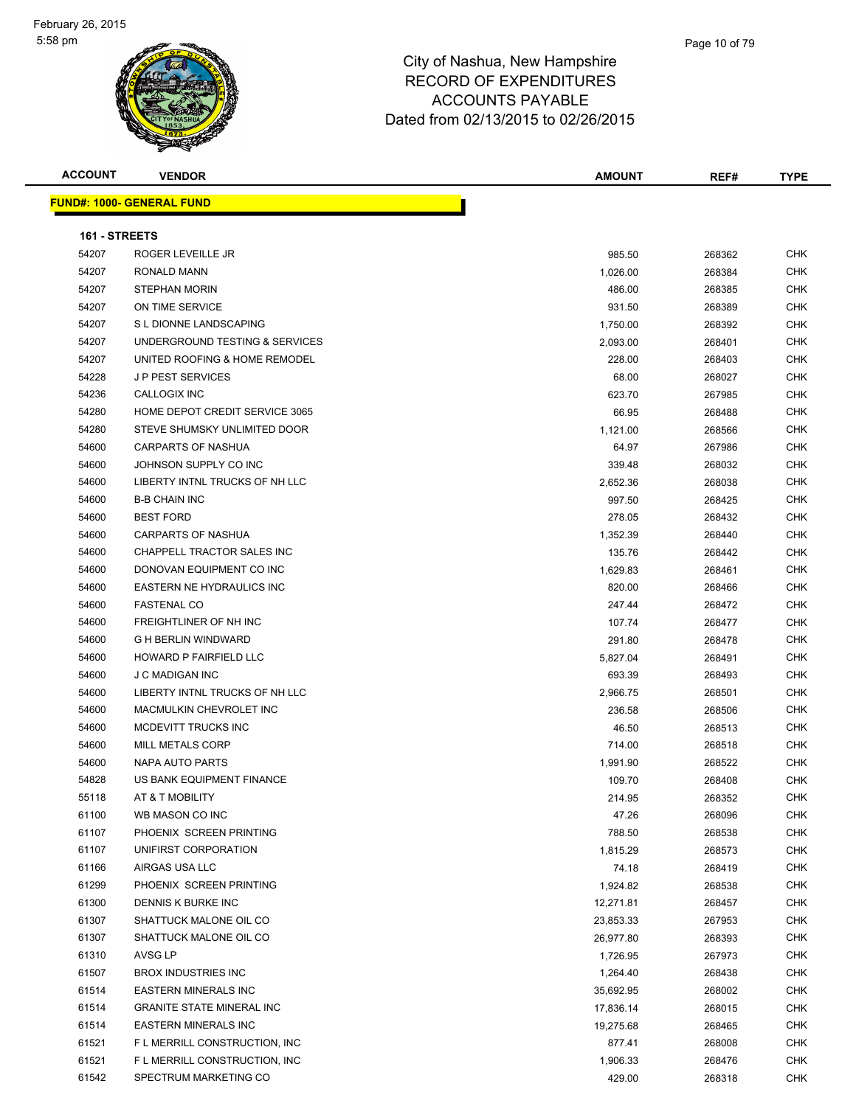

| <b>ACCOUNT</b> | <b>VENDOR</b>                    | <b>AMOUNT</b> | REF#   | <b>TYPE</b> |
|----------------|----------------------------------|---------------|--------|-------------|
|                | <b>FUND#: 1000- GENERAL FUND</b> |               |        |             |
| 161 - STREETS  |                                  |               |        |             |
| 54207          | ROGER LEVEILLE JR                | 985.50        | 268362 | <b>CHK</b>  |
| 54207          | RONALD MANN                      | 1,026.00      | 268384 | <b>CHK</b>  |
| 54207          | <b>STEPHAN MORIN</b>             | 486.00        | 268385 | <b>CHK</b>  |
| 54207          | ON TIME SERVICE                  | 931.50        | 268389 | <b>CHK</b>  |
| 54207          | S L DIONNE LANDSCAPING           | 1,750.00      | 268392 | <b>CHK</b>  |
| 54207          | UNDERGROUND TESTING & SERVICES   | 2,093.00      | 268401 | <b>CHK</b>  |
| 54207          | UNITED ROOFING & HOME REMODEL    | 228.00        | 268403 | <b>CHK</b>  |
| 54228          | <b>JP PEST SERVICES</b>          | 68.00         | 268027 | <b>CHK</b>  |
| 54236          | CALLOGIX INC                     | 623.70        | 267985 | <b>CHK</b>  |
| 54280          | HOME DEPOT CREDIT SERVICE 3065   | 66.95         | 268488 | <b>CHK</b>  |
| 54280          | STEVE SHUMSKY UNLIMITED DOOR     | 1,121.00      | 268566 | <b>CHK</b>  |
| 54600          | CARPARTS OF NASHUA               | 64.97         | 267986 | <b>CHK</b>  |
| 54600          | JOHNSON SUPPLY CO INC            | 339.48        | 268032 | <b>CHK</b>  |
| 54600          | LIBERTY INTNL TRUCKS OF NH LLC   | 2,652.36      | 268038 | <b>CHK</b>  |
| 54600          | <b>B-B CHAIN INC</b>             | 997.50        | 268425 | <b>CHK</b>  |
| 54600          | <b>BEST FORD</b>                 | 278.05        | 268432 | <b>CHK</b>  |
| 54600          | CARPARTS OF NASHUA               | 1,352.39      | 268440 | <b>CHK</b>  |
| 54600          | CHAPPELL TRACTOR SALES INC       | 135.76        | 268442 | <b>CHK</b>  |
| 54600          | DONOVAN EQUIPMENT CO INC         | 1,629.83      | 268461 | <b>CHK</b>  |
| 54600          | EASTERN NE HYDRAULICS INC        | 820.00        | 268466 | <b>CHK</b>  |
| 54600          | <b>FASTENAL CO</b>               | 247.44        | 268472 | <b>CHK</b>  |
| 54600          | FREIGHTLINER OF NH INC           | 107.74        | 268477 | <b>CHK</b>  |
| 54600          | <b>G H BERLIN WINDWARD</b>       | 291.80        | 268478 | <b>CHK</b>  |
| 54600          | HOWARD P FAIRFIELD LLC           | 5,827.04      | 268491 | <b>CHK</b>  |
| 54600          | <b>J C MADIGAN INC</b>           | 693.39        | 268493 | <b>CHK</b>  |
| 54600          | LIBERTY INTNL TRUCKS OF NH LLC   | 2,966.75      | 268501 | <b>CHK</b>  |
| 54600          | MACMULKIN CHEVROLET INC          | 236.58        | 268506 | <b>CHK</b>  |
| 54600          | MCDEVITT TRUCKS INC              | 46.50         | 268513 | <b>CHK</b>  |
| 54600          | <b>MILL METALS CORP</b>          | 714.00        | 268518 | <b>CHK</b>  |
| 54600          | NAPA AUTO PARTS                  | 1,991.90      | 268522 | <b>CHK</b>  |
| 54828          | US BANK EQUIPMENT FINANCE        | 109.70        | 268408 | <b>CHK</b>  |
| 55118          | AT & T MOBILITY                  | 214.95        | 268352 | <b>CHK</b>  |
| 61100          | WB MASON CO INC                  | 47.26         | 268096 | CHK         |
| 61107          | PHOENIX SCREEN PRINTING          | 788.50        | 268538 | <b>CHK</b>  |
| 61107          | UNIFIRST CORPORATION             | 1,815.29      | 268573 | <b>CHK</b>  |
| 61166          | AIRGAS USA LLC                   | 74.18         | 268419 | <b>CHK</b>  |
| 61299          | PHOENIX SCREEN PRINTING          | 1,924.82      | 268538 | <b>CHK</b>  |
| 61300          | DENNIS K BURKE INC               | 12,271.81     | 268457 | <b>CHK</b>  |
| 61307          | SHATTUCK MALONE OIL CO           | 23,853.33     | 267953 | <b>CHK</b>  |
| 61307          | SHATTUCK MALONE OIL CO           | 26,977.80     | 268393 | <b>CHK</b>  |
| 61310          | AVSG LP                          | 1,726.95      | 267973 | <b>CHK</b>  |
| 61507          | <b>BROX INDUSTRIES INC</b>       | 1,264.40      | 268438 | <b>CHK</b>  |
| 61514          | <b>EASTERN MINERALS INC</b>      | 35,692.95     | 268002 | <b>CHK</b>  |
| 61514          | <b>GRANITE STATE MINERAL INC</b> | 17,836.14     | 268015 | <b>CHK</b>  |
| 61514          | <b>EASTERN MINERALS INC</b>      | 19,275.68     | 268465 | <b>CHK</b>  |
| 61521          | F L MERRILL CONSTRUCTION, INC    | 877.41        | 268008 | <b>CHK</b>  |
| 61521          | F L MERRILL CONSTRUCTION, INC    | 1,906.33      | 268476 | <b>CHK</b>  |
| 61542          | SPECTRUM MARKETING CO            | 429.00        | 268318 | <b>CHK</b>  |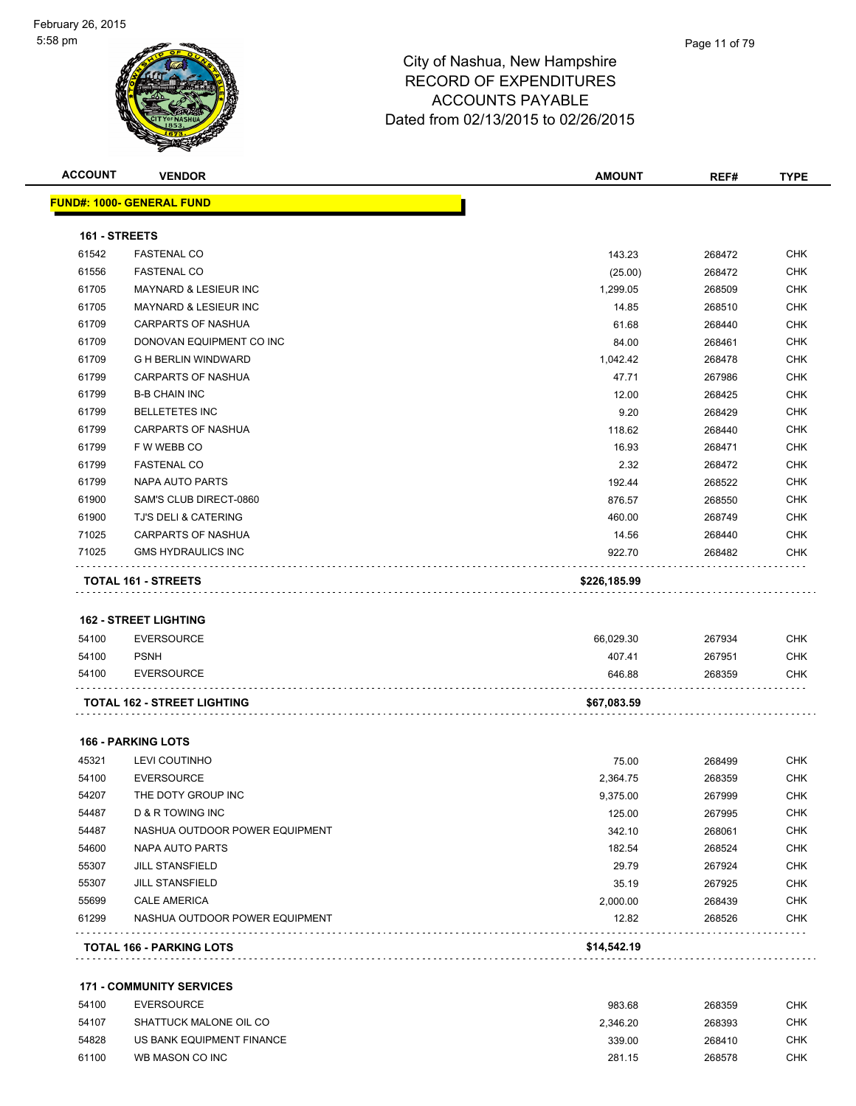|                | <b>VENDOR</b>                                      | <b>AMOUNT</b>    | REF#             | <b>TYPE</b>                                                                                                                              |
|----------------|----------------------------------------------------|------------------|------------------|------------------------------------------------------------------------------------------------------------------------------------------|
|                | <b>FUND#: 1000- GENERAL FUND</b>                   |                  |                  |                                                                                                                                          |
| 161 - STREETS  |                                                    |                  |                  |                                                                                                                                          |
| 61542          | <b>FASTENAL CO</b>                                 | 143.23           | 268472           | <b>CHK</b>                                                                                                                               |
| 61556          | <b>FASTENAL CO</b>                                 | (25.00)          | 268472           | <b>CHK</b>                                                                                                                               |
| 61705          | MAYNARD & LESIEUR INC                              | 1,299.05         | 268509           | <b>CHK</b>                                                                                                                               |
| 61705          | <b>MAYNARD &amp; LESIEUR INC</b>                   | 14.85            | 268510           | <b>CHK</b>                                                                                                                               |
| 61709          | <b>CARPARTS OF NASHUA</b>                          | 61.68            | 268440           | <b>CHK</b>                                                                                                                               |
| 61709          | DONOVAN EQUIPMENT CO INC                           | 84.00            | 268461           | <b>CHK</b>                                                                                                                               |
| 61709          | <b>G H BERLIN WINDWARD</b>                         | 1,042.42         | 268478           | <b>CHK</b>                                                                                                                               |
| 61799          | CARPARTS OF NASHUA                                 | 47.71            | 267986           | <b>CHK</b>                                                                                                                               |
| 61799          | <b>B-B CHAIN INC</b>                               | 12.00            | 268425           | <b>CHK</b>                                                                                                                               |
| 61799          | <b>BELLETETES INC</b>                              | 9.20             | 268429           | <b>CHK</b>                                                                                                                               |
| 61799          | CARPARTS OF NASHUA                                 | 118.62           | 268440           | <b>CHK</b>                                                                                                                               |
| 61799          | F W WEBB CO                                        | 16.93            | 268471           | <b>CHK</b>                                                                                                                               |
| 61799          | <b>FASTENAL CO</b>                                 | 2.32             | 268472           | <b>CHK</b>                                                                                                                               |
| 61799          | NAPA AUTO PARTS                                    | 192.44           | 268522           | <b>CHK</b>                                                                                                                               |
| 61900          | SAM'S CLUB DIRECT-0860                             | 876.57           | 268550           | <b>CHK</b>                                                                                                                               |
| 61900          | <b>TJ'S DELI &amp; CATERING</b>                    | 460.00           | 268749           | <b>CHK</b>                                                                                                                               |
| 71025          | <b>CARPARTS OF NASHUA</b>                          | 14.56            | 268440           | <b>CHK</b>                                                                                                                               |
| 71025          | <b>GMS HYDRAULICS INC</b>                          | 922.70           | 268482           | <b>CHK</b>                                                                                                                               |
|                | <b>TOTAL 161 - STREETS</b>                         | \$226,185.99     |                  |                                                                                                                                          |
|                | <b>162 - STREET LIGHTING</b>                       |                  |                  |                                                                                                                                          |
| 54100          |                                                    |                  |                  |                                                                                                                                          |
| 54100          | <b>EVERSOURCE</b><br><b>PSNH</b>                   | 66,029.30        | 267934           |                                                                                                                                          |
| 54100          | <b>EVERSOURCE</b>                                  | 407.41<br>646.88 | 267951<br>268359 | <b>CHK</b><br><b>CHK</b><br><b>CHK</b>                                                                                                   |
|                | <b>TOTAL 162 - STREET LIGHTING</b>                 | \$67,083.59      |                  |                                                                                                                                          |
|                |                                                    |                  |                  |                                                                                                                                          |
|                | <b>166 - PARKING LOTS</b>                          |                  |                  |                                                                                                                                          |
| 45321          | LEVI COUTINHO                                      | 75.00            | 268499           |                                                                                                                                          |
| 54100          | <b>EVERSOURCE</b>                                  | 2,364.75         | 268359           |                                                                                                                                          |
| 54207          | THE DOTY GROUP INC                                 | 9,375.00         | 267999           |                                                                                                                                          |
| 54487<br>54487 | D & R TOWING INC<br>NASHUA OUTDOOR POWER EQUIPMENT | 125.00           | 267995           |                                                                                                                                          |
| 54600          | NAPA AUTO PARTS                                    | 342.10<br>182.54 | 268061<br>268524 |                                                                                                                                          |
| 55307          | <b>JILL STANSFIELD</b>                             | 29.79            | 267924           |                                                                                                                                          |
| 55307          | <b>JILL STANSFIELD</b>                             | 35.19            | 267925           |                                                                                                                                          |
| 55699          | <b>CALE AMERICA</b>                                | 2,000.00         | 268439           |                                                                                                                                          |
| 61299          | NASHUA OUTDOOR POWER EQUIPMENT                     | 12.82            | 268526           | <b>CHK</b><br><b>CHK</b><br><b>CHK</b><br><b>CHK</b><br><b>CHK</b><br><b>CHK</b><br><b>CHK</b><br><b>CHK</b><br><b>CHK</b><br><b>CHK</b> |

| 54100 | EVERSOURCE                | 983.68   | 268359 | СНК |
|-------|---------------------------|----------|--------|-----|
| 54107 | SHATTUCK MALONE OIL CO    | 2.346.20 | 268393 | CHK |
| 54828 | US BANK EQUIPMENT FINANCE | 339.00   | 268410 | CHK |
| 61100 | WB MASON CO INC           | 281.15   | 268578 | СНК |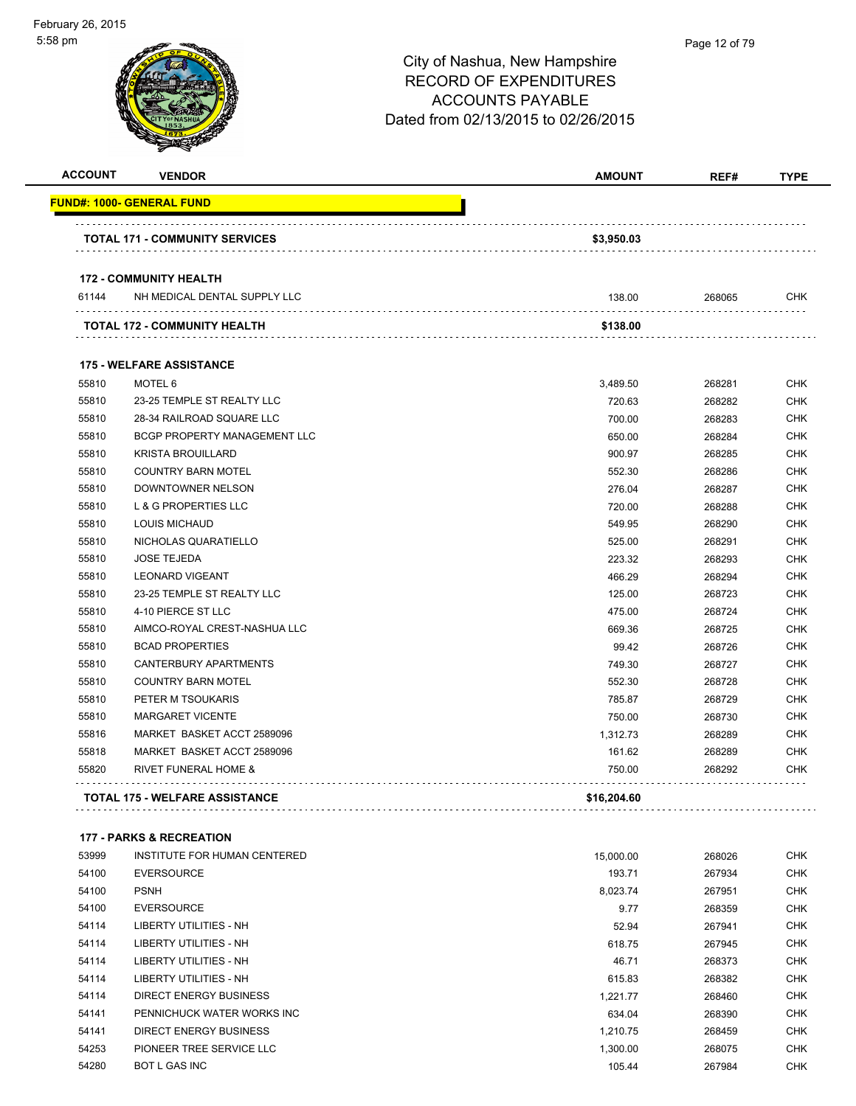| 58 pm          |                                       | City of Nashua, New Hampshire<br><b>RECORD OF EXPENDITURES</b><br><b>ACCOUNTS PAYABLE</b><br>Dated from 02/13/2015 to 02/26/2015 | Page 12 of 79 |             |
|----------------|---------------------------------------|----------------------------------------------------------------------------------------------------------------------------------|---------------|-------------|
| <b>ACCOUNT</b> | <b>VENDOR</b>                         | <b>AMOUNT</b>                                                                                                                    | REF#          | <b>TYPE</b> |
|                | <u> FUND#: 1000- GENERAL FUND</u>     |                                                                                                                                  |               |             |
|                | <b>TOTAL 171 - COMMUNITY SERVICES</b> | \$3,950.03                                                                                                                       |               |             |
|                | <b>172 - COMMUNITY HEALTH</b>         |                                                                                                                                  |               |             |
| 61144          | NH MEDICAL DENTAL SUPPLY LLC          | 138.00                                                                                                                           | 268065        | <b>CHK</b>  |
|                | <b>TOTAL 172 - COMMUNITY HEALTH</b>   | \$138.00                                                                                                                         |               |             |
|                | <b>175 - WELFARE ASSISTANCE</b>       |                                                                                                                                  |               |             |
| 55810          | MOTEL 6                               | 3,489.50                                                                                                                         | 268281        | <b>CHK</b>  |
| 55810          | 23-25 TEMPLE ST REALTY LLC            | 720.63                                                                                                                           | 268282        | <b>CHK</b>  |
| 55810          | 28-34 RAILROAD SQUARE LLC             | 700.00                                                                                                                           | 268283        | <b>CHK</b>  |
| 55810          | BCGP PROPERTY MANAGEMENT LLC          | 650.00                                                                                                                           | 268284        | <b>CHK</b>  |
| 55810          | <b>KRISTA BROUILLARD</b>              | 900.97                                                                                                                           | 268285        | <b>CHK</b>  |
| 55810          | <b>COUNTRY BARN MOTEL</b>             | 552.30                                                                                                                           | 268286        | <b>CHK</b>  |
| 55810          | DOWNTOWNER NELSON                     | 276.04                                                                                                                           | 268287        | <b>CHK</b>  |
| 55810          | L & G PROPERTIES LLC                  | 720.00                                                                                                                           | 268288        | <b>CHK</b>  |
| 55810          | <b>LOUIS MICHAUD</b>                  | 549.95                                                                                                                           | 268290        | <b>CHK</b>  |
| 55810          | NICHOLAS QUARATIELLO                  | 525.00                                                                                                                           | 268291        | <b>CHK</b>  |
| 55810          | <b>JOSE TEJEDA</b>                    | 223.32                                                                                                                           | 268293        | <b>CHK</b>  |
| 55810          | <b>LEONARD VIGEANT</b>                | 466.29                                                                                                                           | 268294        | <b>CHK</b>  |
| 55810          | 23-25 TEMPLE ST REALTY LLC            | 125.00                                                                                                                           | 268723        | <b>CHK</b>  |
| 55810          | 4-10 PIERCE ST LLC                    | 475.00                                                                                                                           | 268724        | <b>CHK</b>  |
| 55810          | AIMCO-ROYAL CREST-NASHUA LLC          | 669.36                                                                                                                           | 268725        | <b>CHK</b>  |
| 55810          | <b>BCAD PROPERTIES</b>                | 99.42                                                                                                                            | 268726        | <b>CHK</b>  |
| 55810          | CANTERBURY APARTMENTS                 | 749.30                                                                                                                           | 268727        | <b>CHK</b>  |
| 55810          | <b>COUNTRY BARN MOTEL</b>             | 552.30                                                                                                                           | 268728        | CHK         |
| 55810          | PETER M TSOUKARIS                     | 785.87                                                                                                                           | 268729        | <b>CHK</b>  |
| 55810          | MARGARET VICENTE                      | 750.00                                                                                                                           | 268730        | <b>CHK</b>  |
| 55816          | MARKET BASKET ACCT 2589096            | 1,312.73                                                                                                                         | 268289        | <b>CHK</b>  |
| 55818          | MARKET BASKET ACCT 2589096            | 161.62                                                                                                                           | 268289        | <b>CHK</b>  |
| 55820          | RIVET FUNERAL HOME &                  | 750.00                                                                                                                           | 268292        | <b>CHK</b>  |

#### **177 - PARKS & RECREATION**

| 53999 | INSTITUTE FOR HUMAN CENTERED | 15.000.00 | 268026 | <b>CHK</b> |
|-------|------------------------------|-----------|--------|------------|
| 54100 | <b>EVERSOURCE</b>            | 193.71    | 267934 | <b>CHK</b> |
| 54100 | <b>PSNH</b>                  | 8,023.74  | 267951 | <b>CHK</b> |
| 54100 | <b>EVERSOURCE</b>            | 9.77      | 268359 | <b>CHK</b> |
| 54114 | LIBERTY UTILITIES - NH       | 52.94     | 267941 | <b>CHK</b> |
| 54114 | LIBERTY UTILITIES - NH       | 618.75    | 267945 | <b>CHK</b> |
| 54114 | LIBERTY UTILITIES - NH       | 46.71     | 268373 | <b>CHK</b> |
| 54114 | LIBERTY UTILITIES - NH       | 615.83    | 268382 | <b>CHK</b> |
| 54114 | DIRECT ENERGY BUSINESS       | 1,221.77  | 268460 | <b>CHK</b> |
| 54141 | PENNICHUCK WATER WORKS INC   | 634.04    | 268390 | <b>CHK</b> |
| 54141 | DIRECT ENERGY BUSINESS       | 1.210.75  | 268459 | <b>CHK</b> |
| 54253 | PIONEER TREE SERVICE LLC     | 1,300.00  | 268075 | <b>CHK</b> |
| 54280 | <b>BOT L GAS INC</b>         | 105.44    | 267984 | <b>CHK</b> |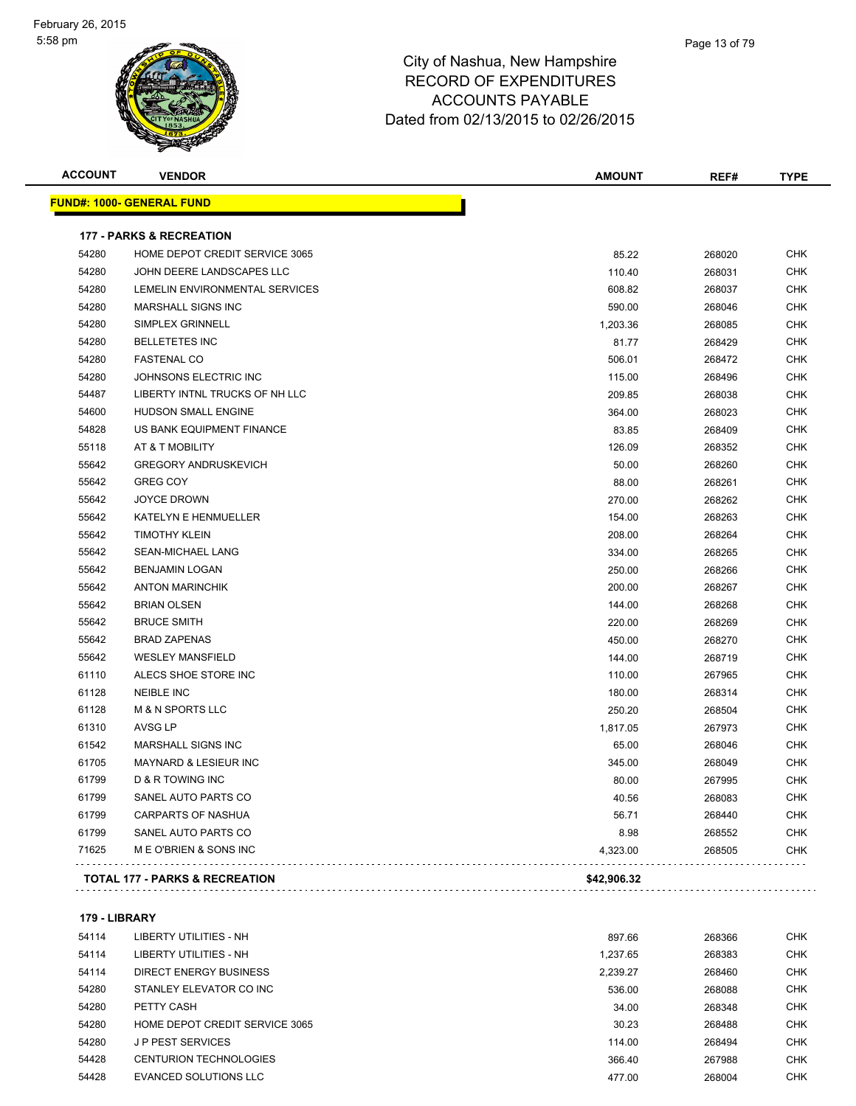#### Page 13 of 79

## City of Nashua, New Hampshire RECORD OF EXPENDITURES ACCOUNTS PAYABLE Dated from 02/13/2015 to 02/26/2015

| <b>ACCOUNT</b> | <b>VENDOR</b>                             | <b>AMOUNT</b> | REF#   | <b>TYPE</b> |
|----------------|-------------------------------------------|---------------|--------|-------------|
|                | <u> FUND#: 1000- GENERAL FUND</u>         |               |        |             |
|                | <b>177 - PARKS &amp; RECREATION</b>       |               |        |             |
| 54280          | HOME DEPOT CREDIT SERVICE 3065            | 85.22         | 268020 | <b>CHK</b>  |
| 54280          | JOHN DEERE LANDSCAPES LLC                 | 110.40        | 268031 | <b>CHK</b>  |
| 54280          | LEMELIN ENVIRONMENTAL SERVICES            | 608.82        | 268037 | <b>CHK</b>  |
| 54280          | MARSHALL SIGNS INC                        | 590.00        | 268046 | <b>CHK</b>  |
| 54280          | SIMPLEX GRINNELL                          | 1,203.36      | 268085 | <b>CHK</b>  |
| 54280          | <b>BELLETETES INC</b>                     | 81.77         | 268429 | <b>CHK</b>  |
| 54280          | <b>FASTENAL CO</b>                        | 506.01        | 268472 | <b>CHK</b>  |
| 54280          | JOHNSONS ELECTRIC INC                     | 115.00        | 268496 | <b>CHK</b>  |
| 54487          | LIBERTY INTNL TRUCKS OF NH LLC            | 209.85        | 268038 | <b>CHK</b>  |
| 54600          | <b>HUDSON SMALL ENGINE</b>                | 364.00        | 268023 | <b>CHK</b>  |
| 54828          | US BANK EQUIPMENT FINANCE                 | 83.85         | 268409 | <b>CHK</b>  |
| 55118          | AT & T MOBILITY                           | 126.09        | 268352 | <b>CHK</b>  |
| 55642          | <b>GREGORY ANDRUSKEVICH</b>               | 50.00         | 268260 | <b>CHK</b>  |
| 55642          | <b>GREG COY</b>                           | 88.00         | 268261 | <b>CHK</b>  |
| 55642          | <b>JOYCE DROWN</b>                        | 270.00        | 268262 | <b>CHK</b>  |
| 55642          | KATELYN E HENMUELLER                      | 154.00        | 268263 | <b>CHK</b>  |
| 55642          | <b>TIMOTHY KLEIN</b>                      | 208.00        | 268264 | <b>CHK</b>  |
| 55642          | SEAN-MICHAEL LANG                         | 334.00        | 268265 | <b>CHK</b>  |
| 55642          | <b>BENJAMIN LOGAN</b>                     | 250.00        | 268266 | <b>CHK</b>  |
| 55642          | <b>ANTON MARINCHIK</b>                    | 200.00        | 268267 | <b>CHK</b>  |
| 55642          | <b>BRIAN OLSEN</b>                        | 144.00        | 268268 | <b>CHK</b>  |
| 55642          | <b>BRUCE SMITH</b>                        | 220.00        | 268269 | <b>CHK</b>  |
| 55642          | <b>BRAD ZAPENAS</b>                       | 450.00        | 268270 | <b>CHK</b>  |
| 55642          | <b>WESLEY MANSFIELD</b>                   | 144.00        | 268719 | <b>CHK</b>  |
| 61110          | ALECS SHOE STORE INC                      | 110.00        | 267965 | <b>CHK</b>  |
| 61128          | <b>NEIBLE INC</b>                         | 180.00        | 268314 | <b>CHK</b>  |
| 61128          | <b>M &amp; N SPORTS LLC</b>               | 250.20        | 268504 | <b>CHK</b>  |
| 61310          | AVSG LP                                   | 1,817.05      | 267973 | <b>CHK</b>  |
| 61542          | MARSHALL SIGNS INC                        | 65.00         | 268046 | <b>CHK</b>  |
| 61705          | MAYNARD & LESIEUR INC                     | 345.00        | 268049 | <b>CHK</b>  |
| 61799          | D & R TOWING INC                          | 80.00         | 267995 | <b>CHK</b>  |
| 61799          | SANEL AUTO PARTS CO                       | 40.56         | 268083 | <b>CHK</b>  |
| 61799          | <b>CARPARTS OF NASHUA</b>                 | 56.71         | 268440 | <b>CHK</b>  |
| 61799          | SANEL AUTO PARTS CO                       | 8.98          | 268552 | <b>CHK</b>  |
| 71625          | M E O'BRIEN & SONS INC                    | 4,323.00      | 268505 | <b>CHK</b>  |
|                | <b>TOTAL 177 - PARKS &amp; RECREATION</b> | \$42,906.32   |        |             |
|                |                                           |               |        |             |

#### **179 - LIBRARY**

| 54114 | LIBERTY UTILITIES - NH         | 897.66   | 268366 | <b>CHK</b> |
|-------|--------------------------------|----------|--------|------------|
| 54114 | LIBERTY UTILITIES - NH         | 1.237.65 | 268383 | <b>CHK</b> |
| 54114 | DIRECT ENERGY BUSINESS         | 2,239.27 | 268460 | <b>CHK</b> |
| 54280 | STANLEY ELEVATOR CO INC        | 536.00   | 268088 | <b>CHK</b> |
| 54280 | PETTY CASH                     | 34.00    | 268348 | <b>CHK</b> |
| 54280 | HOME DEPOT CREDIT SERVICE 3065 | 30.23    | 268488 | <b>CHK</b> |
| 54280 | <b>JP PEST SERVICES</b>        | 114.00   | 268494 | <b>CHK</b> |
| 54428 | CENTURION TECHNOLOGIES         | 366.40   | 267988 | <b>CHK</b> |
| 54428 | EVANCED SOLUTIONS LLC          | 477.00   | 268004 | <b>CHK</b> |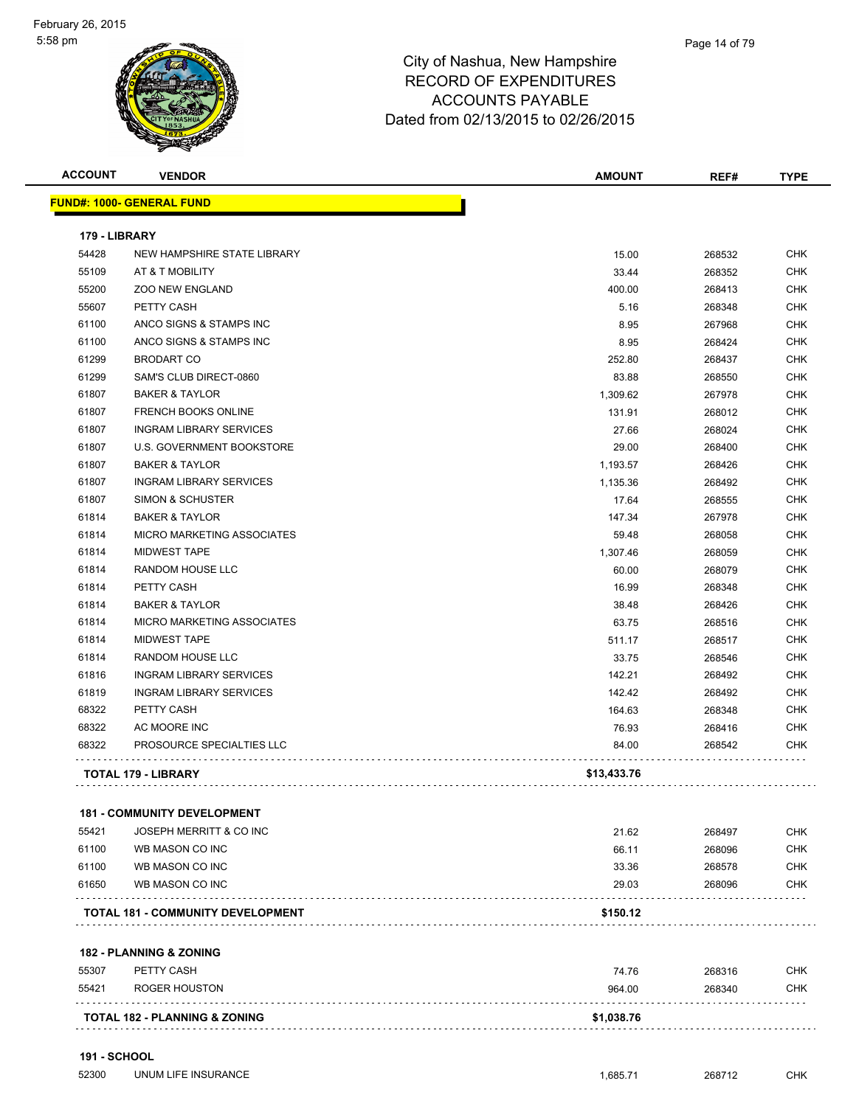#### Page 14 of 79

| <b>ACCOUNT</b> | <b>VENDOR</b>                            | <b>AMOUNT</b> | REF#   | <b>TYPE</b> |
|----------------|------------------------------------------|---------------|--------|-------------|
|                | <b>FUND#: 1000- GENERAL FUND</b>         |               |        |             |
| 179 - LIBRARY  |                                          |               |        |             |
| 54428          | NEW HAMPSHIRE STATE LIBRARY              | 15.00         | 268532 | <b>CHK</b>  |
| 55109          | AT & T MOBILITY                          | 33.44         | 268352 | <b>CHK</b>  |
| 55200          | <b>ZOO NEW ENGLAND</b>                   | 400.00        | 268413 | <b>CHK</b>  |
| 55607          | PETTY CASH                               | 5.16          | 268348 | <b>CHK</b>  |
| 61100          | ANCO SIGNS & STAMPS INC                  | 8.95          | 267968 | <b>CHK</b>  |
| 61100          | ANCO SIGNS & STAMPS INC                  | 8.95          | 268424 | <b>CHK</b>  |
| 61299          | <b>BRODART CO</b>                        | 252.80        | 268437 | <b>CHK</b>  |
| 61299          | SAM'S CLUB DIRECT-0860                   | 83.88         | 268550 | <b>CHK</b>  |
| 61807          | <b>BAKER &amp; TAYLOR</b>                | 1,309.62      | 267978 | <b>CHK</b>  |
| 61807          | <b>FRENCH BOOKS ONLINE</b>               | 131.91        | 268012 | <b>CHK</b>  |
| 61807          | <b>INGRAM LIBRARY SERVICES</b>           | 27.66         | 268024 | CHK         |
| 61807          | U.S. GOVERNMENT BOOKSTORE                | 29.00         | 268400 | <b>CHK</b>  |
| 61807          | <b>BAKER &amp; TAYLOR</b>                | 1,193.57      | 268426 | <b>CHK</b>  |
| 61807          | <b>INGRAM LIBRARY SERVICES</b>           | 1,135.36      | 268492 | <b>CHK</b>  |
| 61807          | <b>SIMON &amp; SCHUSTER</b>              | 17.64         | 268555 | <b>CHK</b>  |
| 61814          | <b>BAKER &amp; TAYLOR</b>                | 147.34        | 267978 | <b>CHK</b>  |
| 61814          | MICRO MARKETING ASSOCIATES               | 59.48         | 268058 | CHK         |
| 61814          | <b>MIDWEST TAPE</b>                      | 1,307.46      | 268059 | CHK         |
| 61814          | <b>RANDOM HOUSE LLC</b>                  | 60.00         | 268079 | CHK         |
| 61814          | PETTY CASH                               | 16.99         | 268348 | <b>CHK</b>  |
| 61814          | <b>BAKER &amp; TAYLOR</b>                | 38.48         | 268426 | <b>CHK</b>  |
| 61814          | MICRO MARKETING ASSOCIATES               | 63.75         | 268516 | <b>CHK</b>  |
| 61814          | <b>MIDWEST TAPE</b>                      | 511.17        | 268517 | <b>CHK</b>  |
| 61814          | RANDOM HOUSE LLC                         | 33.75         | 268546 | <b>CHK</b>  |
| 61816          | <b>INGRAM LIBRARY SERVICES</b>           | 142.21        | 268492 | <b>CHK</b>  |
| 61819          | <b>INGRAM LIBRARY SERVICES</b>           | 142.42        | 268492 | <b>CHK</b>  |
| 68322          | PETTY CASH                               | 164.63        | 268348 | <b>CHK</b>  |
| 68322          | AC MOORE INC                             | 76.93         | 268416 | <b>CHK</b>  |
| 68322          | PROSOURCE SPECIALTIES LLC                | 84.00         | 268542 | CHK         |
|                | TOTAL 179 - LIBRARY                      | \$13,433.76   |        |             |
|                | <b>181 - COMMUNITY DEVELOPMENT</b>       |               |        |             |
| 55421          | JOSEPH MERRITT & CO INC                  | 21.62         | 268497 | CHK         |
| 61100          | WB MASON CO INC                          | 66.11         | 268096 | <b>CHK</b>  |
| 61100          | WB MASON CO INC                          | 33.36         | 268578 | CHK         |
| 61650          | WB MASON CO INC                          | 29.03         | 268096 | <b>CHK</b>  |
|                | <b>TOTAL 181 - COMMUNITY DEVELOPMENT</b> | \$150.12      |        |             |
|                | <b>182 - PLANNING &amp; ZONING</b>       |               |        |             |
| 55307          | PETTY CASH                               | 74.76         | 268316 | <b>CHK</b>  |
| 55421          | <b>ROGER HOUSTON</b>                     | 964.00        | 268340 | CHK         |
|                | <b>TOTAL 182 - PLANNING &amp; ZONING</b> | \$1,038.76    |        |             |
|                |                                          |               |        |             |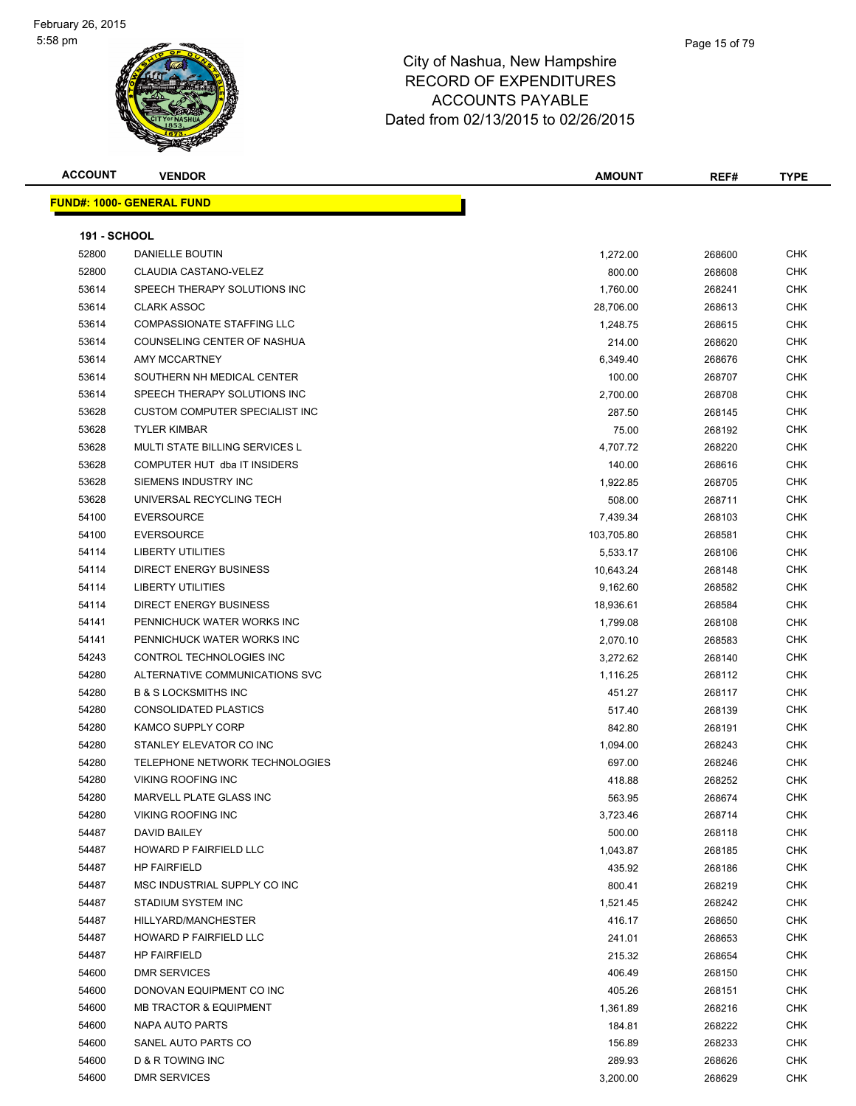

| <b>ACCOUNT</b>      | <b>VENDOR</b>                              | <b>AMOUNT</b>         | REF#             | <b>TYPE</b>              |
|---------------------|--------------------------------------------|-----------------------|------------------|--------------------------|
|                     | <b>FUND#: 1000- GENERAL FUND</b>           |                       |                  |                          |
| <b>191 - SCHOOL</b> |                                            |                       |                  |                          |
| 52800               | <b>DANIELLE BOUTIN</b>                     | 1,272.00              | 268600           | <b>CHK</b>               |
| 52800               | CLAUDIA CASTANO-VELEZ                      | 800.00                | 268608           | <b>CHK</b>               |
| 53614               | SPEECH THERAPY SOLUTIONS INC               | 1,760.00              | 268241           | <b>CHK</b>               |
| 53614               | <b>CLARK ASSOC</b>                         | 28,706.00             | 268613           | <b>CHK</b>               |
| 53614               | <b>COMPASSIONATE STAFFING LLC</b>          | 1,248.75              | 268615           | <b>CHK</b>               |
| 53614               | COUNSELING CENTER OF NASHUA                | 214.00                | 268620           | <b>CHK</b>               |
| 53614               | AMY MCCARTNEY                              | 6,349.40              | 268676           | <b>CHK</b>               |
| 53614               | SOUTHERN NH MEDICAL CENTER                 | 100.00                | 268707           | <b>CHK</b>               |
| 53614               | SPEECH THERAPY SOLUTIONS INC               | 2,700.00              | 268708           | <b>CHK</b>               |
| 53628               | CUSTOM COMPUTER SPECIALIST INC             | 287.50                | 268145           | <b>CHK</b>               |
| 53628               | <b>TYLER KIMBAR</b>                        | 75.00                 | 268192           | <b>CHK</b>               |
| 53628               | MULTI STATE BILLING SERVICES L             | 4,707.72              | 268220           | <b>CHK</b>               |
| 53628               | COMPUTER HUT dba IT INSIDERS               | 140.00                | 268616           | <b>CHK</b>               |
| 53628               | SIEMENS INDUSTRY INC                       | 1,922.85              | 268705           | <b>CHK</b>               |
| 53628               | UNIVERSAL RECYCLING TECH                   | 508.00                | 268711           | <b>CHK</b>               |
| 54100               | <b>EVERSOURCE</b>                          | 7,439.34              | 268103           | <b>CHK</b>               |
| 54100               | <b>EVERSOURCE</b>                          | 103,705.80            | 268581           | <b>CHK</b>               |
| 54114               | <b>LIBERTY UTILITIES</b>                   | 5,533.17              | 268106           | <b>CHK</b>               |
| 54114               | <b>DIRECT ENERGY BUSINESS</b>              | 10,643.24             | 268148           | <b>CHK</b>               |
| 54114               | LIBERTY UTILITIES                          | 9,162.60              | 268582           | <b>CHK</b>               |
| 54114               | <b>DIRECT ENERGY BUSINESS</b>              |                       | 268584           | <b>CHK</b>               |
| 54141               | PENNICHUCK WATER WORKS INC                 | 18,936.61<br>1,799.08 | 268108           | <b>CHK</b>               |
| 54141               | PENNICHUCK WATER WORKS INC                 | 2,070.10              | 268583           | <b>CHK</b>               |
| 54243               | CONTROL TECHNOLOGIES INC                   |                       | 268140           | <b>CHK</b>               |
| 54280               | ALTERNATIVE COMMUNICATIONS SVC             | 3,272.62              |                  | <b>CHK</b>               |
| 54280               | <b>B &amp; S LOCKSMITHS INC</b>            | 1,116.25<br>451.27    | 268112<br>268117 | <b>CHK</b>               |
| 54280               | <b>CONSOLIDATED PLASTICS</b>               | 517.40                | 268139           | <b>CHK</b>               |
| 54280               | KAMCO SUPPLY CORP                          | 842.80                | 268191           | <b>CHK</b>               |
| 54280               | STANLEY ELEVATOR CO INC                    | 1,094.00              | 268243           | <b>CHK</b>               |
| 54280               | TELEPHONE NETWORK TECHNOLOGIES             | 697.00                | 268246           | <b>CHK</b>               |
| 54280               | <b>VIKING ROOFING INC</b>                  | 418.88                | 268252           | <b>CHK</b>               |
| 54280               | MARVELL PLATE GLASS INC                    | 563.95                | 268674           | <b>CHK</b>               |
| 54280               | VIKING ROOFING INC                         |                       | 268714           | <b>CHK</b>               |
| 54487               | DAVID BAILEY                               | 3,723.46              |                  | <b>CHK</b>               |
| 54487               | HOWARD P FAIRFIELD LLC                     | 500.00<br>1,043.87    | 268118<br>268185 | <b>CHK</b>               |
| 54487               | <b>HP FAIRFIELD</b>                        |                       |                  | <b>CHK</b>               |
| 54487               | MSC INDUSTRIAL SUPPLY CO INC               | 435.92                | 268186           | <b>CHK</b>               |
|                     |                                            | 800.41                | 268219           | <b>CHK</b>               |
| 54487<br>54487      | STADIUM SYSTEM INC<br>HILLYARD/MANCHESTER  | 1,521.45              | 268242           |                          |
| 54487               |                                            | 416.17                | 268650           | <b>CHK</b>               |
|                     | HOWARD P FAIRFIELD LLC                     | 241.01                | 268653           | <b>CHK</b><br><b>CHK</b> |
| 54487               | <b>HP FAIRFIELD</b><br><b>DMR SERVICES</b> | 215.32                | 268654           |                          |
| 54600               |                                            | 406.49                | 268150           | <b>CHK</b>               |
| 54600               | DONOVAN EQUIPMENT CO INC                   | 405.26                | 268151           | <b>CHK</b>               |
| 54600               | <b>MB TRACTOR &amp; EQUIPMENT</b>          | 1,361.89              | 268216           | <b>CHK</b>               |
| 54600               | NAPA AUTO PARTS                            | 184.81                | 268222           | <b>CHK</b>               |
| 54600               | SANEL AUTO PARTS CO                        | 156.89                | 268233           | <b>CHK</b>               |
| 54600               | D & R TOWING INC                           | 289.93                | 268626           | <b>CHK</b>               |
| 54600               | DMR SERVICES                               | 3,200.00              | 268629           | <b>CHK</b>               |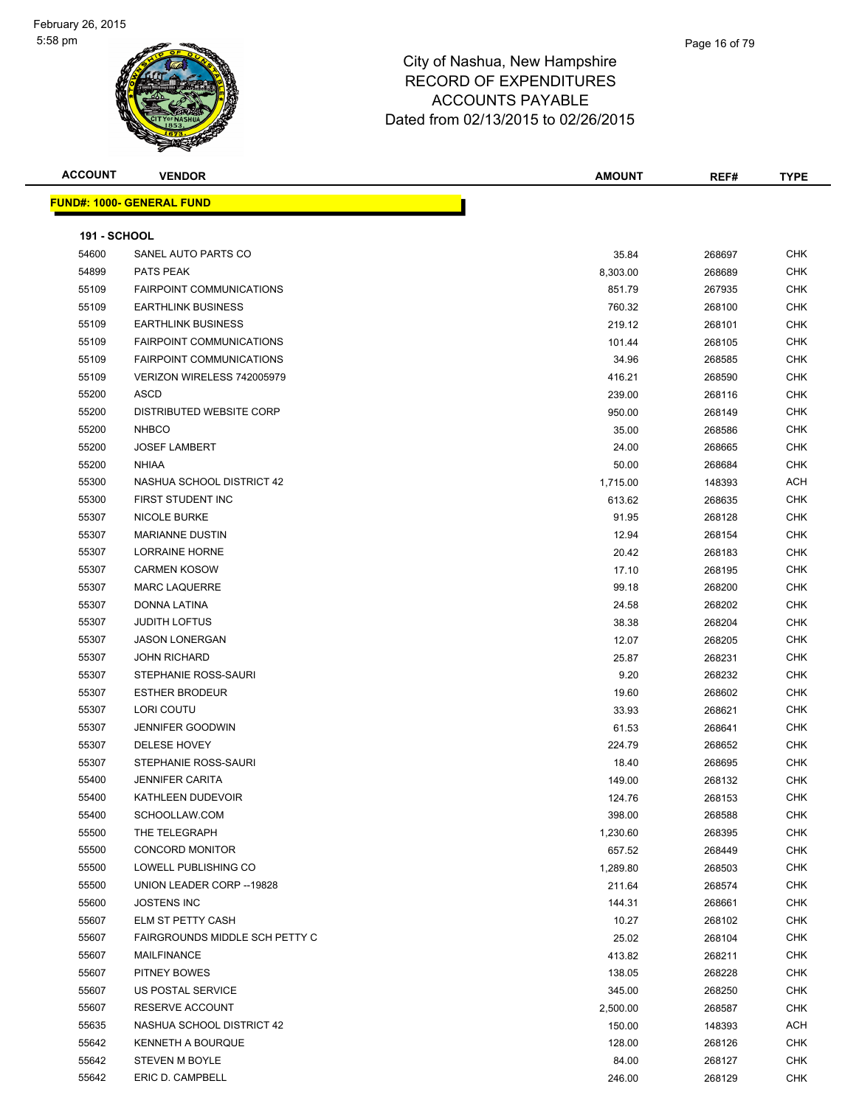

| <b>ACCOUNT</b>      | <b>VENDOR</b>                     | <b>AMOUNT</b> | REF#   | <b>TYPE</b> |
|---------------------|-----------------------------------|---------------|--------|-------------|
|                     | <u> FUND#: 1000- GENERAL FUND</u> |               |        |             |
|                     |                                   |               |        |             |
| <b>191 - SCHOOL</b> |                                   |               |        |             |
| 54600               | SANEL AUTO PARTS CO               | 35.84         | 268697 | CHK         |
| 54899               | PATS PEAK                         | 8,303.00      | 268689 | <b>CHK</b>  |
| 55109               | <b>FAIRPOINT COMMUNICATIONS</b>   | 851.79        | 267935 | <b>CHK</b>  |
| 55109               | <b>EARTHLINK BUSINESS</b>         | 760.32        | 268100 | <b>CHK</b>  |
| 55109               | <b>EARTHLINK BUSINESS</b>         | 219.12        | 268101 | <b>CHK</b>  |
| 55109               | <b>FAIRPOINT COMMUNICATIONS</b>   | 101.44        | 268105 | <b>CHK</b>  |
| 55109               | FAIRPOINT COMMUNICATIONS          | 34.96         | 268585 | <b>CHK</b>  |
| 55109               | VERIZON WIRELESS 742005979        | 416.21        | 268590 | <b>CHK</b>  |
| 55200               | <b>ASCD</b>                       | 239.00        | 268116 | <b>CHK</b>  |
| 55200               | DISTRIBUTED WEBSITE CORP          | 950.00        | 268149 | CHK         |
| 55200               | <b>NHBCO</b>                      | 35.00         | 268586 | <b>CHK</b>  |
| 55200               | <b>JOSEF LAMBERT</b>              | 24.00         | 268665 | CHK         |
| 55200               | <b>NHIAA</b>                      | 50.00         | 268684 | CHK         |
| 55300               | NASHUA SCHOOL DISTRICT 42         | 1,715.00      | 148393 | ACH         |
| 55300               | FIRST STUDENT INC                 | 613.62        | 268635 | CHK         |
| 55307               | <b>NICOLE BURKE</b>               | 91.95         | 268128 | CHK         |
| 55307               | <b>MARIANNE DUSTIN</b>            | 12.94         | 268154 | <b>CHK</b>  |
| 55307               | <b>LORRAINE HORNE</b>             | 20.42         | 268183 | <b>CHK</b>  |
| 55307               | <b>CARMEN KOSOW</b>               | 17.10         | 268195 | <b>CHK</b>  |
| 55307               | <b>MARC LAQUERRE</b>              | 99.18         | 268200 | <b>CHK</b>  |
| 55307               | DONNA LATINA                      | 24.58         | 268202 | <b>CHK</b>  |
| 55307               | JUDITH LOFTUS                     | 38.38         | 268204 | <b>CHK</b>  |
| 55307               | <b>JASON LONERGAN</b>             | 12.07         | 268205 | <b>CHK</b>  |
| 55307               | JOHN RICHARD                      | 25.87         | 268231 | <b>CHK</b>  |
| 55307               | STEPHANIE ROSS-SAURI              | 9.20          | 268232 | <b>CHK</b>  |
| 55307               | <b>ESTHER BRODEUR</b>             | 19.60         | 268602 | CHK         |
| 55307               | LORI COUTU                        | 33.93         | 268621 | <b>CHK</b>  |
| 55307               | <b>JENNIFER GOODWIN</b>           | 61.53         | 268641 | <b>CHK</b>  |
| 55307               | <b>DELESE HOVEY</b>               | 224.79        | 268652 | <b>CHK</b>  |
| 55307               | STEPHANIE ROSS-SAURI              | 18.40         | 268695 | <b>CHK</b>  |
| 55400               | JENNIFER CARITA                   | 149.00        | 268132 | <b>CHK</b>  |
| 55400               | KATHLEEN DUDEVOIR                 | 124.76        | 268153 | <b>CHK</b>  |
| 55400               | SCHOOLLAW.COM                     | 398.00        | 268588 | CHK         |
| 55500               | THE TELEGRAPH                     | 1,230.60      | 268395 | CHK         |
| 55500               | CONCORD MONITOR                   | 657.52        | 268449 | <b>CHK</b>  |
| 55500               | LOWELL PUBLISHING CO              | 1,289.80      | 268503 | CHK         |
| 55500               | UNION LEADER CORP -- 19828        | 211.64        | 268574 | CHK         |
| 55600               | JOSTENS INC                       | 144.31        | 268661 | <b>CHK</b>  |
| 55607               | ELM ST PETTY CASH                 | 10.27         | 268102 | <b>CHK</b>  |
| 55607               | FAIRGROUNDS MIDDLE SCH PETTY C    | 25.02         | 268104 | <b>CHK</b>  |
| 55607               | MAILFINANCE                       | 413.82        | 268211 | <b>CHK</b>  |
| 55607               | PITNEY BOWES                      | 138.05        | 268228 | <b>CHK</b>  |
| 55607               | US POSTAL SERVICE                 | 345.00        | 268250 | CHK         |
| 55607               | RESERVE ACCOUNT                   | 2,500.00      | 268587 | CHK         |
| 55635               | NASHUA SCHOOL DISTRICT 42         | 150.00        | 148393 | ACH         |
| 55642               | KENNETH A BOURQUE                 | 128.00        | 268126 | <b>CHK</b>  |
| 55642               | STEVEN M BOYLE                    | 84.00         | 268127 | CHK         |
| 55642               | ERIC D. CAMPBELL                  | 246.00        | 268129 | CHK         |
|                     |                                   |               |        |             |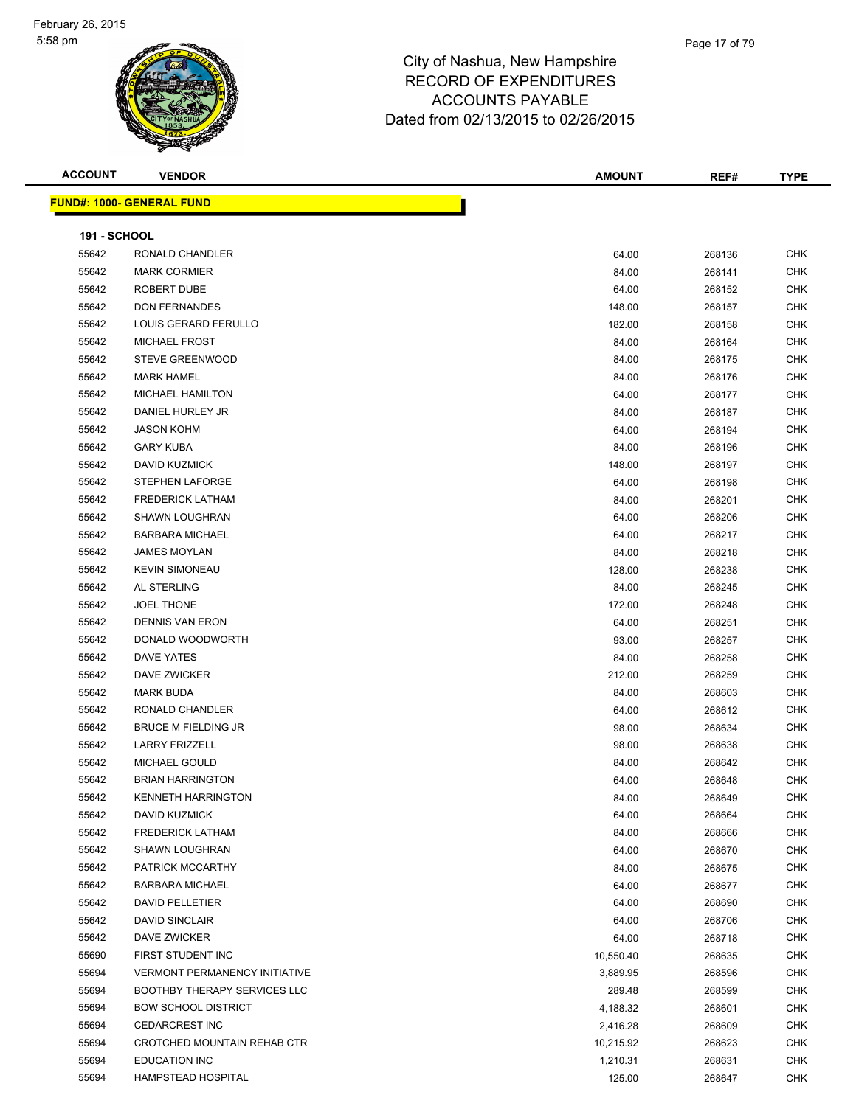

| <b>ACCOUNT</b> | <b>VENDOR</b>                        | <b>AMOUNT</b> | REF#   | <b>TYPE</b> |
|----------------|--------------------------------------|---------------|--------|-------------|
|                | <u> FUND#: 1000- GENERAL FUND</u>    |               |        |             |
| 191 - SCHOOL   |                                      |               |        |             |
| 55642          | RONALD CHANDLER                      | 64.00         | 268136 | <b>CHK</b>  |
| 55642          | <b>MARK CORMIER</b>                  | 84.00         | 268141 | <b>CHK</b>  |
| 55642          | ROBERT DUBE                          | 64.00         | 268152 | <b>CHK</b>  |
| 55642          | <b>DON FERNANDES</b>                 | 148.00        | 268157 | <b>CHK</b>  |
| 55642          | LOUIS GERARD FERULLO                 | 182.00        | 268158 | <b>CHK</b>  |
| 55642          | <b>MICHAEL FROST</b>                 | 84.00         | 268164 | CHK         |
| 55642          | STEVE GREENWOOD                      | 84.00         | 268175 | CHK         |
| 55642          | <b>MARK HAMEL</b>                    | 84.00         | 268176 | <b>CHK</b>  |
| 55642          | <b>MICHAEL HAMILTON</b>              | 64.00         | 268177 | <b>CHK</b>  |
| 55642          | DANIEL HURLEY JR                     | 84.00         | 268187 | CHK         |
| 55642          | <b>JASON KOHM</b>                    | 64.00         | 268194 | <b>CHK</b>  |
| 55642          | <b>GARY KUBA</b>                     | 84.00         | 268196 | <b>CHK</b>  |
| 55642          | DAVID KUZMICK                        | 148.00        | 268197 | CHK         |
| 55642          | STEPHEN LAFORGE                      | 64.00         | 268198 | <b>CHK</b>  |
| 55642          | <b>FREDERICK LATHAM</b>              | 84.00         | 268201 | <b>CHK</b>  |
| 55642          | <b>SHAWN LOUGHRAN</b>                | 64.00         | 268206 | CHK         |
| 55642          | <b>BARBARA MICHAEL</b>               | 64.00         | 268217 | CHK         |
| 55642          | <b>JAMES MOYLAN</b>                  | 84.00         | 268218 | <b>CHK</b>  |
| 55642          | <b>KEVIN SIMONEAU</b>                | 128.00        | 268238 | CHK         |
| 55642          | AL STERLING                          | 84.00         | 268245 | <b>CHK</b>  |
| 55642          | <b>JOEL THONE</b>                    | 172.00        | 268248 | CHK         |
| 55642          | <b>DENNIS VAN ERON</b>               | 64.00         | 268251 | CHK         |
| 55642          | DONALD WOODWORTH                     | 93.00         | 268257 | CHK         |
| 55642          | <b>DAVE YATES</b>                    | 84.00         | 268258 | CHK         |
| 55642          | DAVE ZWICKER                         | 212.00        | 268259 | <b>CHK</b>  |
| 55642          | <b>MARK BUDA</b>                     | 84.00         | 268603 | <b>CHK</b>  |
| 55642          | RONALD CHANDLER                      | 64.00         | 268612 | <b>CHK</b>  |
| 55642          | <b>BRUCE M FIELDING JR</b>           | 98.00         | 268634 | <b>CHK</b>  |
| 55642          | <b>LARRY FRIZZELL</b>                | 98.00         | 268638 | CHK         |
| 55642          | MICHAEL GOULD                        | 84.00         | 268642 | CHK         |
| 55642          | <b>BRIAN HARRINGTON</b>              | 64.00         | 268648 | CHK         |
| 55642          | <b>KENNETH HARRINGTON</b>            | 84.00         | 268649 | <b>CHK</b>  |
| 55642          | DAVID KUZMICK                        | 64.00         | 268664 | CHK         |
| 55642          | <b>FREDERICK LATHAM</b>              | 84.00         | 268666 | <b>CHK</b>  |
| 55642          | SHAWN LOUGHRAN                       | 64.00         | 268670 | CHK         |
| 55642          | PATRICK MCCARTHY                     | 84.00         | 268675 | <b>CHK</b>  |
| 55642          | <b>BARBARA MICHAEL</b>               | 64.00         | 268677 | <b>CHK</b>  |
| 55642          | DAVID PELLETIER                      | 64.00         | 268690 | CHK         |
| 55642          | <b>DAVID SINCLAIR</b>                | 64.00         | 268706 | CHK         |
| 55642          | DAVE ZWICKER                         | 64.00         | 268718 | CHK         |
| 55690          | FIRST STUDENT INC                    | 10,550.40     | 268635 | CHK         |
| 55694          | <b>VERMONT PERMANENCY INITIATIVE</b> | 3,889.95      | 268596 | <b>CHK</b>  |
| 55694          | <b>BOOTHBY THERAPY SERVICES LLC</b>  | 289.48        | 268599 | <b>CHK</b>  |
| 55694          | <b>BOW SCHOOL DISTRICT</b>           | 4,188.32      | 268601 | CHK         |
| 55694          | <b>CEDARCREST INC</b>                | 2,416.28      | 268609 | CHK         |
| 55694          | CROTCHED MOUNTAIN REHAB CTR          | 10,215.92     | 268623 | CHK         |
| 55694          | <b>EDUCATION INC</b>                 | 1,210.31      | 268631 | CHK         |
| 55694          | HAMPSTEAD HOSPITAL                   | 125.00        | 268647 | CHK         |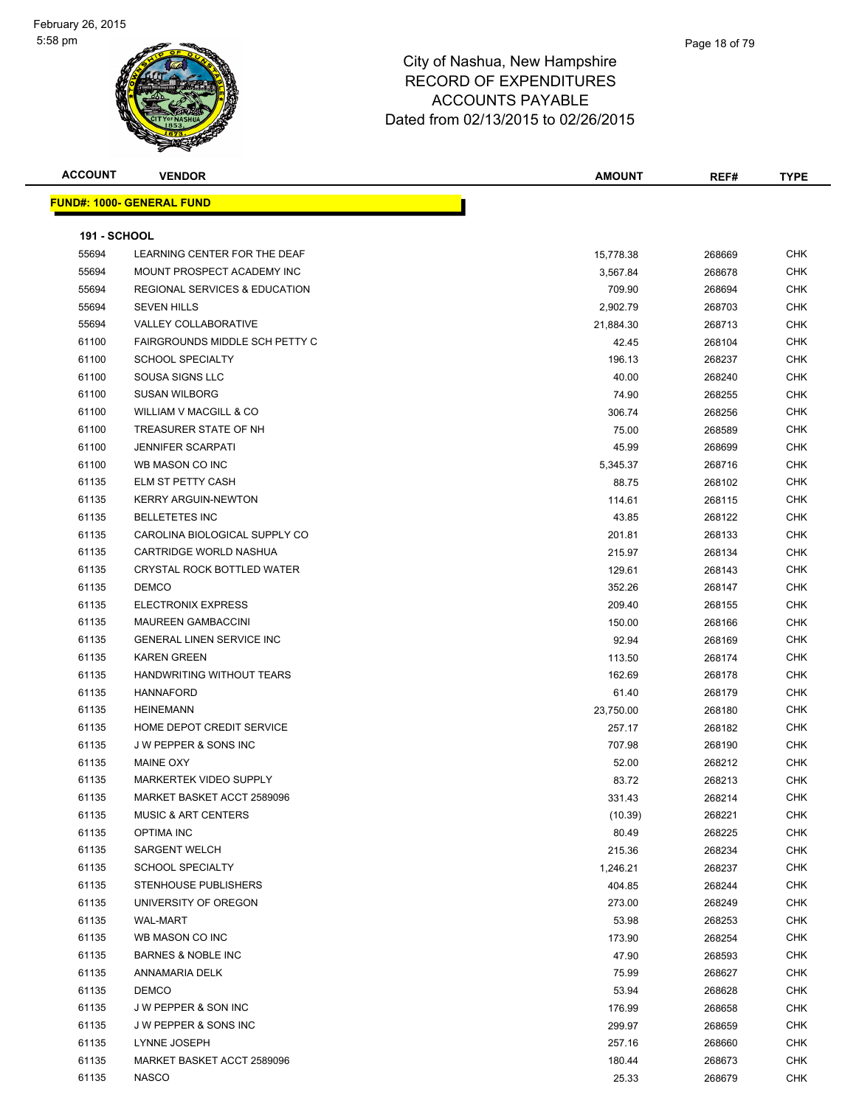| <b>ACCOUNT</b>      | <b>VENDOR</b>                             | <b>AMOUNT</b> | REF#   | TYPE       |
|---------------------|-------------------------------------------|---------------|--------|------------|
|                     | <b>FUND#: 1000- GENERAL FUND</b>          |               |        |            |
|                     |                                           |               |        |            |
| <b>191 - SCHOOL</b> |                                           |               |        |            |
| 55694               | LEARNING CENTER FOR THE DEAF              | 15,778.38     | 268669 | CHK        |
| 55694               | MOUNT PROSPECT ACADEMY INC                | 3,567.84      | 268678 | <b>CHK</b> |
| 55694               | <b>REGIONAL SERVICES &amp; EDUCATION</b>  | 709.90        | 268694 | <b>CHK</b> |
| 55694               | <b>SEVEN HILLS</b>                        | 2,902.79      | 268703 | <b>CHK</b> |
| 55694               | <b>VALLEY COLLABORATIVE</b>               | 21,884.30     | 268713 | <b>CHK</b> |
| 61100               | <b>FAIRGROUNDS MIDDLE SCH PETTY C</b>     | 42.45         | 268104 | <b>CHK</b> |
| 61100               | <b>SCHOOL SPECIALTY</b>                   | 196.13        | 268237 | <b>CHK</b> |
| 61100               | SOUSA SIGNS LLC                           | 40.00         | 268240 | <b>CHK</b> |
| 61100               | <b>SUSAN WILBORG</b>                      | 74.90         | 268255 | <b>CHK</b> |
| 61100               | WILLIAM V MACGILL & CO                    | 306.74        | 268256 | <b>CHK</b> |
| 61100               | TREASURER STATE OF NH                     | 75.00         | 268589 | <b>CHK</b> |
| 61100               | <b>JENNIFER SCARPATI</b>                  | 45.99         | 268699 | <b>CHK</b> |
| 61100               | WB MASON CO INC                           | 5,345.37      | 268716 | <b>CHK</b> |
| 61135               | ELM ST PETTY CASH                         | 88.75         | 268102 | <b>CHK</b> |
| 61135               | <b>KERRY ARGUIN-NEWTON</b>                | 114.61        | 268115 | <b>CHK</b> |
| 61135               | <b>BELLETETES INC</b>                     | 43.85         | 268122 | <b>CHK</b> |
| 61135               | CAROLINA BIOLOGICAL SUPPLY CO             | 201.81        | 268133 | <b>CHK</b> |
| 61135               | CARTRIDGE WORLD NASHUA                    | 215.97        | 268134 | <b>CHK</b> |
| 61135               | CRYSTAL ROCK BOTTLED WATER                | 129.61        | 268143 | <b>CHK</b> |
| 61135               | <b>DEMCO</b>                              | 352.26        | 268147 | <b>CHK</b> |
| 61135               | <b>ELECTRONIX EXPRESS</b>                 | 209.40        | 268155 | <b>CHK</b> |
| 61135               | <b>MAUREEN GAMBACCINI</b>                 | 150.00        | 268166 | <b>CHK</b> |
| 61135               | GENERAL LINEN SERVICE INC                 | 92.94         | 268169 | <b>CHK</b> |
| 61135               | <b>KAREN GREEN</b>                        | 113.50        | 268174 | <b>CHK</b> |
| 61135               | HANDWRITING WITHOUT TEARS                 | 162.69        | 268178 | <b>CHK</b> |
| 61135               | <b>HANNAFORD</b>                          | 61.40         | 268179 | <b>CHK</b> |
| 61135               | <b>HEINEMANN</b>                          | 23,750.00     | 268180 | <b>CHK</b> |
| 61135               | HOME DEPOT CREDIT SERVICE                 |               |        | <b>CHK</b> |
|                     |                                           | 257.17        | 268182 |            |
| 61135               | J W PEPPER & SONS INC<br><b>MAINE OXY</b> | 707.98        | 268190 | <b>CHK</b> |
| 61135               |                                           | 52.00         | 268212 | <b>CHK</b> |
| 61135               | <b>MARKERTEK VIDEO SUPPLY</b>             | 83.72         | 268213 | <b>CHK</b> |
| 61135               | MARKET BASKET ACCT 2589096                | 331.43        | 268214 | <b>CHK</b> |
| 61135               | <b>MUSIC &amp; ART CENTERS</b>            | (10.39)       | 268221 | <b>CHK</b> |
| 61135               | OPTIMA INC                                | 80.49         | 268225 | CHK        |
| 61135               | <b>SARGENT WELCH</b>                      | 215.36        | 268234 | <b>CHK</b> |
| 61135               | <b>SCHOOL SPECIALTY</b>                   | 1,246.21      | 268237 | CHK        |
| 61135               | STENHOUSE PUBLISHERS                      | 404.85        | 268244 | CHK        |
| 61135               | UNIVERSITY OF OREGON                      | 273.00        | 268249 | <b>CHK</b> |
| 61135               | <b>WAL-MART</b>                           | 53.98         | 268253 | CHK        |
| 61135               | WB MASON CO INC                           | 173.90        | 268254 | <b>CHK</b> |
| 61135               | BARNES & NOBLE INC                        | 47.90         | 268593 | <b>CHK</b> |
| 61135               | ANNAMARIA DELK                            | 75.99         | 268627 | CHK        |
| 61135               | <b>DEMCO</b>                              | 53.94         | 268628 | CHK        |
| 61135               | J W PEPPER & SON INC                      | 176.99        | 268658 | CHK        |
| 61135               | J W PEPPER & SONS INC                     | 299.97        | 268659 | CHK        |
| 61135               | LYNNE JOSEPH                              | 257.16        | 268660 | CHK        |
| 61135               | MARKET BASKET ACCT 2589096                | 180.44        | 268673 | CHK        |
| 61135               | <b>NASCO</b>                              | 25.33         | 268679 | CHK        |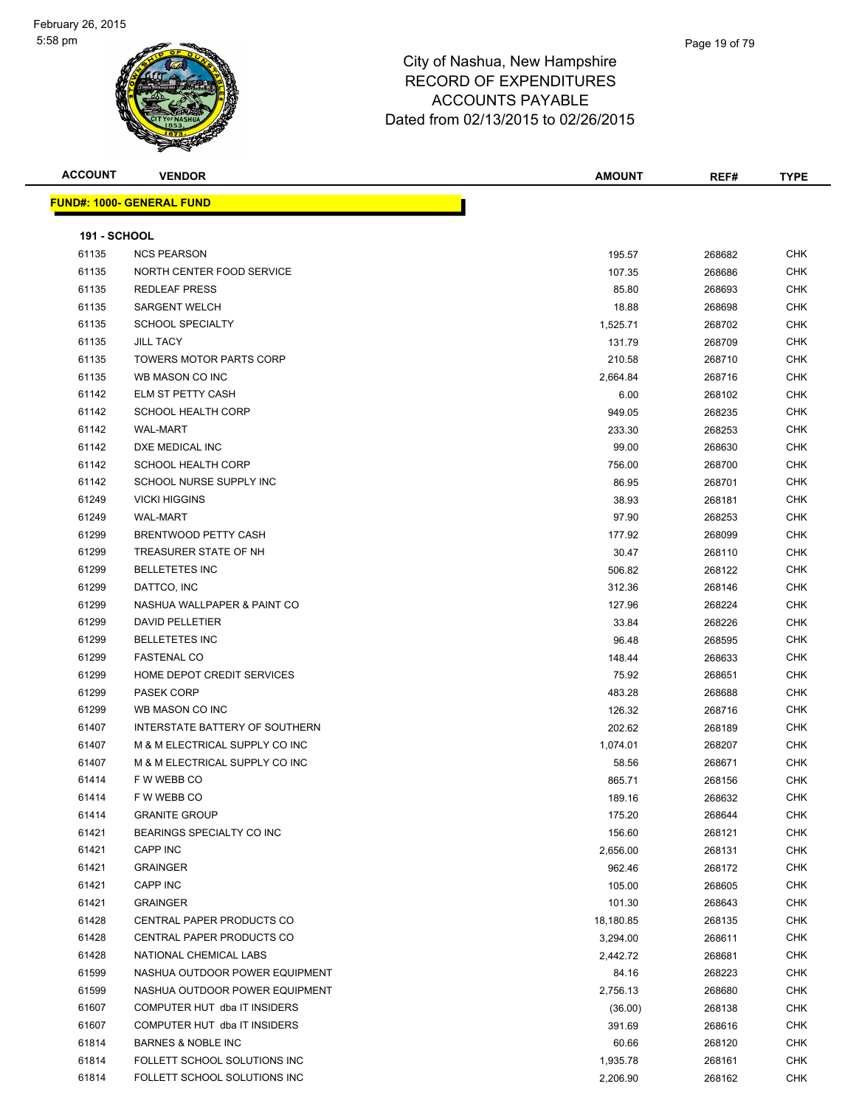

| <b>ACCOUNT</b>      | <b>VENDOR</b>                     | <b>AMOUNT</b> | REF#   | <b>TYPE</b> |
|---------------------|-----------------------------------|---------------|--------|-------------|
|                     | <u> FUND#: 1000- GENERAL FUND</u> |               |        |             |
|                     |                                   |               |        |             |
| <b>191 - SCHOOL</b> |                                   |               |        |             |
| 61135               | <b>NCS PEARSON</b>                | 195.57        | 268682 | <b>CHK</b>  |
| 61135               | NORTH CENTER FOOD SERVICE         | 107.35        | 268686 | <b>CHK</b>  |
| 61135               | <b>REDLEAF PRESS</b>              | 85.80         | 268693 | <b>CHK</b>  |
| 61135               | <b>SARGENT WELCH</b>              | 18.88         | 268698 | <b>CHK</b>  |
| 61135               | <b>SCHOOL SPECIALTY</b>           | 1,525.71      | 268702 | <b>CHK</b>  |
| 61135               | <b>JILL TACY</b>                  | 131.79        | 268709 | <b>CHK</b>  |
| 61135               | <b>TOWERS MOTOR PARTS CORP</b>    | 210.58        | 268710 | <b>CHK</b>  |
| 61135               | WB MASON CO INC                   | 2,664.84      | 268716 | <b>CHK</b>  |
| 61142               | ELM ST PETTY CASH                 | 6.00          | 268102 | <b>CHK</b>  |
| 61142               | <b>SCHOOL HEALTH CORP</b>         | 949.05        | 268235 | <b>CHK</b>  |
| 61142               | <b>WAL-MART</b>                   | 233.30        | 268253 | <b>CHK</b>  |
| 61142               | DXE MEDICAL INC                   | 99.00         | 268630 | <b>CHK</b>  |
| 61142               | <b>SCHOOL HEALTH CORP</b>         | 756.00        | 268700 | <b>CHK</b>  |
| 61142               | SCHOOL NURSE SUPPLY INC           | 86.95         | 268701 | <b>CHK</b>  |
| 61249               | <b>VICKI HIGGINS</b>              | 38.93         | 268181 | <b>CHK</b>  |
| 61249               | <b>WAL-MART</b>                   | 97.90         | 268253 | <b>CHK</b>  |
| 61299               | BRENTWOOD PETTY CASH              | 177.92        | 268099 | <b>CHK</b>  |
| 61299               | TREASURER STATE OF NH             | 30.47         | 268110 | <b>CHK</b>  |
| 61299               | <b>BELLETETES INC</b>             | 506.82        | 268122 | <b>CHK</b>  |
| 61299               | DATTCO, INC                       | 312.36        | 268146 | <b>CHK</b>  |
| 61299               | NASHUA WALLPAPER & PAINT CO       | 127.96        | 268224 | <b>CHK</b>  |
| 61299               | <b>DAVID PELLETIER</b>            | 33.84         | 268226 | <b>CHK</b>  |
| 61299               | <b>BELLETETES INC</b>             | 96.48         | 268595 | <b>CHK</b>  |
| 61299               | <b>FASTENAL CO</b>                | 148.44        | 268633 | <b>CHK</b>  |
| 61299               | HOME DEPOT CREDIT SERVICES        | 75.92         | 268651 | <b>CHK</b>  |
| 61299               | <b>PASEK CORP</b>                 | 483.28        | 268688 | <b>CHK</b>  |
| 61299               | WB MASON CO INC                   | 126.32        | 268716 | <b>CHK</b>  |
| 61407               | INTERSTATE BATTERY OF SOUTHERN    | 202.62        | 268189 | <b>CHK</b>  |
| 61407               | M & M ELECTRICAL SUPPLY CO INC    | 1,074.01      | 268207 | CHK         |
| 61407               | M & M ELECTRICAL SUPPLY CO INC    | 58.56         | 268671 | <b>CHK</b>  |
| 61414               | F W WEBB CO                       | 865.71        | 268156 | <b>CHK</b>  |
| 61414               | F W WEBB CO                       | 189.16        | 268632 | <b>CHK</b>  |
| 61414               | <b>GRANITE GROUP</b>              | 175.20        | 268644 | <b>CHK</b>  |
| 61421               | BEARINGS SPECIALTY CO INC         | 156.60        | 268121 | <b>CHK</b>  |
| 61421               | CAPP INC                          | 2,656.00      | 268131 | <b>CHK</b>  |
| 61421               | <b>GRAINGER</b>                   | 962.46        | 268172 | <b>CHK</b>  |
| 61421               | CAPP INC                          | 105.00        | 268605 | <b>CHK</b>  |
| 61421               | <b>GRAINGER</b>                   | 101.30        | 268643 | <b>CHK</b>  |
| 61428               | CENTRAL PAPER PRODUCTS CO         | 18,180.85     | 268135 | <b>CHK</b>  |
| 61428               | CENTRAL PAPER PRODUCTS CO         | 3,294.00      | 268611 | <b>CHK</b>  |
| 61428               | NATIONAL CHEMICAL LABS            | 2,442.72      | 268681 | <b>CHK</b>  |
| 61599               | NASHUA OUTDOOR POWER EQUIPMENT    | 84.16         | 268223 | <b>CHK</b>  |
| 61599               | NASHUA OUTDOOR POWER EQUIPMENT    | 2,756.13      | 268680 | <b>CHK</b>  |
| 61607               | COMPUTER HUT dba IT INSIDERS      | (36.00)       | 268138 | <b>CHK</b>  |
| 61607               | COMPUTER HUT dba IT INSIDERS      | 391.69        | 268616 | <b>CHK</b>  |
| 61814               | <b>BARNES &amp; NOBLE INC</b>     | 60.66         | 268120 | <b>CHK</b>  |
| 61814               | FOLLETT SCHOOL SOLUTIONS INC      | 1,935.78      | 268161 | <b>CHK</b>  |
| 61814               | FOLLETT SCHOOL SOLUTIONS INC      | 2,206.90      | 268162 | <b>CHK</b>  |
|                     |                                   |               |        |             |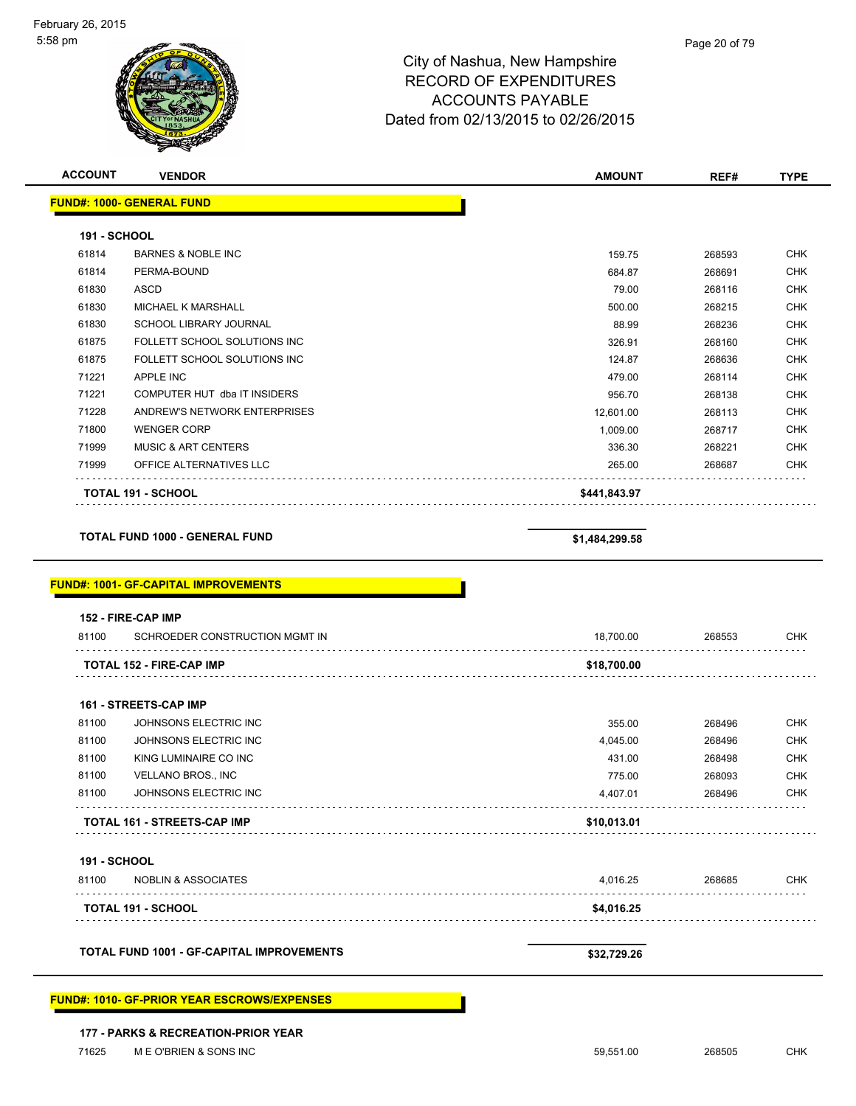| <b>ACCOUNT</b>      | <b>VENDOR</b>                                                                         | <b>AMOUNT</b>  | REF#   | <b>TYPE</b> |
|---------------------|---------------------------------------------------------------------------------------|----------------|--------|-------------|
|                     | <b>FUND#: 1000- GENERAL FUND</b>                                                      |                |        |             |
| 191 - SCHOOL        |                                                                                       |                |        |             |
| 61814               | <b>BARNES &amp; NOBLE INC</b>                                                         | 159.75         | 268593 | <b>CHK</b>  |
| 61814               | PERMA-BOUND                                                                           | 684.87         | 268691 | <b>CHK</b>  |
| 61830               | <b>ASCD</b>                                                                           | 79.00          | 268116 | <b>CHK</b>  |
| 61830               | <b>MICHAEL K MARSHALL</b>                                                             | 500.00         | 268215 | <b>CHK</b>  |
| 61830               | SCHOOL LIBRARY JOURNAL                                                                | 88.99          | 268236 | <b>CHK</b>  |
| 61875               | FOLLETT SCHOOL SOLUTIONS INC                                                          | 326.91         | 268160 | <b>CHK</b>  |
| 61875               | FOLLETT SCHOOL SOLUTIONS INC                                                          | 124.87         | 268636 | <b>CHK</b>  |
| 71221               | APPLE INC                                                                             | 479.00         | 268114 | <b>CHK</b>  |
| 71221               | COMPUTER HUT dba IT INSIDERS                                                          | 956.70         | 268138 | <b>CHK</b>  |
| 71228               | ANDREW'S NETWORK ENTERPRISES                                                          | 12,601.00      | 268113 | <b>CHK</b>  |
| 71800               | <b>WENGER CORP</b>                                                                    | 1,009.00       | 268717 | <b>CHK</b>  |
| 71999               | <b>MUSIC &amp; ART CENTERS</b>                                                        | 336.30         | 268221 | <b>CHK</b>  |
| 71999               | OFFICE ALTERNATIVES LLC                                                               | 265.00         | 268687 | <b>CHK</b>  |
|                     |                                                                                       |                |        |             |
|                     | <b>TOTAL 191 - SCHOOL</b>                                                             | \$441,843.97   |        |             |
|                     | <b>TOTAL FUND 1000 - GENERAL FUND</b><br><u> FUND#: 1001- GF-CAPITAL IMPROVEMENTS</u> | \$1,484,299.58 |        |             |
|                     |                                                                                       |                |        |             |
| 81100               | 152 - FIRE-CAP IMP<br>SCHROEDER CONSTRUCTION MGMT IN                                  | 18,700.00      | 268553 |             |
|                     | <b>TOTAL 152 - FIRE-CAP IMP</b>                                                       | \$18,700.00    |        | <b>CHK</b>  |
|                     |                                                                                       |                |        |             |
|                     | 161 - STREETS-CAP IMP                                                                 |                |        |             |
| 81100               | JOHNSONS ELECTRIC INC                                                                 | 355.00         | 268496 | <b>CHK</b>  |
| 81100               | JOHNSONS ELECTRIC INC                                                                 | 4,045.00       | 268496 | <b>CHK</b>  |
| 81100               | KING LUMINAIRE CO INC                                                                 | 431.00         | 268498 | <b>CHK</b>  |
| 81100               | VELLANO BROS., INC                                                                    | 775.00         | 268093 | <b>CHK</b>  |
| 81100               | JOHNSONS ELECTRIC INC                                                                 | 4,407.01       | 268496 | <b>CHK</b>  |
|                     | TOTAL 161 - STREETS-CAP IMP                                                           | \$10,013.01    |        |             |
| <b>191 - SCHOOL</b> |                                                                                       |                |        |             |
| 81100               | <b>NOBLIN &amp; ASSOCIATES</b>                                                        | 4,016.25       | 268685 | CHK         |
|                     | <b>TOTAL 191 - SCHOOL</b>                                                             | \$4,016.25     |        |             |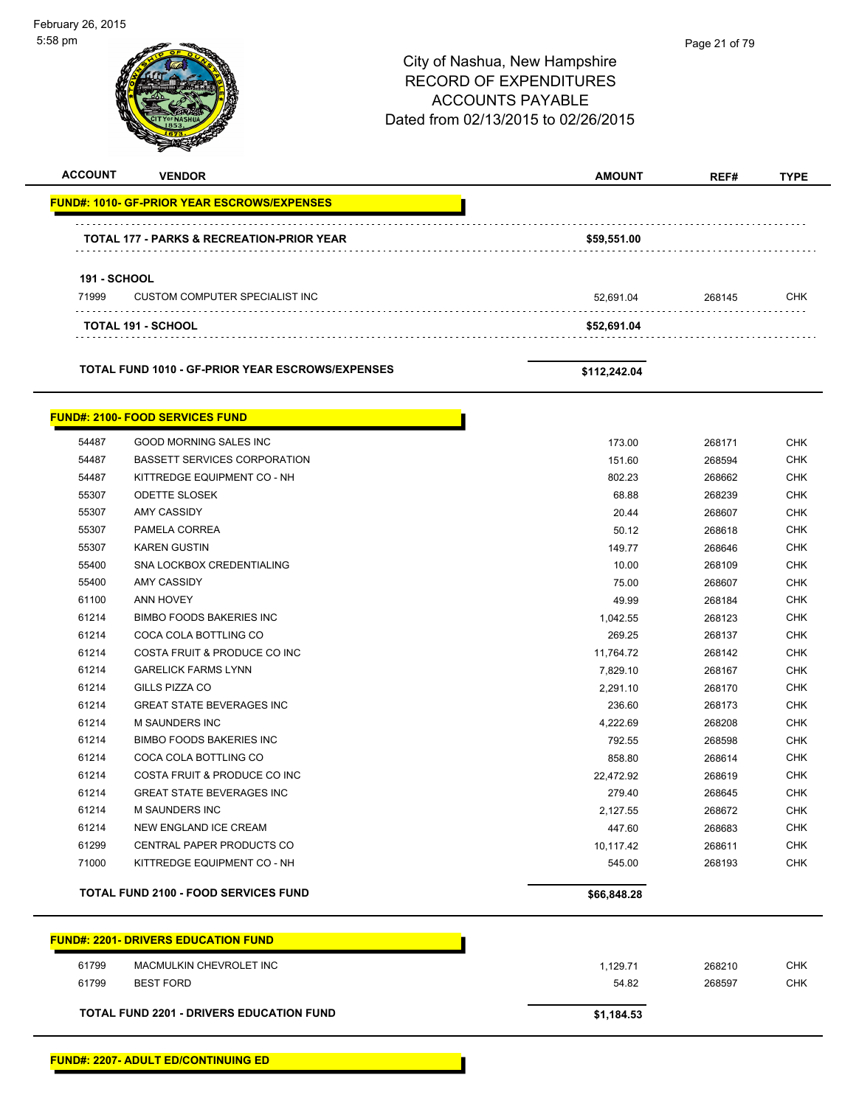5:58 pm Page 21 of 79City of Nashua, New Hampshire RECORD OF EXPENDITURES ACCOUNTS PAYABLE Dated from 02/13/2015 to 02/26/2015 **ACCOUNT VENDOR AMOUNT REF# TYPE FUND#: 1010- GF-PRIOR YEAR ESCROWS/EXPENSES TOTAL 177 - PARKS & RECREATION-PRIOR YEAR \$59,551.00 191 - SCHOOL** 71999 CUSTOM COMPUTER SPECIALIST INC 52,691.04 268145 CHK **TOTAL 191 - SCHOOL \$52,691.04 TOTAL FUND 1010 - GF-PRIOR YEAR ESCROWS/EXPENSES \$112,242.04 FUND#: 2100- FOOD SERVICES FUND** 54487 GOOD MORNING SALES INC 173.00 268171 CHK 54487 BASSETT SERVICES CORPORATION 151.60 268594 CHK 54487 KITTREDGE EQUIPMENT CO - NH 802.23 268662 CHK 55307 ODETTE SLOSEK 68.88 268239 CHK 55307 AMY CASSIDY 20.44 268607 CHK 55307 PAMELA CORREA 50.12 268618 CHK 55307 KAREN GUSTIN 149.77 268646 CHK 55400 SNA LOCKBOX CREDENTIALING 10.00 268109 CHK 55400 AMY CASSIDY 75.00 268607 CHK 61100 ANN HOVEY 49.99 268184 CHK 61214 BIMBO FOODS BAKERIES INC 1,042.55 268123 CHK 61214 COCA COLA BOTTLING CO 269.25 268137 CHK 61214 COSTA FRUIT & PRODUCE CO INC 11,764.72 268142 CHK 61214 GARELICK FARMS LYNN 7,829.10 268167 CHK 61214 GILLS PIZZA CO 2,291.10 268170 CHK 61214 GREAT STATE BEVERAGES INC 236.60 268173 CHK 61214 M SAUNDERS INC 4,222.69 268208 CHK 61214 BIMBO FOODS BAKERIES INC 792.55 268598 CHK 61214 COCA COLA BOTTLING CO 858.80 268614 CHK 61214 COSTA FRUIT & PRODUCE CO INC 22,472.92 268619 CHK 61214 GREAT STATE BEVERAGES INC 279.40 268645 CHK 61214 M SAUNDERS INC 2,127.55 268672 CHK 61214 NEW ENGLAND ICE CREAM 447.60 268683 CHK 61299 CENTRAL PAPER PRODUCTS CO **10,117.42** 268611 CHK The State of the State of the State of the State of the State of the State of the State of the State of the State of the State of the State of the State of the State of the State of the State of the State of the State of t TOTAL FUND 2100 - FOOD SERVICES FUND **100 CM 200 CM 200 CM 200 CM 366,848.28 FUND#: 2201- DRIVERS EDUCATION FUND** 61799 MACMULKIN CHEVROLET INC 1,129.71 268210 CHK 61799 BEST FORD 54.82 268597 CHK **TOTAL FUND 2201 - DRIVERS EDUCATION FUND \$1,184.53** 

February 26, 2015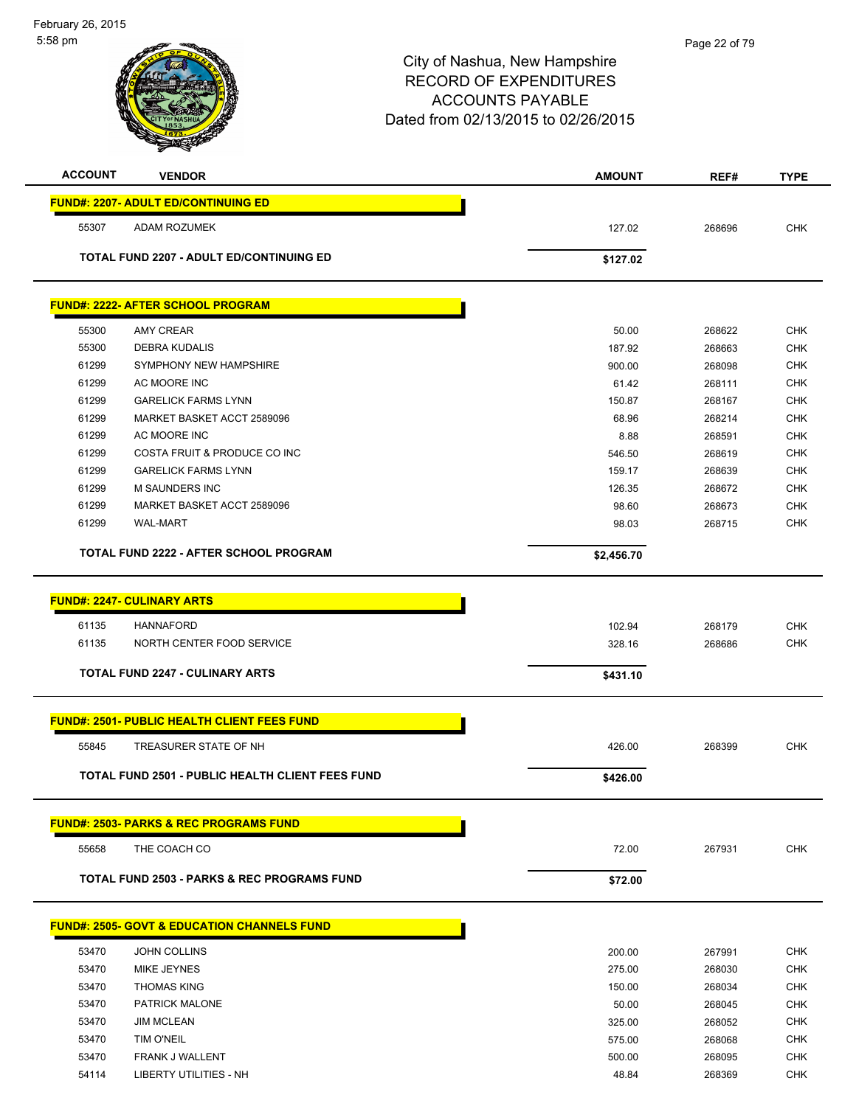| <b>ACCOUNT</b> | <b>VENDOR</b>                                          | <b>AMOUNT</b> | REF#   | <b>TYPE</b> |
|----------------|--------------------------------------------------------|---------------|--------|-------------|
|                | <b>FUND#: 2207- ADULT ED/CONTINUING ED</b>             |               |        |             |
| 55307          | ADAM ROZUMEK                                           | 127.02        | 268696 | <b>CHK</b>  |
|                | <b>TOTAL FUND 2207 - ADULT ED/CONTINUING ED</b>        | \$127.02      |        |             |
|                |                                                        |               |        |             |
|                | <b>FUND#: 2222- AFTER SCHOOL PROGRAM</b>               |               |        |             |
| 55300          | <b>AMY CREAR</b>                                       | 50.00         | 268622 | <b>CHK</b>  |
| 55300          | <b>DEBRA KUDALIS</b>                                   | 187.92        | 268663 | <b>CHK</b>  |
| 61299          | SYMPHONY NEW HAMPSHIRE                                 | 900.00        | 268098 | <b>CHK</b>  |
| 61299          | AC MOORE INC                                           | 61.42         | 268111 | <b>CHK</b>  |
| 61299          | <b>GARELICK FARMS LYNN</b>                             | 150.87        | 268167 | <b>CHK</b>  |
| 61299          | MARKET BASKET ACCT 2589096                             | 68.96         | 268214 | <b>CHK</b>  |
| 61299          | AC MOORE INC                                           | 8.88          | 268591 | <b>CHK</b>  |
| 61299          | COSTA FRUIT & PRODUCE CO INC                           | 546.50        | 268619 | <b>CHK</b>  |
| 61299          | <b>GARELICK FARMS LYNN</b>                             | 159.17        | 268639 | <b>CHK</b>  |
| 61299          | <b>M SAUNDERS INC</b>                                  | 126.35        | 268672 | <b>CHK</b>  |
| 61299          | MARKET BASKET ACCT 2589096                             | 98.60         | 268673 | <b>CHK</b>  |
| 61299          | <b>WAL-MART</b>                                        | 98.03         | 268715 | <b>CHK</b>  |
|                | <b>TOTAL FUND 2222 - AFTER SCHOOL PROGRAM</b>          | \$2,456.70    |        |             |
|                |                                                        |               |        |             |
|                | <b>FUND#: 2247- CULINARY ARTS</b>                      |               |        |             |
|                |                                                        |               |        |             |
| 61135          | <b>HANNAFORD</b>                                       | 102.94        | 268179 | <b>CHK</b>  |
| 61135          | NORTH CENTER FOOD SERVICE                              | 328.16        | 268686 | <b>CHK</b>  |
|                | TOTAL FUND 2247 - CULINARY ARTS                        | \$431.10      |        |             |
|                | <b>FUND#: 2501- PUBLIC HEALTH CLIENT FEES FUND</b>     |               |        |             |
| 55845          | TREASURER STATE OF NH                                  | 426.00        | 268399 | <b>CHK</b>  |
|                |                                                        |               |        |             |
|                | TOTAL FUND 2501 - PUBLIC HEALTH CLIENT FEES FUND       | \$426.00      |        |             |
|                | <b>FUND#: 2503- PARKS &amp; REC PROGRAMS FUND</b>      |               |        |             |
| 55658          | THE COACH CO                                           | 72.00         | 267931 | CHK         |
|                | <b>TOTAL FUND 2503 - PARKS &amp; REC PROGRAMS FUND</b> | \$72.00       |        |             |
|                |                                                        |               |        |             |
|                | <b>FUND#: 2505- GOVT &amp; EDUCATION CHANNELS FUND</b> |               |        |             |
| 53470          | JOHN COLLINS                                           | 200.00        | 267991 | CHK         |
| 53470          | MIKE JEYNES                                            | 275.00        | 268030 | <b>CHK</b>  |
| 53470          | <b>THOMAS KING</b>                                     | 150.00        | 268034 | <b>CHK</b>  |
| 53470          | PATRICK MALONE                                         | 50.00         | 268045 | <b>CHK</b>  |
| 53470          | <b>JIM MCLEAN</b>                                      | 325.00        | 268052 | <b>CHK</b>  |
| 53470          | TIM O'NEIL                                             | 575.00        | 268068 | <b>CHK</b>  |
| 53470          | FRANK J WALLENT                                        | 500.00        | 268095 | <b>CHK</b>  |
| 54114          | <b>LIBERTY UTILITIES - NH</b>                          | 48.84         | 268369 | <b>CHK</b>  |
|                |                                                        |               |        |             |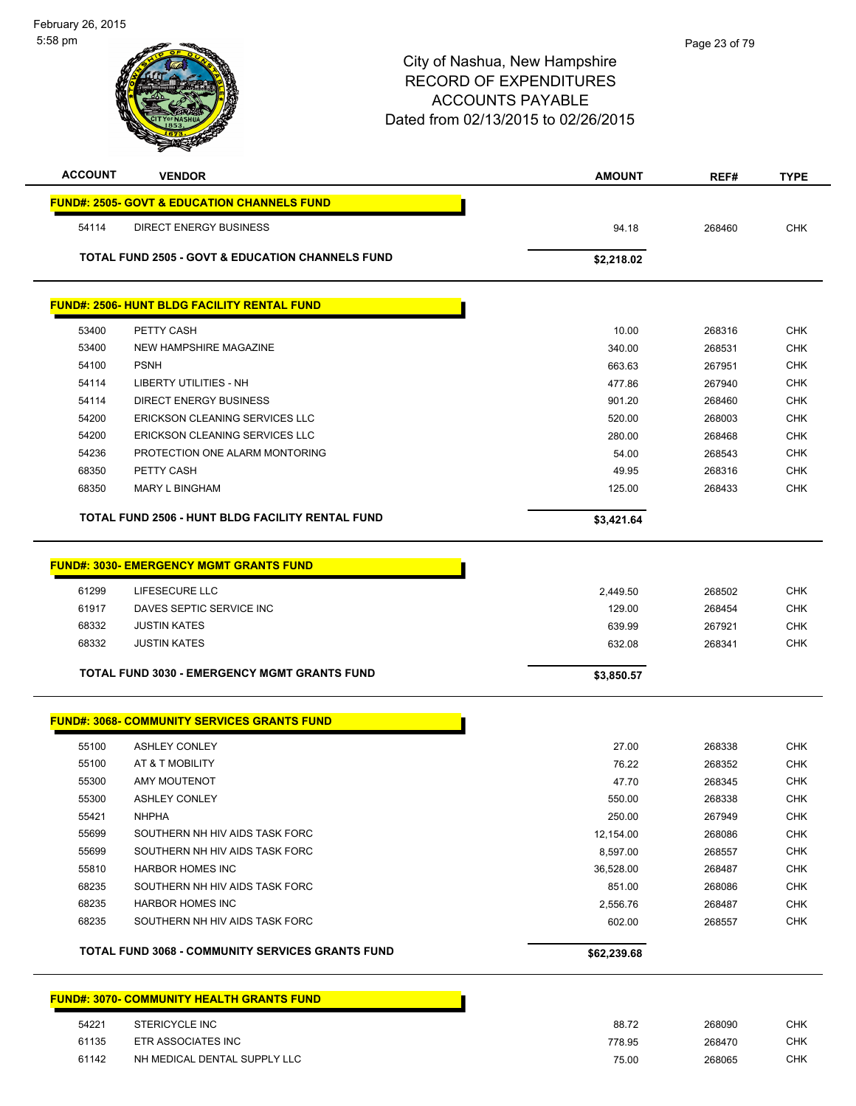| <b>ACCOUNT</b> | <b>VENDOR</b>                                               | <b>AMOUNT</b> | REF#   | <b>TYPE</b> |
|----------------|-------------------------------------------------------------|---------------|--------|-------------|
|                | <b>FUND#: 2505- GOVT &amp; EDUCATION CHANNELS FUND</b>      |               |        |             |
| 54114          | <b>DIRECT ENERGY BUSINESS</b>                               | 94.18         | 268460 | <b>CHK</b>  |
|                | <b>TOTAL FUND 2505 - GOVT &amp; EDUCATION CHANNELS FUND</b> | \$2,218.02    |        |             |
|                | <b>FUND#: 2506- HUNT BLDG FACILITY RENTAL FUND</b>          |               |        |             |
|                |                                                             |               |        |             |
| 53400          | PETTY CASH                                                  | 10.00         | 268316 | <b>CHK</b>  |
| 53400          | NEW HAMPSHIRE MAGAZINE                                      | 340.00        | 268531 | <b>CHK</b>  |
| 54100          | <b>PSNH</b>                                                 | 663.63        | 267951 | <b>CHK</b>  |
| 54114          | LIBERTY UTILITIES - NH                                      | 477.86        | 267940 | <b>CHK</b>  |
| 54114          | <b>DIRECT ENERGY BUSINESS</b>                               | 901.20        | 268460 | <b>CHK</b>  |
| 54200          | ERICKSON CLEANING SERVICES LLC                              | 520.00        | 268003 | <b>CHK</b>  |
| 54200          | <b>ERICKSON CLEANING SERVICES LLC</b>                       | 280.00        | 268468 | <b>CHK</b>  |
| 54236          | PROTECTION ONE ALARM MONTORING                              | 54.00         | 268543 | <b>CHK</b>  |
| 68350          | PETTY CASH                                                  | 49.95         | 268316 | <b>CHK</b>  |
| 68350          | <b>MARY L BINGHAM</b>                                       | 125.00        | 268433 | <b>CHK</b>  |
|                | TOTAL FUND 2506 - HUNT BLDG FACILITY RENTAL FUND            | \$3,421.64    |        |             |
|                |                                                             |               |        |             |
|                | <b>FUND#: 3030- EMERGENCY MGMT GRANTS FUND</b>              |               |        |             |
| 61299          | LIFESECURE LLC                                              | 2,449.50      | 268502 | <b>CHK</b>  |
| 61917          | DAVES SEPTIC SERVICE INC                                    | 129.00        | 268454 | <b>CHK</b>  |
| 68332          | <b>JUSTIN KATES</b>                                         | 639.99        | 267921 | <b>CHK</b>  |
| 68332          | <b>JUSTIN KATES</b>                                         | 632.08        | 268341 | <b>CHK</b>  |
|                | <b>TOTAL FUND 3030 - EMERGENCY MGMT GRANTS FUND</b>         | \$3,850.57    |        |             |
|                |                                                             |               |        |             |
|                | <b>FUND#: 3068- COMMUNITY SERVICES GRANTS FUND</b>          |               |        |             |
| 55100          | <b>ASHLEY CONLEY</b>                                        | 27.00         | 268338 | <b>CHK</b>  |
| 55100          | AT & T MOBILITY                                             | 76.22         | 268352 | <b>CHK</b>  |
| 55300          | AMY MOUTENOT                                                | 47.70         | 268345 | <b>CHK</b>  |
| 55300          | <b>ASHLEY CONLEY</b>                                        | 550.00        | 268338 | <b>CHK</b>  |
| 55421          | <b>NHPHA</b>                                                | 250.00        | 267949 | <b>CHK</b>  |
| 55699          | SOUTHERN NH HIV AIDS TASK FORC                              | 12,154.00     | 268086 | <b>CHK</b>  |
| 55699          | SOUTHERN NH HIV AIDS TASK FORC                              | 8,597.00      | 268557 | <b>CHK</b>  |
| 55810          | <b>HARBOR HOMES INC</b>                                     | 36,528.00     | 268487 | <b>CHK</b>  |
| 68235          | SOUTHERN NH HIV AIDS TASK FORC                              | 851.00        | 268086 | CHK         |
| 68235          | <b>HARBOR HOMES INC</b>                                     | 2,556.76      | 268487 | <b>CHK</b>  |
| 68235          | SOUTHERN NH HIV AIDS TASK FORC                              | 602.00        | 268557 | <b>CHK</b>  |
|                | <b>TOTAL FUND 3068 - COMMUNITY SERVICES GRANTS FUND</b>     | \$62,239.68   |        |             |
|                | <b>FUND#: 3070- COMMUNITY HEALTH GRANTS FUND</b>            |               |        |             |
| 54221          | STERICYCLE INC                                              | 88.72         | 268090 | <b>CHK</b>  |
| 61135          | ETR ASSOCIATES INC                                          | 778.95        | 268470 | <b>CHK</b>  |
| 61142          | NH MEDICAL DENTAL SUPPLY LLC                                | 75.00         | 268065 | <b>CHK</b>  |
|                |                                                             |               |        |             |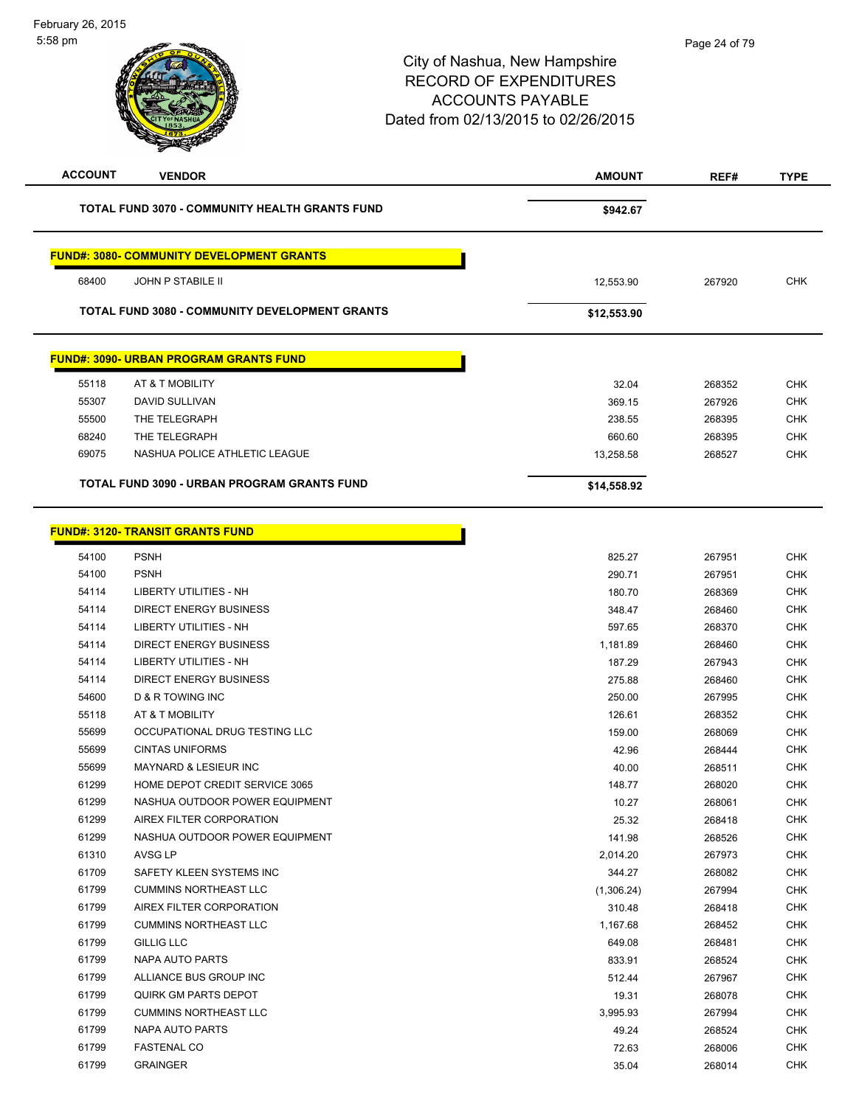| <b>ACCOUNT</b> | <b>VENDOR</b>                                                                                          | <b>AMOUNT</b> | REF#   | <b>TYPE</b> |
|----------------|--------------------------------------------------------------------------------------------------------|---------------|--------|-------------|
|                | <b>TOTAL FUND 3070 - COMMUNITY HEALTH GRANTS FUND</b>                                                  | \$942.67      |        |             |
|                | <b>FUND#: 3080- COMMUNITY DEVELOPMENT GRANTS</b>                                                       |               |        |             |
| 68400          | <b>JOHN P STABILE II</b>                                                                               | 12.553.90     | 267920 | <b>CHK</b>  |
|                |                                                                                                        |               |        |             |
|                | <b>TOTAL FUND 3080 - COMMUNITY DEVELOPMENT GRANTS</b><br><b>FUND#: 3090- URBAN PROGRAM GRANTS FUND</b> | \$12,553.90   |        |             |
|                |                                                                                                        |               |        |             |
| 55118          | AT & T MOBILITY                                                                                        | 32.04         | 268352 | <b>CHK</b>  |
| 55307          | DAVID SULLIVAN                                                                                         | 369.15        | 267926 | <b>CHK</b>  |
| 55500          | THE TELEGRAPH                                                                                          | 238.55        | 268395 | <b>CHK</b>  |
| 68240          | THE TELEGRAPH                                                                                          | 660.60        | 268395 | <b>CHK</b>  |
| 69075          | NASHUA POLICE ATHLETIC LEAGUE                                                                          | 13,258.58     | 268527 | <b>CHK</b>  |

| 54100 | <b>PSNH</b>                    | 825.27     | 267951 | <b>CHK</b> |
|-------|--------------------------------|------------|--------|------------|
| 54100 | <b>PSNH</b>                    | 290.71     | 267951 | <b>CHK</b> |
| 54114 | <b>LIBERTY UTILITIES - NH</b>  | 180.70     | 268369 | <b>CHK</b> |
| 54114 | <b>DIRECT ENERGY BUSINESS</b>  | 348.47     | 268460 | <b>CHK</b> |
| 54114 | <b>LIBERTY UTILITIES - NH</b>  | 597.65     | 268370 | <b>CHK</b> |
| 54114 | <b>DIRECT ENERGY BUSINESS</b>  | 1,181.89   | 268460 | <b>CHK</b> |
| 54114 | <b>LIBERTY UTILITIES - NH</b>  | 187.29     | 267943 | <b>CHK</b> |
| 54114 | DIRECT ENERGY BUSINESS         | 275.88     | 268460 | <b>CHK</b> |
| 54600 | D & R TOWING INC               | 250.00     | 267995 | <b>CHK</b> |
| 55118 | AT & T MOBILITY                | 126.61     | 268352 | <b>CHK</b> |
| 55699 | OCCUPATIONAL DRUG TESTING LLC  | 159.00     | 268069 | <b>CHK</b> |
| 55699 | <b>CINTAS UNIFORMS</b>         | 42.96      | 268444 | <b>CHK</b> |
| 55699 | MAYNARD & LESIEUR INC          | 40.00      | 268511 | <b>CHK</b> |
| 61299 | HOME DEPOT CREDIT SERVICE 3065 | 148.77     | 268020 | <b>CHK</b> |
| 61299 | NASHUA OUTDOOR POWER EQUIPMENT | 10.27      | 268061 | <b>CHK</b> |
| 61299 | AIREX FILTER CORPORATION       | 25.32      | 268418 | <b>CHK</b> |
| 61299 | NASHUA OUTDOOR POWER EQUIPMENT | 141.98     | 268526 | <b>CHK</b> |
| 61310 | AVSG LP                        | 2,014.20   | 267973 | <b>CHK</b> |
| 61709 | SAFETY KLEEN SYSTEMS INC       | 344.27     | 268082 | <b>CHK</b> |
| 61799 | <b>CUMMINS NORTHEAST LLC</b>   | (1,306.24) | 267994 | <b>CHK</b> |
| 61799 | AIREX FILTER CORPORATION       | 310.48     | 268418 | <b>CHK</b> |
| 61799 | <b>CUMMINS NORTHEAST LLC</b>   | 1,167.68   | 268452 | <b>CHK</b> |
| 61799 | <b>GILLIG LLC</b>              | 649.08     | 268481 | <b>CHK</b> |
| 61799 | <b>NAPA AUTO PARTS</b>         | 833.91     | 268524 | <b>CHK</b> |
| 61799 | ALLIANCE BUS GROUP INC         | 512.44     | 267967 | <b>CHK</b> |
| 61799 | <b>QUIRK GM PARTS DEPOT</b>    | 19.31      | 268078 | <b>CHK</b> |
| 61799 | <b>CUMMINS NORTHEAST LLC</b>   | 3,995.93   | 267994 | <b>CHK</b> |
| 61799 | <b>NAPA AUTO PARTS</b>         | 49.24      | 268524 | <b>CHK</b> |
| 61799 | <b>FASTENAL CO</b>             | 72.63      | 268006 | <b>CHK</b> |
| 61799 | <b>GRAINGER</b>                | 35.04      | 268014 | <b>CHK</b> |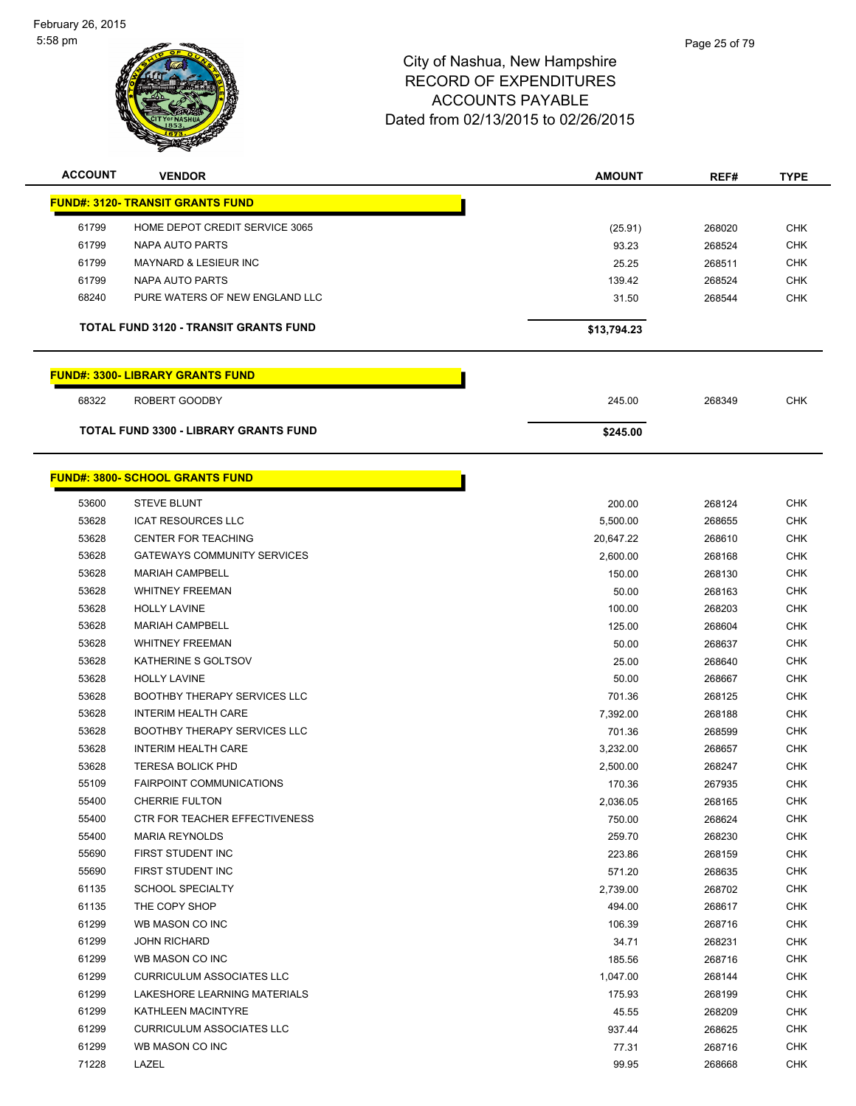$\overline{\phantom{a}}$ 



| <b>ACCOUNT</b> | <b>VENDOR</b>                           | <b>AMOUNT</b> | REF#   | <b>TYPE</b> |
|----------------|-----------------------------------------|---------------|--------|-------------|
|                | <b>FUND#: 3120- TRANSIT GRANTS FUND</b> |               |        |             |
| 61799          | HOME DEPOT CREDIT SERVICE 3065          | (25.91)       | 268020 | <b>CHK</b>  |
| 61799          | NAPA AUTO PARTS                         | 93.23         | 268524 | <b>CHK</b>  |
| 61799          | <b>MAYNARD &amp; LESIEUR INC</b>        | 25.25         | 268511 | <b>CHK</b>  |
| 61799          | NAPA AUTO PARTS                         | 139.42        | 268524 | <b>CHK</b>  |
| 68240          | PURE WATERS OF NEW ENGLAND LLC          | 31.50         | 268544 | <b>CHK</b>  |
|                |                                         |               |        |             |
|                | TOTAL FUND 3120 - TRANSIT GRANTS FUND   | \$13,794.23   |        |             |
|                | <b>FUND#: 3300- LIBRARY GRANTS FUND</b> |               |        |             |
| 68322          | ROBERT GOODBY                           | 245.00        | 268349 | <b>CHK</b>  |
|                | TOTAL FUND 3300 - LIBRARY GRANTS FUND   | \$245.00      |        |             |
|                |                                         |               |        |             |
|                | <b>FUND#: 3800- SCHOOL GRANTS FUND</b>  |               |        |             |
| 53600          | <b>STEVE BLUNT</b>                      | 200.00        | 268124 | <b>CHK</b>  |
| 53628          | <b>ICAT RESOURCES LLC</b>               | 5,500.00      | 268655 | <b>CHK</b>  |
| 53628          | <b>CENTER FOR TEACHING</b>              | 20,647.22     | 268610 | <b>CHK</b>  |
| 53628          | <b>GATEWAYS COMMUNITY SERVICES</b>      | 2,600.00      | 268168 | <b>CHK</b>  |
| 53628          | <b>MARIAH CAMPBELL</b>                  | 150.00        | 268130 | <b>CHK</b>  |
| 53628          | <b>WHITNEY FREEMAN</b>                  | 50.00         | 268163 | <b>CHK</b>  |
| 53628          | <b>HOLLY LAVINE</b>                     | 100.00        | 268203 | <b>CHK</b>  |
| 53628          | <b>MARIAH CAMPBELL</b>                  | 125.00        | 268604 | <b>CHK</b>  |
| 53628          | <b>WHITNEY FREEMAN</b>                  | 50.00         | 268637 | <b>CHK</b>  |
| 53628          | KATHERINE S GOLTSOV                     | 25.00         | 268640 | <b>CHK</b>  |
| 53628          | <b>HOLLY LAVINE</b>                     | 50.00         | 268667 | <b>CHK</b>  |
| 53628          | <b>BOOTHBY THERAPY SERVICES LLC</b>     | 701.36        | 268125 | <b>CHK</b>  |
| 53628          | <b>INTERIM HEALTH CARE</b>              | 7,392.00      | 268188 | <b>CHK</b>  |
| 53628          | <b>BOOTHBY THERAPY SERVICES LLC</b>     | 701.36        | 268599 | <b>CHK</b>  |
| 53628          | <b>INTERIM HEALTH CARE</b>              | 3,232.00      | 268657 | <b>CHK</b>  |
| 53628          | <b>TERESA BOLICK PHD</b>                | 2,500.00      | 268247 | <b>CHK</b>  |
| 55109          | <b>FAIRPOINT COMMUNICATIONS</b>         | 170.36        | 267935 | <b>CHK</b>  |
| 55400          | <b>CHERRIE FULTON</b>                   | 2,036.05      | 268165 | CHK         |
| 55400          | CTR FOR TEACHER EFFECTIVENESS           | 750.00        | 268624 | <b>CHK</b>  |
| 55400          | <b>MARIA REYNOLDS</b>                   | 259.70        | 268230 | CHK         |
| 55690          | FIRST STUDENT INC                       | 223.86        | 268159 | <b>CHK</b>  |
| 55690          | FIRST STUDENT INC                       | 571.20        | 268635 | <b>CHK</b>  |
| 61135          | <b>SCHOOL SPECIALTY</b>                 | 2,739.00      | 268702 | <b>CHK</b>  |
| 61135          | THE COPY SHOP                           | 494.00        | 268617 | <b>CHK</b>  |
| 61299          | WB MASON CO INC                         | 106.39        | 268716 | CHK         |
| 61299          | <b>JOHN RICHARD</b>                     | 34.71         | 268231 | <b>CHK</b>  |
| 61299          | WB MASON CO INC                         | 185.56        | 268716 | <b>CHK</b>  |
| 61299          | <b>CURRICULUM ASSOCIATES LLC</b>        | 1,047.00      | 268144 | CHK         |
| 61299          | LAKESHORE LEARNING MATERIALS            | 175.93        | 268199 | CHK         |
| 61299          | KATHLEEN MACINTYRE                      | 45.55         | 268209 | CHK         |
| 61299          | <b>CURRICULUM ASSOCIATES LLC</b>        | 937.44        | 268625 | CHK         |
| 61299          | WB MASON CO INC                         | 77.31         | 268716 | <b>CHK</b>  |
| 71228          | LAZEL                                   | 99.95         | 268668 | <b>CHK</b>  |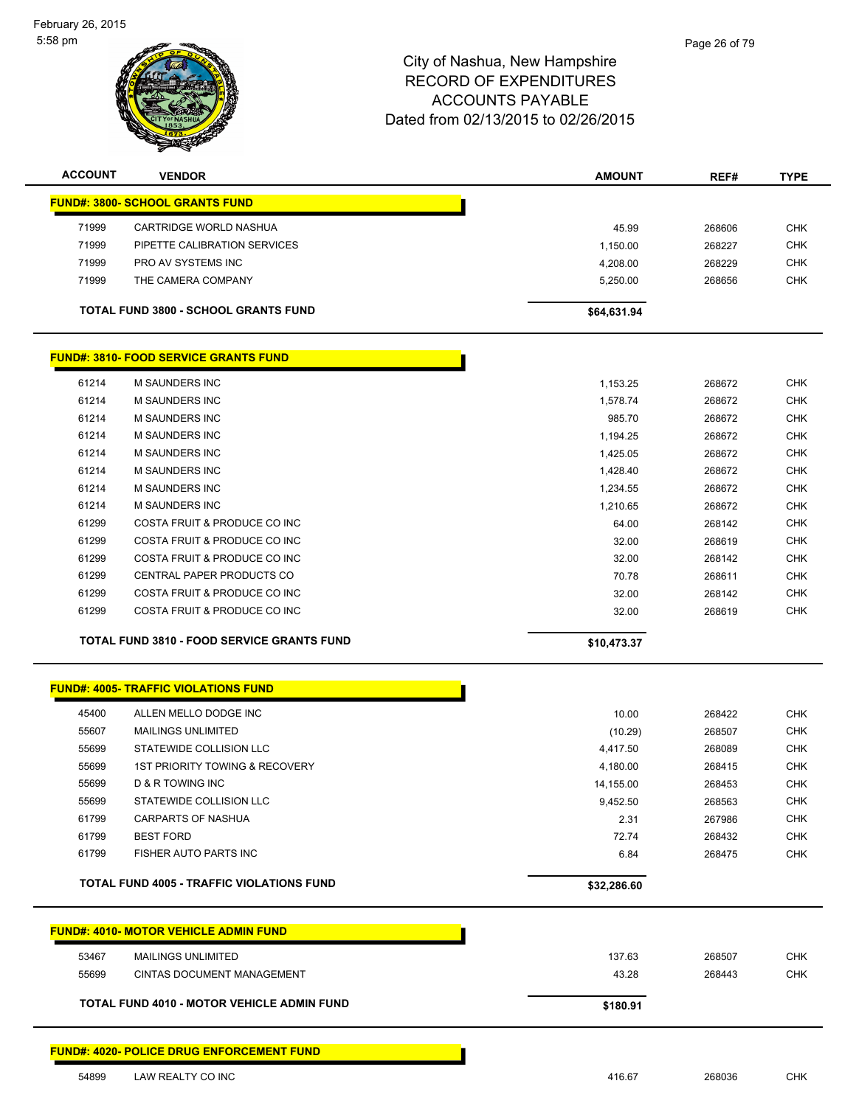

| <b>ACCOUNT</b> | <b>VENDOR</b>                                     | <b>AMOUNT</b> | REF#   | <b>TYPE</b> |
|----------------|---------------------------------------------------|---------------|--------|-------------|
|                | <b>FUND#: 3800- SCHOOL GRANTS FUND</b>            |               |        |             |
| 71999          | CARTRIDGE WORLD NASHUA                            | 45.99         | 268606 | <b>CHK</b>  |
| 71999          | PIPETTE CALIBRATION SERVICES                      | 1,150.00      | 268227 | <b>CHK</b>  |
| 71999          | PRO AV SYSTEMS INC                                | 4,208.00      | 268229 | <b>CHK</b>  |
| 71999          | THE CAMERA COMPANY                                | 5,250.00      | 268656 | <b>CHK</b>  |
|                | <b>TOTAL FUND 3800 - SCHOOL GRANTS FUND</b>       | \$64,631.94   |        |             |
|                | <b>FUND#: 3810- FOOD SERVICE GRANTS FUND</b>      |               |        |             |
| 61214          | <b>M SAUNDERS INC</b>                             | 1,153.25      | 268672 | <b>CHK</b>  |
| 61214          | M SAUNDERS INC                                    | 1,578.74      | 268672 | <b>CHK</b>  |
| 61214          | M SAUNDERS INC                                    | 985.70        | 268672 | <b>CHK</b>  |
| 61214          | M SAUNDERS INC                                    | 1,194.25      | 268672 | <b>CHK</b>  |
| 61214          | <b>M SAUNDERS INC</b>                             | 1,425.05      | 268672 | <b>CHK</b>  |
| 61214          | M SAUNDERS INC                                    | 1,428.40      | 268672 | <b>CHK</b>  |
| 61214          | M SAUNDERS INC                                    | 1,234.55      | 268672 | <b>CHK</b>  |
| 61214          | <b>M SAUNDERS INC</b>                             | 1,210.65      | 268672 | <b>CHK</b>  |
| 61299          | COSTA FRUIT & PRODUCE CO INC                      | 64.00         | 268142 | <b>CHK</b>  |
| 61299          | COSTA FRUIT & PRODUCE CO INC                      | 32.00         | 268619 | <b>CHK</b>  |
| 61299          | COSTA FRUIT & PRODUCE CO INC                      | 32.00         | 268142 | <b>CHK</b>  |
| 61299          | CENTRAL PAPER PRODUCTS CO                         | 70.78         | 268611 | <b>CHK</b>  |
| 61299          | COSTA FRUIT & PRODUCE CO INC                      | 32.00         | 268142 | <b>CHK</b>  |
| 61299          | COSTA FRUIT & PRODUCE CO INC                      | 32.00         | 268619 | <b>CHK</b>  |
|                | <b>TOTAL FUND 3810 - FOOD SERVICE GRANTS FUND</b> | \$10,473.37   |        |             |
|                | <b>FUND#: 4005- TRAFFIC VIOLATIONS FUND</b>       |               |        |             |
| 45400          | ALLEN MELLO DODGE INC                             | 10.00         | 268422 | <b>CHK</b>  |
| 55607          | <b>MAILINGS UNLIMITED</b>                         | (10.29)       | 268507 | <b>CHK</b>  |
| 55699          | STATEWIDE COLLISION LLC                           | 4,417.50      | 268089 | <b>CHK</b>  |
| 55699          | <b>1ST PRIORITY TOWING &amp; RECOVERY</b>         | 4,180.00      | 268415 | <b>CHK</b>  |
| 55699          | D & R TOWING INC                                  | 14,155.00     | 268453 | <b>CHK</b>  |
| 55699          | STATEWIDE COLLISION LLC                           | 9,452.50      | 268563 | <b>CHK</b>  |
| 61799          | <b>CARPARTS OF NASHUA</b>                         | 2.31          | 267986 | <b>CHK</b>  |
| 61799          | <b>BEST FORD</b>                                  | 72.74         | 268432 | <b>CHK</b>  |
| 61799          | FISHER AUTO PARTS INC                             | 6.84          | 268475 | <b>CHK</b>  |
|                | <b>TOTAL FUND 4005 - TRAFFIC VIOLATIONS FUND</b>  | \$32,286.60   |        |             |
|                | <b>FUND#: 4010- MOTOR VEHICLE ADMIN FUND</b>      |               |        |             |
|                |                                                   |               |        |             |
| 53467          | <b>MAILINGS UNLIMITED</b>                         | 137.63        | 268507 | <b>CHK</b>  |
| 55699          | <b>CINTAS DOCUMENT MANAGEMENT</b>                 | 43.28         | 268443 | <b>CHK</b>  |
|                | <b>TOTAL FUND 4010 - MOTOR VEHICLE ADMIN FUND</b> | \$180.91      |        |             |
|                | <b>FUND#: 4020- POLICE DRUG ENFORCEMENT FUND</b>  |               |        |             |
| 54899          | LAW REALTY CO INC                                 | 416.67        | 268036 | <b>CHK</b>  |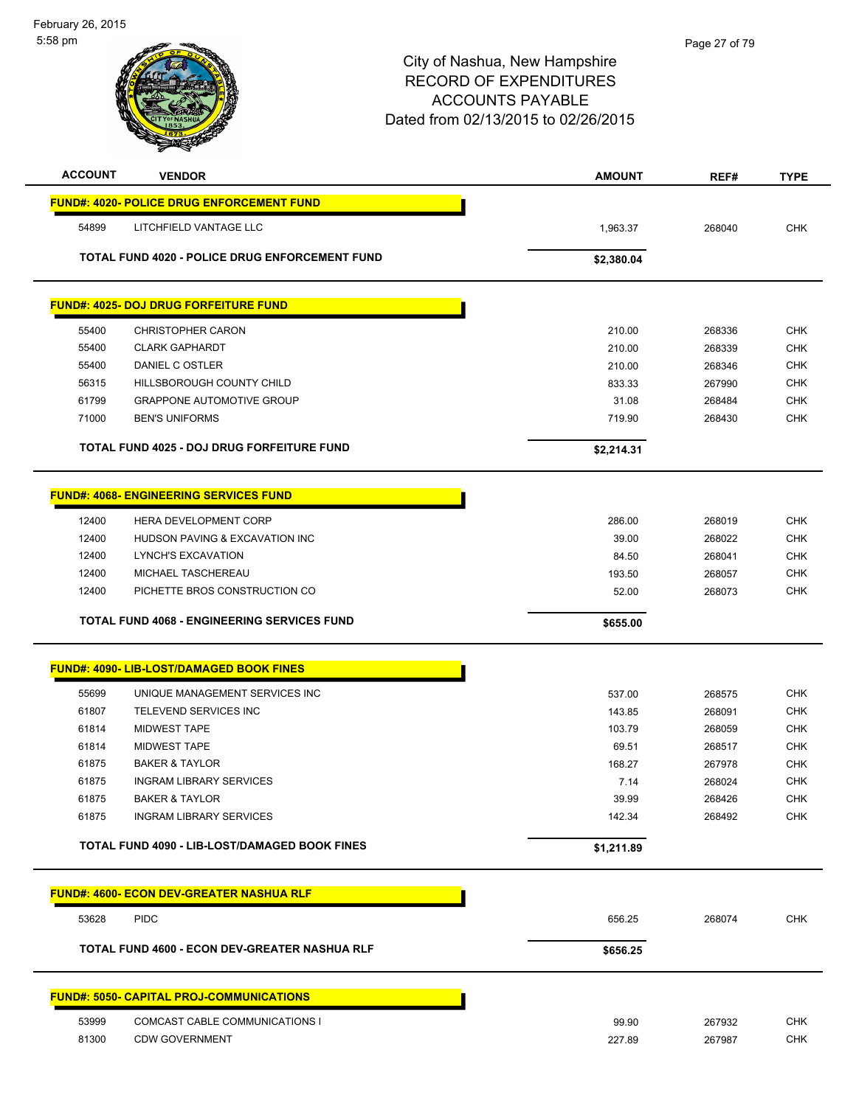| <b>ACCOUNT</b> | <b>VENDOR</b>                                           | <b>AMOUNT</b>   | REF#             | <b>TYPE</b>              |
|----------------|---------------------------------------------------------|-----------------|------------------|--------------------------|
|                | <b>FUND#: 4020- POLICE DRUG ENFORCEMENT FUND</b>        |                 |                  |                          |
| 54899          | LITCHFIELD VANTAGE LLC                                  | 1,963.37        | 268040           | <b>CHK</b>               |
|                | TOTAL FUND 4020 - POLICE DRUG ENFORCEMENT FUND          | \$2,380.04      |                  |                          |
|                | <b>FUND#: 4025- DOJ DRUG FORFEITURE FUND</b>            |                 |                  |                          |
| 55400          | <b>CHRISTOPHER CARON</b>                                | 210.00          | 268336           | <b>CHK</b>               |
| 55400          | <b>CLARK GAPHARDT</b>                                   | 210.00          | 268339           | <b>CHK</b>               |
| 55400          | DANIEL C OSTLER                                         | 210.00          | 268346           | <b>CHK</b>               |
| 56315          | HILLSBOROUGH COUNTY CHILD                               | 833.33          | 267990           | <b>CHK</b>               |
| 61799          | <b>GRAPPONE AUTOMOTIVE GROUP</b>                        | 31.08           | 268484           | <b>CHK</b>               |
| 71000          | <b>BEN'S UNIFORMS</b>                                   | 719.90          | 268430           | <b>CHK</b>               |
|                | TOTAL FUND 4025 - DOJ DRUG FORFEITURE FUND              | \$2,214.31      |                  |                          |
|                | <b>FUND#: 4068- ENGINEERING SERVICES FUND</b>           |                 |                  |                          |
| 12400          | <b>HERA DEVELOPMENT CORP</b>                            | 286.00          | 268019           | <b>CHK</b>               |
| 12400          | HUDSON PAVING & EXCAVATION INC                          | 39.00           | 268022           | <b>CHK</b>               |
| 12400          | LYNCH'S EXCAVATION                                      | 84.50           | 268041           | <b>CHK</b>               |
| 12400          | MICHAEL TASCHEREAU                                      | 193.50          | 268057           | <b>CHK</b>               |
| 12400          | PICHETTE BROS CONSTRUCTION CO                           | 52.00           | 268073           | <b>CHK</b>               |
|                | <b>TOTAL FUND 4068 - ENGINEERING SERVICES FUND</b>      | \$655.00        |                  |                          |
|                | <b>FUND#: 4090- LIB-LOST/DAMAGED BOOK FINES</b>         |                 |                  |                          |
| 55699          | UNIQUE MANAGEMENT SERVICES INC                          | 537.00          | 268575           | <b>CHK</b>               |
| 61807          | TELEVEND SERVICES INC                                   | 143.85          | 268091           | <b>CHK</b>               |
| 61814          | <b>MIDWEST TAPE</b>                                     | 103.79          | 268059           | <b>CHK</b>               |
| 61814          | <b>MIDWEST TAPE</b>                                     | 69.51           | 268517           | <b>CHK</b>               |
| 61875          | <b>BAKER &amp; TAYLOR</b>                               | 168.27          | 267978           | CHK                      |
| 61875          | <b>INGRAM LIBRARY SERVICES</b>                          | 7.14            | 268024           | <b>CHK</b>               |
| 61875          | <b>BAKER &amp; TAYLOR</b>                               | 39.99           | 268426           | <b>CHK</b>               |
| 61875          | <b>INGRAM LIBRARY SERVICES</b>                          | 142.34          | 268492           | <b>CHK</b>               |
|                | TOTAL FUND 4090 - LIB-LOST/DAMAGED BOOK FINES           | \$1,211.89      |                  |                          |
|                | <b>FUND#: 4600- ECON DEV-GREATER NASHUA RLF</b>         |                 |                  |                          |
| 53628          | <b>PIDC</b>                                             | 656.25          | 268074           | <b>CHK</b>               |
|                | TOTAL FUND 4600 - ECON DEV-GREATER NASHUA RLF           | \$656.25        |                  |                          |
|                | <b>FUND#: 5050- CAPITAL PROJ-COMMUNICATIONS</b>         |                 |                  |                          |
| 53999          |                                                         |                 |                  |                          |
|                |                                                         |                 |                  |                          |
| 81300          | COMCAST CABLE COMMUNICATIONS I<br><b>CDW GOVERNMENT</b> | 99.90<br>227.89 | 267932<br>267987 | <b>CHK</b><br><b>CHK</b> |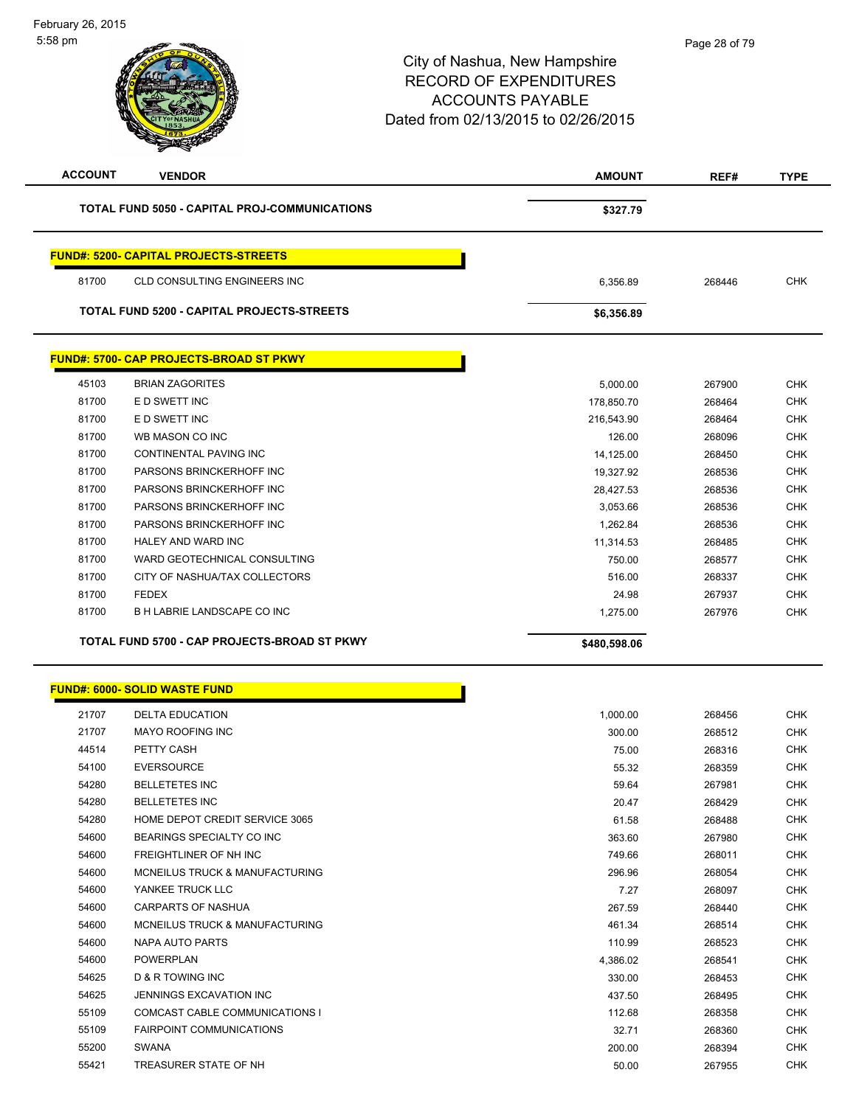| <b>ACCOUNT</b> | <b>VENDOR</b>                                  | AMOUNT       | REF#   | <b>TYPE</b> |
|----------------|------------------------------------------------|--------------|--------|-------------|
|                | TOTAL FUND 5050 - CAPITAL PROJ-COMMUNICATIONS  | \$327.79     |        |             |
|                | <b>FUND#: 5200- CAPITAL PROJECTS-STREETS</b>   |              |        |             |
| 81700          | <b>CLD CONSULTING ENGINEERS INC</b>            | 6,356.89     | 268446 | <b>CHK</b>  |
|                | TOTAL FUND 5200 - CAPITAL PROJECTS-STREETS     | \$6,356.89   |        |             |
|                | <b>FUND#: 5700- CAP PROJECTS-BROAD ST PKWY</b> |              |        |             |
| 45103          | <b>BRIAN ZAGORITES</b>                         | 5,000.00     | 267900 | <b>CHK</b>  |
| 81700          | E D SWETT INC                                  | 178,850.70   | 268464 | <b>CHK</b>  |
| 81700          | E D SWETT INC                                  | 216,543.90   | 268464 | <b>CHK</b>  |
| 81700          | WB MASON CO INC                                |              |        | <b>CHK</b>  |
| 81700          |                                                | 126.00       | 268096 |             |
|                | CONTINENTAL PAVING INC                         | 14,125.00    | 268450 | <b>CHK</b>  |
| 81700          | PARSONS BRINCKERHOFF INC                       | 19,327.92    | 268536 | <b>CHK</b>  |
| 81700          | PARSONS BRINCKERHOFF INC                       | 28,427.53    | 268536 | <b>CHK</b>  |
| 81700          | PARSONS BRINCKERHOFF INC                       | 3,053.66     | 268536 | <b>CHK</b>  |
| 81700          | PARSONS BRINCKERHOFF INC                       | 1,262.84     | 268536 | <b>CHK</b>  |
| 81700          | HALEY AND WARD INC                             | 11,314.53    | 268485 | <b>CHK</b>  |
| 81700          | WARD GEOTECHNICAL CONSULTING                   | 750.00       | 268577 | <b>CHK</b>  |
| 81700          | CITY OF NASHUA/TAX COLLECTORS                  | 516.00       | 268337 | <b>CHK</b>  |
| 81700          | <b>FEDEX</b>                                   | 24.98        | 267937 | <b>CHK</b>  |
| 81700          | <b>B H LABRIE LANDSCAPE CO INC</b>             | 1,275.00     | 267976 | <b>CHK</b>  |
|                | TOTAL FUND 5700 - CAP PROJECTS-BROAD ST PKWY   | \$480,598.06 |        |             |
|                |                                                |              |        |             |
|                | <b>FUND#: 6000- SOLID WASTE FUND</b>           |              |        |             |
| 21707          | <b>DELTA EDUCATION</b>                         | 1,000.00     | 268456 | <b>CHK</b>  |
| 21707          | <b>MAYO ROOFING INC</b>                        | 300.00       | 268512 | <b>CHK</b>  |
| 44514          | PETTY CASH                                     | 75.00        | 268316 | <b>CHK</b>  |
| 54100          | <b>EVERSOURCE</b>                              | 55.32        | 268359 | <b>CHK</b>  |
| 54280          | <b>BELLETETES INC</b>                          | 59.64        | 267981 | <b>CHK</b>  |
| 54280          | <b>BELLETETES INC</b>                          | 20.47        | 268429 | <b>CHK</b>  |
| 54280          | HOME DEPOT CREDIT SERVICE 3065                 | 61.58        | 268488 | <b>CHK</b>  |
| 54600          | BEARINGS SPECIALTY CO INC                      | 363.60       | 267980 | <b>CHK</b>  |
| 54600          | FREIGHTLINER OF NH INC                         | 749.66       | 268011 | <b>CHK</b>  |
| 54600          | MCNEILUS TRUCK & MANUFACTURING                 | 296.96       | 268054 | <b>CHK</b>  |
| 54600          | YANKEE TRUCK LLC                               | 7.27         | 268097 | <b>CHK</b>  |
| 54600          | CARPARTS OF NASHUA                             | 267.59       | 268440 | <b>CHK</b>  |
| 54600          | MCNEILUS TRUCK & MANUFACTURING                 | 461.34       | 268514 | <b>CHK</b>  |
| 54600          | NAPA AUTO PARTS                                | 110.99       | 268523 | <b>CHK</b>  |
| 54600          | <b>POWERPLAN</b>                               | 4,386.02     | 268541 | <b>CHK</b>  |
|                |                                                |              |        |             |
| 54625          | D & R TOWING INC                               | 330.00       | 268453 | <b>CHK</b>  |
| 54625          | JENNINGS EXCAVATION INC                        | 437.50       | 268495 | <b>CHK</b>  |
| 55109          | COMCAST CABLE COMMUNICATIONS I                 | 112.68       | 268358 | <b>CHK</b>  |
| 55109          | <b>FAIRPOINT COMMUNICATIONS</b>                | 32.71        | 268360 | CHK         |
| 55200          | SWANA                                          | 200.00       | 268394 | <b>CHK</b>  |
| 55421          | TREASURER STATE OF NH                          | 50.00        | 267955 | <b>CHK</b>  |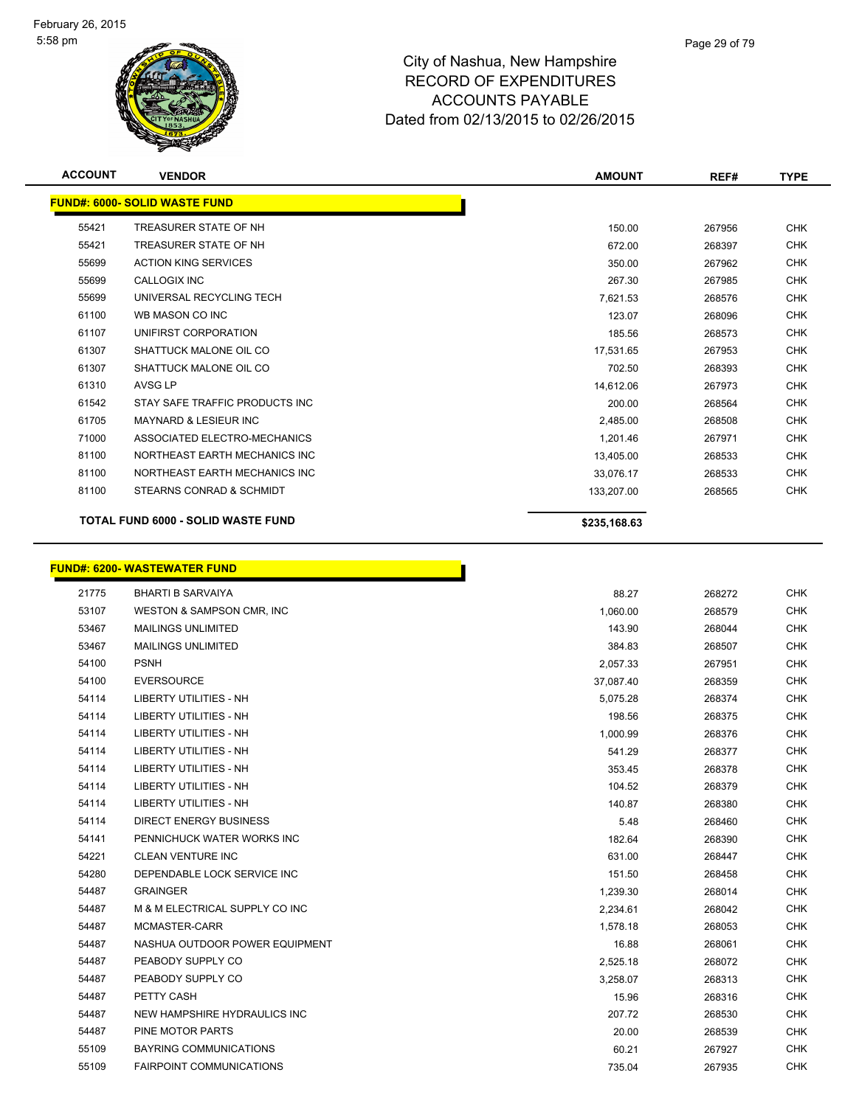

| <b>ACCOUNT</b> | <b>VENDOR</b>                        | <b>AMOUNT</b> | REF#   | <b>TYPE</b> |
|----------------|--------------------------------------|---------------|--------|-------------|
|                | <b>FUND#: 6000- SOLID WASTE FUND</b> |               |        |             |
| 55421          | TREASURER STATE OF NH                | 150.00        | 267956 | <b>CHK</b>  |
| 55421          | TREASURER STATE OF NH                | 672.00        | 268397 | <b>CHK</b>  |
| 55699          | <b>ACTION KING SERVICES</b>          | 350.00        | 267962 | <b>CHK</b>  |
| 55699          | <b>CALLOGIX INC</b>                  | 267.30        | 267985 | <b>CHK</b>  |
| 55699          | UNIVERSAL RECYCLING TECH             | 7,621.53      | 268576 | <b>CHK</b>  |
| 61100          | WB MASON CO INC                      | 123.07        | 268096 | <b>CHK</b>  |
| 61107          | UNIFIRST CORPORATION                 | 185.56        | 268573 | <b>CHK</b>  |
| 61307          | SHATTUCK MALONE OIL CO               | 17,531.65     | 267953 | <b>CHK</b>  |
| 61307          | SHATTUCK MALONE OIL CO               | 702.50        | 268393 | <b>CHK</b>  |
| 61310          | <b>AVSG LP</b>                       | 14,612.06     | 267973 | <b>CHK</b>  |
| 61542          | STAY SAFE TRAFFIC PRODUCTS INC       | 200.00        | 268564 | <b>CHK</b>  |
| 61705          | <b>MAYNARD &amp; LESIEUR INC</b>     | 2,485.00      | 268508 | <b>CHK</b>  |
| 71000          | ASSOCIATED ELECTRO-MECHANICS         | 1,201.46      | 267971 | <b>CHK</b>  |
| 81100          | NORTHEAST EARTH MECHANICS INC        | 13,405.00     | 268533 | <b>CHK</b>  |
| 81100          | NORTHEAST EARTH MECHANICS INC        | 33,076.17     | 268533 | <b>CHK</b>  |
| 81100          | STEARNS CONRAD & SCHMIDT             | 133,207.00    | 268565 | <b>CHK</b>  |
|                |                                      |               |        |             |
|                | TOTAL FUND 6000 - SOLID WASTE FUND   | \$235,168.63  |        |             |
|                |                                      |               |        |             |
|                | <b>FUND#: 6200- WASTEWATER FUND</b>  |               |        |             |
| 21775          | <b>BHARTI B SARVAIYA</b>             | 88.27         | 268272 | <b>CHK</b>  |
| 53107          | WESTON & SAMPSON CMR, INC            | 1,060.00      | 268579 | <b>CHK</b>  |
| 53467          | <b>MAILINGS UNLIMITED</b>            | 143.90        | 268044 | <b>CHK</b>  |
| 53467          | <b>MAILINGS UNLIMITED</b>            | 384.83        | 268507 | <b>CHK</b>  |
| 54100          | <b>PSNH</b>                          | 2,057.33      | 267951 | <b>CHK</b>  |
| 54100          | <b>EVERSOURCE</b>                    | 37,087.40     | 268359 | <b>CHK</b>  |
| 54114          | LIBERTY UTILITIES - NH               | 5,075.28      | 268374 | <b>CHK</b>  |
| 54114          | <b>LIBERTY UTILITIES - NH</b>        | 198.56        | 268375 | <b>CHK</b>  |
| 54114          | <b>LIBERTY UTILITIES - NH</b>        | 1,000.99      | 268376 | <b>CHK</b>  |
| 54114          | <b>LIBERTY UTILITIES - NH</b>        | 541.29        | 268377 | <b>CHK</b>  |
| 54114          | <b>LIBERTY UTILITIES - NH</b>        | 353.45        | 268378 | <b>CHK</b>  |
| 54114          | <b>LIBERTY UTILITIES - NH</b>        | 104.52        | 268379 | <b>CHK</b>  |
| 54114          | LIBERTY UTILITIES - NH               | 140.87        | 268380 | <b>CHK</b>  |
| 54114          | <b>DIRECT ENERGY BUSINESS</b>        | 5.48          | 268460 | <b>CHK</b>  |
| 54141          | PENNICHUCK WATER WORKS INC           | 182.64        | 268390 | <b>CHK</b>  |
| 54221          | CLEAN VENTURE INC                    | 631.00        | 268447 | <b>CHK</b>  |
| 54280          | DEPENDABLE LOCK SERVICE INC          | 151.50        | 268458 | <b>CHK</b>  |
| 54487          | <b>GRAINGER</b>                      | 1,239.30      | 268014 | <b>CHK</b>  |
| 54487          | M & M ELECTRICAL SUPPLY CO INC       | 2,234.61      | 268042 | <b>CHK</b>  |
| 54487          | MCMASTER-CARR                        | 1,578.18      | 268053 | <b>CHK</b>  |
| 54487          | NASHUA OUTDOOR POWER EQUIPMENT       | 16.88         | 268061 | <b>CHK</b>  |
| 54487          | PEABODY SUPPLY CO                    | 2,525.18      | 268072 | <b>CHK</b>  |
| 54487          | PEABODY SUPPLY CO                    | 3,258.07      | 268313 | <b>CHK</b>  |
| 54487          | PETTY CASH                           | 15.96         | 268316 | <b>CHK</b>  |
| 54487          | NEW HAMPSHIRE HYDRAULICS INC         | 207.72        | 268530 | <b>CHK</b>  |

 PINE MOTOR PARTS 20.00 268539 CHK BAYRING COMMUNICATIONS 60.21 267927 CHK FAIRPOINT COMMUNICATIONS 735.04 267935 CHK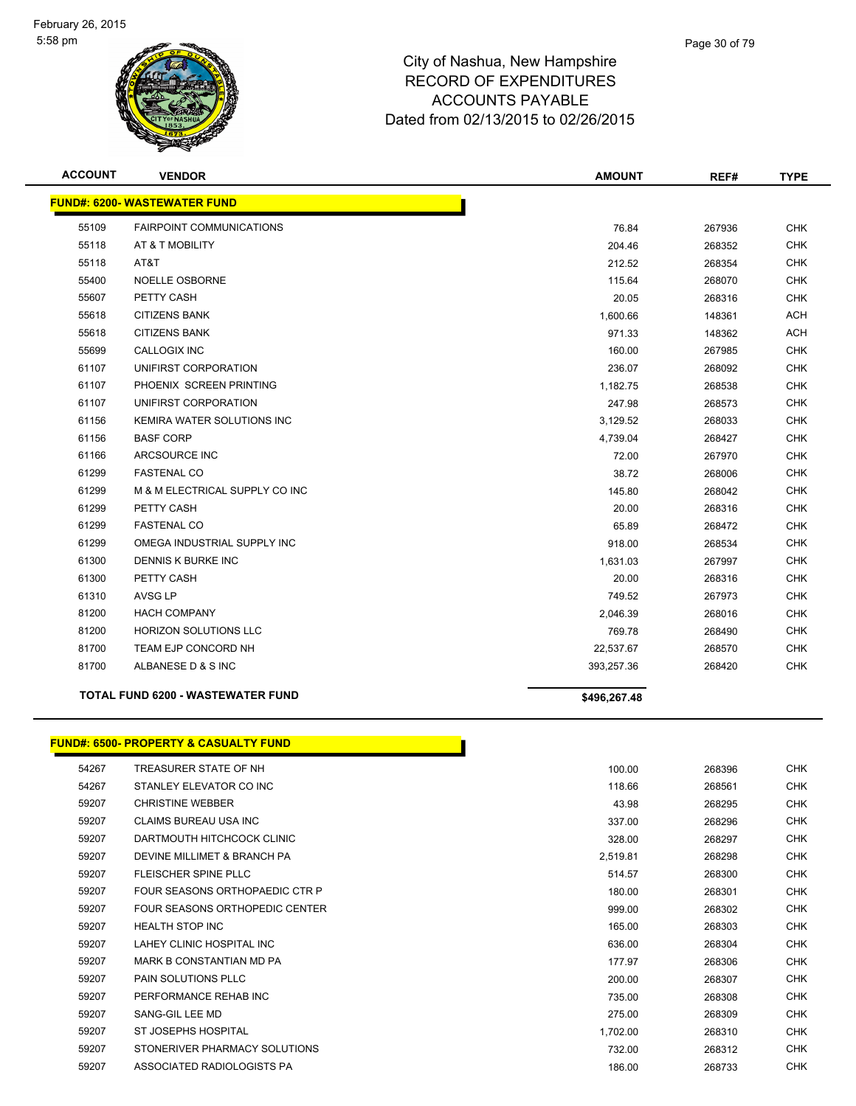

| <b>ACCOUNT</b> | <b>VENDOR</b>                            | <b>AMOUNT</b> | REF#   | <b>TYPE</b> |
|----------------|------------------------------------------|---------------|--------|-------------|
|                | <b>FUND#: 6200- WASTEWATER FUND</b>      |               |        |             |
| 55109          | <b>FAIRPOINT COMMUNICATIONS</b>          | 76.84         | 267936 | <b>CHK</b>  |
| 55118          | AT & T MOBILITY                          | 204.46        | 268352 | <b>CHK</b>  |
| 55118          | AT&T                                     | 212.52        | 268354 | <b>CHK</b>  |
| 55400          | <b>NOELLE OSBORNE</b>                    | 115.64        | 268070 | <b>CHK</b>  |
| 55607          | PETTY CASH                               | 20.05         | 268316 | <b>CHK</b>  |
| 55618          | <b>CITIZENS BANK</b>                     | 1,600.66      | 148361 | <b>ACH</b>  |
| 55618          | <b>CITIZENS BANK</b>                     | 971.33        | 148362 | ACH         |
| 55699          | CALLOGIX INC                             | 160.00        | 267985 | <b>CHK</b>  |
| 61107          | UNIFIRST CORPORATION                     | 236.07        | 268092 | <b>CHK</b>  |
| 61107          | PHOENIX SCREEN PRINTING                  | 1,182.75      | 268538 | <b>CHK</b>  |
| 61107          | UNIFIRST CORPORATION                     | 247.98        | 268573 | <b>CHK</b>  |
| 61156          | KEMIRA WATER SOLUTIONS INC               | 3,129.52      | 268033 | <b>CHK</b>  |
| 61156          | <b>BASF CORP</b>                         | 4,739.04      | 268427 | <b>CHK</b>  |
| 61166          | ARCSOURCE INC                            | 72.00         | 267970 | <b>CHK</b>  |
| 61299          | <b>FASTENAL CO</b>                       | 38.72         | 268006 | <b>CHK</b>  |
| 61299          | M & M ELECTRICAL SUPPLY CO INC           | 145.80        | 268042 | <b>CHK</b>  |
| 61299          | PETTY CASH                               | 20.00         | 268316 | <b>CHK</b>  |
| 61299          | <b>FASTENAL CO</b>                       | 65.89         | 268472 | <b>CHK</b>  |
| 61299          | OMEGA INDUSTRIAL SUPPLY INC              | 918.00        | 268534 | <b>CHK</b>  |
| 61300          | DENNIS K BURKE INC                       | 1,631.03      | 267997 | <b>CHK</b>  |
| 61300          | PETTY CASH                               | 20.00         | 268316 | <b>CHK</b>  |
| 61310          | <b>AVSG LP</b>                           | 749.52        | 267973 | <b>CHK</b>  |
| 81200          | <b>HACH COMPANY</b>                      | 2,046.39      | 268016 | <b>CHK</b>  |
| 81200          | <b>HORIZON SOLUTIONS LLC</b>             | 769.78        | 268490 | <b>CHK</b>  |
| 81700          | <b>TEAM EJP CONCORD NH</b>               | 22,537.67     | 268570 | <b>CHK</b>  |
| 81700          | ALBANESE D & S INC                       | 393,257.36    | 268420 | <b>CHK</b>  |
|                | <b>TOTAL FUND 6200 - WASTEWATER FUND</b> | \$496,267.48  |        |             |

#### **FUND#: 6500- PROPERTY & CASUALTY FUND**

| 54267 | TREASURER STATE OF NH          | 100.00   | 268396 | CHK        |
|-------|--------------------------------|----------|--------|------------|
| 54267 | STANLEY ELEVATOR CO INC        | 118.66   | 268561 | <b>CHK</b> |
| 59207 | <b>CHRISTINE WEBBER</b>        | 43.98    | 268295 | CHK        |
| 59207 | CLAIMS BUREAU USA INC          | 337.00   | 268296 | <b>CHK</b> |
| 59207 | DARTMOUTH HITCHCOCK CLINIC     | 328.00   | 268297 | <b>CHK</b> |
| 59207 | DEVINE MILLIMET & BRANCH PA    | 2,519.81 | 268298 | <b>CHK</b> |
| 59207 | <b>FLEISCHER SPINE PLLC</b>    | 514.57   | 268300 | <b>CHK</b> |
| 59207 | FOUR SEASONS ORTHOPAEDIC CTR P | 180.00   | 268301 | CHK        |
| 59207 | FOUR SEASONS ORTHOPEDIC CENTER | 999.00   | 268302 | <b>CHK</b> |
| 59207 | <b>HEALTH STOP INC</b>         | 165.00   | 268303 | <b>CHK</b> |
| 59207 | LAHEY CLINIC HOSPITAL INC      | 636.00   | 268304 | <b>CHK</b> |
| 59207 | MARK B CONSTANTIAN MD PA       | 177.97   | 268306 | <b>CHK</b> |
| 59207 | <b>PAIN SOLUTIONS PLLC</b>     | 200.00   | 268307 | CHK        |
| 59207 | PERFORMANCE REHAB INC          | 735.00   | 268308 | CHK        |
| 59207 | SANG-GIL LEE MD                | 275.00   | 268309 | <b>CHK</b> |
| 59207 | ST JOSEPHS HOSPITAL            | 1,702.00 | 268310 | <b>CHK</b> |
| 59207 | STONERIVER PHARMACY SOLUTIONS  | 732.00   | 268312 | <b>CHK</b> |
| 59207 | ASSOCIATED RADIOLOGISTS PA     | 186.00   | 268733 | CHK        |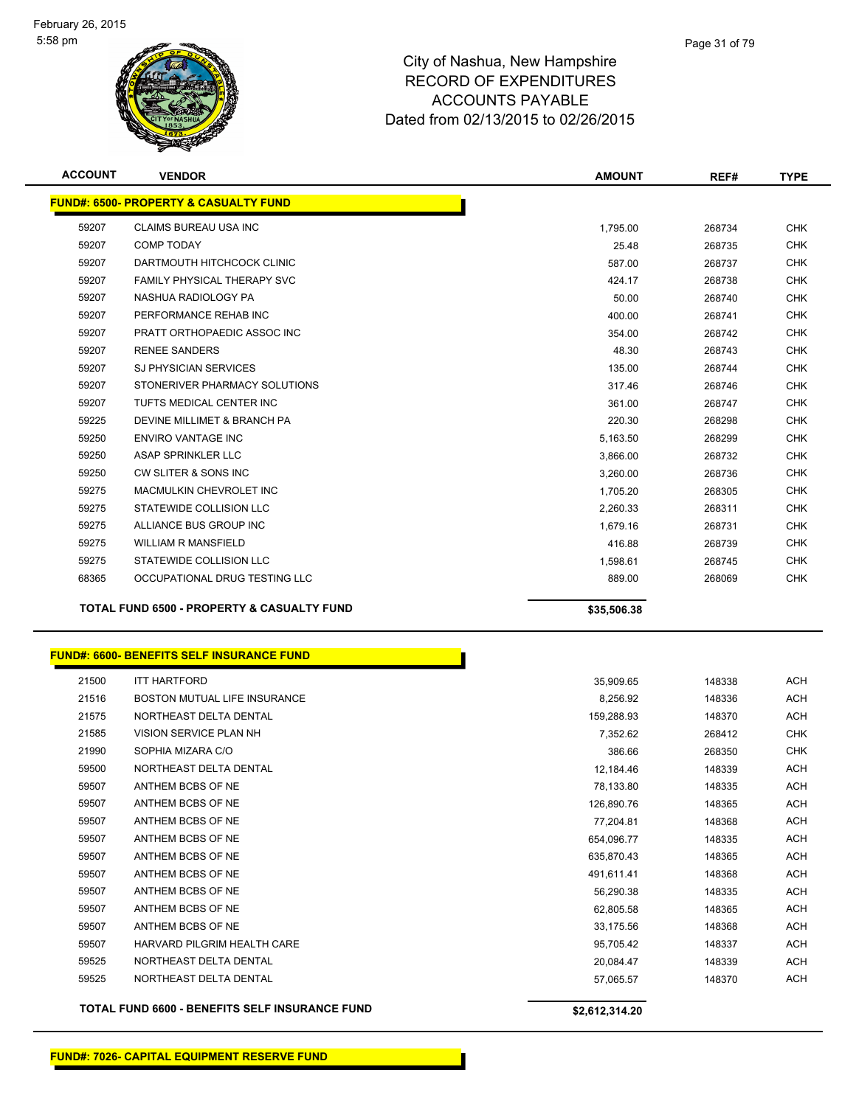

| <b>ACCOUNT</b> | <b>VENDOR</b>                                         | <b>AMOUNT</b> | REF#   | <b>TYPE</b> |
|----------------|-------------------------------------------------------|---------------|--------|-------------|
|                | <b>FUND#: 6500- PROPERTY &amp; CASUALTY FUND</b>      |               |        |             |
| 59207          | CLAIMS BUREAU USA INC                                 | 1,795.00      | 268734 | <b>CHK</b>  |
| 59207          | <b>COMP TODAY</b>                                     | 25.48         | 268735 | <b>CHK</b>  |
| 59207          | DARTMOUTH HITCHCOCK CLINIC                            | 587.00        | 268737 | <b>CHK</b>  |
| 59207          | FAMILY PHYSICAL THERAPY SVC                           | 424.17        | 268738 | <b>CHK</b>  |
| 59207          | NASHUA RADIOLOGY PA                                   | 50.00         | 268740 | <b>CHK</b>  |
| 59207          | PERFORMANCE REHAB INC                                 | 400.00        | 268741 | <b>CHK</b>  |
| 59207          | PRATT ORTHOPAEDIC ASSOC INC                           | 354.00        | 268742 | <b>CHK</b>  |
| 59207          | <b>RENEE SANDERS</b>                                  | 48.30         | 268743 | <b>CHK</b>  |
| 59207          | SJ PHYSICIAN SERVICES                                 | 135.00        | 268744 | <b>CHK</b>  |
| 59207          | STONERIVER PHARMACY SOLUTIONS                         | 317.46        | 268746 | <b>CHK</b>  |
| 59207          | TUFTS MEDICAL CENTER INC                              | 361.00        | 268747 | <b>CHK</b>  |
| 59225          | DEVINE MILLIMET & BRANCH PA                           | 220.30        | 268298 | <b>CHK</b>  |
| 59250          | <b>ENVIRO VANTAGE INC</b>                             | 5,163.50      | 268299 | CHK         |
| 59250          | <b>ASAP SPRINKLER LLC</b>                             | 3,866.00      | 268732 | <b>CHK</b>  |
| 59250          | CW SLITER & SONS INC                                  | 3,260.00      | 268736 | <b>CHK</b>  |
| 59275          | MACMULKIN CHEVROLET INC                               | 1,705.20      | 268305 | <b>CHK</b>  |
| 59275          | STATEWIDE COLLISION LLC                               | 2,260.33      | 268311 | <b>CHK</b>  |
| 59275          | ALLIANCE BUS GROUP INC                                | 1,679.16      | 268731 | <b>CHK</b>  |
| 59275          | <b>WILLIAM R MANSFIELD</b>                            | 416.88        | 268739 | <b>CHK</b>  |
| 59275          | STATEWIDE COLLISION LLC                               | 1,598.61      | 268745 | <b>CHK</b>  |
| 68365          | OCCUPATIONAL DRUG TESTING LLC                         | 889.00        | 268069 | <b>CHK</b>  |
|                |                                                       |               |        |             |
|                | <b>TOTAL FUND 6500 - PROPERTY &amp; CASUALTY FUND</b> | \$35,506.38   |        |             |
|                | <b>FUND#: 6600- BENEFITS SELF INSURANCE FUND</b>      |               |        |             |
| 21500          | <b>ITT HARTFORD</b>                                   | 35,909.65     | 148338 | <b>ACH</b>  |
| 21516          | BOSTON MUTUAL LIFE INSURANCE                          | 8,256.92      | 148336 | <b>ACH</b>  |
| 21575          | NORTHEAST DELTA DENTAL                                | 159,288.93    | 148370 | ACH         |
| 21585          | VISION SERVICE PLAN NH                                | 7,352.62      | 268412 | <b>CHK</b>  |
| 21990          | SOPHIA MIZARA C/O                                     | 386.66        | 268350 | <b>CHK</b>  |
| 59500          | NORTHEAST DELTA DENTAL                                | 12,184.46     | 148339 | ACH         |
| 59507          | ANTHEM BCBS OF NE                                     | 78,133.80     | 148335 | ACH         |
| 59507          | ANTHEM BCBS OF NE                                     | 126,890.76    | 148365 | <b>ACH</b>  |
| 59507          | ANTHEM BCBS OF NE                                     | 77,204.81     | 148368 | ACH         |
| 59507          | ANTHEM BCBS OF NE                                     | 654,096.77    | 148335 | ACH         |
| 59507          | ANTHEM BCBS OF NE                                     | 635,870.43    | 148365 | ACH         |
| 59507          | ANTHEM BCBS OF NE                                     | 491,611.41    | 148368 | ACH         |
| 59507          | ANTHEM BCBS OF NE                                     | 56,290.38     | 148335 | ACH         |
| 59507          | ANTHEM BCBS OF NE                                     | 62,805.58     | 148365 | ACH         |
| 59507          | ANTHEM BCBS OF NE                                     | 33,175.56     | 148368 | ACH         |
| 59507          | HARVARD PILGRIM HEALTH CARE                           | 95,705.42     | 148337 | <b>ACH</b>  |
| 59525          | NORTHEAST DELTA DENTAL                                | 20,084.47     | 148339 | ACH         |

**TOTAL FUND 6600 - BENEFITS SELF INSURANCE FUND \$2,612,314.20**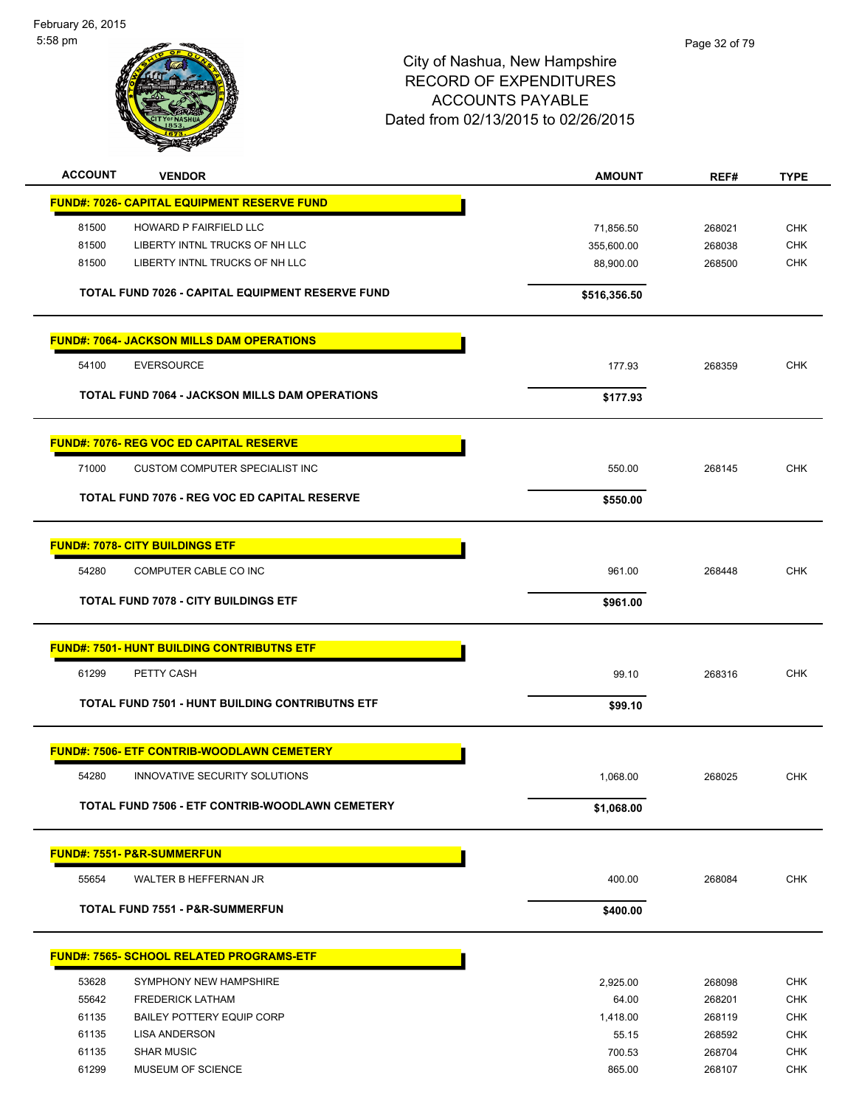February 26, 2015 5:58 pm



| <b>ACCOUNT</b> | <b>VENDOR</b>                                         | <b>AMOUNT</b>     | REF#             | <b>TYPE</b> |
|----------------|-------------------------------------------------------|-------------------|------------------|-------------|
|                | <b>FUND#: 7026- CAPITAL EQUIPMENT RESERVE FUND</b>    |                   |                  |             |
| 81500          | HOWARD P FAIRFIELD LLC                                | 71,856.50         | 268021           | <b>CHK</b>  |
| 81500          | LIBERTY INTNL TRUCKS OF NH LLC                        | 355,600.00        | 268038           | <b>CHK</b>  |
| 81500          | LIBERTY INTNL TRUCKS OF NH LLC                        | 88,900.00         | 268500           | <b>CHK</b>  |
|                | TOTAL FUND 7026 - CAPITAL EQUIPMENT RESERVE FUND      | \$516,356.50      |                  |             |
|                | <b>FUND#: 7064- JACKSON MILLS DAM OPERATIONS</b>      |                   |                  |             |
| 54100          | <b>EVERSOURCE</b>                                     | 177.93            | 268359           | <b>CHK</b>  |
|                | <b>TOTAL FUND 7064 - JACKSON MILLS DAM OPERATIONS</b> | \$177.93          |                  |             |
|                | <b>FUND#: 7076- REG VOC ED CAPITAL RESERVE</b>        |                   |                  |             |
| 71000          | CUSTOM COMPUTER SPECIALIST INC                        | 550.00            | 268145           | <b>CHK</b>  |
|                | <b>TOTAL FUND 7076 - REG VOC ED CAPITAL RESERVE</b>   | \$550.00          |                  |             |
|                | <b>FUND#: 7078- CITY BUILDINGS ETF</b>                |                   |                  |             |
| 54280          | COMPUTER CABLE CO INC                                 | 961.00            | 268448           | <b>CHK</b>  |
|                | <b>TOTAL FUND 7078 - CITY BUILDINGS ETF</b>           | \$961.00          |                  |             |
|                |                                                       |                   |                  |             |
|                | <b>FUND#: 7501- HUNT BUILDING CONTRIBUTNS ETF</b>     |                   |                  |             |
| 61299          | PETTY CASH                                            | 99.10             | 268316           | <b>CHK</b>  |
|                | TOTAL FUND 7501 - HUNT BUILDING CONTRIBUTNS ETF       | \$99.10           |                  |             |
|                | <b>FUND#: 7506- ETF CONTRIB-WOODLAWN CEMETERY</b>     |                   |                  |             |
| 54280          | INNOVATIVE SECURITY SOLUTIONS                         | 1,068.00          | 268025           | <b>CHK</b>  |
|                | TOTAL FUND 7506 - ETF CONTRIB-WOODLAWN CEMETERY       | \$1,068.00        |                  |             |
|                | <b>FUND#: 7551- P&amp;R-SUMMERFUN</b>                 |                   |                  |             |
| 55654          | WALTER B HEFFERNAN JR                                 | 400.00            | 268084           | <b>CHK</b>  |
|                | <b>TOTAL FUND 7551 - P&amp;R-SUMMERFUN</b>            | \$400.00          |                  |             |
|                | <b>FUND#: 7565- SCHOOL RELATED PROGRAMS-ETF</b>       |                   |                  |             |
|                | SYMPHONY NEW HAMPSHIRE                                |                   |                  | <b>CHK</b>  |
| 53628<br>55642 | <b>FREDERICK LATHAM</b>                               | 2,925.00<br>64.00 | 268098<br>268201 | <b>CHK</b>  |
| 61135          | <b>BAILEY POTTERY EQUIP CORP</b>                      | 1,418.00          | 268119           | <b>CHK</b>  |
| 61135          | <b>LISA ANDERSON</b>                                  | 55.15             | 268592           | <b>CHK</b>  |
| 61135          | <b>SHAR MUSIC</b>                                     | 700.53            | 268704           | <b>CHK</b>  |
| 61299          | MUSEUM OF SCIENCE                                     | 865.00            | 268107           | <b>CHK</b>  |
|                |                                                       |                   |                  |             |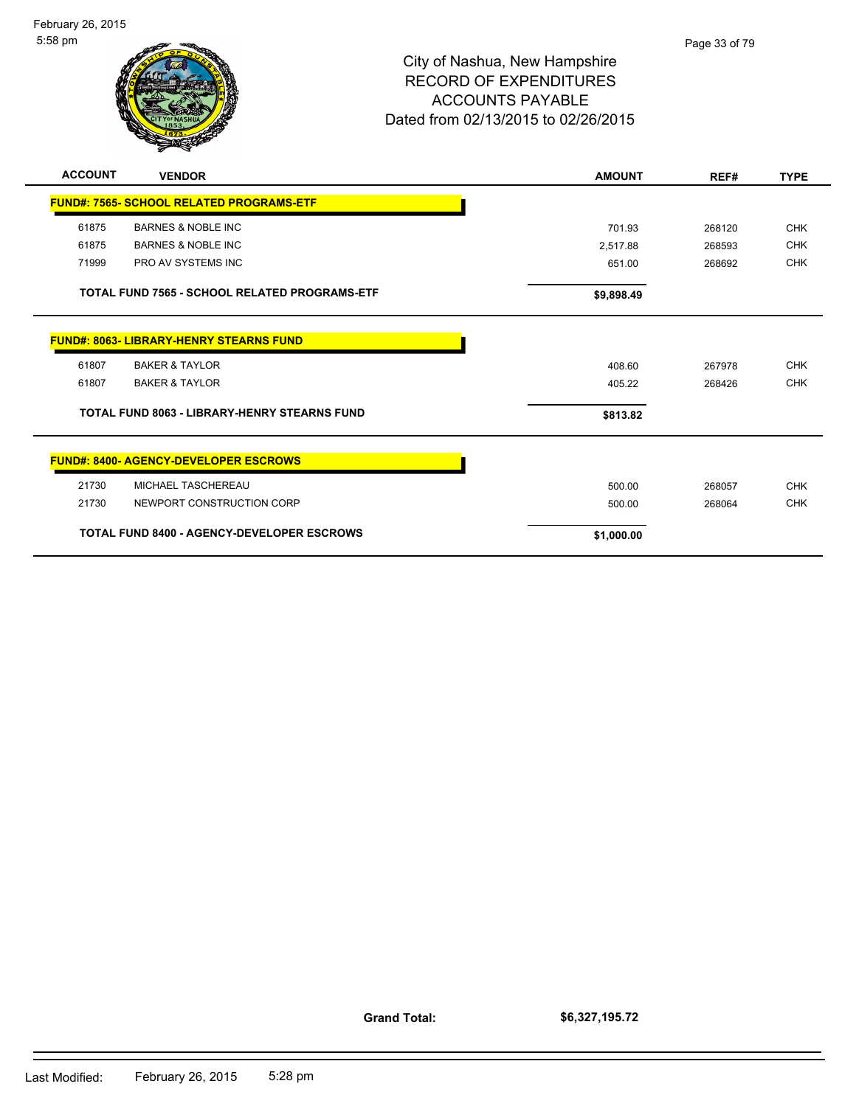

| <b>ACCOUNT</b> | <b>VENDOR</b>                                        | <b>AMOUNT</b> | REF#   | <b>TYPE</b> |
|----------------|------------------------------------------------------|---------------|--------|-------------|
|                | <b>FUND#: 7565- SCHOOL RELATED PROGRAMS-ETF</b>      |               |        |             |
| 61875          | <b>BARNES &amp; NOBLE INC</b>                        | 701.93        | 268120 | <b>CHK</b>  |
| 61875          | <b>BARNES &amp; NOBLE INC</b>                        | 2,517.88      | 268593 | <b>CHK</b>  |
| 71999          | PRO AV SYSTEMS INC                                   | 651.00        | 268692 | <b>CHK</b>  |
|                | <b>TOTAL FUND 7565 - SCHOOL RELATED PROGRAMS-ETF</b> | \$9,898.49    |        |             |
|                | <b>FUND#: 8063- LIBRARY-HENRY STEARNS FUND</b>       |               |        |             |
| 61807          | <b>BAKER &amp; TAYLOR</b>                            | 408.60        | 267978 | <b>CHK</b>  |
| 61807          | <b>BAKER &amp; TAYLOR</b>                            | 405.22        | 268426 | <b>CHK</b>  |
|                | <b>TOTAL FUND 8063 - LIBRARY-HENRY STEARNS FUND</b>  | \$813.82      |        |             |
|                | <b>FUND#: 8400- AGENCY-DEVELOPER ESCROWS</b>         |               |        |             |
| 21730          | MICHAEL TASCHEREAU                                   | 500.00        | 268057 | <b>CHK</b>  |
| 21730          | NEWPORT CONSTRUCTION CORP                            | 500.00        | 268064 | <b>CHK</b>  |
|                | <b>TOTAL FUND 8400 - AGENCY-DEVELOPER ESCROWS</b>    | \$1,000.00    |        |             |

**Grand Total:**

**\$6,327,195.72**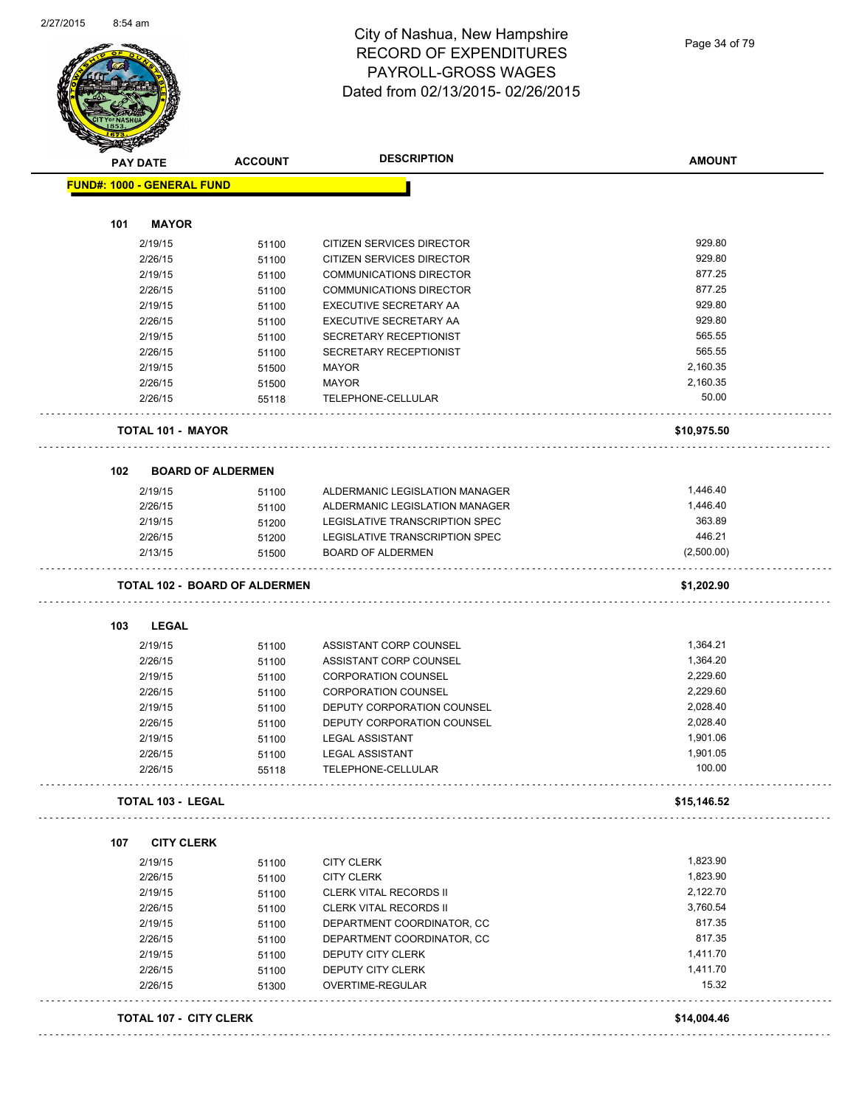

#### City of Nashua, New Hampshire RECORD OF EXPENDITURES PAYROLL-GROSS WAGES Dated from 02/13/2015- 02/26/2015

Page 34 of 79

| <b>PAY DATE</b>                      | <b>ACCOUNT</b>           | <b>DESCRIPTION</b>             | <b>AMOUNT</b> |
|--------------------------------------|--------------------------|--------------------------------|---------------|
| <b>FUND#: 1000 - GENERAL FUND</b>    |                          |                                |               |
|                                      |                          |                                |               |
| <b>MAYOR</b><br>101                  |                          |                                |               |
| 2/19/15                              | 51100                    | CITIZEN SERVICES DIRECTOR      | 929.80        |
| 2/26/15                              | 51100                    | CITIZEN SERVICES DIRECTOR      | 929.80        |
| 2/19/15                              | 51100                    | <b>COMMUNICATIONS DIRECTOR</b> | 877.25        |
| 2/26/15                              | 51100                    | <b>COMMUNICATIONS DIRECTOR</b> | 877.25        |
| 2/19/15                              | 51100                    | EXECUTIVE SECRETARY AA         | 929.80        |
| 2/26/15                              | 51100                    | EXECUTIVE SECRETARY AA         | 929.80        |
| 2/19/15                              | 51100                    | <b>SECRETARY RECEPTIONIST</b>  | 565.55        |
| 2/26/15                              | 51100                    | SECRETARY RECEPTIONIST         | 565.55        |
| 2/19/15                              | 51500                    | <b>MAYOR</b>                   | 2,160.35      |
| 2/26/15                              | 51500                    | <b>MAYOR</b>                   | 2,160.35      |
| 2/26/15                              | 55118                    | TELEPHONE-CELLULAR             | 50.00         |
| <b>TOTAL 101 - MAYOR</b>             |                          |                                | \$10,975.50   |
| 102                                  | <b>BOARD OF ALDERMEN</b> |                                |               |
| 2/19/15                              | 51100                    | ALDERMANIC LEGISLATION MANAGER | 1,446.40      |
| 2/26/15                              | 51100                    | ALDERMANIC LEGISLATION MANAGER | 1,446.40      |
| 2/19/15                              | 51200                    | LEGISLATIVE TRANSCRIPTION SPEC | 363.89        |
| 2/26/15                              | 51200                    | LEGISLATIVE TRANSCRIPTION SPEC | 446.21        |
| 2/13/15                              | 51500                    | <b>BOARD OF ALDERMEN</b>       | (2,500.00)    |
| <b>TOTAL 102 - BOARD OF ALDERMEN</b> |                          |                                | \$1,202.90    |
| <b>LEGAL</b><br>103                  |                          |                                |               |
| 2/19/15                              | 51100                    | ASSISTANT CORP COUNSEL         | 1,364.21      |
| 2/26/15                              | 51100                    | ASSISTANT CORP COUNSEL         | 1,364.20      |
| 2/19/15                              | 51100                    | <b>CORPORATION COUNSEL</b>     | 2,229.60      |
| 2/26/15                              | 51100                    | <b>CORPORATION COUNSEL</b>     | 2,229.60      |
| 2/19/15                              | 51100                    | DEPUTY CORPORATION COUNSEL     | 2,028.40      |
| 2/26/15                              | 51100                    | DEPUTY CORPORATION COUNSEL     | 2,028.40      |
| 2/19/15                              | 51100                    | <b>LEGAL ASSISTANT</b>         | 1,901.06      |
| 2/26/15                              | 51100                    | <b>LEGAL ASSISTANT</b>         | 1,901.05      |
| 2/26/15                              | 55118                    | TELEPHONE-CELLULAR             | 100.00        |
| <b>TOTAL 103 - LEGAL</b>             |                          |                                | \$15,146.52   |
| <b>CITY CLERK</b><br>107             |                          |                                |               |
| 2/19/15                              | 51100                    | <b>CITY CLERK</b>              | 1,823.90      |
| 2/26/15                              | 51100                    | <b>CITY CLERK</b>              | 1,823.90      |
| 2/19/15                              | 51100                    | <b>CLERK VITAL RECORDS II</b>  | 2,122.70      |
| 2/26/15                              | 51100                    | <b>CLERK VITAL RECORDS II</b>  | 3,760.54      |
| 2/19/15                              | 51100                    | DEPARTMENT COORDINATOR, CC     | 817.35        |
| 2/26/15                              | 51100                    | DEPARTMENT COORDINATOR, CC     | 817.35        |
| 2/19/15                              | 51100                    | DEPUTY CITY CLERK              | 1,411.70      |
| 2/26/15                              |                          | DEPUTY CITY CLERK              | 1,411.70      |
| 2/26/15                              | 51100<br>51300           | OVERTIME-REGULAR               | 15.32         |
|                                      |                          |                                |               |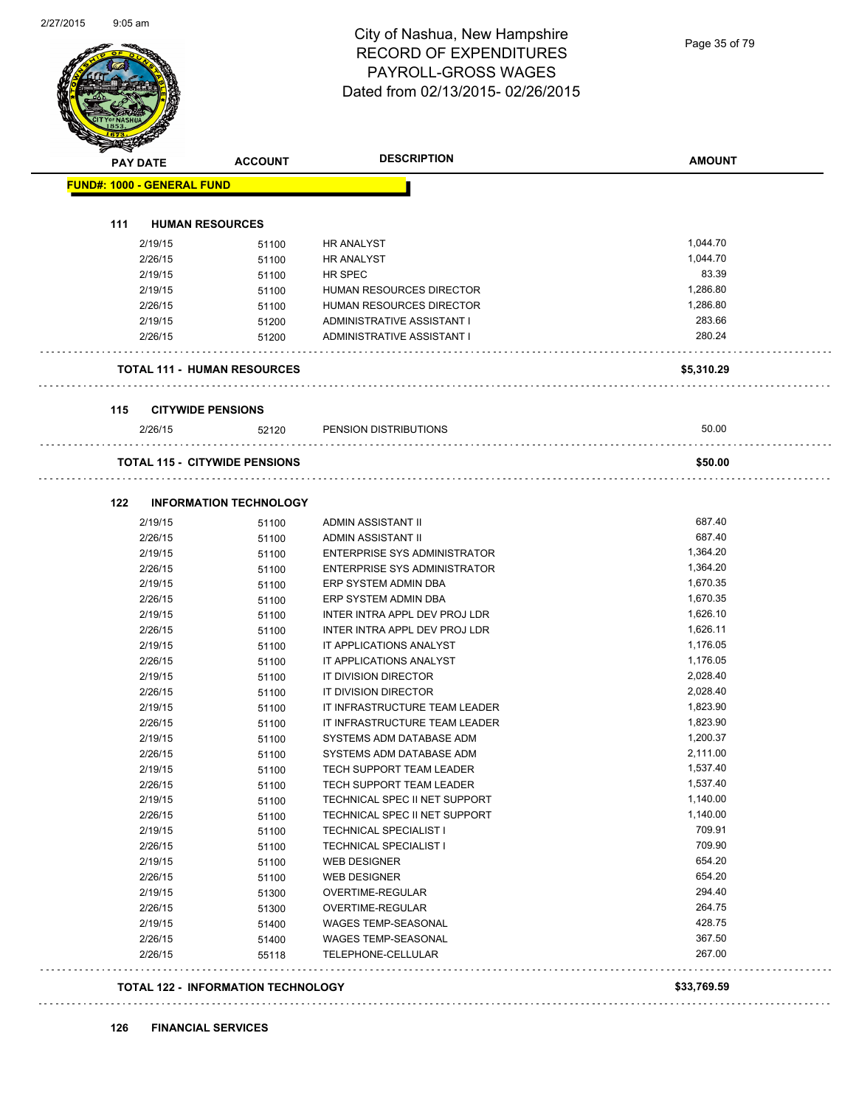#### City of Nashua, New Hampshire RECORD OF EXPENDITURES PAYROLL-GROSS WAGES Dated from 02/13/2015- 02/26/2015

| <b>PAY DATE</b>                   | <b>ACCOUNT</b>                       | <b>DESCRIPTION</b>                  | <b>AMOUNT</b> |
|-----------------------------------|--------------------------------------|-------------------------------------|---------------|
| <b>FUND#: 1000 - GENERAL FUND</b> |                                      |                                     |               |
| 111                               | <b>HUMAN RESOURCES</b>               |                                     |               |
|                                   |                                      |                                     | 1,044.70      |
| 2/19/15                           | 51100                                | <b>HR ANALYST</b>                   |               |
| 2/26/15                           | 51100                                | <b>HR ANALYST</b>                   | 1,044.70      |
| 2/19/15                           | 51100                                | HR SPEC                             | 83.39         |
| 2/19/15                           | 51100                                | HUMAN RESOURCES DIRECTOR            | 1,286.80      |
| 2/26/15                           | 51100                                | HUMAN RESOURCES DIRECTOR            | 1,286.80      |
| 2/19/15                           | 51200                                | ADMINISTRATIVE ASSISTANT I          | 283.66        |
| 2/26/15                           | 51200                                | ADMINISTRATIVE ASSISTANT I          | 280.24        |
|                                   | <b>TOTAL 111 - HUMAN RESOURCES</b>   |                                     | \$5,310.29    |
| 115                               | <b>CITYWIDE PENSIONS</b>             |                                     |               |
| 2/26/15                           | 52120                                | PENSION DISTRIBUTIONS               | 50.00         |
|                                   | <b>TOTAL 115 - CITYWIDE PENSIONS</b> |                                     | \$50.00       |
|                                   |                                      |                                     |               |
| 122                               | <b>INFORMATION TECHNOLOGY</b>        |                                     |               |
| 2/19/15                           | 51100                                | ADMIN ASSISTANT II                  | 687.40        |
| 2/26/15                           | 51100                                | ADMIN ASSISTANT II                  | 687.40        |
| 2/19/15                           | 51100                                | <b>ENTERPRISE SYS ADMINISTRATOR</b> | 1,364.20      |
| 2/26/15                           | 51100                                | ENTERPRISE SYS ADMINISTRATOR        | 1,364.20      |
| 2/19/15                           | 51100                                | ERP SYSTEM ADMIN DBA                | 1,670.35      |
| 2/26/15                           | 51100                                | ERP SYSTEM ADMIN DBA                | 1,670.35      |
| 2/19/15                           | 51100                                | INTER INTRA APPL DEV PROJ LDR       | 1,626.10      |
| 2/26/15                           | 51100                                | INTER INTRA APPL DEV PROJ LDR       | 1,626.11      |
| 2/19/15                           | 51100                                | IT APPLICATIONS ANALYST             | 1,176.05      |
| 2/26/15                           | 51100                                | IT APPLICATIONS ANALYST             | 1,176.05      |
| 2/19/15                           | 51100                                | IT DIVISION DIRECTOR                | 2,028.40      |
| 2/26/15                           | 51100                                | IT DIVISION DIRECTOR                | 2,028.40      |
| 2/19/15                           | 51100                                | IT INFRASTRUCTURE TEAM LEADER       | 1,823.90      |
| 2/26/15                           | 51100                                | IT INFRASTRUCTURE TEAM LEADER       | 1,823.90      |
| 2/19/15                           | 51100                                | SYSTEMS ADM DATABASE ADM            | 1,200.37      |
| 2/26/15                           | 51100                                | SYSTEMS ADM DATABASE ADM            | 2,111.00      |
| 2/19/15                           | 51100                                | TECH SUPPORT TEAM LEADER            | 1,537.40      |
| 2/26/15                           | 51100                                | TECH SUPPORT TEAM LEADER            | 1,537.40      |
| 2/19/15                           | 51100                                | TECHNICAL SPEC II NET SUPPORT       | 1,140.00      |
| 2/26/15                           | 51100                                | TECHNICAL SPEC II NET SUPPORT       | 1,140.00      |
| 2/19/15                           | 51100                                | <b>TECHNICAL SPECIALIST I</b>       | 709.91        |
| 2/26/15                           | 51100                                | TECHNICAL SPECIALIST I              | 709.90        |
| 2/19/15                           | 51100                                | WEB DESIGNER                        | 654.20        |
| 2/26/15                           | 51100                                | <b>WEB DESIGNER</b>                 | 654.20        |
| 2/19/15                           | 51300                                | OVERTIME-REGULAR                    | 294.40        |
| 2/26/15                           | 51300                                | OVERTIME-REGULAR                    | 264.75        |
| 2/19/15                           | 51400                                | WAGES TEMP-SEASONAL                 | 428.75        |
| 2/26/15                           | 51400                                | WAGES TEMP-SEASONAL                 | 367.50        |
| 2/26/15                           | 55118                                | TELEPHONE-CELLULAR                  | 267.00        |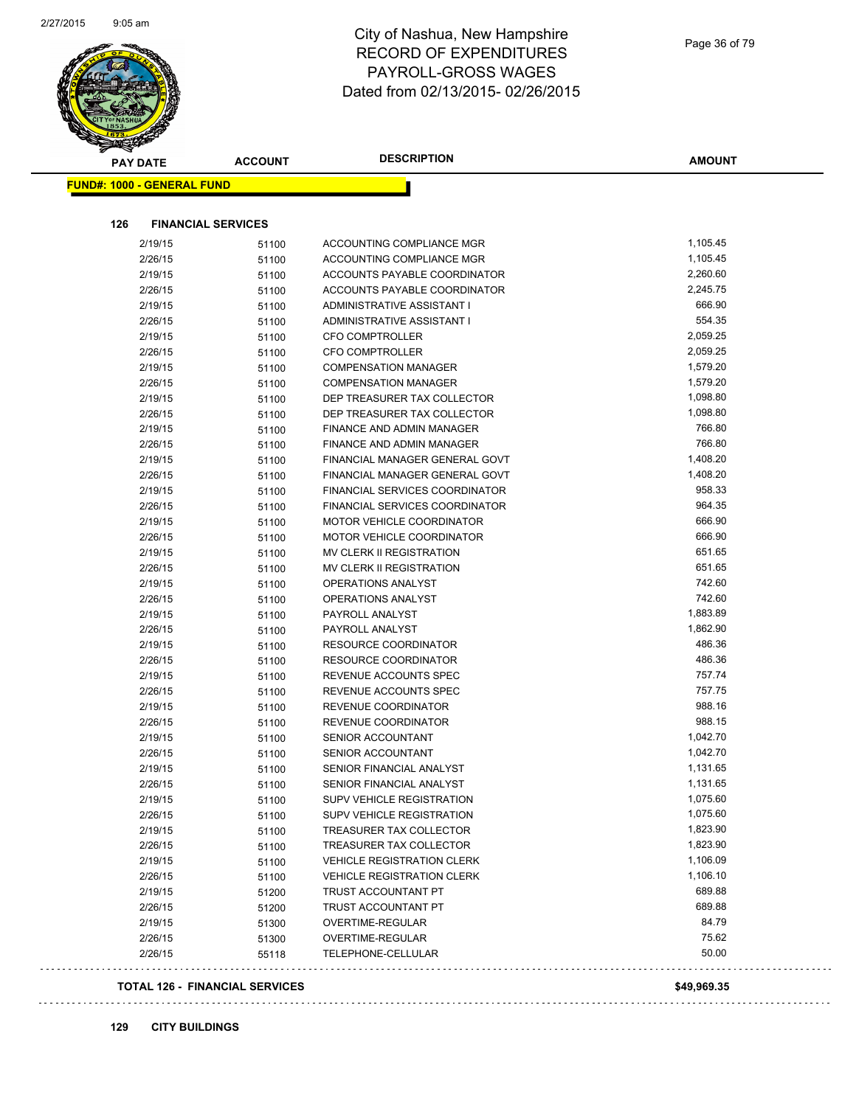

#### City of Nashua, New Hampshire RECORD OF EXPENDITURES PAYROLL-GROSS WAGES Dated from 02/13/2015- 02/26/2015

| 126<br><b>FINANCIAL SERVICES</b> |       |                                   |          |
|----------------------------------|-------|-----------------------------------|----------|
| 2/19/15                          | 51100 | ACCOUNTING COMPLIANCE MGR         | 1,105.45 |
| 2/26/15                          | 51100 | ACCOUNTING COMPLIANCE MGR         | 1,105.45 |
| 2/19/15                          | 51100 | ACCOUNTS PAYABLE COORDINATOR      | 2,260.60 |
| 2/26/15                          | 51100 | ACCOUNTS PAYABLE COORDINATOR      | 2,245.75 |
| 2/19/15                          | 51100 | ADMINISTRATIVE ASSISTANT I        | 666.90   |
| 2/26/15                          | 51100 | ADMINISTRATIVE ASSISTANT I        | 554.35   |
| 2/19/15                          | 51100 | <b>CFO COMPTROLLER</b>            | 2,059.25 |
| 2/26/15                          | 51100 | <b>CFO COMPTROLLER</b>            | 2,059.25 |
| 2/19/15                          | 51100 | <b>COMPENSATION MANAGER</b>       | 1,579.20 |
| 2/26/15                          | 51100 | <b>COMPENSATION MANAGER</b>       | 1,579.20 |
| 2/19/15                          | 51100 | DEP TREASURER TAX COLLECTOR       | 1,098.80 |
| 2/26/15                          | 51100 | DEP TREASURER TAX COLLECTOR       | 1,098.80 |
| 2/19/15                          | 51100 | FINANCE AND ADMIN MANAGER         | 766.80   |
| 2/26/15                          | 51100 | FINANCE AND ADMIN MANAGER         | 766.80   |
| 2/19/15                          | 51100 | FINANCIAL MANAGER GENERAL GOVT    | 1,408.20 |
| 2/26/15                          | 51100 | FINANCIAL MANAGER GENERAL GOVT    | 1,408.20 |
| 2/19/15                          | 51100 | FINANCIAL SERVICES COORDINATOR    | 958.33   |
| 2/26/15                          | 51100 | FINANCIAL SERVICES COORDINATOR    | 964.35   |
| 2/19/15                          | 51100 | <b>MOTOR VEHICLE COORDINATOR</b>  | 666.90   |
| 2/26/15                          | 51100 | MOTOR VEHICLE COORDINATOR         | 666.90   |
| 2/19/15                          | 51100 | MV CLERK II REGISTRATION          | 651.65   |
| 2/26/15                          | 51100 | MV CLERK II REGISTRATION          | 651.65   |
| 2/19/15                          | 51100 | OPERATIONS ANALYST                | 742.60   |
| 2/26/15                          | 51100 | OPERATIONS ANALYST                | 742.60   |
| 2/19/15                          | 51100 | PAYROLL ANALYST                   | 1,883.89 |
| 2/26/15                          | 51100 | PAYROLL ANALYST                   | 1,862.90 |
| 2/19/15                          | 51100 | RESOURCE COORDINATOR              | 486.36   |
| 2/26/15                          | 51100 | RESOURCE COORDINATOR              | 486.36   |
| 2/19/15                          | 51100 | REVENUE ACCOUNTS SPEC             | 757.74   |
| 2/26/15                          | 51100 | REVENUE ACCOUNTS SPEC             | 757.75   |
| 2/19/15                          | 51100 | REVENUE COORDINATOR               | 988.16   |
| 2/26/15                          | 51100 | REVENUE COORDINATOR               | 988.15   |
| 2/19/15                          | 51100 | SENIOR ACCOUNTANT                 | 1,042.70 |
| 2/26/15                          | 51100 | SENIOR ACCOUNTANT                 | 1,042.70 |
| 2/19/15                          | 51100 | SENIOR FINANCIAL ANALYST          | 1,131.65 |
| 2/26/15                          | 51100 | SENIOR FINANCIAL ANALYST          | 1,131.65 |
| 2/19/15                          | 51100 | SUPV VEHICLE REGISTRATION         | 1,075.60 |
| 2/26/15                          | 51100 | <b>SUPV VEHICLE REGISTRATION</b>  | 1,075.60 |
| 2/19/15                          | 51100 | TREASURER TAX COLLECTOR           | 1,823.90 |
| 2/26/15                          | 51100 | TREASURER TAX COLLECTOR           | 1,823.90 |
| 2/19/15                          | 51100 | <b>VEHICLE REGISTRATION CLERK</b> | 1,106.09 |
| 2/26/15                          | 51100 | <b>VEHICLE REGISTRATION CLERK</b> | 1,106.10 |
| 2/19/15                          | 51200 | TRUST ACCOUNTANT PT               | 689.88   |
| 2/26/15                          | 51200 | TRUST ACCOUNTANT PT               | 689.88   |
| 2/19/15                          | 51300 | OVERTIME-REGULAR                  | 84.79    |
| 2/26/15                          | 51300 | OVERTIME-REGULAR                  | 75.62    |
| 2/26/15                          | 55118 | TELEPHONE-CELLULAR                | 50.00    |

#### Page 36 of 79

**AMOUNT**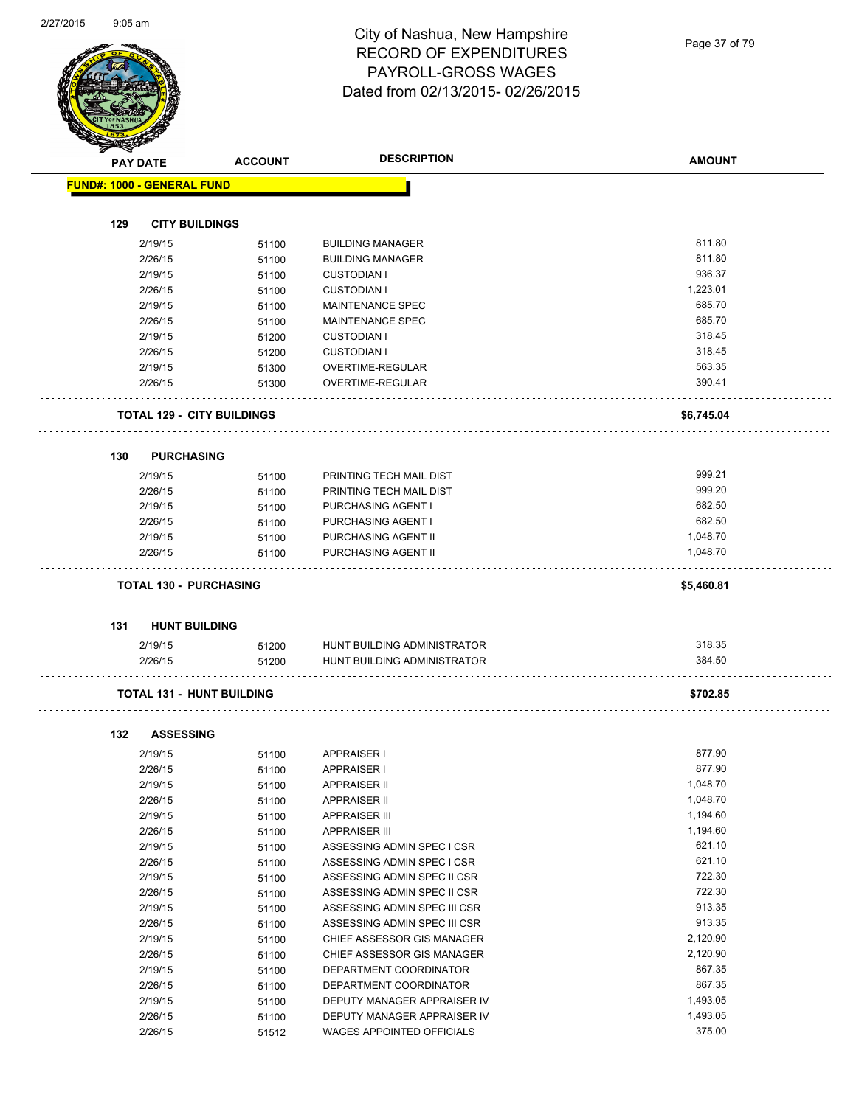Page 37 of 79

|     | <b>PAY DATE</b>                   | <b>ACCOUNT</b> | <b>DESCRIPTION</b>           | <b>AMOUNT</b> |
|-----|-----------------------------------|----------------|------------------------------|---------------|
|     | <b>FUND#: 1000 - GENERAL FUND</b> |                |                              |               |
|     |                                   |                |                              |               |
| 129 | <b>CITY BUILDINGS</b>             |                |                              |               |
|     | 2/19/15                           | 51100          | <b>BUILDING MANAGER</b>      | 811.80        |
|     | 2/26/15                           | 51100          | <b>BUILDING MANAGER</b>      | 811.80        |
|     | 2/19/15                           | 51100          | <b>CUSTODIAN I</b>           | 936.37        |
|     | 2/26/15                           | 51100          | <b>CUSTODIAN I</b>           | 1,223.01      |
|     | 2/19/15                           | 51100          | <b>MAINTENANCE SPEC</b>      | 685.70        |
|     | 2/26/15                           | 51100          | <b>MAINTENANCE SPEC</b>      | 685.70        |
|     | 2/19/15                           | 51200          | <b>CUSTODIAN I</b>           | 318.45        |
|     | 2/26/15                           | 51200          | <b>CUSTODIAN I</b>           | 318.45        |
|     | 2/19/15                           | 51300          | OVERTIME-REGULAR             | 563.35        |
|     | 2/26/15                           | 51300          | OVERTIME-REGULAR             | 390.41        |
|     |                                   |                |                              |               |
|     | <b>TOTAL 129 - CITY BUILDINGS</b> |                |                              | \$6,745.04    |
|     |                                   |                |                              |               |
| 130 | <b>PURCHASING</b>                 |                |                              |               |
|     | 2/19/15                           | 51100          | PRINTING TECH MAIL DIST      | 999.21        |
|     | 2/26/15                           | 51100          | PRINTING TECH MAIL DIST      | 999.20        |
|     | 2/19/15                           | 51100          | PURCHASING AGENT I           | 682.50        |
|     | 2/26/15                           | 51100          | PURCHASING AGENT I           | 682.50        |
|     | 2/19/15                           | 51100          | PURCHASING AGENT II          | 1,048.70      |
|     | 2/26/15                           | 51100          | PURCHASING AGENT II          | 1,048.70      |
|     |                                   |                |                              |               |
|     | <b>TOTAL 130 - PURCHASING</b>     |                |                              | \$5,460.81    |
| 131 | <b>HUNT BUILDING</b>              |                |                              |               |
|     | 2/19/15                           | 51200          | HUNT BUILDING ADMINISTRATOR  | 318.35        |
|     | 2/26/15                           | 51200          | HUNT BUILDING ADMINISTRATOR  | 384.50        |
|     | <b>TOTAL 131 - HUNT BUILDING</b>  |                |                              | \$702.85      |
|     |                                   |                |                              |               |
| 132 | <b>ASSESSING</b>                  |                |                              |               |
|     | 2/19/15                           | 51100          | <b>APPRAISER I</b>           | 877.90        |
|     | 2/26/15                           | 51100          | APPRAISER I                  | 877.90        |
|     | 2/19/15                           | 51100          | <b>APPRAISER II</b>          | 1,048.70      |
|     | 2/26/15                           | 51100          | <b>APPRAISER II</b>          | 1,048.70      |
|     | 2/19/15                           | 51100          | <b>APPRAISER III</b>         | 1,194.60      |
|     | 2/26/15                           | 51100          | <b>APPRAISER III</b>         | 1,194.60      |
|     | 2/19/15                           | 51100          | ASSESSING ADMIN SPEC I CSR   | 621.10        |
|     | 2/26/15                           | 51100          | ASSESSING ADMIN SPEC I CSR   | 621.10        |
|     | 2/19/15                           | 51100          | ASSESSING ADMIN SPEC II CSR  | 722.30        |
|     | 2/26/15                           | 51100          | ASSESSING ADMIN SPEC II CSR  | 722.30        |
|     | 2/19/15                           | 51100          | ASSESSING ADMIN SPEC III CSR | 913.35        |
|     | 2/26/15                           | 51100          | ASSESSING ADMIN SPEC III CSR | 913.35        |
|     | 2/19/15                           | 51100          | CHIEF ASSESSOR GIS MANAGER   | 2,120.90      |
|     | 2/26/15                           | 51100          | CHIEF ASSESSOR GIS MANAGER   | 2,120.90      |
|     | 2/19/15                           | 51100          | DEPARTMENT COORDINATOR       | 867.35        |
|     | 2/26/15                           | 51100          | DEPARTMENT COORDINATOR       | 867.35        |
|     | 2/19/15                           | 51100          | DEPUTY MANAGER APPRAISER IV  | 1,493.05      |
|     | 2/26/15                           | 51100          | DEPUTY MANAGER APPRAISER IV  | 1,493.05      |
|     |                                   |                |                              |               |

2/26/15 51100 DEPUTY MANAGER APPRAISER IV 1,493.05

2/26/15 51512 WAGES APPOINTED OFFICIALS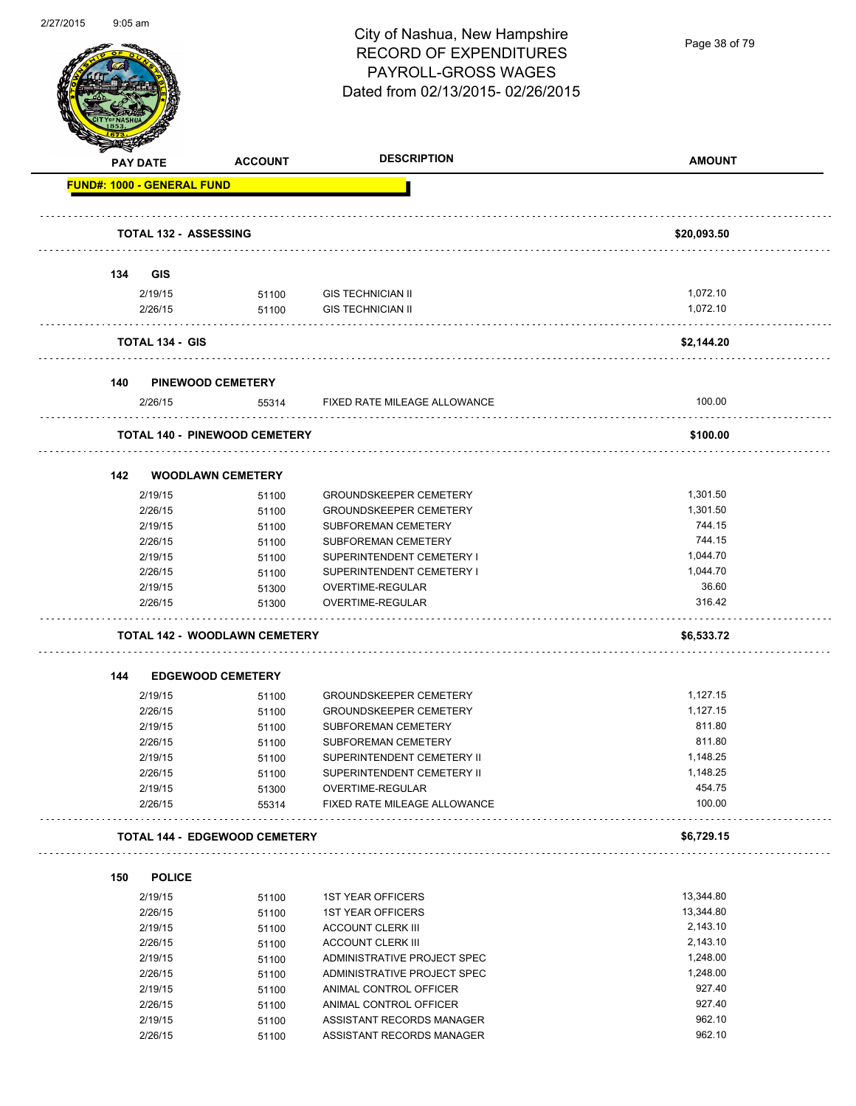

Page 38 of 79

|     | <b>PAY DATE</b>                   | <b>ACCOUNT</b>                       | <b>DESCRIPTION</b>            | <b>AMOUNT</b> |
|-----|-----------------------------------|--------------------------------------|-------------------------------|---------------|
|     | <b>FUND#: 1000 - GENERAL FUND</b> |                                      |                               |               |
|     | <b>TOTAL 132 - ASSESSING</b>      |                                      |                               | \$20,093.50   |
| 134 | GIS                               |                                      |                               |               |
|     | 2/19/15                           | 51100                                | <b>GIS TECHNICIAN II</b>      | 1,072.10      |
|     | 2/26/15                           | 51100                                | <b>GIS TECHNICIAN II</b>      | 1,072.10      |
|     | <b>TOTAL 134 - GIS</b>            |                                      |                               | \$2,144.20    |
| 140 |                                   | <b>PINEWOOD CEMETERY</b>             |                               |               |
|     | 2/26/15                           | 55314                                | FIXED RATE MILEAGE ALLOWANCE  | 100.00        |
|     |                                   | <b>TOTAL 140 - PINEWOOD CEMETERY</b> |                               | \$100.00      |
| 142 |                                   | <b>WOODLAWN CEMETERY</b>             |                               |               |
|     | 2/19/15                           | 51100                                | <b>GROUNDSKEEPER CEMETERY</b> | 1,301.50      |
|     | 2/26/15                           | 51100                                | <b>GROUNDSKEEPER CEMETERY</b> | 1,301.50      |
|     | 2/19/15                           | 51100                                | SUBFOREMAN CEMETERY           | 744.15        |
|     | 2/26/15                           | 51100                                | SUBFOREMAN CEMETERY           | 744.15        |
|     | 2/19/15                           | 51100                                | SUPERINTENDENT CEMETERY I     | 1,044.70      |
|     | 2/26/15                           | 51100                                | SUPERINTENDENT CEMETERY I     | 1,044.70      |
|     | 2/19/15                           | 51300                                | OVERTIME-REGULAR              | 36.60         |
|     | 2/26/15                           | 51300                                | OVERTIME-REGULAR              | 316.42        |
|     |                                   | <b>TOTAL 142 - WOODLAWN CEMETERY</b> |                               | \$6,533.72    |
| 144 |                                   | <b>EDGEWOOD CEMETERY</b>             |                               |               |
|     | 2/19/15                           | 51100                                | <b>GROUNDSKEEPER CEMETERY</b> | 1,127.15      |
|     | 2/26/15                           | 51100                                | <b>GROUNDSKEEPER CEMETERY</b> | 1,127.15      |
|     | 2/19/15                           | 51100                                | SUBFOREMAN CEMETERY           | 811.80        |
|     | 2/26/15                           | 51100                                | SUBFOREMAN CEMETERY           | 811.80        |
|     | 2/19/15                           | 51100                                | SUPERINTENDENT CEMETERY II    | 1,148.25      |
|     | 2/26/15                           | 51100                                | SUPERINTENDENT CEMETERY II    | 1,148.25      |
|     | 2/19/15                           | 51300                                | OVERTIME-REGULAR              | 454.75        |
|     | 2/26/15                           | 55314                                | FIXED RATE MILEAGE ALLOWANCE  | 100.00        |
|     |                                   | <b>TOTAL 144 - EDGEWOOD CEMETERY</b> |                               | \$6,729.15    |
| 150 | <b>POLICE</b>                     |                                      |                               |               |
|     | 2/19/15                           | 51100                                | <b>1ST YEAR OFFICERS</b>      | 13,344.80     |
|     | 2/26/15                           | 51100                                | <b>1ST YEAR OFFICERS</b>      | 13,344.80     |
|     | 2/19/15                           | 51100                                | <b>ACCOUNT CLERK III</b>      | 2,143.10      |
|     | 2/26/15                           | 51100                                | <b>ACCOUNT CLERK III</b>      | 2,143.10      |
|     |                                   |                                      |                               |               |
|     | 2/19/15                           | 51100                                | ADMINISTRATIVE PROJECT SPEC   | 1,248.00      |
|     | 2/26/15                           | 51100                                | ADMINISTRATIVE PROJECT SPEC   | 1,248.00      |
|     | 2/19/15                           | 51100                                | ANIMAL CONTROL OFFICER        | 927.40        |
|     | 2/26/15                           | 51100                                | ANIMAL CONTROL OFFICER        | 927.40        |
|     | 2/19/15                           | 51100                                | ASSISTANT RECORDS MANAGER     | 962.10        |
|     | 2/26/15                           | 51100                                | ASSISTANT RECORDS MANAGER     | 962.10        |
|     |                                   |                                      |                               |               |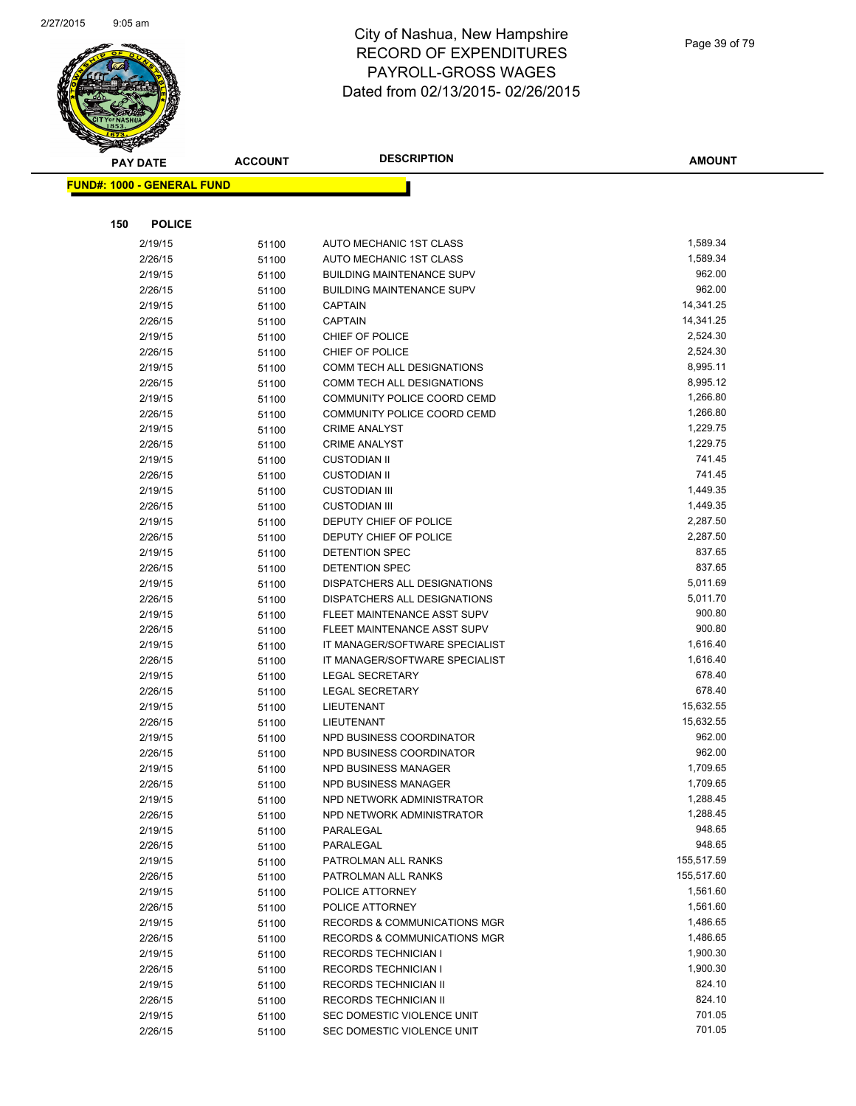

| <b>PAY DATE</b>                   | <b>ACCOUNT</b> | <b>DESCRIPTION</b>                                  | <b>AMOUNT</b>        |
|-----------------------------------|----------------|-----------------------------------------------------|----------------------|
| <b>FUND#: 1000 - GENERAL FUND</b> |                |                                                     |                      |
|                                   |                |                                                     |                      |
|                                   |                |                                                     |                      |
| <b>POLICE</b><br>150              |                |                                                     |                      |
| 2/19/15                           | 51100          | AUTO MECHANIC 1ST CLASS                             | 1,589.34             |
| 2/26/15                           | 51100          | AUTO MECHANIC 1ST CLASS                             | 1,589.34             |
| 2/19/15                           | 51100          | <b>BUILDING MAINTENANCE SUPV</b>                    | 962.00               |
| 2/26/15                           | 51100          | <b>BUILDING MAINTENANCE SUPV</b>                    | 962.00               |
| 2/19/15                           | 51100          | <b>CAPTAIN</b>                                      | 14,341.25            |
| 2/26/15                           | 51100          | CAPTAIN                                             | 14,341.25            |
| 2/19/15                           | 51100          | CHIEF OF POLICE                                     | 2,524.30             |
| 2/26/15                           | 51100          | CHIEF OF POLICE                                     | 2,524.30             |
| 2/19/15                           | 51100          | COMM TECH ALL DESIGNATIONS                          | 8,995.11<br>8,995.12 |
| 2/26/15                           | 51100          | COMM TECH ALL DESIGNATIONS                          |                      |
| 2/19/15                           | 51100          | COMMUNITY POLICE COORD CEMD                         | 1,266.80<br>1,266.80 |
| 2/26/15                           | 51100          | COMMUNITY POLICE COORD CEMD<br><b>CRIME ANALYST</b> | 1,229.75             |
| 2/19/15                           | 51100          | <b>CRIME ANALYST</b>                                | 1,229.75             |
| 2/26/15<br>2/19/15                | 51100          | <b>CUSTODIAN II</b>                                 | 741.45               |
| 2/26/15                           | 51100          | <b>CUSTODIAN II</b>                                 | 741.45               |
| 2/19/15                           | 51100          | <b>CUSTODIAN III</b>                                | 1,449.35             |
| 2/26/15                           | 51100<br>51100 | <b>CUSTODIAN III</b>                                | 1,449.35             |
| 2/19/15                           | 51100          | DEPUTY CHIEF OF POLICE                              | 2,287.50             |
| 2/26/15                           | 51100          | DEPUTY CHIEF OF POLICE                              | 2,287.50             |
| 2/19/15                           | 51100          | <b>DETENTION SPEC</b>                               | 837.65               |
| 2/26/15                           | 51100          | DETENTION SPEC                                      | 837.65               |
| 2/19/15                           | 51100          | DISPATCHERS ALL DESIGNATIONS                        | 5,011.69             |
| 2/26/15                           | 51100          | DISPATCHERS ALL DESIGNATIONS                        | 5,011.70             |
| 2/19/15                           | 51100          | FLEET MAINTENANCE ASST SUPV                         | 900.80               |
| 2/26/15                           | 51100          | FLEET MAINTENANCE ASST SUPV                         | 900.80               |
| 2/19/15                           | 51100          | IT MANAGER/SOFTWARE SPECIALIST                      | 1,616.40             |
| 2/26/15                           | 51100          | IT MANAGER/SOFTWARE SPECIALIST                      | 1,616.40             |
| 2/19/15                           | 51100          | LEGAL SECRETARY                                     | 678.40               |
| 2/26/15                           | 51100          | <b>LEGAL SECRETARY</b>                              | 678.40               |
| 2/19/15                           | 51100          | LIEUTENANT                                          | 15,632.55            |
| 2/26/15                           | 51100          | LIEUTENANT                                          | 15,632.55            |
| 2/19/15                           | 51100          | NPD BUSINESS COORDINATOR                            | 962.00               |
| 2/26/15                           | 51100          | NPD BUSINESS COORDINATOR                            | 962.00               |
| 2/19/15                           | 51100          | NPD BUSINESS MANAGER                                | 1,709.65             |
| 2/26/15                           | 51100          | NPD BUSINESS MANAGER                                | 1,709.65             |
| 2/19/15                           | 51100          | NPD NETWORK ADMINISTRATOR                           | 1,288.45             |
| 2/26/15                           | 51100          | NPD NETWORK ADMINISTRATOR                           | 1,288.45             |
| 2/19/15                           | 51100          | PARALEGAL                                           | 948.65               |
| 2/26/15                           | 51100          | PARALEGAL                                           | 948.65               |
| 2/19/15                           | 51100          | PATROLMAN ALL RANKS                                 | 155,517.59           |
| 2/26/15                           | 51100          | PATROLMAN ALL RANKS                                 | 155,517.60           |
| 2/19/15                           | 51100          | POLICE ATTORNEY                                     | 1,561.60             |
| 2/26/15                           | 51100          | POLICE ATTORNEY                                     | 1,561.60             |
| 2/19/15                           | 51100          | <b>RECORDS &amp; COMMUNICATIONS MGR</b>             | 1,486.65             |
| 2/26/15                           | 51100          | <b>RECORDS &amp; COMMUNICATIONS MGR</b>             | 1,486.65             |
| 2/19/15                           | 51100          | <b>RECORDS TECHNICIAN I</b>                         | 1,900.30             |
| 2/26/15                           | 51100          | <b>RECORDS TECHNICIAN I</b>                         | 1,900.30             |
| 2/19/15                           | 51100          | <b>RECORDS TECHNICIAN II</b>                        | 824.10               |
| 2/26/15                           | 51100          | <b>RECORDS TECHNICIAN II</b>                        | 824.10               |
| 2/19/15                           | 51100          | SEC DOMESTIC VIOLENCE UNIT                          | 701.05               |
| 2/26/15                           | 51100          | SEC DOMESTIC VIOLENCE UNIT                          | 701.05               |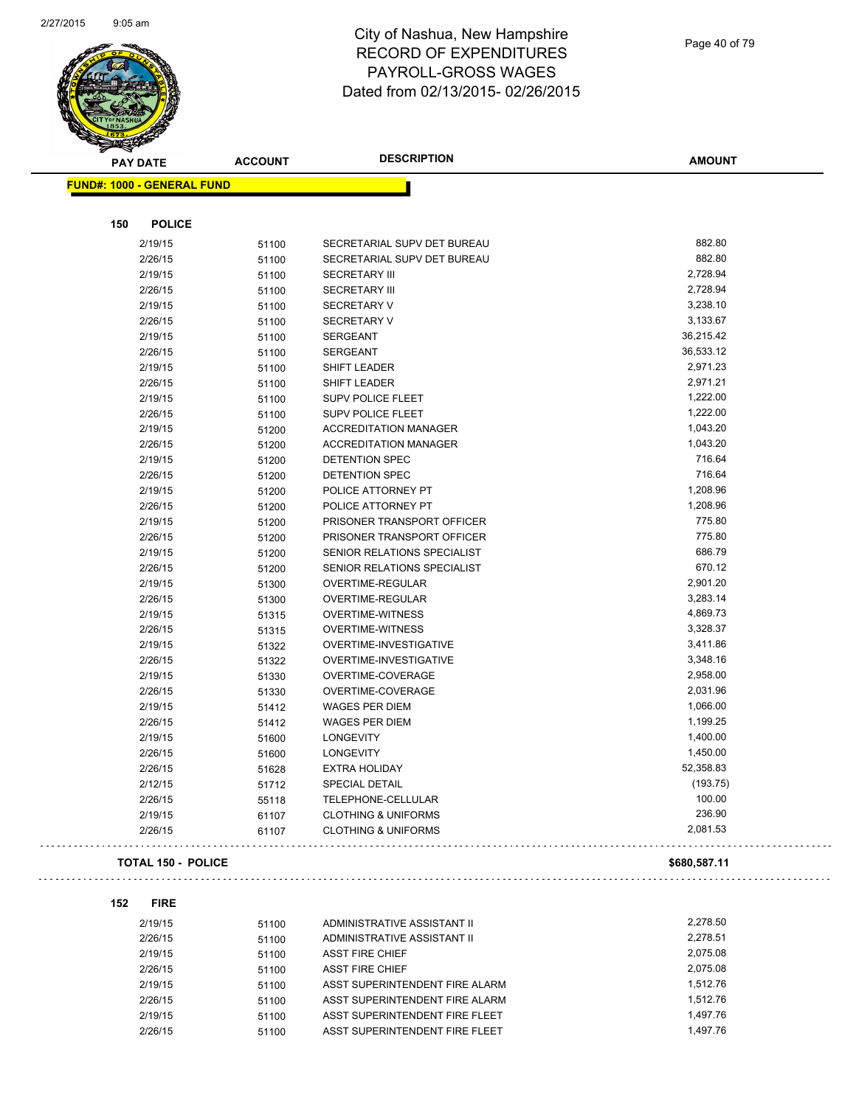

| <b>PAY DATE</b>                   | <b>ACCOUNT</b> | <b>DESCRIPTION</b>                                   | <b>AMOUNT</b> |
|-----------------------------------|----------------|------------------------------------------------------|---------------|
| <b>FUND#: 1000 - GENERAL FUND</b> |                |                                                      |               |
| 150<br><b>POLICE</b>              |                |                                                      |               |
| 2/19/15                           | 51100          | SECRETARIAL SUPV DET BUREAU                          | 882.80        |
| 2/26/15                           | 51100          | SECRETARIAL SUPV DET BUREAU                          | 882.80        |
| 2/19/15                           | 51100          | <b>SECRETARY III</b>                                 | 2,728.94      |
| 2/26/15                           | 51100          | <b>SECRETARY III</b>                                 | 2,728.94      |
| 2/19/15                           | 51100          | <b>SECRETARY V</b>                                   | 3,238.10      |
| 2/26/15                           | 51100          | <b>SECRETARY V</b>                                   | 3,133.67      |
| 2/19/15                           | 51100          | <b>SERGEANT</b>                                      | 36,215.42     |
| 2/26/15                           | 51100          | <b>SERGEANT</b>                                      | 36,533.12     |
| 2/19/15                           | 51100          | SHIFT LEADER                                         | 2,971.23      |
| 2/26/15                           | 51100          | SHIFT LEADER                                         | 2,971.21      |
| 2/19/15                           | 51100          | SUPV POLICE FLEET                                    | 1,222.00      |
| 2/26/15                           | 51100          | <b>SUPV POLICE FLEET</b>                             | 1,222.00      |
| 2/19/15                           | 51200          | <b>ACCREDITATION MANAGER</b>                         | 1,043.20      |
| 2/26/15                           | 51200          | <b>ACCREDITATION MANAGER</b>                         | 1,043.20      |
| 2/19/15                           | 51200          | DETENTION SPEC                                       | 716.64        |
| 2/26/15                           | 51200          | DETENTION SPEC                                       | 716.64        |
| 2/19/15                           | 51200          | POLICE ATTORNEY PT                                   | 1,208.96      |
| 2/26/15                           | 51200          | POLICE ATTORNEY PT                                   | 1,208.96      |
| 2/19/15                           | 51200          | PRISONER TRANSPORT OFFICER                           | 775.80        |
| 2/26/15                           | 51200          | PRISONER TRANSPORT OFFICER                           | 775.80        |
| 2/19/15                           | 51200          | SENIOR RELATIONS SPECIALIST                          | 686.79        |
| 2/26/15                           | 51200          | SENIOR RELATIONS SPECIALIST                          | 670.12        |
| 2/19/15                           | 51300          | OVERTIME-REGULAR                                     | 2,901.20      |
| 2/26/15                           | 51300          | OVERTIME-REGULAR                                     | 3,283.14      |
| 2/19/15                           | 51315          | OVERTIME-WITNESS                                     | 4,869.73      |
| 2/26/15                           | 51315          | <b>OVERTIME-WITNESS</b>                              | 3,328.37      |
| 2/19/15                           | 51322          | OVERTIME-INVESTIGATIVE                               | 3,411.86      |
| 2/26/15                           | 51322          | OVERTIME-INVESTIGATIVE                               | 3,348.16      |
| 2/19/15                           | 51330          | OVERTIME-COVERAGE                                    | 2,958.00      |
| 2/26/15                           | 51330          | OVERTIME-COVERAGE                                    | 2,031.96      |
| 2/19/15                           | 51412          | <b>WAGES PER DIEM</b>                                | 1,066.00      |
| 2/26/15                           | 51412          | WAGES PER DIEM                                       | 1,199.25      |
| 2/19/15                           | 51600          | <b>LONGEVITY</b>                                     | 1,400.00      |
| 2/26/15                           | 51600          | <b>LONGEVITY</b>                                     | 1,450.00      |
| 2/26/15                           | 51628          | <b>EXTRA HOLIDAY</b>                                 | 52,358.83     |
| 2/12/15                           |                | SPECIAL DETAIL                                       | (193.75)      |
|                                   | 51712          |                                                      | 100.00        |
| 2/26/15<br>2/19/15                | 55118          | TELEPHONE-CELLULAR<br><b>CLOTHING &amp; UNIFORMS</b> | 236.90        |
| 2/26/15                           | 61107<br>61107 | <b>CLOTHING &amp; UNIFORMS</b>                       | 2,081.53      |
| <b>TOTAL 150 - POLICE</b>         |                |                                                      | \$680,587.11  |
|                                   |                |                                                      |               |
| 152<br><b>FIRE</b><br>2/19/15     | 51100          | ADMINISTRATIVE ASSISTANT II                          | 2,278.50      |

| 2/19/15 | 51100 | ADMINISTRATIVE ASSISTANT II    | 2.278.50 |
|---------|-------|--------------------------------|----------|
| 2/26/15 | 51100 | ADMINISTRATIVE ASSISTANT II    | 2.278.51 |
| 2/19/15 | 51100 | <b>ASST FIRE CHIEF</b>         | 2.075.08 |
| 2/26/15 | 51100 | <b>ASST FIRE CHIEF</b>         | 2.075.08 |
| 2/19/15 | 51100 | ASST SUPERINTENDENT FIRE ALARM | 1.512.76 |
| 2/26/15 | 51100 | ASST SUPERINTENDENT FIRE ALARM | 1.512.76 |
| 2/19/15 | 51100 | ASST SUPERINTENDENT FIRE FLEET | 1.497.76 |
| 2/26/15 | 51100 | ASST SUPERINTENDENT FIRE FLEET | 1.497.76 |

Page 40 of 79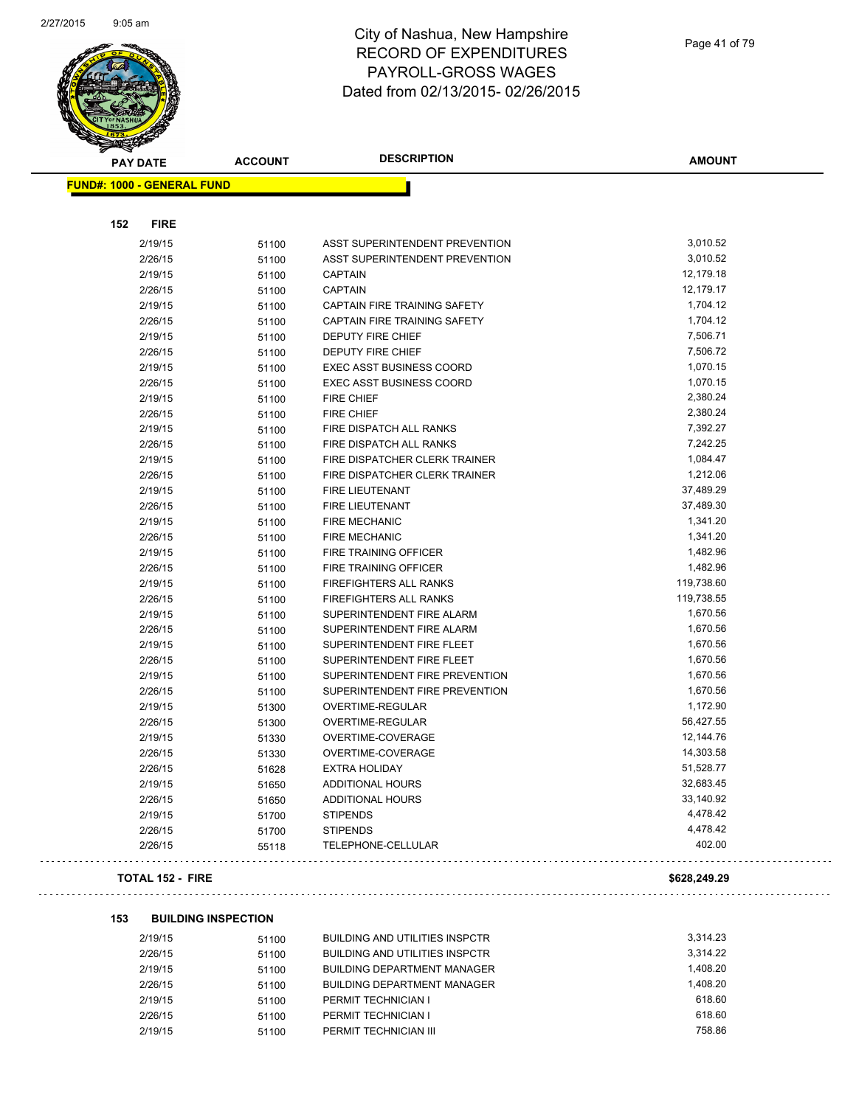

| <b>PAY DATE</b>                   | <b>ACCOUNT</b> | <b>DESCRIPTION</b>                    | <b>AMOUNT</b> |
|-----------------------------------|----------------|---------------------------------------|---------------|
| <b>FUND#: 1000 - GENERAL FUND</b> |                |                                       |               |
|                                   |                |                                       |               |
| <b>FIRE</b><br>152                |                |                                       |               |
| 2/19/15                           | 51100          | <b>ASST SUPERINTENDENT PREVENTION</b> | 3,010.52      |
| 2/26/15                           | 51100          | <b>ASST SUPERINTENDENT PREVENTION</b> | 3,010.52      |
| 2/19/15                           | 51100          | <b>CAPTAIN</b>                        | 12,179.18     |
| 2/26/15                           | 51100          | <b>CAPTAIN</b>                        | 12,179.17     |
| 2/19/15                           | 51100          | CAPTAIN FIRE TRAINING SAFETY          | 1,704.12      |
| 2/26/15                           | 51100          | CAPTAIN FIRE TRAINING SAFETY          | 1,704.12      |
| 2/19/15                           | 51100          | <b>DEPUTY FIRE CHIEF</b>              | 7,506.71      |
| 2/26/15                           | 51100          | DEPUTY FIRE CHIEF                     | 7,506.72      |
| 2/19/15                           | 51100          | <b>EXEC ASST BUSINESS COORD</b>       | 1,070.15      |
| 2/26/15                           | 51100          | <b>EXEC ASST BUSINESS COORD</b>       | 1,070.15      |
| 2/19/15                           | 51100          | <b>FIRE CHIEF</b>                     | 2,380.24      |
| 2/26/15                           | 51100          | <b>FIRE CHIEF</b>                     | 2,380.24      |
| 2/19/15                           | 51100          | FIRE DISPATCH ALL RANKS               | 7,392.27      |
| 2/26/15                           | 51100          | FIRE DISPATCH ALL RANKS               | 7,242.25      |
| 2/19/15                           | 51100          | FIRE DISPATCHER CLERK TRAINER         | 1,084.47      |
| 2/26/15                           | 51100          | FIRE DISPATCHER CLERK TRAINER         | 1,212.06      |
| 2/19/15                           | 51100          | <b>FIRE LIEUTENANT</b>                | 37,489.29     |
| 2/26/15                           | 51100          | FIRE LIEUTENANT                       | 37,489.30     |
| 2/19/15                           | 51100          | <b>FIRE MECHANIC</b>                  | 1,341.20      |
| 2/26/15                           | 51100          | <b>FIRE MECHANIC</b>                  | 1,341.20      |
| 2/19/15                           | 51100          | FIRE TRAINING OFFICER                 | 1,482.96      |
| 2/26/15                           | 51100          | FIRE TRAINING OFFICER                 | 1,482.96      |
| 2/19/15                           | 51100          | <b>FIREFIGHTERS ALL RANKS</b>         | 119,738.60    |
| 2/26/15                           | 51100          | <b>FIREFIGHTERS ALL RANKS</b>         | 119,738.55    |
| 2/19/15                           | 51100          | SUPERINTENDENT FIRE ALARM             | 1,670.56      |
| 2/26/15                           | 51100          | SUPERINTENDENT FIRE ALARM             | 1,670.56      |
| 2/19/15                           | 51100          | SUPERINTENDENT FIRE FLEET             | 1,670.56      |
| 2/26/15                           | 51100          | SUPERINTENDENT FIRE FLEET             | 1,670.56      |
| 2/19/15                           | 51100          | SUPERINTENDENT FIRE PREVENTION        | 1,670.56      |
| 2/26/15                           | 51100          | SUPERINTENDENT FIRE PREVENTION        | 1,670.56      |
| 2/19/15                           | 51300          | OVERTIME-REGULAR                      | 1,172.90      |
| 2/26/15                           | 51300          | OVERTIME-REGULAR                      | 56,427.55     |
| 2/19/15                           | 51330          | OVERTIME-COVERAGE                     | 12,144.76     |
| 2/26/15                           | 51330          | OVERTIME-COVERAGE                     | 14,303.58     |
| 2/26/15                           | 51628          | <b>EXTRA HOLIDAY</b>                  | 51,528.77     |
| 2/19/15                           | 51650          | <b>ADDITIONAL HOURS</b>               | 32,683.45     |
| 2/26/15                           | 51650          | <b>ADDITIONAL HOURS</b>               | 33,140.92     |
| 2/19/15                           | 51700          | <b>STIPENDS</b>                       | 4,478.42      |
| 2/26/15                           | 51700          | <b>STIPENDS</b>                       | 4,478.42      |
| 2/26/15                           | 55118          | TELEPHONE-CELLULAR                    | 402.00        |
| <b>TOTAL 152 - FIRE</b>           |                |                                       | \$628,249.29  |

 $\sim$   $\sim$ 

 $\sim 100$ 

#### **153 BUILDING INSPECTION**

| 2/19/15 | 51100 | <b>BUILDING AND UTILITIES INSPCTR</b> | 3.314.23 |
|---------|-------|---------------------------------------|----------|
| 2/26/15 | 51100 | <b>BUILDING AND UTILITIES INSPCTR</b> | 3.314.22 |
| 2/19/15 | 51100 | <b>BUILDING DEPARTMENT MANAGER</b>    | 1.408.20 |
| 2/26/15 | 51100 | <b>BUILDING DEPARTMENT MANAGER</b>    | 1.408.20 |
| 2/19/15 | 51100 | PERMIT TECHNICIAN I                   | 618.60   |
| 2/26/15 | 51100 | PERMIT TECHNICIAN I                   | 618.60   |
| 2/19/15 | 51100 | PERMIT TECHNICIAN III                 | 758.86   |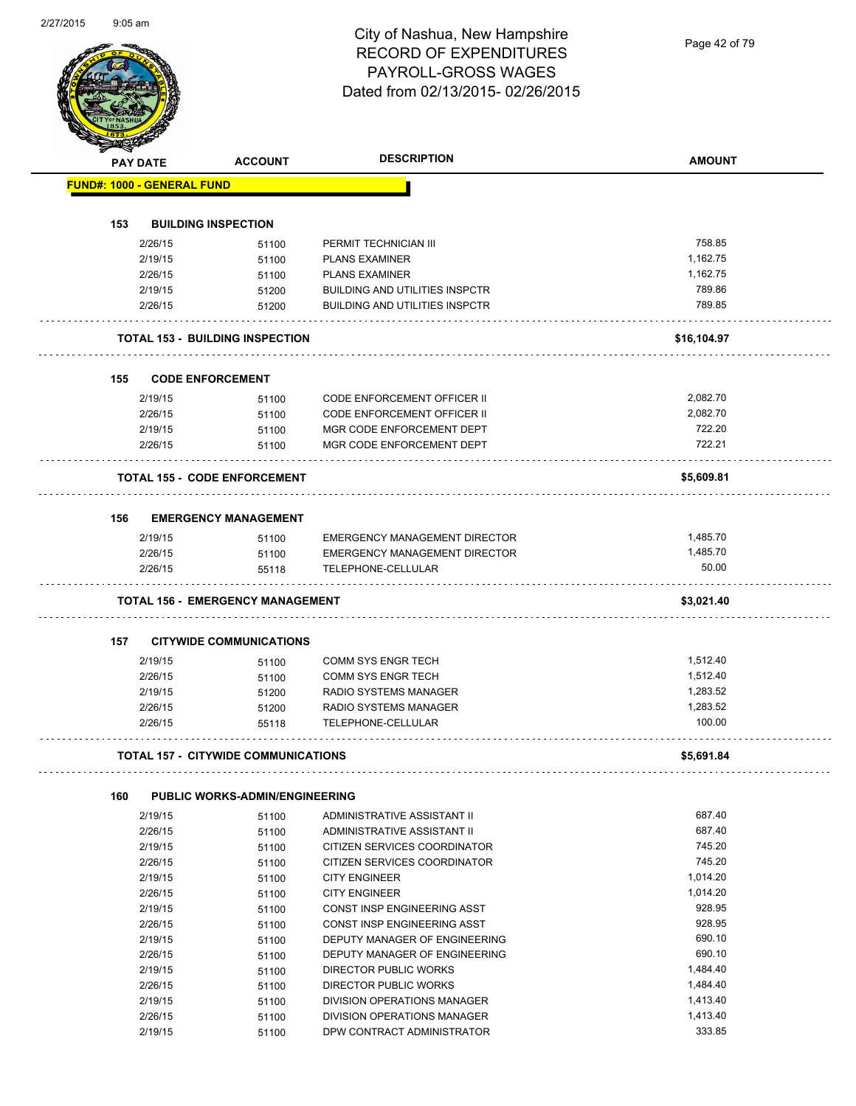Page 42 of 79

| <b>PAY DATE</b>                   | <b>ACCOUNT</b>                             | <b>DESCRIPTION</b>                                                             | <b>AMOUNT</b>      |
|-----------------------------------|--------------------------------------------|--------------------------------------------------------------------------------|--------------------|
| <b>FUND#: 1000 - GENERAL FUND</b> |                                            |                                                                                |                    |
|                                   |                                            |                                                                                |                    |
| 153                               | <b>BUILDING INSPECTION</b>                 |                                                                                |                    |
| 2/26/15                           | 51100                                      | PERMIT TECHNICIAN III                                                          | 758.85             |
| 2/19/15                           | 51100                                      | <b>PLANS EXAMINER</b>                                                          | 1,162.75           |
| 2/26/15                           | 51100                                      | <b>PLANS EXAMINER</b>                                                          | 1,162.75<br>789.86 |
| 2/19/15<br>2/26/15                | 51200                                      | <b>BUILDING AND UTILITIES INSPCTR</b><br><b>BUILDING AND UTILITIES INSPCTR</b> | 789.85             |
|                                   | 51200                                      |                                                                                |                    |
|                                   | <b>TOTAL 153 - BUILDING INSPECTION</b>     |                                                                                | \$16,104.97        |
| 155                               | <b>CODE ENFORCEMENT</b>                    |                                                                                |                    |
| 2/19/15                           | 51100                                      | <b>CODE ENFORCEMENT OFFICER II</b>                                             | 2,082.70           |
| 2/26/15                           | 51100                                      | <b>CODE ENFORCEMENT OFFICER II</b>                                             | 2,082.70           |
| 2/19/15                           | 51100                                      | MGR CODE ENFORCEMENT DEPT                                                      | 722.20             |
| 2/26/15                           | 51100                                      | MGR CODE ENFORCEMENT DEPT                                                      | 722.21             |
|                                   | <b>TOTAL 155 - CODE ENFORCEMENT</b>        |                                                                                | \$5,609.81         |
|                                   |                                            |                                                                                |                    |
| 156                               | <b>EMERGENCY MANAGEMENT</b>                |                                                                                |                    |
| 2/19/15                           | 51100                                      | <b>EMERGENCY MANAGEMENT DIRECTOR</b>                                           | 1,485.70           |
| 2/26/15                           | 51100                                      | <b>EMERGENCY MANAGEMENT DIRECTOR</b>                                           | 1,485.70           |
| 2/26/15                           | 55118                                      | TELEPHONE-CELLULAR                                                             | 50.00              |
|                                   | <b>TOTAL 156 - EMERGENCY MANAGEMENT</b>    |                                                                                | \$3,021.40         |
| 157                               | <b>CITYWIDE COMMUNICATIONS</b>             |                                                                                |                    |
| 2/19/15                           | 51100                                      | <b>COMM SYS ENGR TECH</b>                                                      | 1,512.40           |
| 2/26/15                           | 51100                                      | <b>COMM SYS ENGR TECH</b>                                                      | 1,512.40           |
| 2/19/15                           | 51200                                      | RADIO SYSTEMS MANAGER                                                          | 1,283.52           |
| 2/26/15                           | 51200                                      | <b>RADIO SYSTEMS MANAGER</b>                                                   | 1,283.52           |
| 2/26/15                           | 55118                                      | TELEPHONE-CELLULAR                                                             | 100.00             |
|                                   | <b>TOTAL 157 - CITYWIDE COMMUNICATIONS</b> |                                                                                | \$5,691.84         |
|                                   |                                            |                                                                                |                    |
| 160                               | <b>PUBLIC WORKS-ADMIN/ENGINEERING</b>      |                                                                                |                    |
| 2/19/15                           | 51100                                      | ADMINISTRATIVE ASSISTANT II                                                    | 687.40             |
| 2/26/15                           | 51100                                      | ADMINISTRATIVE ASSISTANT II                                                    | 687.40             |
| 2/19/15                           | 51100                                      | CITIZEN SERVICES COORDINATOR                                                   | 745.20             |
| 2/26/15                           | 51100                                      | CITIZEN SERVICES COORDINATOR                                                   | 745.20             |
| 2/19/15                           | 51100                                      | <b>CITY ENGINEER</b>                                                           | 1,014.20           |
| 2/26/15                           | 51100                                      | <b>CITY ENGINEER</b>                                                           | 1,014.20           |
| 2/19/15                           | 51100                                      | CONST INSP ENGINEERING ASST                                                    | 928.95             |
| 2/26/15                           | 51100                                      | CONST INSP ENGINEERING ASST                                                    | 928.95             |
| 2/19/15                           | 51100                                      | DEPUTY MANAGER OF ENGINEERING                                                  | 690.10             |
| 2/26/15                           | 51100                                      | DEPUTY MANAGER OF ENGINEERING                                                  | 690.10             |
| 2/19/15                           | 51100                                      | DIRECTOR PUBLIC WORKS                                                          | 1,484.40           |
| 2/26/15                           | 51100                                      | DIRECTOR PUBLIC WORKS                                                          | 1,484.40           |
| 2/19/15                           | 51100                                      | DIVISION OPERATIONS MANAGER                                                    | 1,413.40           |
| 2/26/15                           | 51100                                      | DIVISION OPERATIONS MANAGER                                                    | 1,413.40           |
| 2/19/15                           | 51100                                      | DPW CONTRACT ADMINISTRATOR                                                     | 333.85             |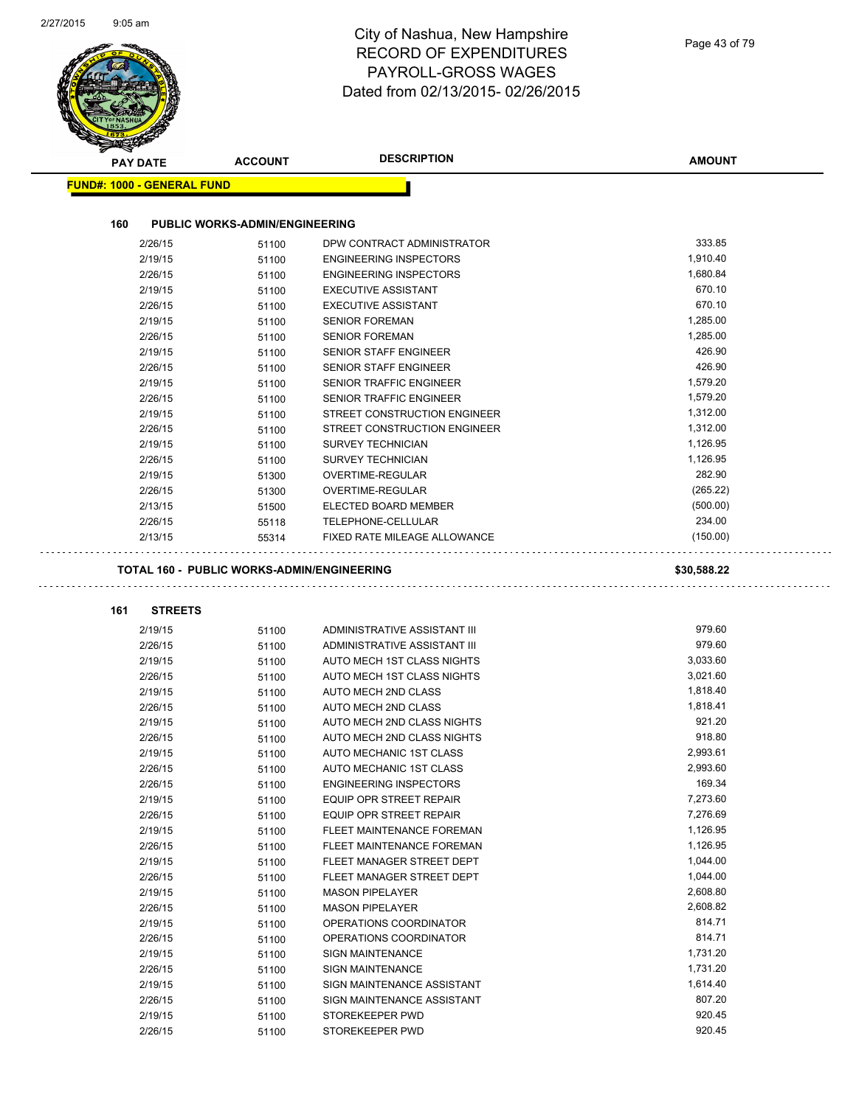| Page 43 of 79 |  |
|---------------|--|
|---------------|--|

|                                   | <b>ACCOUNT</b>                        | <b>DESCRIPTION</b>                            | <b>AMOUNT</b>    |
|-----------------------------------|---------------------------------------|-----------------------------------------------|------------------|
| <b>FUND#: 1000 - GENERAL FUND</b> |                                       |                                               |                  |
|                                   |                                       |                                               |                  |
| 160                               | <b>PUBLIC WORKS-ADMIN/ENGINEERING</b> |                                               |                  |
| 2/26/15                           | 51100                                 | DPW CONTRACT ADMINISTRATOR                    | 333.85           |
| 2/19/15                           | 51100                                 | <b>ENGINEERING INSPECTORS</b>                 | 1,910.40         |
| 2/26/15                           | 51100                                 | <b>ENGINEERING INSPECTORS</b>                 | 1,680.84         |
| 2/19/15                           | 51100                                 | <b>EXECUTIVE ASSISTANT</b>                    | 670.10           |
| 2/26/15                           | 51100                                 | <b>EXECUTIVE ASSISTANT</b>                    | 670.10           |
| 2/19/15                           | 51100                                 | <b>SENIOR FOREMAN</b>                         | 1,285.00         |
| 2/26/15                           | 51100                                 | <b>SENIOR FOREMAN</b>                         | 1,285.00         |
| 2/19/15                           | 51100                                 | SENIOR STAFF ENGINEER                         | 426.90           |
| 2/26/15                           | 51100                                 | <b>SENIOR STAFF ENGINEER</b>                  | 426.90           |
| 2/19/15                           | 51100                                 | SENIOR TRAFFIC ENGINEER                       | 1,579.20         |
| 2/26/15                           | 51100                                 | SENIOR TRAFFIC ENGINEER                       | 1,579.20         |
| 2/19/15                           | 51100                                 | STREET CONSTRUCTION ENGINEER                  | 1,312.00         |
| 2/26/15                           | 51100                                 | STREET CONSTRUCTION ENGINEER                  | 1,312.00         |
| 2/19/15                           | 51100                                 | <b>SURVEY TECHNICIAN</b>                      | 1,126.95         |
| 2/26/15                           | 51100                                 | <b>SURVEY TECHNICIAN</b>                      | 1,126.95         |
| 2/19/15                           | 51300                                 | <b>OVERTIME-REGULAR</b>                       | 282.90           |
| 2/26/15                           | 51300                                 | <b>OVERTIME-REGULAR</b>                       | (265.22)         |
| 2/13/15                           | 51500                                 | ELECTED BOARD MEMBER                          | (500.00)         |
| 2/26/15                           | 55118                                 | TELEPHONE-CELLULAR                            | 234.00           |
| 2/13/15                           | 55314                                 | FIXED RATE MILEAGE ALLOWANCE                  | (150.00)         |
| <b>STREETS</b><br>161             |                                       |                                               |                  |
| 2/19/15                           | 51100                                 | ADMINISTRATIVE ASSISTANT III                  | 979.60           |
| 2/26/15                           | 51100                                 | ADMINISTRATIVE ASSISTANT III                  | 979.60           |
| 2/19/15                           | 51100                                 | AUTO MECH 1ST CLASS NIGHTS                    | 3,033.60         |
| 2/26/15                           | 51100                                 | AUTO MECH 1ST CLASS NIGHTS                    | 3,021.60         |
| 2/19/15                           | 51100                                 | AUTO MECH 2ND CLASS                           | 1,818.40         |
| 2/26/15                           | 51100                                 | AUTO MECH 2ND CLASS                           | 1,818.41         |
|                                   | 51100                                 | AUTO MECH 2ND CLASS NIGHTS                    |                  |
| 2/19/15                           |                                       |                                               | 921.20           |
| 2/26/15                           | 51100                                 | AUTO MECH 2ND CLASS NIGHTS                    | 918.80           |
| 2/19/15                           | 51100                                 | AUTO MECHANIC 1ST CLASS                       | 2,993.61         |
| 2/26/15                           | 51100                                 | AUTO MECHANIC 1ST CLASS                       | 2,993.60         |
| 2/26/15                           | 51100                                 | <b>ENGINEERING INSPECTORS</b>                 | 169.34           |
| 2/19/15                           | 51100                                 | EQUIP OPR STREET REPAIR                       | 7,273.60         |
| 2/26/15                           | 51100                                 | EQUIP OPR STREET REPAIR                       | 7,276.69         |
| 2/19/15                           | 51100                                 | FLEET MAINTENANCE FOREMAN                     | 1,126.95         |
| 2/26/15                           | 51100                                 | FLEET MAINTENANCE FOREMAN                     | 1,126.95         |
| 2/19/15                           | 51100                                 | FLEET MANAGER STREET DEPT                     | 1,044.00         |
| 2/26/15                           | 51100                                 | FLEET MANAGER STREET DEPT                     | 1,044.00         |
| 2/19/15                           | 51100                                 | <b>MASON PIPELAYER</b>                        | 2,608.80         |
| 2/26/15                           | 51100                                 | <b>MASON PIPELAYER</b>                        | 2,608.82         |
| 2/19/15                           | 51100                                 | OPERATIONS COORDINATOR                        | 814.71           |
| 2/26/15                           | 51100                                 | OPERATIONS COORDINATOR                        | 814.71           |
| 2/19/15                           | 51100                                 | <b>SIGN MAINTENANCE</b>                       | 1,731.20         |
| 2/26/15                           | 51100                                 | <b>SIGN MAINTENANCE</b>                       | 1,731.20         |
| 2/19/15                           | 51100                                 | SIGN MAINTENANCE ASSISTANT                    | 1,614.40         |
| 2/26/15<br>2/19/15                | 51100<br>51100                        | SIGN MAINTENANCE ASSISTANT<br>STOREKEEPER PWD | 807.20<br>920.45 |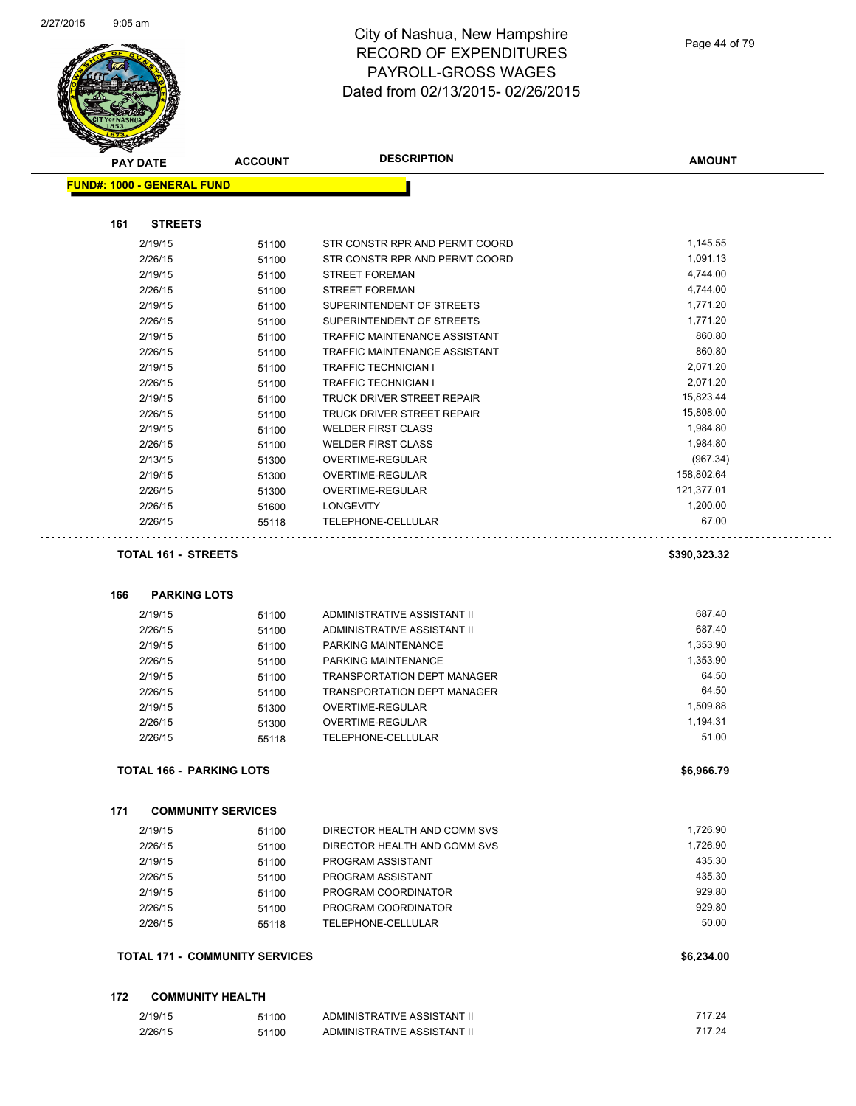

| <b>STATERS</b> |                                   |                                       |                                    |                  |
|----------------|-----------------------------------|---------------------------------------|------------------------------------|------------------|
|                | <b>PAY DATE</b>                   | <b>ACCOUNT</b>                        | <b>DESCRIPTION</b>                 | <b>AMOUNT</b>    |
|                | <b>FUND#: 1000 - GENERAL FUND</b> |                                       |                                    |                  |
|                |                                   |                                       |                                    |                  |
| 161            | <b>STREETS</b>                    |                                       |                                    |                  |
|                | 2/19/15                           | 51100                                 | STR CONSTR RPR AND PERMT COORD     | 1,145.55         |
|                | 2/26/15                           | 51100                                 | STR CONSTR RPR AND PERMT COORD     | 1,091.13         |
|                | 2/19/15                           | 51100                                 | <b>STREET FOREMAN</b>              | 4,744.00         |
|                | 2/26/15                           | 51100                                 | <b>STREET FOREMAN</b>              | 4,744.00         |
|                | 2/19/15                           | 51100                                 | SUPERINTENDENT OF STREETS          | 1,771.20         |
|                | 2/26/15                           | 51100                                 | SUPERINTENDENT OF STREETS          | 1,771.20         |
|                | 2/19/15                           | 51100                                 | TRAFFIC MAINTENANCE ASSISTANT      | 860.80           |
|                | 2/26/15                           | 51100                                 | TRAFFIC MAINTENANCE ASSISTANT      | 860.80           |
|                | 2/19/15                           | 51100                                 | TRAFFIC TECHNICIAN I               | 2,071.20         |
|                | 2/26/15                           | 51100                                 | <b>TRAFFIC TECHNICIAN I</b>        | 2,071.20         |
|                | 2/19/15                           | 51100                                 | TRUCK DRIVER STREET REPAIR         | 15,823.44        |
|                | 2/26/15                           | 51100                                 | TRUCK DRIVER STREET REPAIR         | 15,808.00        |
|                | 2/19/15                           | 51100                                 | <b>WELDER FIRST CLASS</b>          | 1,984.80         |
|                | 2/26/15                           | 51100                                 | <b>WELDER FIRST CLASS</b>          | 1,984.80         |
|                | 2/13/15                           | 51300                                 | OVERTIME-REGULAR                   | (967.34)         |
|                | 2/19/15                           | 51300                                 | OVERTIME-REGULAR                   | 158,802.64       |
|                | 2/26/15                           | 51300                                 | OVERTIME-REGULAR                   | 121,377.01       |
|                | 2/26/15                           | 51600                                 | <b>LONGEVITY</b>                   | 1,200.00         |
|                | 2/26/15                           | 55118                                 | TELEPHONE-CELLULAR                 | 67.00            |
|                | <b>TOTAL 161 - STREETS</b>        |                                       |                                    | \$390,323.32     |
|                |                                   |                                       |                                    |                  |
| 166            | <b>PARKING LOTS</b>               |                                       |                                    |                  |
|                | 2/19/15                           | 51100                                 | ADMINISTRATIVE ASSISTANT II        | 687.40           |
|                | 2/26/15                           | 51100                                 | ADMINISTRATIVE ASSISTANT II        | 687.40           |
|                | 2/19/15                           | 51100                                 | PARKING MAINTENANCE                | 1,353.90         |
|                | 2/26/15                           | 51100                                 | PARKING MAINTENANCE                | 1,353.90         |
|                | 2/19/15                           | 51100                                 | <b>TRANSPORTATION DEPT MANAGER</b> | 64.50            |
|                | 2/26/15                           | 51100                                 | TRANSPORTATION DEPT MANAGER        | 64.50            |
|                | 2/19/15                           | 51300                                 | <b>OVERTIME-REGULAR</b>            | 1,509.88         |
|                | 2/26/15                           | 51300                                 | OVERTIME-REGULAR                   | 1,194.31         |
|                | 2/26/15                           | 55118                                 | TELEPHONE-CELLULAR                 | 51.00            |
|                | TOTAL 166 - PARKING LOTS          |                                       |                                    | \$6,966.79       |
| 171            | <b>COMMUNITY SERVICES</b>         |                                       |                                    |                  |
|                | 2/19/15                           | 51100                                 | DIRECTOR HEALTH AND COMM SVS       | 1,726.90         |
|                | 2/26/15                           | 51100                                 | DIRECTOR HEALTH AND COMM SVS       | 1,726.90         |
|                | 2/19/15                           | 51100                                 | PROGRAM ASSISTANT                  | 435.30           |
|                | 2/26/15                           | 51100                                 | PROGRAM ASSISTANT                  | 435.30           |
|                | 2/19/15                           | 51100                                 | PROGRAM COORDINATOR                | 929.80           |
|                | 2/26/15                           | 51100                                 | PROGRAM COORDINATOR                | 929.80           |
|                | 2/26/15                           | 55118                                 | TELEPHONE-CELLULAR                 | 50.00            |
|                |                                   | <b>TOTAL 171 - COMMUNITY SERVICES</b> |                                    | \$6,234.00       |
|                |                                   |                                       |                                    |                  |
| 172            | <b>COMMUNITY HEALTH</b>           |                                       |                                    |                  |
|                |                                   |                                       |                                    |                  |
|                | 2/19/15                           | 51100                                 | ADMINISTRATIVE ASSISTANT II        | 717.24<br>717.24 |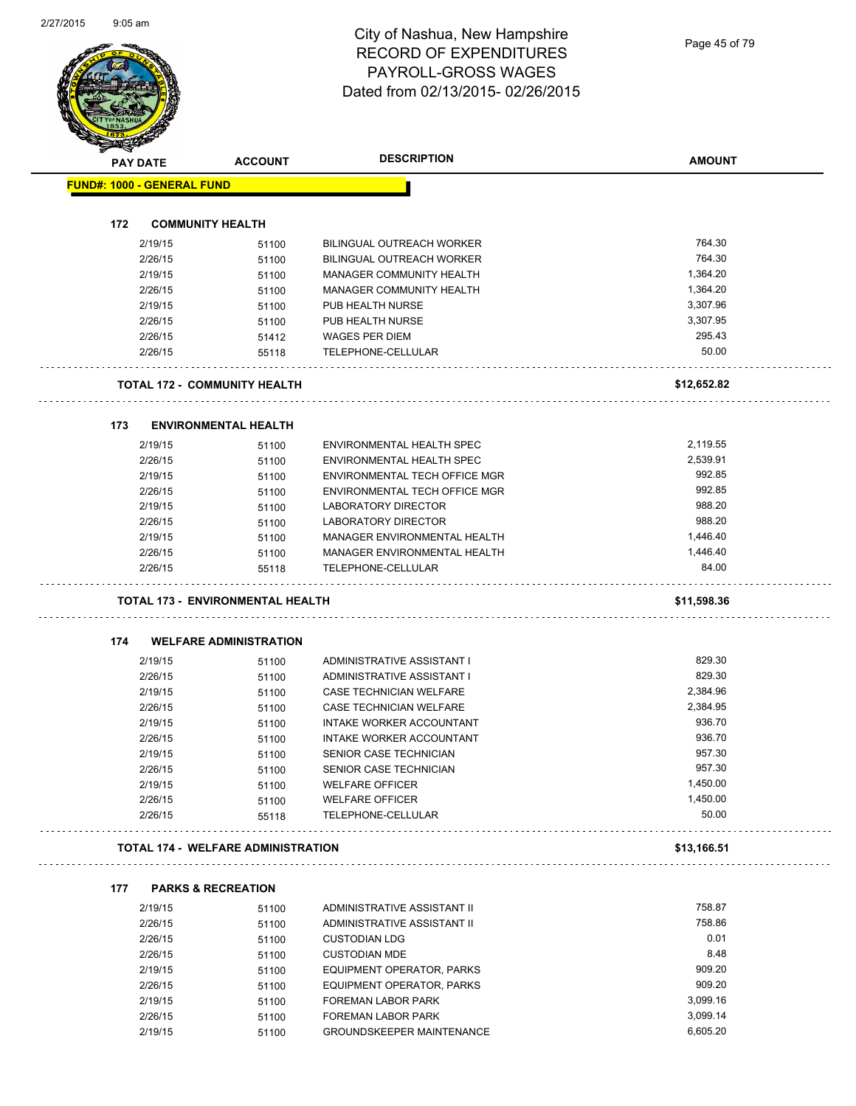Page 45 of 79

|     | <b>PAY DATE</b>                   | <b>ACCOUNT</b>                            | <b>DESCRIPTION</b>                                     | <b>AMOUNT</b>  |
|-----|-----------------------------------|-------------------------------------------|--------------------------------------------------------|----------------|
|     | <b>FUND#: 1000 - GENERAL FUND</b> |                                           |                                                        |                |
|     |                                   |                                           |                                                        |                |
| 172 |                                   | <b>COMMUNITY HEALTH</b>                   |                                                        |                |
|     | 2/19/15                           | 51100                                     | <b>BILINGUAL OUTREACH WORKER</b>                       | 764.30         |
|     | 2/26/15                           | 51100                                     | <b>BILINGUAL OUTREACH WORKER</b>                       | 764.30         |
|     | 2/19/15                           | 51100                                     | MANAGER COMMUNITY HEALTH                               | 1,364.20       |
|     | 2/26/15                           | 51100                                     | MANAGER COMMUNITY HEALTH                               | 1,364.20       |
|     | 2/19/15                           | 51100                                     | PUB HEALTH NURSE                                       | 3,307.96       |
|     | 2/26/15                           | 51100                                     | PUB HEALTH NURSE                                       | 3,307.95       |
|     | 2/26/15                           | 51412                                     | <b>WAGES PER DIEM</b>                                  | 295.43         |
|     | 2/26/15                           | 55118                                     | TELEPHONE-CELLULAR                                     | 50.00          |
|     |                                   | <b>TOTAL 172 - COMMUNITY HEALTH</b>       |                                                        | \$12,652.82    |
| 173 |                                   | <b>ENVIRONMENTAL HEALTH</b>               |                                                        |                |
|     | 2/19/15                           | 51100                                     | ENVIRONMENTAL HEALTH SPEC                              | 2,119.55       |
|     | 2/26/15                           | 51100                                     | ENVIRONMENTAL HEALTH SPEC                              | 2,539.91       |
|     | 2/19/15                           | 51100                                     | ENVIRONMENTAL TECH OFFICE MGR                          | 992.85         |
|     | 2/26/15                           | 51100                                     | ENVIRONMENTAL TECH OFFICE MGR                          | 992.85         |
|     | 2/19/15                           | 51100                                     | <b>LABORATORY DIRECTOR</b>                             | 988.20         |
|     | 2/26/15                           | 51100                                     | <b>LABORATORY DIRECTOR</b>                             | 988.20         |
|     | 2/19/15                           | 51100                                     | MANAGER ENVIRONMENTAL HEALTH                           | 1,446.40       |
|     | 2/26/15                           | 51100                                     | MANAGER ENVIRONMENTAL HEALTH                           | 1,446.40       |
|     | 2/26/15                           | 55118                                     | TELEPHONE-CELLULAR                                     | 84.00          |
|     |                                   |                                           |                                                        |                |
|     |                                   | <b>TOTAL 173 - ENVIRONMENTAL HEALTH</b>   |                                                        | \$11,598.36    |
|     |                                   |                                           |                                                        |                |
| 174 | 2/19/15                           | <b>WELFARE ADMINISTRATION</b>             | ADMINISTRATIVE ASSISTANT I                             | 829.30         |
|     |                                   | 51100                                     |                                                        | 829.30         |
|     | 2/26/15<br>2/19/15                | 51100                                     | ADMINISTRATIVE ASSISTANT I<br>CASE TECHNICIAN WELFARE  | 2,384.96       |
|     | 2/26/15                           | 51100<br>51100                            | CASE TECHNICIAN WELFARE                                | 2,384.95       |
|     | 2/19/15                           | 51100                                     | <b>INTAKE WORKER ACCOUNTANT</b>                        | 936.70         |
|     | 2/26/15                           | 51100                                     | INTAKE WORKER ACCOUNTANT                               | 936.70         |
|     | 2/19/15                           | 51100                                     | SENIOR CASE TECHNICIAN                                 | 957.30         |
|     | 2/26/15                           | 51100                                     | SENIOR CASE TECHNICIAN                                 | 957.30         |
|     | 2/19/15                           | 51100                                     | <b>WELFARE OFFICER</b>                                 | 1,450.00       |
|     | 2/26/15                           | 51100                                     | <b>WELFARE OFFICER</b>                                 | 1,450.00       |
|     | 2/26/15                           | 55118                                     | TELEPHONE-CELLULAR                                     | 50.00          |
|     |                                   | <b>TOTAL 174 - WELFARE ADMINISTRATION</b> |                                                        | \$13,166.51    |
|     |                                   |                                           |                                                        |                |
| 177 |                                   | <b>PARKS &amp; RECREATION</b>             |                                                        |                |
|     | 2/19/15                           | 51100                                     | ADMINISTRATIVE ASSISTANT II                            | 758.87         |
|     | 2/26/15                           | 51100                                     | ADMINISTRATIVE ASSISTANT II                            | 758.86         |
|     | 2/26/15                           | 51100                                     | <b>CUSTODIAN LDG</b>                                   | 0.01           |
|     | 2/26/15                           | 51100                                     | <b>CUSTODIAN MDE</b>                                   | 8.48<br>909.20 |
|     | 2/19/15                           | 51100                                     | EQUIPMENT OPERATOR, PARKS                              | 909.20         |
|     | 2/26/15                           | 51100                                     | EQUIPMENT OPERATOR, PARKS                              | 3,099.16       |
|     | 2/19/15<br>2/26/15                | 51100<br>51100                            | <b>FOREMAN LABOR PARK</b><br><b>FOREMAN LABOR PARK</b> | 3,099.14       |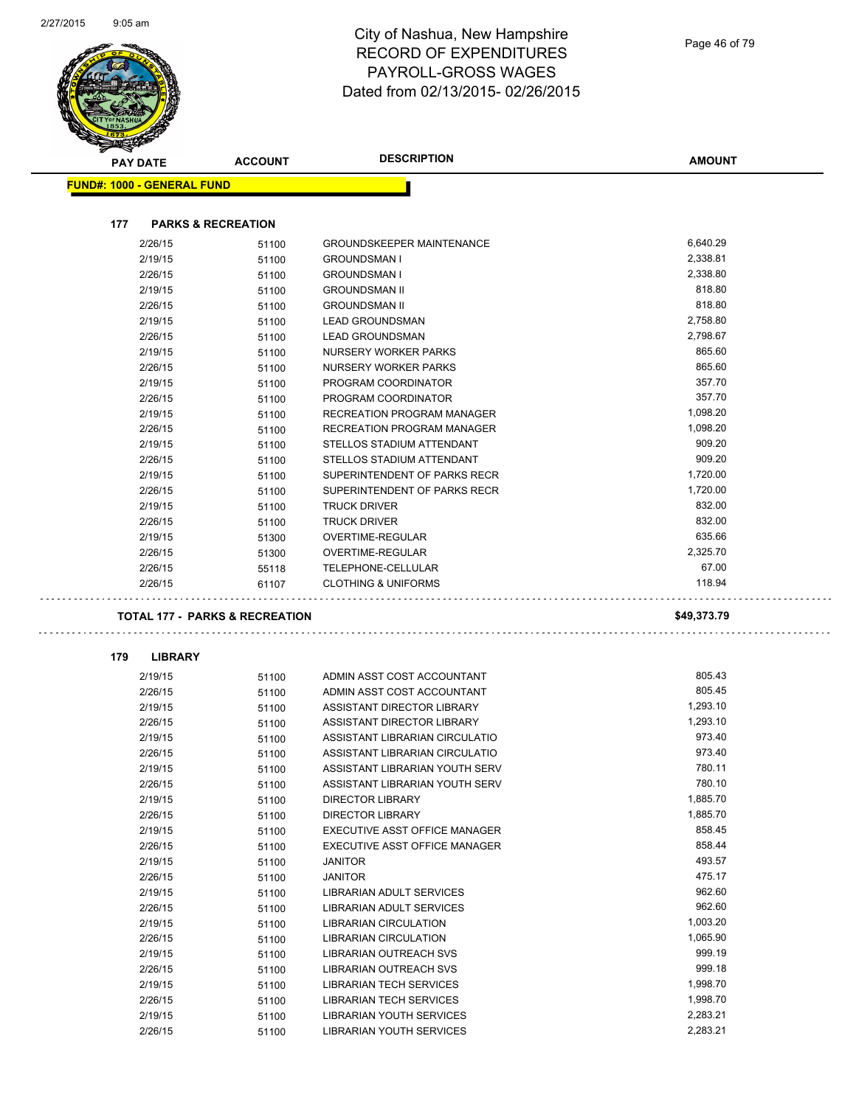$\bar{\tau}$  ,  $\bar{\tau}$  ,

 $\ldots$  .



#### City of Nashua, New Hampshire RECORD OF EXPENDITURES PAYROLL-GROSS WAGES Dated from 02/13/2015- 02/26/2015

| <b>PAY DATE</b>                   | <b>ACCOUNT</b>                            | <b>DESCRIPTION</b>               | <b>AMOUNT</b> |
|-----------------------------------|-------------------------------------------|----------------------------------|---------------|
| <b>FUND#: 1000 - GENERAL FUND</b> |                                           |                                  |               |
|                                   |                                           |                                  |               |
| 177                               | <b>PARKS &amp; RECREATION</b>             |                                  |               |
| 2/26/15                           | 51100                                     | <b>GROUNDSKEEPER MAINTENANCE</b> | 6,640.29      |
| 2/19/15                           | 51100                                     | <b>GROUNDSMAN I</b>              | 2,338.81      |
| 2/26/15                           | 51100                                     | <b>GROUNDSMAN I</b>              | 2,338.80      |
| 2/19/15                           | 51100                                     | <b>GROUNDSMAN II</b>             | 818.80        |
| 2/26/15                           | 51100                                     | <b>GROUNDSMAN II</b>             | 818.80        |
| 2/19/15                           | 51100                                     | <b>LEAD GROUNDSMAN</b>           | 2,758.80      |
| 2/26/15                           | 51100                                     | <b>LEAD GROUNDSMAN</b>           | 2,798.67      |
| 2/19/15                           | 51100                                     | NURSERY WORKER PARKS             | 865.60        |
| 2/26/15                           | 51100                                     | NURSERY WORKER PARKS             | 865.60        |
| 2/19/15                           | 51100                                     | PROGRAM COORDINATOR              | 357.70        |
| 2/26/15                           | 51100                                     | PROGRAM COORDINATOR              | 357.70        |
| 2/19/15                           | 51100                                     | RECREATION PROGRAM MANAGER       | 1,098.20      |
| 2/26/15                           | 51100                                     | RECREATION PROGRAM MANAGER       | 1,098.20      |
| 2/19/15                           | 51100                                     | STELLOS STADIUM ATTENDANT        | 909.20        |
| 2/26/15                           | 51100                                     | STELLOS STADIUM ATTENDANT        | 909.20        |
| 2/19/15                           | 51100                                     | SUPERINTENDENT OF PARKS RECR     | 1,720.00      |
| 2/26/15                           | 51100                                     | SUPERINTENDENT OF PARKS RECR     | 1,720.00      |
| 2/19/15                           | 51100                                     | <b>TRUCK DRIVER</b>              | 832.00        |
| 2/26/15                           | 51100                                     | <b>TRUCK DRIVER</b>              | 832.00        |
| 2/19/15                           | 51300                                     | OVERTIME-REGULAR                 | 635.66        |
| 2/26/15                           | 51300                                     | OVERTIME-REGULAR                 | 2,325.70      |
| 2/26/15                           | 55118                                     | TELEPHONE-CELLULAR               | 67.00         |
| 2/26/15                           | 61107                                     | <b>CLOTHING &amp; UNIFORMS</b>   | 118.94        |
|                                   | <b>TOTAL 177 - PARKS &amp; RECREATION</b> |                                  | \$49,373.79   |
| 179<br><b>LIBRARY</b>             |                                           |                                  |               |
| 2/19/15                           | 51100                                     | ADMIN ASST COST ACCOUNTANT       | 805.43        |
| 2/26/15                           | 51100                                     | ADMIN ASST COST ACCOUNTANT       | 805.45        |
| 2/19/15                           | 51100                                     | ASSISTANT DIRECTOR LIBRARY       | 1,293.10      |
| 2/26/15                           | 51100                                     | ASSISTANT DIRECTOR LIBRARY       |               |
| 2/19/15                           |                                           |                                  | 1,293.10      |
|                                   | 51100                                     | ASSISTANT LIBRARIAN CIRCULATIO   | 973.40        |
| 2/26/15                           | 51100                                     | ASSISTANT LIBRARIAN CIRCULATIO   | 973.40        |
| 2/19/15                           | 51100                                     | ASSISTANT LIBRARIAN YOUTH SERV   | 780.11        |
| 2/26/15                           | 51100                                     | ASSISTANT LIBRARIAN YOUTH SERV   | 780.10        |
| 2/19/15                           | 51100                                     | <b>DIRECTOR LIBRARY</b>          | 1,885.70      |
| 2/26/15                           | 51100                                     | <b>DIRECTOR LIBRARY</b>          | 1,885.70      |
| 2/19/15                           |                                           | EXECUTIVE ASST OFFICE MANAGER    | 858.45        |
| 2/26/15                           | 51100<br>51100                            | EXECUTIVE ASST OFFICE MANAGER    | 858.44        |
| 2/19/15                           | 51100                                     | <b>JANITOR</b>                   | 493.57        |
| 2/26/15                           | 51100                                     | <b>JANITOR</b>                   | 475.17        |
| 2/19/15                           | 51100                                     | LIBRARIAN ADULT SERVICES         | 962.60        |
| 2/26/15                           |                                           | <b>LIBRARIAN ADULT SERVICES</b>  | 962.60        |
| 2/19/15                           | 51100                                     | <b>LIBRARIAN CIRCULATION</b>     | 1,003.20      |
| 2/26/15                           | 51100                                     | LIBRARIAN CIRCULATION            | 1,065.90      |
|                                   | 51100                                     | <b>LIBRARIAN OUTREACH SVS</b>    | 999.19        |
| 2/19/15                           | 51100                                     | LIBRARIAN OUTREACH SVS           | 999.18        |
| 2/26/15<br>2/19/15                | 51100<br>51100                            | LIBRARIAN TECH SERVICES          | 1,998.70      |

2/19/15 51100 LIBRARIAN YOUTH SERVICES 2,283.21

2/26/15 51100 LIBRARIAN YOUTH SERVICES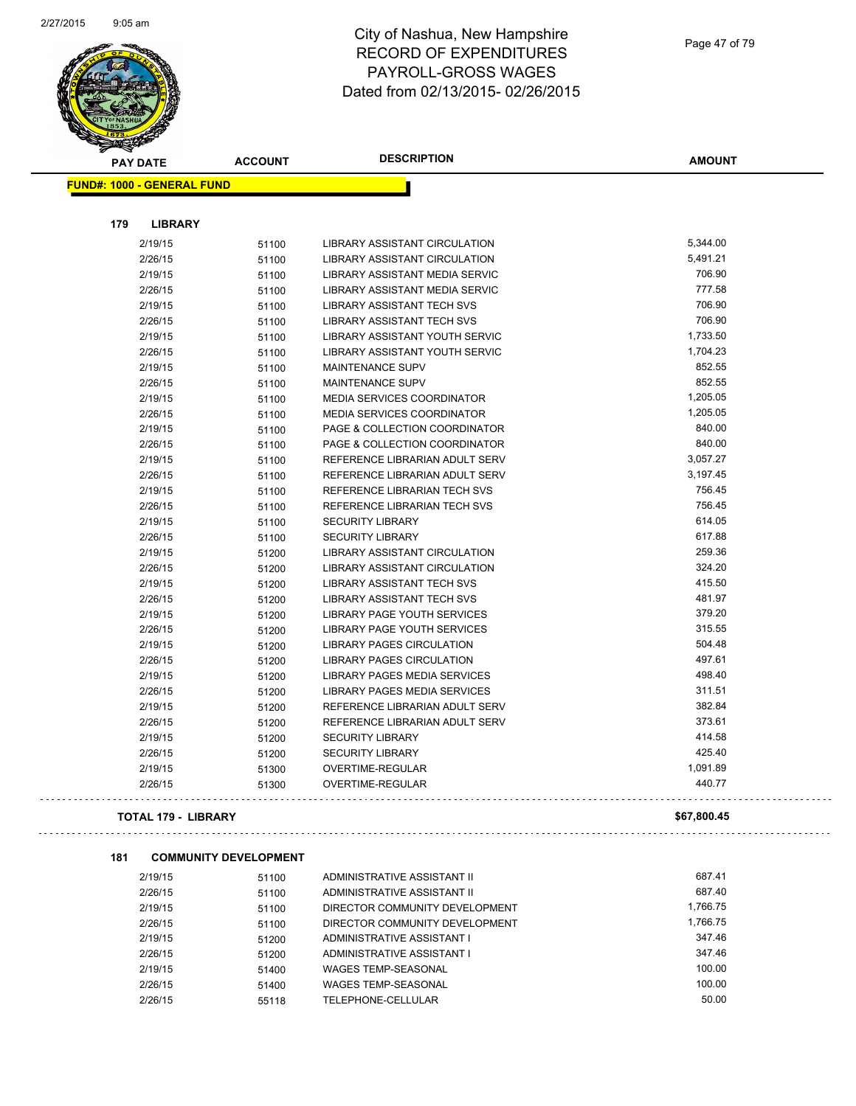

**FUND#: 1000 - GENERAL FUND**

**179 LIBRARY**

### City of Nashua, New Hampshire RECORD OF EXPENDITURES PAYROLL-GROSS WAGES Dated from 02/13/2015- 02/26/2015

h

| <b>LIBRARY</b> |       |                                       |          |
|----------------|-------|---------------------------------------|----------|
| 2/19/15        | 51100 | <b>LIBRARY ASSISTANT CIRCULATION</b>  | 5,344.00 |
| 2/26/15        | 51100 | <b>LIBRARY ASSISTANT CIRCULATION</b>  | 5,491.21 |
| 2/19/15        | 51100 | LIBRARY ASSISTANT MEDIA SERVIC        | 706.90   |
| 2/26/15        | 51100 | <b>LIBRARY ASSISTANT MEDIA SERVIC</b> | 777.58   |
| 2/19/15        | 51100 | <b>LIBRARY ASSISTANT TECH SVS</b>     | 706.90   |
| 2/26/15        | 51100 | <b>LIBRARY ASSISTANT TECH SVS</b>     | 706.90   |
| 2/19/15        | 51100 | <b>LIBRARY ASSISTANT YOUTH SERVIC</b> | 1,733.50 |
| 2/26/15        | 51100 | LIBRARY ASSISTANT YOUTH SERVIC        | 1,704.23 |
| 2/19/15        | 51100 | <b>MAINTENANCE SUPV</b>               | 852.55   |
| 2/26/15        | 51100 | MAINTENANCE SUPV                      | 852.55   |
| 2/19/15        | 51100 | <b>MEDIA SERVICES COORDINATOR</b>     | 1,205.05 |
| 2/26/15        | 51100 | <b>MEDIA SERVICES COORDINATOR</b>     | 1,205.05 |
| 2/19/15        | 51100 | PAGE & COLLECTION COORDINATOR         | 840.00   |
| 2/26/15        | 51100 | PAGE & COLLECTION COORDINATOR         | 840.00   |
| 2/19/15        | 51100 | REFERENCE LIBRARIAN ADULT SERV        | 3,057.27 |
| 2/26/15        | 51100 | REFERENCE LIBRARIAN ADULT SERV        | 3,197.45 |
| 2/19/15        | 51100 | REFERENCE LIBRARIAN TECH SVS          | 756.45   |
| 2/26/15        | 51100 | REFERENCE LIBRARIAN TECH SVS          | 756.45   |
| 2/19/15        | 51100 | <b>SECURITY LIBRARY</b>               | 614.05   |
| 2/26/15        | 51100 | <b>SECURITY LIBRARY</b>               | 617.88   |
| 2/19/15        | 51200 | <b>LIBRARY ASSISTANT CIRCULATION</b>  | 259.36   |
| 2/26/15        | 51200 | <b>LIBRARY ASSISTANT CIRCULATION</b>  | 324.20   |
| 2/19/15        | 51200 | LIBRARY ASSISTANT TECH SVS            | 415.50   |
| 2/26/15        | 51200 | <b>LIBRARY ASSISTANT TECH SVS</b>     | 481.97   |
| 2/19/15        | 51200 | LIBRARY PAGE YOUTH SERVICES           | 379.20   |
| 2/26/15        | 51200 | LIBRARY PAGE YOUTH SERVICES           | 315.55   |
| 2/19/15        | 51200 | <b>LIBRARY PAGES CIRCULATION</b>      | 504.48   |
| 2/26/15        | 51200 | <b>LIBRARY PAGES CIRCULATION</b>      | 497.61   |
| 2/19/15        | 51200 | LIBRARY PAGES MEDIA SERVICES          | 498.40   |
| 2/26/15        | 51200 | <b>LIBRARY PAGES MEDIA SERVICES</b>   | 311.51   |
| 2/10/15        | 51200 | DEEEDENCE LIBDADIAN ANLII T CEDV      | 382 84   |

Page 47 of 79

**AMOUNT**

|     | 2/19/15                      | 51100 | LIBRARY ASSISTANT TECH SVS           | 706.90      |
|-----|------------------------------|-------|--------------------------------------|-------------|
|     | 2/26/15                      | 51100 | <b>LIBRARY ASSISTANT TECH SVS</b>    | 706.90      |
|     | 2/19/15                      | 51100 | LIBRARY ASSISTANT YOUTH SERVIC       | 1,733.50    |
|     | 2/26/15                      | 51100 | LIBRARY ASSISTANT YOUTH SERVIC       | 1,704.23    |
|     | 2/19/15                      | 51100 | <b>MAINTENANCE SUPV</b>              | 852.55      |
|     | 2/26/15                      | 51100 | MAINTENANCE SUPV                     | 852.55      |
|     | 2/19/15                      | 51100 | MEDIA SERVICES COORDINATOR           | 1,205.05    |
|     | 2/26/15                      | 51100 | MEDIA SERVICES COORDINATOR           | 1,205.05    |
|     | 2/19/15                      | 51100 | PAGE & COLLECTION COORDINATOR        | 840.00      |
|     | 2/26/15                      | 51100 | PAGE & COLLECTION COORDINATOR        | 840.00      |
|     | 2/19/15                      | 51100 | REFERENCE LIBRARIAN ADULT SERV       | 3,057.27    |
|     | 2/26/15                      | 51100 | REFERENCE LIBRARIAN ADULT SERV       | 3,197.45    |
|     | 2/19/15                      | 51100 | REFERENCE LIBRARIAN TECH SVS         | 756.45      |
|     | 2/26/15                      | 51100 | REFERENCE LIBRARIAN TECH SVS         | 756.45      |
|     | 2/19/15                      | 51100 | <b>SECURITY LIBRARY</b>              | 614.05      |
|     | 2/26/15                      | 51100 | <b>SECURITY LIBRARY</b>              | 617.88      |
|     | 2/19/15                      | 51200 | LIBRARY ASSISTANT CIRCULATION        | 259.36      |
|     | 2/26/15                      | 51200 | <b>LIBRARY ASSISTANT CIRCULATION</b> | 324.20      |
|     | 2/19/15                      | 51200 | <b>LIBRARY ASSISTANT TECH SVS</b>    | 415.50      |
|     | 2/26/15                      | 51200 | <b>LIBRARY ASSISTANT TECH SVS</b>    | 481.97      |
|     | 2/19/15                      | 51200 | LIBRARY PAGE YOUTH SERVICES          | 379.20      |
|     | 2/26/15                      | 51200 | LIBRARY PAGE YOUTH SERVICES          | 315.55      |
|     | 2/19/15                      | 51200 | <b>LIBRARY PAGES CIRCULATION</b>     | 504.48      |
|     | 2/26/15                      | 51200 | <b>LIBRARY PAGES CIRCULATION</b>     | 497.61      |
|     | 2/19/15                      | 51200 | LIBRARY PAGES MEDIA SERVICES         | 498.40      |
|     | 2/26/15                      | 51200 | <b>LIBRARY PAGES MEDIA SERVICES</b>  | 311.51      |
|     | 2/19/15                      | 51200 | REFERENCE LIBRARIAN ADULT SERV       | 382.84      |
|     | 2/26/15                      | 51200 | REFERENCE LIBRARIAN ADULT SERV       | 373.61      |
|     | 2/19/15                      | 51200 | <b>SECURITY LIBRARY</b>              | 414.58      |
|     | 2/26/15                      | 51200 | <b>SECURITY LIBRARY</b>              | 425.40      |
|     | 2/19/15                      | 51300 | OVERTIME-REGULAR                     | 1,091.89    |
|     | 2/26/15                      | 51300 | OVERTIME-REGULAR                     | 440.77      |
|     | <b>TOTAL 179 - LIBRARY</b>   |       |                                      | \$67,800.45 |
| 181 | <b>COMMUNITY DEVELOPMENT</b> |       |                                      |             |
|     | 2/19/15                      | 51100 | ADMINISTRATIVE ASSISTANT II          | 687.41      |
|     | 2/26/15                      | 51100 | ADMINISTRATIVE ASSISTANT II          | 687.40      |
|     | 2/19/15                      | 51100 | DIRECTOR COMMUNITY DEVELOPMENT       | 1,766.75    |
|     | 2/26/15                      | 51100 | DIRECTOR COMMUNITY DEVELOPMENT       | 1,766.75    |
|     | 2/19/15                      | 51200 | ADMINISTRATIVE ASSISTANT I           | 347.46      |
|     | 2/26/15                      | 51200 | ADMINISTRATIVE ASSISTANT I           | 347.46      |
|     | 2/19/15                      | 51400 | WAGES TEMP-SEASONAL                  | 100.00      |
|     | 2/26/15                      | 51400 | <b>WAGES TEMP-SEASONAL</b>           | 100.00      |
|     | 2/26/15                      | 55118 | TELEPHONE-CELLULAR                   | 50.00       |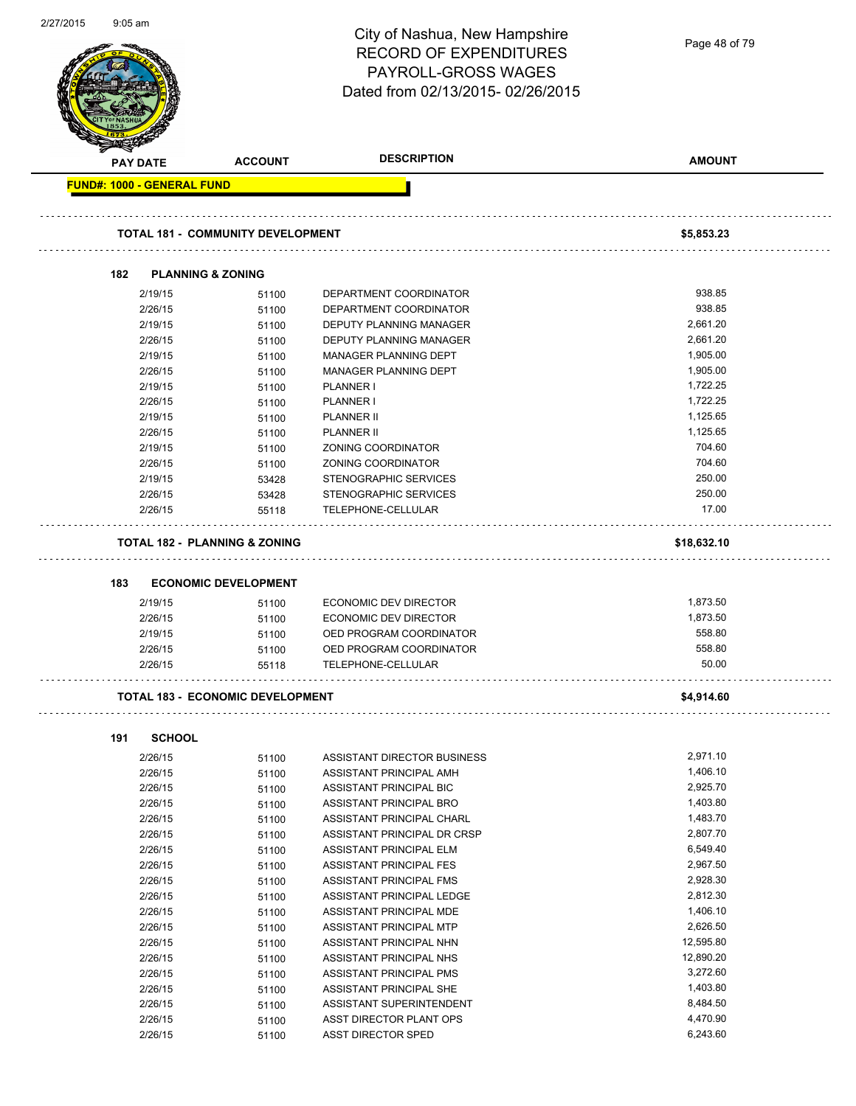| 22112015 | 9.05 am |                                   |                                          | City of Nashua, New Hampshire<br><b>RECORD OF EXPENDITURES</b><br>PAYROLL-GROSS WAGES | Page 48 of 79         |
|----------|---------|-----------------------------------|------------------------------------------|---------------------------------------------------------------------------------------|-----------------------|
|          |         |                                   |                                          | Dated from 02/13/2015-02/26/2015                                                      |                       |
|          |         | <b>PAY DATE</b>                   | <b>ACCOUNT</b>                           | <b>DESCRIPTION</b>                                                                    | <b>AMOUNT</b>         |
|          |         | <b>FUND#: 1000 - GENERAL FUND</b> |                                          |                                                                                       |                       |
|          |         |                                   | <b>TOTAL 181 - COMMUNITY DEVELOPMENT</b> |                                                                                       | \$5,853.23            |
|          | 182     |                                   | <b>PLANNING &amp; ZONING</b>             |                                                                                       |                       |
|          |         | 2/19/15                           | 51100                                    | DEPARTMENT COORDINATOR                                                                | 938.85                |
|          |         | 2/26/15                           | 51100                                    | DEPARTMENT COORDINATOR                                                                | 938.85                |
|          |         | 2/19/15                           | 51100                                    | DEPUTY PLANNING MANAGER                                                               | 2,661.20              |
|          |         | 2/26/15                           | 51100                                    | DEPUTY PLANNING MANAGER                                                               | 2,661.20              |
|          |         | 2/19/15                           | 51100                                    | MANAGER PLANNING DEPT                                                                 | 1,905.00              |
|          |         | 2/26/15                           | 51100                                    | MANAGER PLANNING DEPT                                                                 | 1,905.00              |
|          |         | 2/19/15                           | 51100                                    | PLANNER I                                                                             | 1,722.25              |
|          |         | 2/26/15                           | 51100                                    | PLANNER I                                                                             | 1,722.25              |
|          |         | 2/19/15                           | 51100                                    | <b>PLANNER II</b>                                                                     | 1,125.65              |
|          |         | 2/26/15                           | 51100                                    | <b>PLANNER II</b>                                                                     | 1,125.65              |
|          |         | 2/19/15                           | 51100                                    | ZONING COORDINATOR                                                                    | 704.60                |
|          |         | 2/26/15                           | 51100                                    | ZONING COORDINATOR                                                                    | 704.60                |
|          |         | 2/19/15                           | 53428                                    | STENOGRAPHIC SERVICES                                                                 | 250.00                |
|          |         | 2/26/15                           | 53428                                    | STENOGRAPHIC SERVICES                                                                 | 250.00                |
|          |         | 2/26/15                           | 55118                                    | TELEPHONE-CELLULAR                                                                    | 17.00                 |
|          |         |                                   | <b>TOTAL 182 - PLANNING &amp; ZONING</b> |                                                                                       | \$18,632.10           |
|          | 183     |                                   | <b>ECONOMIC DEVELOPMENT</b>              |                                                                                       |                       |
|          |         | 2/19/15                           | 51100                                    | ECONOMIC DEV DIRECTOR                                                                 | 1,873.50              |
|          |         | 2/26/15                           | 51100                                    | ECONOMIC DEV DIRECTOR                                                                 | 1,873.50              |
|          |         | 2/19/15                           | 51100                                    | OED PROGRAM COORDINATOR                                                               | 558.80                |
|          |         | 2/26/15                           | 51100                                    | OED PROGRAM COORDINATOR                                                               | 558.80                |
|          |         | 2/26/15                           | 55118                                    | TELEPHONE-CELLULAR                                                                    | 50.00                 |
|          |         |                                   | <b>TOTAL 183 - ECONOMIC DEVELOPMENT</b>  |                                                                                       | \$4,914.60            |
|          |         |                                   |                                          |                                                                                       |                       |
|          | 191     | <b>SCHOOL</b>                     |                                          |                                                                                       |                       |
|          |         | 2/26/15                           | 51100                                    | ASSISTANT DIRECTOR BUSINESS                                                           | 2,971.10              |
|          |         | 2/26/15                           | 51100                                    | ASSISTANT PRINCIPAL AMH                                                               | 1,406.10              |
|          |         | 2/26/15                           | 51100                                    | ASSISTANT PRINCIPAL BIC                                                               | 2,925.70              |
|          |         | 2/26/15                           | 51100                                    | ASSISTANT PRINCIPAL BRO                                                               | 1,403.80              |
|          |         | 2/26/15                           | 51100                                    | ASSISTANT PRINCIPAL CHARL                                                             | 1,483.70              |
|          |         | 2/26/15                           | 51100                                    | ASSISTANT PRINCIPAL DR CRSP                                                           | 2,807.70              |
|          |         | 2/26/15                           | 51100                                    | ASSISTANT PRINCIPAL ELM                                                               | 6,549.40              |
|          |         | 2/26/15                           | 51100                                    | ASSISTANT PRINCIPAL FES                                                               | 2,967.50              |
|          |         | 2/26/15                           | 51100                                    | ASSISTANT PRINCIPAL FMS                                                               | 2,928.30              |
|          |         | 2/26/15                           | 51100                                    | ASSISTANT PRINCIPAL LEDGE                                                             | 2,812.30<br>1,406.10  |
|          |         | 2/26/15                           | 51100                                    | ASSISTANT PRINCIPAL MDE                                                               |                       |
|          |         | 2/26/15                           | 51100                                    | ASSISTANT PRINCIPAL MTP                                                               | 2,626.50<br>12,595.80 |
|          |         | 2/26/15<br>2/26/15                | 51100                                    | ASSISTANT PRINCIPAL NHN<br>ASSISTANT PRINCIPAL NHS                                    | 12,890.20             |
|          |         |                                   | 51100                                    |                                                                                       | 3,272.60              |
|          |         | 2/26/15<br>2/26/15                | 51100                                    | ASSISTANT PRINCIPAL PMS<br>ASSISTANT PRINCIPAL SHE                                    | 1,403.80              |
|          |         | 2/26/15                           | 51100<br>51100                           | ASSISTANT SUPERINTENDENT                                                              | 8,484.50              |
|          |         | 2/26/15                           | 51100                                    | ASST DIRECTOR PLANT OPS                                                               | 4,470.90              |
|          |         | 2/26/15                           | 51100                                    | ASST DIRECTOR SPED                                                                    | 6,243.60              |
|          |         |                                   |                                          |                                                                                       |                       |

2/27/2015 9:05 am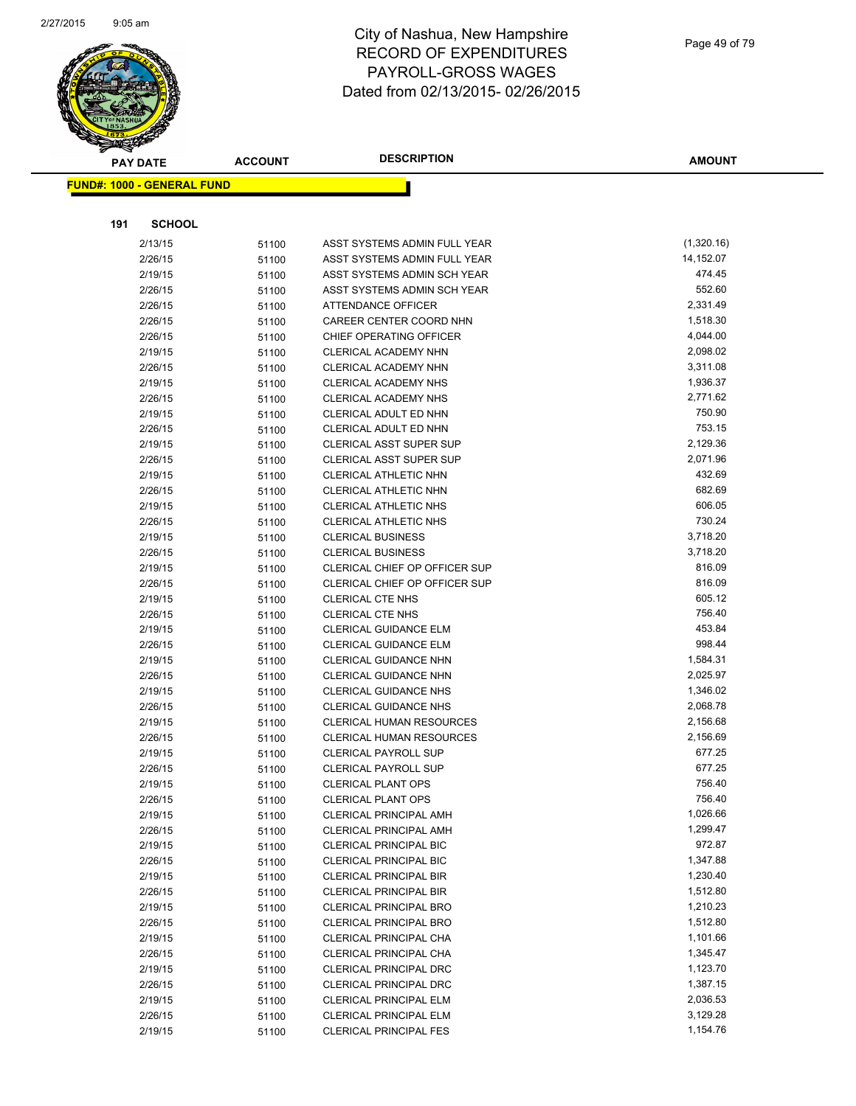

|     | <b>PAY DATE</b>                    | <b>ACCOUNT</b> | <b>DESCRIPTION</b>                                    | <b>AMOUNT</b>        |
|-----|------------------------------------|----------------|-------------------------------------------------------|----------------------|
|     | <u> FUND#: 1000 - GENERAL FUND</u> |                |                                                       |                      |
|     |                                    |                |                                                       |                      |
|     |                                    |                |                                                       |                      |
| 191 | <b>SCHOOL</b>                      |                |                                                       |                      |
|     | 2/13/15                            | 51100          | ASST SYSTEMS ADMIN FULL YEAR                          | (1,320.16)           |
|     | 2/26/15                            | 51100          | ASST SYSTEMS ADMIN FULL YEAR                          | 14,152.07            |
|     | 2/19/15                            | 51100          | ASST SYSTEMS ADMIN SCH YEAR                           | 474.45               |
|     | 2/26/15                            | 51100          | ASST SYSTEMS ADMIN SCH YEAR                           | 552.60               |
|     | 2/26/15                            | 51100          | ATTENDANCE OFFICER                                    | 2,331.49             |
|     | 2/26/15                            | 51100          | CAREER CENTER COORD NHN                               | 1,518.30             |
|     | 2/26/15                            | 51100          | CHIEF OPERATING OFFICER                               | 4,044.00             |
|     | 2/19/15                            | 51100          | CLERICAL ACADEMY NHN                                  | 2,098.02             |
|     | 2/26/15                            | 51100          | CLERICAL ACADEMY NHN                                  | 3,311.08             |
|     | 2/19/15                            | 51100          | <b>CLERICAL ACADEMY NHS</b>                           | 1,936.37             |
|     | 2/26/15                            | 51100          | CLERICAL ACADEMY NHS                                  | 2,771.62             |
|     | 2/19/15                            | 51100          | CLERICAL ADULT ED NHN                                 | 750.90               |
|     | 2/26/15                            | 51100          | CLERICAL ADULT ED NHN                                 | 753.15               |
|     | 2/19/15                            | 51100          | <b>CLERICAL ASST SUPER SUP</b>                        | 2,129.36<br>2,071.96 |
|     | 2/26/15                            | 51100          | <b>CLERICAL ASST SUPER SUP</b>                        | 432.69               |
|     | 2/19/15<br>2/26/15                 | 51100          | <b>CLERICAL ATHLETIC NHN</b><br>CLERICAL ATHLETIC NHN | 682.69               |
|     |                                    | 51100          |                                                       | 606.05               |
|     | 2/19/15<br>2/26/15                 | 51100          | CLERICAL ATHLETIC NHS<br>CLERICAL ATHLETIC NHS        | 730.24               |
|     | 2/19/15                            | 51100          | <b>CLERICAL BUSINESS</b>                              | 3,718.20             |
|     | 2/26/15                            | 51100          | <b>CLERICAL BUSINESS</b>                              | 3,718.20             |
|     | 2/19/15                            | 51100<br>51100 | CLERICAL CHIEF OP OFFICER SUP                         | 816.09               |
|     | 2/26/15                            | 51100          | CLERICAL CHIEF OP OFFICER SUP                         | 816.09               |
|     | 2/19/15                            | 51100          | <b>CLERICAL CTE NHS</b>                               | 605.12               |
|     | 2/26/15                            | 51100          | <b>CLERICAL CTE NHS</b>                               | 756.40               |
|     | 2/19/15                            | 51100          | <b>CLERICAL GUIDANCE ELM</b>                          | 453.84               |
|     | 2/26/15                            | 51100          | <b>CLERICAL GUIDANCE ELM</b>                          | 998.44               |
|     | 2/19/15                            | 51100          | <b>CLERICAL GUIDANCE NHN</b>                          | 1,584.31             |
|     | 2/26/15                            | 51100          | <b>CLERICAL GUIDANCE NHN</b>                          | 2,025.97             |
|     | 2/19/15                            | 51100          | <b>CLERICAL GUIDANCE NHS</b>                          | 1,346.02             |
|     | 2/26/15                            | 51100          | <b>CLERICAL GUIDANCE NHS</b>                          | 2,068.78             |
|     | 2/19/15                            | 51100          | <b>CLERICAL HUMAN RESOURCES</b>                       | 2,156.68             |
|     | 2/26/15                            | 51100          | <b>CLERICAL HUMAN RESOURCES</b>                       | 2,156.69             |
|     | 2/19/15                            | 51100          | <b>CLERICAL PAYROLL SUP</b>                           | 677.25               |
|     | 2/26/15                            | 51100          | <b>CLERICAL PAYROLL SUP</b>                           | 677.25               |
|     | 2/19/15                            | 51100          | <b>CLERICAL PLANT OPS</b>                             | 756.40               |
|     | 2/26/15                            | 51100          | <b>CLERICAL PLANT OPS</b>                             | 756.40               |
|     | 2/19/15                            | 51100          | <b>CLERICAL PRINCIPAL AMH</b>                         | 1,026.66             |
|     | 2/26/15                            | 51100          | <b>CLERICAL PRINCIPAL AMH</b>                         | 1,299.47             |
|     | 2/19/15                            | 51100          | <b>CLERICAL PRINCIPAL BIC</b>                         | 972.87               |
|     | 2/26/15                            | 51100          | <b>CLERICAL PRINCIPAL BIC</b>                         | 1,347.88             |
|     | 2/19/15                            | 51100          | <b>CLERICAL PRINCIPAL BIR</b>                         | 1,230.40             |
|     | 2/26/15                            | 51100          | <b>CLERICAL PRINCIPAL BIR</b>                         | 1,512.80             |
|     | 2/19/15                            | 51100          | CLERICAL PRINCIPAL BRO                                | 1,210.23             |
|     | 2/26/15                            | 51100          | <b>CLERICAL PRINCIPAL BRO</b>                         | 1,512.80             |
|     | 2/19/15                            | 51100          | CLERICAL PRINCIPAL CHA                                | 1,101.66             |
|     | 2/26/15                            | 51100          | <b>CLERICAL PRINCIPAL CHA</b>                         | 1,345.47             |
|     | 2/19/15                            | 51100          | <b>CLERICAL PRINCIPAL DRC</b>                         | 1,123.70             |
|     | 2/26/15                            | 51100          | <b>CLERICAL PRINCIPAL DRC</b>                         | 1,387.15             |
|     | 2/19/15                            | 51100          | <b>CLERICAL PRINCIPAL ELM</b>                         | 2,036.53             |
|     | 2/26/15                            | 51100          | <b>CLERICAL PRINCIPAL ELM</b>                         | 3,129.28             |
|     | 2/19/15                            | 51100          | <b>CLERICAL PRINCIPAL FES</b>                         | 1,154.76             |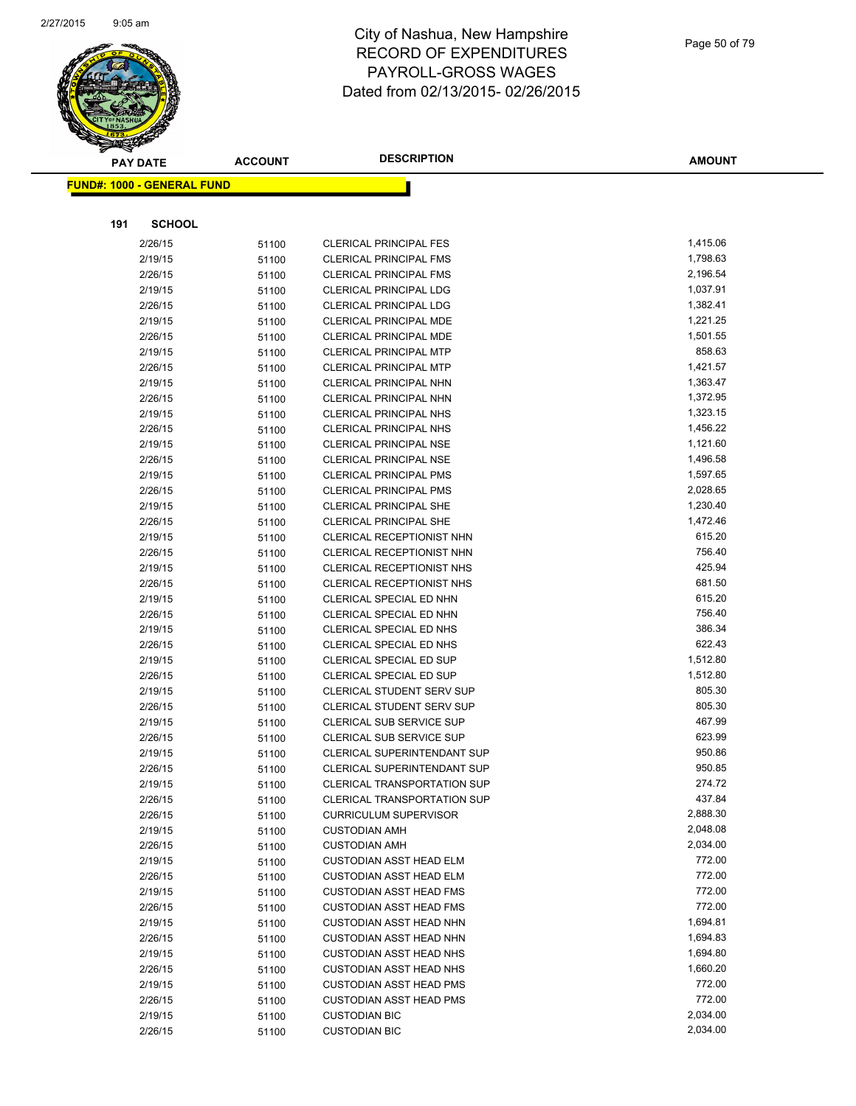

| <b>PAY DATE</b>                   | <b>ACCOUNT</b> | <b>DESCRIPTION</b>                                   | <b>AMOUNT</b>    |
|-----------------------------------|----------------|------------------------------------------------------|------------------|
| <b>FUND#: 1000 - GENERAL FUND</b> |                |                                                      |                  |
|                                   |                |                                                      |                  |
|                                   |                |                                                      |                  |
| 191                               | <b>SCHOOL</b>  |                                                      |                  |
| 2/26/15                           | 51100          | <b>CLERICAL PRINCIPAL FES</b>                        | 1,415.06         |
| 2/19/15                           | 51100          | <b>CLERICAL PRINCIPAL FMS</b>                        | 1,798.63         |
| 2/26/15                           | 51100          | <b>CLERICAL PRINCIPAL FMS</b>                        | 2,196.54         |
| 2/19/15                           | 51100          | <b>CLERICAL PRINCIPAL LDG</b>                        | 1,037.91         |
| 2/26/15                           | 51100          | <b>CLERICAL PRINCIPAL LDG</b>                        | 1,382.41         |
| 2/19/15                           | 51100          | <b>CLERICAL PRINCIPAL MDE</b>                        | 1,221.25         |
| 2/26/15                           | 51100          | CLERICAL PRINCIPAL MDE                               | 1,501.55         |
| 2/19/15                           | 51100          | <b>CLERICAL PRINCIPAL MTP</b>                        | 858.63           |
| 2/26/15                           | 51100          | <b>CLERICAL PRINCIPAL MTP</b>                        | 1,421.57         |
| 2/19/15                           | 51100          | CLERICAL PRINCIPAL NHN                               | 1,363.47         |
| 2/26/15                           | 51100          | <b>CLERICAL PRINCIPAL NHN</b>                        | 1,372.95         |
| 2/19/15                           | 51100          | <b>CLERICAL PRINCIPAL NHS</b>                        | 1,323.15         |
| 2/26/15                           | 51100          | <b>CLERICAL PRINCIPAL NHS</b>                        | 1,456.22         |
| 2/19/15                           | 51100          | <b>CLERICAL PRINCIPAL NSE</b>                        | 1,121.60         |
| 2/26/15                           | 51100          | <b>CLERICAL PRINCIPAL NSE</b>                        | 1,496.58         |
| 2/19/15                           | 51100          | <b>CLERICAL PRINCIPAL PMS</b>                        | 1,597.65         |
| 2/26/15                           | 51100          | <b>CLERICAL PRINCIPAL PMS</b>                        | 2,028.65         |
| 2/19/15                           | 51100          | <b>CLERICAL PRINCIPAL SHE</b>                        | 1,230.40         |
| 2/26/15                           | 51100          | <b>CLERICAL PRINCIPAL SHE</b>                        | 1,472.46         |
| 2/19/15                           | 51100          | CLERICAL RECEPTIONIST NHN                            | 615.20           |
| 2/26/15                           | 51100          | CLERICAL RECEPTIONIST NHN                            | 756.40           |
| 2/19/15                           | 51100          | <b>CLERICAL RECEPTIONIST NHS</b>                     | 425.94           |
| 2/26/15                           | 51100          | CLERICAL RECEPTIONIST NHS                            | 681.50           |
| 2/19/15                           | 51100          | CLERICAL SPECIAL ED NHN                              | 615.20           |
| 2/26/15                           | 51100          | CLERICAL SPECIAL ED NHN                              | 756.40           |
| 2/19/15                           | 51100          | CLERICAL SPECIAL ED NHS                              | 386.34           |
| 2/26/15                           | 51100          | CLERICAL SPECIAL ED NHS                              | 622.43           |
| 2/19/15                           | 51100          | CLERICAL SPECIAL ED SUP                              | 1,512.80         |
| 2/26/15                           | 51100          | CLERICAL SPECIAL ED SUP                              | 1,512.80         |
| 2/19/15                           | 51100          | <b>CLERICAL STUDENT SERV SUP</b>                     | 805.30           |
| 2/26/15                           | 51100          | <b>CLERICAL STUDENT SERV SUP</b>                     | 805.30           |
| 2/19/15                           | 51100          | CLERICAL SUB SERVICE SUP                             | 467.99           |
| 2/26/15                           | 51100          | <b>CLERICAL SUB SERVICE SUP</b>                      | 623.99           |
| 2/19/15                           | 51100          | CLERICAL SUPERINTENDANT SUP                          | 950.86           |
| 2/26/15                           | 51100          | <b>CLERICAL SUPERINTENDANT SUP</b>                   | 950.85           |
| 2/19/15                           | 51100          | CLERICAL TRANSPORTATION SUP                          | 274.72<br>437.84 |
| 2/26/15                           | 51100          | <b>CLERICAL TRANSPORTATION SUP</b>                   | 2,888.30         |
| 2/26/15<br>2/19/15                | 51100          | <b>CURRICULUM SUPERVISOR</b><br><b>CUSTODIAN AMH</b> | 2,048.08         |
| 2/26/15                           | 51100          | <b>CUSTODIAN AMH</b>                                 | 2,034.00         |
| 2/19/15                           | 51100          | <b>CUSTODIAN ASST HEAD ELM</b>                       | 772.00           |
| 2/26/15                           | 51100          | <b>CUSTODIAN ASST HEAD ELM</b>                       | 772.00           |
| 2/19/15                           | 51100<br>51100 | <b>CUSTODIAN ASST HEAD FMS</b>                       | 772.00           |
| 2/26/15                           |                | <b>CUSTODIAN ASST HEAD FMS</b>                       | 772.00           |
| 2/19/15                           | 51100          | <b>CUSTODIAN ASST HEAD NHN</b>                       | 1,694.81         |
| 2/26/15                           | 51100<br>51100 | <b>CUSTODIAN ASST HEAD NHN</b>                       | 1,694.83         |
| 2/19/15                           |                | <b>CUSTODIAN ASST HEAD NHS</b>                       | 1,694.80         |
| 2/26/15                           | 51100<br>51100 | <b>CUSTODIAN ASST HEAD NHS</b>                       | 1,660.20         |
| 2/19/15                           |                | <b>CUSTODIAN ASST HEAD PMS</b>                       | 772.00           |
| 2/26/15                           | 51100<br>51100 | <b>CUSTODIAN ASST HEAD PMS</b>                       | 772.00           |
| 2/19/15                           |                | <b>CUSTODIAN BIC</b>                                 | 2,034.00         |
| 2/26/15                           | 51100          | <b>CUSTODIAN BIC</b>                                 | 2,034.00         |
|                                   | 51100          |                                                      |                  |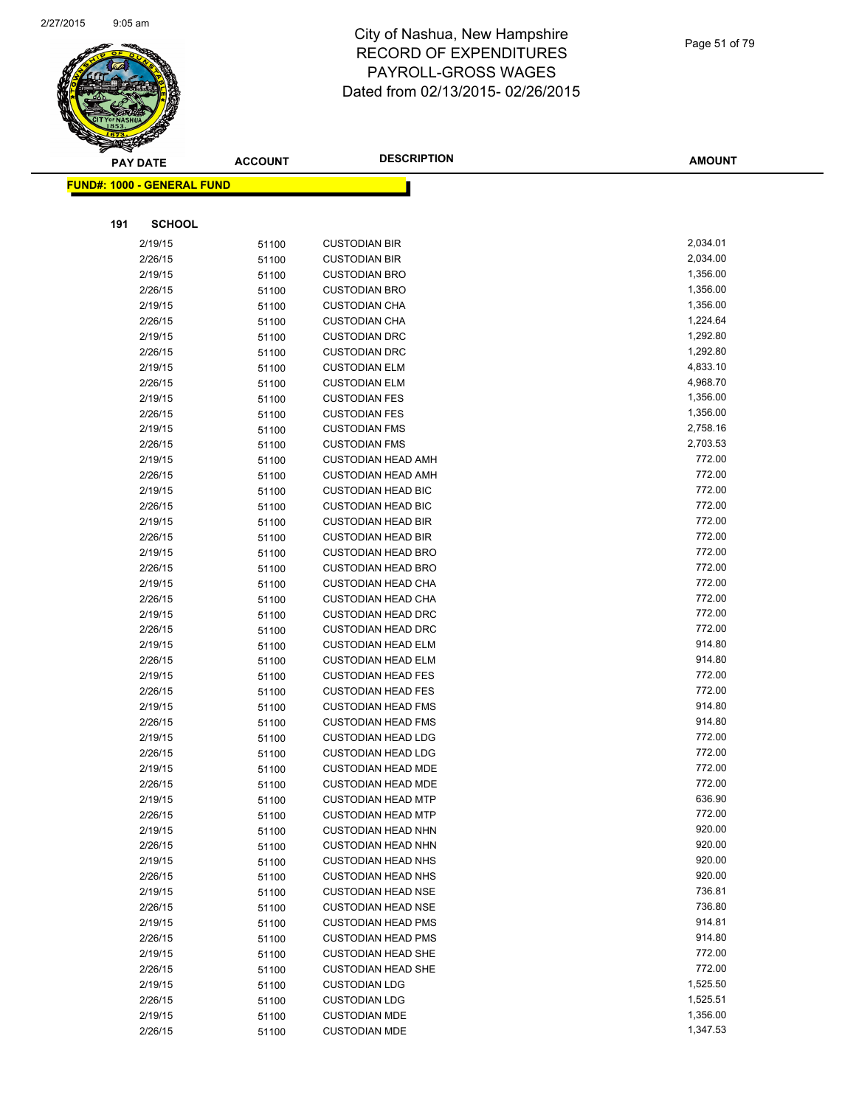

| $\tilde{\phantom{a}}$ | <b>PAY DATE</b>                   | <b>ACCOUNT</b> | <b>DESCRIPTION</b>                                | <b>AMOUNT</b>        |
|-----------------------|-----------------------------------|----------------|---------------------------------------------------|----------------------|
|                       | <b>FUND#: 1000 - GENERAL FUND</b> |                |                                                   |                      |
|                       |                                   |                |                                                   |                      |
|                       |                                   |                |                                                   |                      |
| 191                   | <b>SCHOOL</b>                     |                |                                                   |                      |
|                       | 2/19/15                           | 51100          | <b>CUSTODIAN BIR</b>                              | 2,034.01             |
|                       | 2/26/15                           | 51100          | <b>CUSTODIAN BIR</b>                              | 2,034.00             |
|                       | 2/19/15                           | 51100          | <b>CUSTODIAN BRO</b>                              | 1,356.00             |
|                       | 2/26/15                           | 51100          | <b>CUSTODIAN BRO</b>                              | 1,356.00             |
|                       | 2/19/15                           | 51100          | <b>CUSTODIAN CHA</b>                              | 1,356.00             |
|                       | 2/26/15                           | 51100          | <b>CUSTODIAN CHA</b>                              | 1,224.64             |
|                       | 2/19/15                           | 51100          | <b>CUSTODIAN DRC</b>                              | 1,292.80             |
|                       | 2/26/15                           | 51100          | <b>CUSTODIAN DRC</b>                              | 1,292.80             |
|                       | 2/19/15                           | 51100          | <b>CUSTODIAN ELM</b>                              | 4,833.10             |
|                       | 2/26/15                           | 51100          | <b>CUSTODIAN ELM</b>                              | 4,968.70             |
|                       | 2/19/15                           | 51100          | <b>CUSTODIAN FES</b>                              | 1,356.00<br>1,356.00 |
|                       | 2/26/15                           | 51100          | <b>CUSTODIAN FES</b>                              | 2,758.16             |
|                       | 2/19/15<br>2/26/15                | 51100          | <b>CUSTODIAN FMS</b>                              | 2,703.53             |
|                       | 2/19/15                           | 51100          | <b>CUSTODIAN FMS</b><br><b>CUSTODIAN HEAD AMH</b> | 772.00               |
|                       | 2/26/15                           | 51100<br>51100 | <b>CUSTODIAN HEAD AMH</b>                         | 772.00               |
|                       | 2/19/15                           | 51100          | <b>CUSTODIAN HEAD BIC</b>                         | 772.00               |
|                       | 2/26/15                           | 51100          | <b>CUSTODIAN HEAD BIC</b>                         | 772.00               |
|                       | 2/19/15                           | 51100          | <b>CUSTODIAN HEAD BIR</b>                         | 772.00               |
|                       | 2/26/15                           | 51100          | <b>CUSTODIAN HEAD BIR</b>                         | 772.00               |
|                       | 2/19/15                           | 51100          | <b>CUSTODIAN HEAD BRO</b>                         | 772.00               |
|                       | 2/26/15                           | 51100          | <b>CUSTODIAN HEAD BRO</b>                         | 772.00               |
|                       | 2/19/15                           | 51100          | <b>CUSTODIAN HEAD CHA</b>                         | 772.00               |
|                       | 2/26/15                           | 51100          | <b>CUSTODIAN HEAD CHA</b>                         | 772.00               |
|                       | 2/19/15                           | 51100          | <b>CUSTODIAN HEAD DRC</b>                         | 772.00               |
|                       | 2/26/15                           | 51100          | <b>CUSTODIAN HEAD DRC</b>                         | 772.00               |
|                       | 2/19/15                           | 51100          | <b>CUSTODIAN HEAD ELM</b>                         | 914.80               |
|                       | 2/26/15                           | 51100          | <b>CUSTODIAN HEAD ELM</b>                         | 914.80               |
|                       | 2/19/15                           | 51100          | <b>CUSTODIAN HEAD FES</b>                         | 772.00               |
|                       | 2/26/15                           | 51100          | <b>CUSTODIAN HEAD FES</b>                         | 772.00               |
|                       | 2/19/15                           | 51100          | <b>CUSTODIAN HEAD FMS</b>                         | 914.80               |
|                       | 2/26/15                           | 51100          | <b>CUSTODIAN HEAD FMS</b>                         | 914.80               |
|                       | 2/19/15                           | 51100          | <b>CUSTODIAN HEAD LDG</b>                         | 772.00               |
|                       | 2/26/15                           | 51100          | <b>CUSTODIAN HEAD LDG</b>                         | 772.00               |
|                       | 2/19/15                           | 51100          | <b>CUSTODIAN HEAD MDE</b>                         | 772.00               |
|                       | 2/26/15                           | 51100          | <b>CUSTODIAN HEAD MDE</b>                         | 772.00               |
|                       | 2/19/15                           | 51100          | <b>CUSTODIAN HEAD MTP</b>                         | 636.90               |
|                       | 2/26/15                           | 51100          | <b>CUSTODIAN HEAD MTP</b>                         | 772.00               |
|                       | 2/19/15                           | 51100          | <b>CUSTODIAN HEAD NHN</b>                         | 920.00               |
|                       | 2/26/15                           | 51100          | <b>CUSTODIAN HEAD NHN</b>                         | 920.00               |
|                       | 2/19/15                           | 51100          | <b>CUSTODIAN HEAD NHS</b>                         | 920.00               |
|                       | 2/26/15                           | 51100          | <b>CUSTODIAN HEAD NHS</b>                         | 920.00               |
|                       | 2/19/15                           | 51100          | <b>CUSTODIAN HEAD NSE</b>                         | 736.81               |
|                       | 2/26/15                           | 51100          | <b>CUSTODIAN HEAD NSE</b>                         | 736.80               |
|                       | 2/19/15                           | 51100          | <b>CUSTODIAN HEAD PMS</b>                         | 914.81               |
|                       | 2/26/15                           | 51100          | <b>CUSTODIAN HEAD PMS</b>                         | 914.80               |
|                       | 2/19/15                           | 51100          | <b>CUSTODIAN HEAD SHE</b>                         | 772.00               |
|                       | 2/26/15                           | 51100          | <b>CUSTODIAN HEAD SHE</b>                         | 772.00               |
|                       | 2/19/15                           | 51100          | <b>CUSTODIAN LDG</b>                              | 1,525.50             |
|                       | 2/26/15                           | 51100          | <b>CUSTODIAN LDG</b>                              | 1,525.51             |
|                       | 2/19/15                           | 51100          | <b>CUSTODIAN MDE</b>                              | 1,356.00             |
|                       | 2/26/15                           | 51100          | <b>CUSTODIAN MDE</b>                              | 1,347.53             |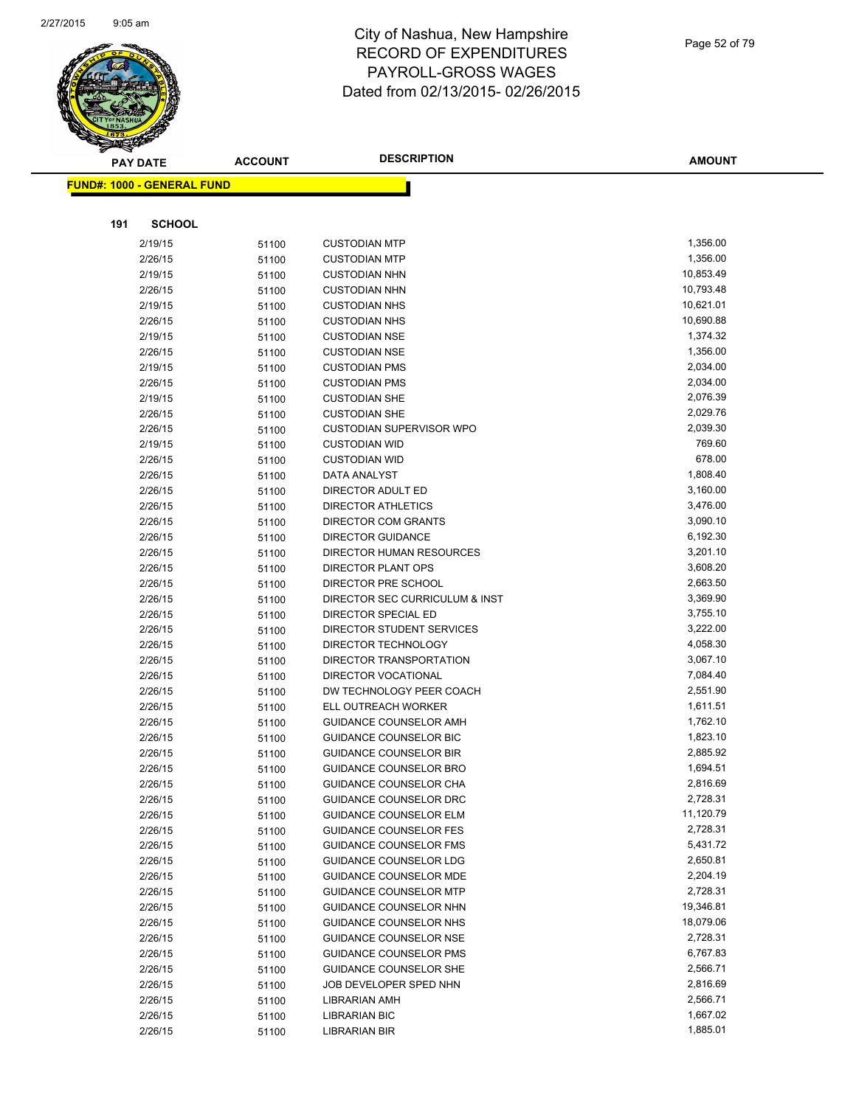

|     | <b>PAY DATE</b>                    | <b>ACCOUNT</b> | <b>DESCRIPTION</b>                                      | <b>AMOUNT</b>        |
|-----|------------------------------------|----------------|---------------------------------------------------------|----------------------|
|     | <u> FUND#: 1000 - GENERAL FUND</u> |                |                                                         |                      |
|     |                                    |                |                                                         |                      |
|     |                                    |                |                                                         |                      |
| 191 | <b>SCHOOL</b>                      |                |                                                         |                      |
|     | 2/19/15                            | 51100          | <b>CUSTODIAN MTP</b>                                    | 1,356.00             |
|     | 2/26/15                            | 51100          | <b>CUSTODIAN MTP</b>                                    | 1,356.00             |
|     | 2/19/15                            | 51100          | <b>CUSTODIAN NHN</b>                                    | 10,853.49            |
|     | 2/26/15                            | 51100          | <b>CUSTODIAN NHN</b>                                    | 10,793.48            |
|     | 2/19/15                            | 51100          | <b>CUSTODIAN NHS</b>                                    | 10,621.01            |
|     | 2/26/15                            | 51100          | <b>CUSTODIAN NHS</b>                                    | 10,690.88            |
|     | 2/19/15                            | 51100          | <b>CUSTODIAN NSE</b>                                    | 1,374.32             |
|     | 2/26/15                            | 51100          | <b>CUSTODIAN NSE</b>                                    | 1,356.00             |
|     | 2/19/15                            | 51100          | <b>CUSTODIAN PMS</b>                                    | 2,034.00             |
|     | 2/26/15                            | 51100          | <b>CUSTODIAN PMS</b>                                    | 2,034.00             |
|     | 2/19/15                            | 51100          | <b>CUSTODIAN SHE</b>                                    | 2,076.39             |
|     | 2/26/15                            | 51100          | <b>CUSTODIAN SHE</b>                                    | 2,029.76             |
|     | 2/26/15                            | 51100          | <b>CUSTODIAN SUPERVISOR WPO</b>                         | 2,039.30             |
|     | 2/19/15                            | 51100          | <b>CUSTODIAN WID</b>                                    | 769.60               |
|     | 2/26/15                            | 51100          | <b>CUSTODIAN WID</b>                                    | 678.00               |
|     | 2/26/15                            | 51100          | DATA ANALYST                                            | 1,808.40             |
|     | 2/26/15                            | 51100          | DIRECTOR ADULT ED                                       | 3,160.00             |
|     | 2/26/15                            | 51100          | <b>DIRECTOR ATHLETICS</b><br><b>DIRECTOR COM GRANTS</b> | 3,476.00<br>3,090.10 |
|     | 2/26/15                            | 51100          |                                                         | 6,192.30             |
|     | 2/26/15                            | 51100          | <b>DIRECTOR GUIDANCE</b>                                | 3,201.10             |
|     | 2/26/15<br>2/26/15                 | 51100          | DIRECTOR HUMAN RESOURCES<br>DIRECTOR PLANT OPS          | 3,608.20             |
|     | 2/26/15                            | 51100          | DIRECTOR PRE SCHOOL                                     | 2,663.50             |
|     | 2/26/15                            | 51100<br>51100 | DIRECTOR SEC CURRICULUM & INST                          | 3,369.90             |
|     | 2/26/15                            |                | DIRECTOR SPECIAL ED                                     | 3,755.10             |
|     | 2/26/15                            | 51100<br>51100 | DIRECTOR STUDENT SERVICES                               | 3,222.00             |
|     | 2/26/15                            | 51100          | DIRECTOR TECHNOLOGY                                     | 4,058.30             |
|     | 2/26/15                            | 51100          | DIRECTOR TRANSPORTATION                                 | 3,067.10             |
|     | 2/26/15                            | 51100          | <b>DIRECTOR VOCATIONAL</b>                              | 7,084.40             |
|     | 2/26/15                            | 51100          | DW TECHNOLOGY PEER COACH                                | 2,551.90             |
|     | 2/26/15                            | 51100          | ELL OUTREACH WORKER                                     | 1,611.51             |
|     | 2/26/15                            | 51100          | GUIDANCE COUNSELOR AMH                                  | 1,762.10             |
|     | 2/26/15                            | 51100          | <b>GUIDANCE COUNSELOR BIC</b>                           | 1,823.10             |
|     | 2/26/15                            | 51100          | <b>GUIDANCE COUNSELOR BIR</b>                           | 2,885.92             |
|     | 2/26/15                            | 51100          | <b>GUIDANCE COUNSELOR BRO</b>                           | 1,694.51             |
|     | 2/26/15                            | 51100          | GUIDANCE COUNSELOR CHA                                  | 2,816.69             |
|     | 2/26/15                            | 51100          | GUIDANCE COUNSELOR DRC                                  | 2,728.31             |
|     | 2/26/15                            | 51100          | <b>GUIDANCE COUNSELOR ELM</b>                           | 11,120.79            |
|     | 2/26/15                            | 51100          | <b>GUIDANCE COUNSELOR FES</b>                           | 2,728.31             |
|     | 2/26/15                            | 51100          | <b>GUIDANCE COUNSELOR FMS</b>                           | 5,431.72             |
|     | 2/26/15                            | 51100          | GUIDANCE COUNSELOR LDG                                  | 2,650.81             |
|     | 2/26/15                            | 51100          | GUIDANCE COUNSELOR MDE                                  | 2,204.19             |
|     | 2/26/15                            | 51100          | <b>GUIDANCE COUNSELOR MTP</b>                           | 2,728.31             |
|     | 2/26/15                            | 51100          | GUIDANCE COUNSELOR NHN                                  | 19,346.81            |
|     | 2/26/15                            | 51100          | GUIDANCE COUNSELOR NHS                                  | 18,079.06            |
|     | 2/26/15                            | 51100          | GUIDANCE COUNSELOR NSE                                  | 2,728.31             |
|     | 2/26/15                            | 51100          | <b>GUIDANCE COUNSELOR PMS</b>                           | 6,767.83             |
|     | 2/26/15                            | 51100          | GUIDANCE COUNSELOR SHE                                  | 2,566.71             |
|     | 2/26/15                            | 51100          | JOB DEVELOPER SPED NHN                                  | 2,816.69             |
|     | 2/26/15                            | 51100          | LIBRARIAN AMH                                           | 2,566.71             |
|     | 2/26/15                            | 51100          | <b>LIBRARIAN BIC</b>                                    | 1,667.02             |
|     | 2/26/15                            | 51100          | <b>LIBRARIAN BIR</b>                                    | 1,885.01             |
|     |                                    |                |                                                         |                      |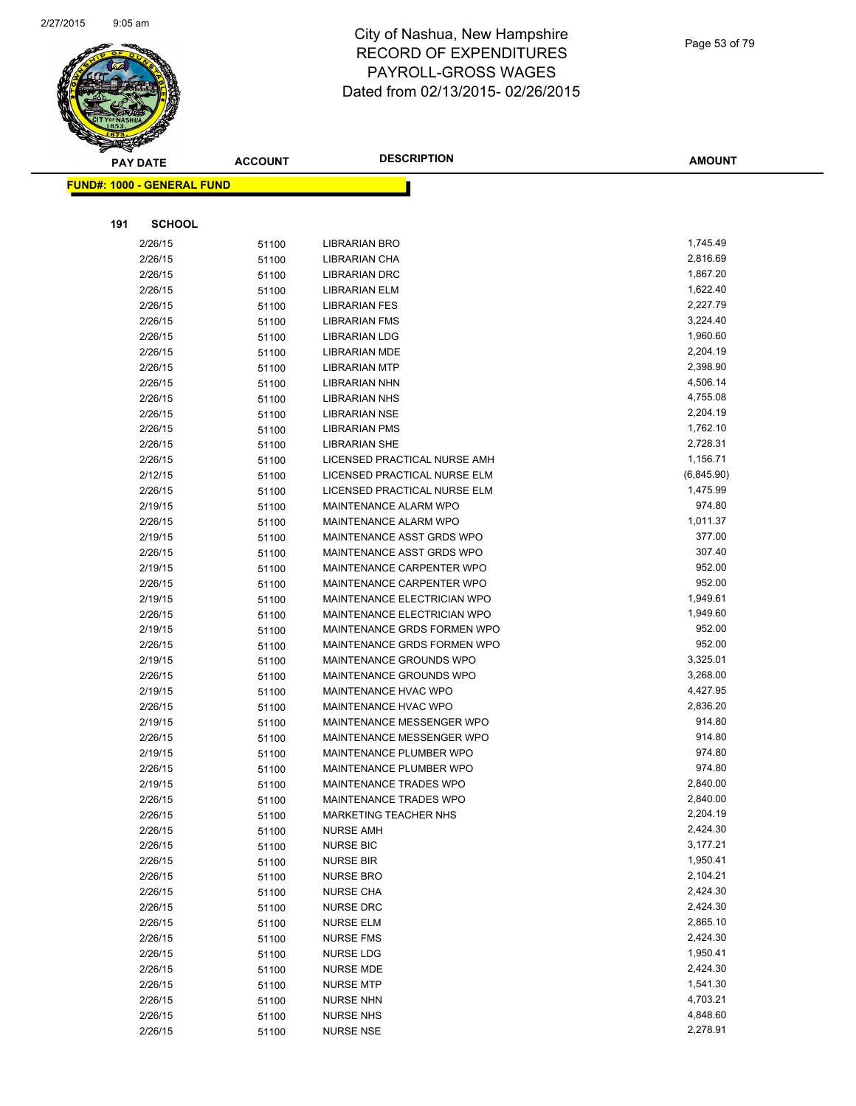

| <b>PAY DATE</b>                   | <b>ACCOUNT</b> | <b>DESCRIPTION</b>           | <b>AMOUNT</b>        |
|-----------------------------------|----------------|------------------------------|----------------------|
| <b>FUND#: 1000 - GENERAL FUND</b> |                |                              |                      |
|                                   |                |                              |                      |
|                                   |                |                              |                      |
| <b>SCHOOL</b><br>191              |                |                              |                      |
| 2/26/15                           | 51100          | LIBRARIAN BRO                | 1,745.49             |
| 2/26/15                           | 51100          | LIBRARIAN CHA                | 2,816.69             |
| 2/26/15                           | 51100          | <b>LIBRARIAN DRC</b>         | 1,867.20             |
| 2/26/15                           | 51100          | LIBRARIAN ELM                | 1,622.40             |
| 2/26/15                           | 51100          | <b>LIBRARIAN FES</b>         | 2,227.79             |
| 2/26/15                           | 51100          | <b>LIBRARIAN FMS</b>         | 3,224.40             |
| 2/26/15                           | 51100          | <b>LIBRARIAN LDG</b>         | 1,960.60             |
| 2/26/15                           | 51100          | <b>LIBRARIAN MDE</b>         | 2,204.19             |
| 2/26/15                           | 51100          | <b>LIBRARIAN MTP</b>         | 2,398.90             |
| 2/26/15                           | 51100          | LIBRARIAN NHN                | 4,506.14             |
| 2/26/15                           | 51100          | <b>LIBRARIAN NHS</b>         | 4,755.08             |
| 2/26/15                           | 51100          | LIBRARIAN NSE                | 2,204.19             |
| 2/26/15                           | 51100          | <b>LIBRARIAN PMS</b>         | 1,762.10             |
| 2/26/15                           | 51100          | <b>LIBRARIAN SHE</b>         | 2,728.31             |
| 2/26/15                           | 51100          | LICENSED PRACTICAL NURSE AMH | 1,156.71             |
| 2/12/15                           | 51100          | LICENSED PRACTICAL NURSE ELM | (6,845.90)           |
| 2/26/15                           | 51100          | LICENSED PRACTICAL NURSE ELM | 1,475.99             |
| 2/19/15                           | 51100          | MAINTENANCE ALARM WPO        | 974.80               |
| 2/26/15                           | 51100          | MAINTENANCE ALARM WPO        | 1,011.37             |
| 2/19/15                           | 51100          | MAINTENANCE ASST GRDS WPO    | 377.00               |
| 2/26/15                           |                | MAINTENANCE ASST GRDS WPO    | 307.40               |
| 2/19/15                           | 51100          | MAINTENANCE CARPENTER WPO    | 952.00               |
| 2/26/15                           | 51100          | MAINTENANCE CARPENTER WPO    | 952.00               |
| 2/19/15                           | 51100          | MAINTENANCE ELECTRICIAN WPO  | 1,949.61             |
| 2/26/15                           | 51100          | MAINTENANCE ELECTRICIAN WPO  | 1,949.60             |
| 2/19/15                           | 51100          | MAINTENANCE GRDS FORMEN WPO  | 952.00               |
| 2/26/15                           | 51100          | MAINTENANCE GRDS FORMEN WPO  | 952.00               |
| 2/19/15                           | 51100          | MAINTENANCE GROUNDS WPO      | 3,325.01             |
| 2/26/15                           | 51100          | MAINTENANCE GROUNDS WPO      | 3,268.00             |
| 2/19/15                           | 51100          | MAINTENANCE HVAC WPO         | 4,427.95             |
| 2/26/15                           | 51100<br>51100 | MAINTENANCE HVAC WPO         | 2,836.20             |
| 2/19/15                           |                | MAINTENANCE MESSENGER WPO    | 914.80               |
| 2/26/15                           | 51100          | MAINTENANCE MESSENGER WPO    | 914.80               |
|                                   | 51100          | MAINTENANCE PLUMBER WPO      | 974.80               |
| 2/19/15<br>2/26/15                | 51100          | MAINTENANCE PLUMBER WPO      | 974.80               |
|                                   | 51100          |                              | 2,840.00             |
| 2/19/15                           | 51100          | MAINTENANCE TRADES WPO       | 2,840.00             |
| 2/26/15<br>2/26/15                | 51100          | MAINTENANCE TRADES WPO       | 2,204.19             |
|                                   | 51100          | MARKETING TEACHER NHS        | 2,424.30             |
| 2/26/15                           | 51100          | <b>NURSE AMH</b>             | 3,177.21             |
| 2/26/15                           | 51100          | <b>NURSE BIC</b>             | 1,950.41             |
| 2/26/15                           | 51100          | <b>NURSE BIR</b>             | 2,104.21             |
| 2/26/15                           | 51100          | <b>NURSE BRO</b>             | 2,424.30             |
| 2/26/15<br>2/26/15                | 51100          | <b>NURSE CHA</b>             | 2,424.30             |
| 2/26/15                           | 51100          | <b>NURSE DRC</b>             | 2,865.10             |
|                                   | 51100          | <b>NURSE ELM</b>             |                      |
| 2/26/15<br>2/26/15                | 51100          | <b>NURSE FMS</b>             | 2,424.30<br>1,950.41 |
|                                   | 51100          | NURSE LDG                    | 2,424.30             |
| 2/26/15                           | 51100          | <b>NURSE MDE</b>             |                      |
| 2/26/15                           | 51100          | <b>NURSE MTP</b>             | 1,541.30<br>4,703.21 |
| 2/26/15                           | 51100          | <b>NURSE NHN</b>             |                      |
| 2/26/15                           | 51100          | <b>NURSE NHS</b>             | 4,848.60<br>2,278.91 |
| 2/26/15                           | 51100          | <b>NURSE NSE</b>             |                      |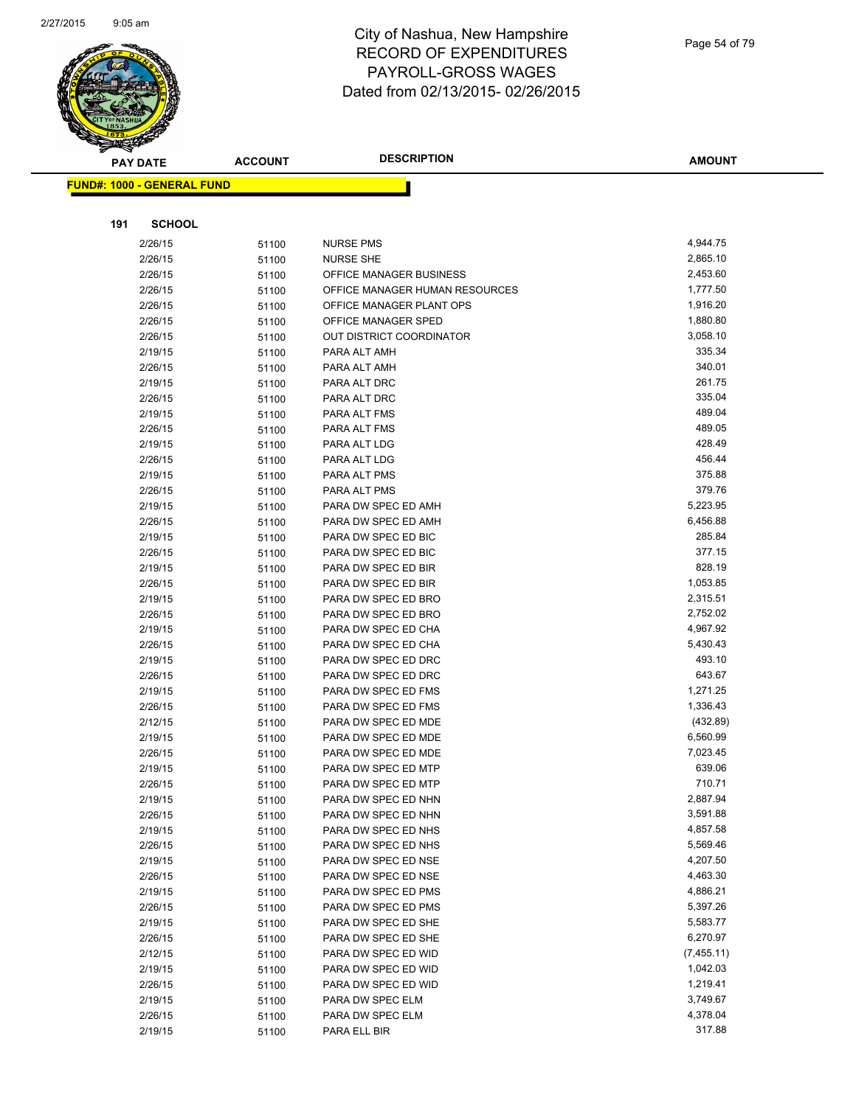

| <b>PAY DATE</b>                   | <b>ACCOUNT</b> | <b>DESCRIPTION</b>                         | <b>AMOUNT</b>        |
|-----------------------------------|----------------|--------------------------------------------|----------------------|
| <b>FUND#: 1000 - GENERAL FUND</b> |                |                                            |                      |
|                                   |                |                                            |                      |
|                                   |                |                                            |                      |
| <b>SCHOOL</b><br>191              |                |                                            |                      |
| 2/26/15                           | 51100          | <b>NURSE PMS</b>                           | 4,944.75             |
| 2/26/15                           | 51100          | <b>NURSE SHE</b>                           | 2,865.10             |
| 2/26/15                           | 51100          | OFFICE MANAGER BUSINESS                    | 2,453.60             |
| 2/26/15                           | 51100          | OFFICE MANAGER HUMAN RESOURCES             | 1,777.50             |
| 2/26/15                           | 51100          | OFFICE MANAGER PLANT OPS                   | 1,916.20             |
| 2/26/15                           | 51100          | OFFICE MANAGER SPED                        | 1,880.80             |
| 2/26/15                           | 51100          | <b>OUT DISTRICT COORDINATOR</b>            | 3,058.10             |
| 2/19/15                           | 51100          | PARA ALT AMH                               | 335.34               |
| 2/26/15                           | 51100          | PARA ALT AMH                               | 340.01               |
| 2/19/15                           | 51100          | PARA ALT DRC                               | 261.75               |
| 2/26/15                           | 51100          | PARA ALT DRC                               | 335.04               |
| 2/19/15                           | 51100          | PARA ALT FMS                               | 489.04               |
| 2/26/15                           | 51100          | PARA ALT FMS                               | 489.05               |
| 2/19/15                           | 51100          | PARA ALT LDG                               | 428.49               |
| 2/26/15                           | 51100          | PARA ALT LDG                               | 456.44               |
| 2/19/15                           | 51100          | PARA ALT PMS                               | 375.88               |
| 2/26/15                           | 51100          | PARA ALT PMS                               | 379.76               |
| 2/19/15                           | 51100          | PARA DW SPEC ED AMH                        | 5,223.95             |
| 2/26/15                           | 51100          | PARA DW SPEC ED AMH                        | 6,456.88             |
| 2/19/15                           | 51100          | PARA DW SPEC ED BIC                        | 285.84               |
| 2/26/15                           | 51100          | PARA DW SPEC ED BIC                        | 377.15               |
| 2/19/15                           | 51100          | PARA DW SPEC ED BIR                        | 828.19               |
| 2/26/15                           | 51100          | PARA DW SPEC ED BIR                        | 1,053.85             |
| 2/19/15                           | 51100          | PARA DW SPEC ED BRO                        | 2,315.51<br>2,752.02 |
| 2/26/15                           | 51100          | PARA DW SPEC ED BRO<br>PARA DW SPEC ED CHA | 4,967.92             |
| 2/19/15<br>2/26/15                | 51100          | PARA DW SPEC ED CHA                        | 5,430.43             |
| 2/19/15                           | 51100<br>51100 | PARA DW SPEC ED DRC                        | 493.10               |
| 2/26/15                           | 51100          | PARA DW SPEC ED DRC                        | 643.67               |
| 2/19/15                           | 51100          | PARA DW SPEC ED FMS                        | 1,271.25             |
| 2/26/15                           | 51100          | PARA DW SPEC ED FMS                        | 1,336.43             |
| 2/12/15                           | 51100          | PARA DW SPEC ED MDE                        | (432.89)             |
| 2/19/15                           | 51100          | PARA DW SPEC ED MDE                        | 6,560.99             |
| 2/26/15                           | 51100          | PARA DW SPEC ED MDE                        | 7,023.45             |
| 2/19/15                           | 51100          | PARA DW SPEC ED MTP                        | 639.06               |
| 2/26/15                           | 51100          | PARA DW SPEC ED MTP                        | 710.71               |
| 2/19/15                           | 51100          | PARA DW SPEC ED NHN                        | 2,887.94             |
| 2/26/15                           | 51100          | PARA DW SPEC ED NHN                        | 3,591.88             |
| 2/19/15                           | 51100          | PARA DW SPEC ED NHS                        | 4,857.58             |
| 2/26/15                           | 51100          | PARA DW SPEC ED NHS                        | 5,569.46             |
| 2/19/15                           | 51100          | PARA DW SPEC ED NSE                        | 4,207.50             |
| 2/26/15                           | 51100          | PARA DW SPEC ED NSE                        | 4,463.30             |
| 2/19/15                           | 51100          | PARA DW SPEC ED PMS                        | 4,886.21             |
| 2/26/15                           | 51100          | PARA DW SPEC ED PMS                        | 5,397.26             |
| 2/19/15                           | 51100          | PARA DW SPEC ED SHE                        | 5,583.77             |
| 2/26/15                           | 51100          | PARA DW SPEC ED SHE                        | 6,270.97             |
| 2/12/15                           | 51100          | PARA DW SPEC ED WID                        | (7,455.11)           |
| 2/19/15                           | 51100          | PARA DW SPEC ED WID                        | 1,042.03             |
| 2/26/15                           | 51100          | PARA DW SPEC ED WID                        | 1,219.41             |
| 2/19/15                           | 51100          | PARA DW SPEC ELM                           | 3,749.67             |
| 2/26/15                           | 51100          | PARA DW SPEC ELM                           | 4,378.04             |
| 2/19/15                           | 51100          | PARA ELL BIR                               | 317.88               |
|                                   |                |                                            |                      |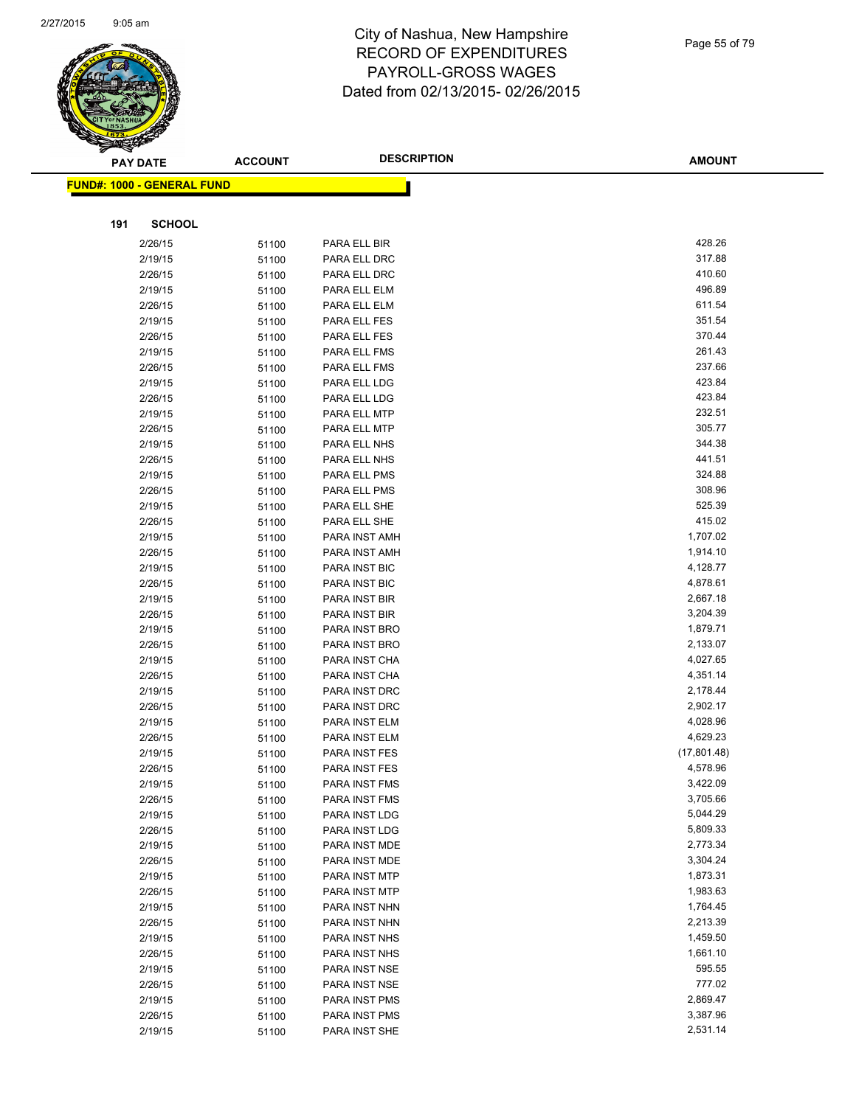

|     | <b>PAY DATE</b>                   | <b>ACCOUNT</b> | <b>DESCRIPTION</b>             | <b>AMOUNT</b>    |
|-----|-----------------------------------|----------------|--------------------------------|------------------|
|     | <b>FUND#: 1000 - GENERAL FUND</b> |                |                                |                  |
|     |                                   |                |                                |                  |
|     |                                   |                |                                |                  |
| 191 | <b>SCHOOL</b>                     |                |                                |                  |
|     | 2/26/15                           | 51100          | PARA ELL BIR                   | 428.26           |
|     | 2/19/15                           | 51100          | PARA ELL DRC                   | 317.88           |
|     | 2/26/15                           | 51100          | PARA ELL DRC                   | 410.60           |
|     | 2/19/15                           | 51100          | PARA ELL ELM                   | 496.89           |
|     | 2/26/15                           | 51100          | PARA ELL ELM                   | 611.54           |
|     | 2/19/15                           | 51100          | PARA ELL FES                   | 351.54           |
|     | 2/26/15                           | 51100          | PARA ELL FES                   | 370.44           |
|     | 2/19/15                           | 51100          | PARA ELL FMS                   | 261.43           |
|     | 2/26/15                           | 51100          | PARA ELL FMS                   | 237.66           |
|     | 2/19/15                           | 51100          | PARA ELL LDG                   | 423.84           |
|     | 2/26/15                           | 51100          | PARA ELL LDG                   | 423.84           |
|     | 2/19/15                           | 51100          | PARA ELL MTP                   | 232.51           |
|     | 2/26/15                           | 51100          | PARA ELL MTP                   | 305.77           |
|     | 2/19/15                           | 51100          | PARA ELL NHS                   | 344.38<br>441.51 |
|     | 2/26/15                           | 51100          | PARA ELL NHS                   |                  |
|     | 2/19/15                           | 51100          | PARA ELL PMS                   | 324.88           |
|     | 2/26/15                           | 51100          | PARA ELL PMS                   | 308.96<br>525.39 |
|     | 2/19/15                           | 51100          | PARA ELL SHE                   | 415.02           |
|     | 2/26/15<br>2/19/15                | 51100          | PARA ELL SHE                   | 1,707.02         |
|     | 2/26/15                           | 51100          | PARA INST AMH<br>PARA INST AMH | 1,914.10         |
|     | 2/19/15                           | 51100          | PARA INST BIC                  | 4,128.77         |
|     | 2/26/15                           | 51100          | <b>PARA INST BIC</b>           | 4,878.61         |
|     | 2/19/15                           | 51100<br>51100 | PARA INST BIR                  | 2,667.18         |
|     | 2/26/15                           | 51100          | PARA INST BIR                  | 3,204.39         |
|     | 2/19/15                           | 51100          | PARA INST BRO                  | 1,879.71         |
|     | 2/26/15                           | 51100          | PARA INST BRO                  | 2,133.07         |
|     | 2/19/15                           | 51100          | PARA INST CHA                  | 4,027.65         |
|     | 2/26/15                           | 51100          | PARA INST CHA                  | 4,351.14         |
|     | 2/19/15                           | 51100          | PARA INST DRC                  | 2,178.44         |
|     | 2/26/15                           | 51100          | PARA INST DRC                  | 2,902.17         |
|     | 2/19/15                           | 51100          | PARA INST ELM                  | 4,028.96         |
|     | 2/26/15                           | 51100          | PARA INST ELM                  | 4,629.23         |
|     | 2/19/15                           | 51100          | PARA INST FES                  | (17,801.48)      |
|     | 2/26/15                           | 51100          | PARA INST FES                  | 4,578.96         |
|     | 2/19/15                           | 51100          | <b>PARA INST FMS</b>           | 3,422.09         |
|     | 2/26/15                           | 51100          | PARA INST FMS                  | 3,705.66         |
|     | 2/19/15                           | 51100          | PARA INST LDG                  | 5,044.29         |
|     | 2/26/15                           | 51100          | PARA INST LDG                  | 5,809.33         |
|     | 2/19/15                           | 51100          | PARA INST MDE                  | 2,773.34         |
|     | 2/26/15                           | 51100          | PARA INST MDE                  | 3,304.24         |
|     | 2/19/15                           | 51100          | PARA INST MTP                  | 1,873.31         |
|     | 2/26/15                           | 51100          | PARA INST MTP                  | 1,983.63         |
|     | 2/19/15                           | 51100          | PARA INST NHN                  | 1,764.45         |
|     | 2/26/15                           | 51100          | PARA INST NHN                  | 2,213.39         |
|     | 2/19/15                           | 51100          | PARA INST NHS                  | 1,459.50         |
|     | 2/26/15                           | 51100          | PARA INST NHS                  | 1,661.10         |
|     | 2/19/15                           | 51100          | PARA INST NSE                  | 595.55           |
|     | 2/26/15                           | 51100          | PARA INST NSE                  | 777.02           |
|     | 2/19/15                           | 51100          | PARA INST PMS                  | 2,869.47         |
|     | 2/26/15                           | 51100          | PARA INST PMS                  | 3,387.96         |
|     | 2/19/15                           | 51100          | PARA INST SHE                  | 2,531.14         |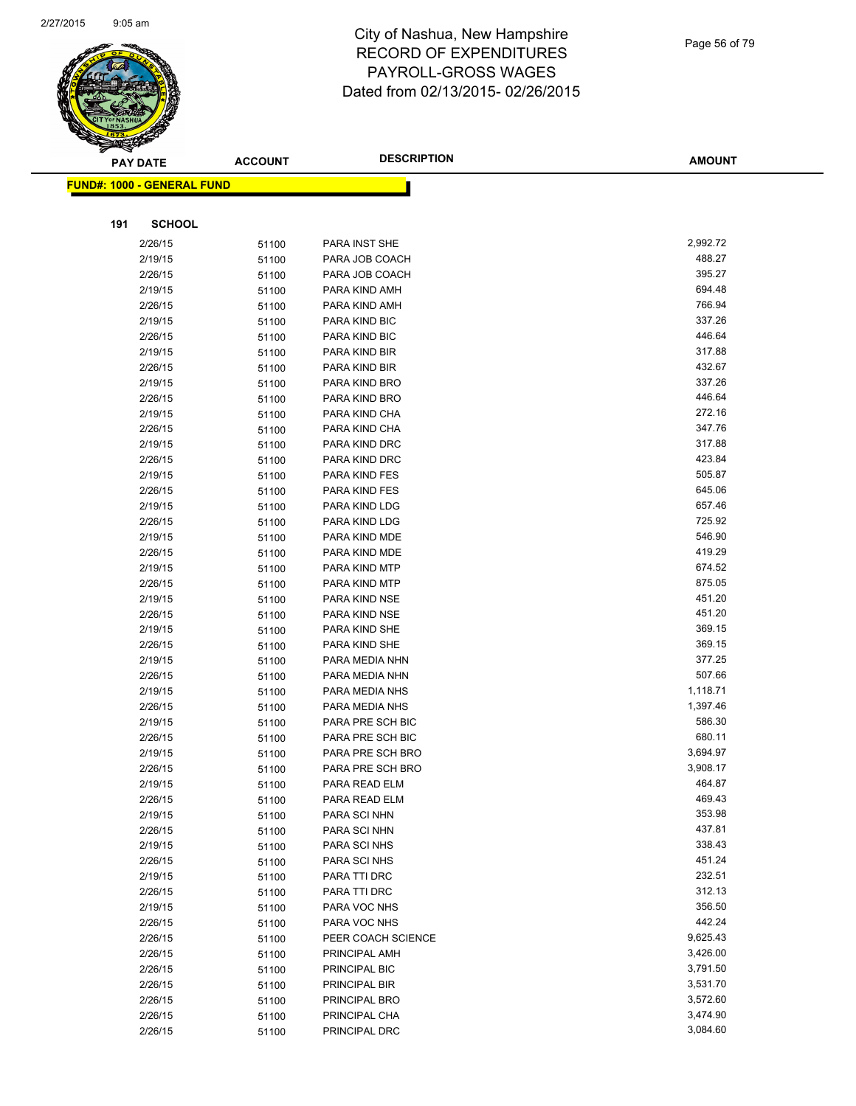

| <b>PAY DATE</b>                   | <b>ACCOUNT</b> | <b>DESCRIPTION</b> | <b>AMOUNT</b> |
|-----------------------------------|----------------|--------------------|---------------|
| <b>FUND#: 1000 - GENERAL FUND</b> |                |                    |               |
|                                   |                |                    |               |
|                                   |                |                    |               |
| <b>SCHOOL</b><br>191              |                |                    |               |
| 2/26/15                           | 51100          | PARA INST SHE      | 2,992.72      |
| 2/19/15                           | 51100          | PARA JOB COACH     | 488.27        |
| 2/26/15                           | 51100          | PARA JOB COACH     | 395.27        |
| 2/19/15                           | 51100          | PARA KIND AMH      | 694.48        |
| 2/26/15                           | 51100          | PARA KIND AMH      | 766.94        |
| 2/19/15                           | 51100          | PARA KIND BIC      | 337.26        |
| 2/26/15                           | 51100          | PARA KIND BIC      | 446.64        |
| 2/19/15                           | 51100          | PARA KIND BIR      | 317.88        |
| 2/26/15                           | 51100          | PARA KIND BIR      | 432.67        |
| 2/19/15                           | 51100          | PARA KIND BRO      | 337.26        |
| 2/26/15                           | 51100          | PARA KIND BRO      | 446.64        |
| 2/19/15                           | 51100          | PARA KIND CHA      | 272.16        |
| 2/26/15                           | 51100          | PARA KIND CHA      | 347.76        |
| 2/19/15                           | 51100          | PARA KIND DRC      | 317.88        |
| 2/26/15                           | 51100          | PARA KIND DRC      | 423.84        |
| 2/19/15                           | 51100          | PARA KIND FES      | 505.87        |
| 2/26/15                           | 51100          | PARA KIND FES      | 645.06        |
| 2/19/15                           | 51100          | PARA KIND LDG      | 657.46        |
| 2/26/15                           | 51100          | PARA KIND LDG      | 725.92        |
| 2/19/15                           | 51100          | PARA KIND MDE      | 546.90        |
| 2/26/15                           | 51100          | PARA KIND MDE      | 419.29        |
| 2/19/15                           | 51100          | PARA KIND MTP      | 674.52        |
| 2/26/15                           | 51100          | PARA KIND MTP      | 875.05        |
| 2/19/15                           | 51100          | PARA KIND NSE      | 451.20        |
| 2/26/15                           | 51100          | PARA KIND NSE      | 451.20        |
| 2/19/15                           | 51100          | PARA KIND SHE      | 369.15        |
| 2/26/15                           | 51100          | PARA KIND SHE      | 369.15        |
| 2/19/15                           | 51100          | PARA MEDIA NHN     | 377.25        |
| 2/26/15                           | 51100          | PARA MEDIA NHN     | 507.66        |
| 2/19/15                           | 51100          | PARA MEDIA NHS     | 1,118.71      |
| 2/26/15                           | 51100          | PARA MEDIA NHS     | 1,397.46      |
| 2/19/15                           | 51100          | PARA PRE SCH BIC   | 586.30        |
| 2/26/15                           | 51100          | PARA PRE SCH BIC   | 680.11        |
| 2/19/15                           | 51100          | PARA PRE SCH BRO   | 3,694.97      |
| 2/26/15                           | 51100          | PARA PRE SCH BRO   | 3,908.17      |
| 2/19/15                           | 51100          | PARA READ ELM      | 464.87        |
| 2/26/15                           | 51100          | PARA READ ELM      | 469.43        |
| 2/19/15                           | 51100          | PARA SCI NHN       | 353.98        |
| 2/26/15                           | 51100          | PARA SCI NHN       | 437.81        |
| 2/19/15                           | 51100          | PARA SCI NHS       | 338.43        |
| 2/26/15                           | 51100          | PARA SCI NHS       | 451.24        |
| 2/19/15                           | 51100          | PARA TTI DRC       | 232.51        |
| 2/26/15                           | 51100          | PARA TTI DRC       | 312.13        |
| 2/19/15                           | 51100          | PARA VOC NHS       | 356.50        |
| 2/26/15                           | 51100          | PARA VOC NHS       | 442.24        |
| 2/26/15                           | 51100          | PEER COACH SCIENCE | 9,625.43      |
| 2/26/15                           | 51100          | PRINCIPAL AMH      | 3,426.00      |
| 2/26/15                           | 51100          | PRINCIPAL BIC      | 3,791.50      |
| 2/26/15                           | 51100          | PRINCIPAL BIR      | 3,531.70      |
| 2/26/15                           | 51100          | PRINCIPAL BRO      | 3,572.60      |
| 2/26/15                           | 51100          | PRINCIPAL CHA      | 3,474.90      |
| 2/26/15                           | 51100          | PRINCIPAL DRC      | 3,084.60      |
|                                   |                |                    |               |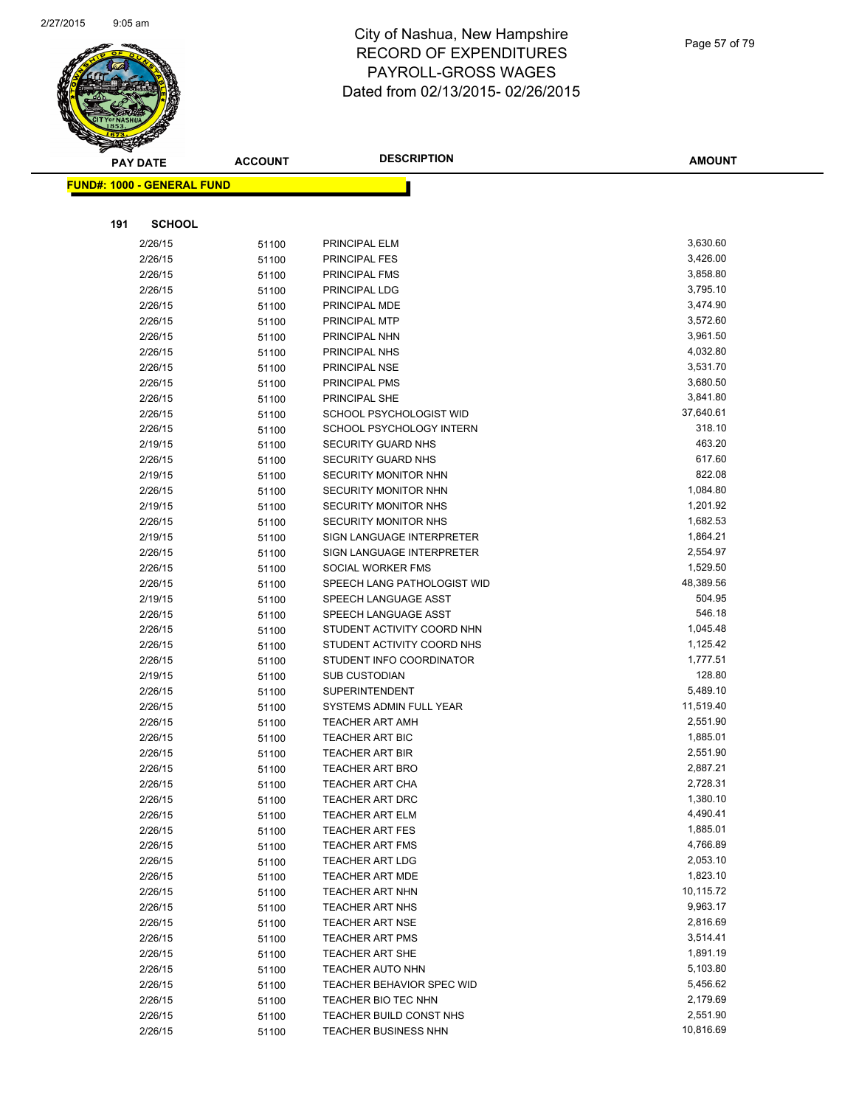

**AMOUNT**

|     | <b>FUND#: 1000 - GENERAL FUND</b> |       |                             |                      |
|-----|-----------------------------------|-------|-----------------------------|----------------------|
|     |                                   |       |                             |                      |
| 191 | <b>SCHOOL</b>                     |       |                             |                      |
|     | 2/26/15                           | 51100 | PRINCIPAL ELM               | 3,630.60             |
|     | 2/26/15                           | 51100 | PRINCIPAL FES               | 3,426.00             |
|     | 2/26/15                           | 51100 | <b>PRINCIPAL FMS</b>        | 3,858.80             |
|     | 2/26/15                           | 51100 | PRINCIPAL LDG               | 3,795.10             |
|     | 2/26/15                           | 51100 | PRINCIPAL MDE               | 3,474.90             |
|     | 2/26/15                           | 51100 | PRINCIPAL MTP               | 3,572.60             |
|     | 2/26/15                           | 51100 | PRINCIPAL NHN               | 3,961.50             |
|     | 2/26/15                           | 51100 | PRINCIPAL NHS               | 4,032.80             |
|     | 2/26/15                           | 51100 | PRINCIPAL NSE               | 3,531.70             |
|     | 2/26/15                           | 51100 | PRINCIPAL PMS               | 3,680.50             |
|     | 2/26/15                           | 51100 | PRINCIPAL SHE               | 3,841.80             |
|     | 2/26/15                           | 51100 | SCHOOL PSYCHOLOGIST WID     | 37,640.61            |
|     | 2/26/15                           | 51100 | SCHOOL PSYCHOLOGY INTERN    | 318.10               |
|     | 2/19/15                           | 51100 | <b>SECURITY GUARD NHS</b>   | 463.20               |
|     | 2/26/15                           | 51100 | <b>SECURITY GUARD NHS</b>   | 617.60               |
|     | 2/19/15                           | 51100 | SECURITY MONITOR NHN        | 822.08               |
|     | 2/26/15                           | 51100 | SECURITY MONITOR NHN        | 1,084.80             |
|     | 2/19/15                           | 51100 | <b>SECURITY MONITOR NHS</b> | 1,201.92             |
|     | 2/26/15                           | 51100 | <b>SECURITY MONITOR NHS</b> | 1,682.53             |
|     | 2/19/15                           | 51100 | SIGN LANGUAGE INTERPRETER   | 1,864.21             |
|     | 2/26/15                           | 51100 | SIGN LANGUAGE INTERPRETER   | 2,554.97             |
|     | 2/26/15                           | 51100 | SOCIAL WORKER FMS           | 1,529.50             |
|     | 2/26/15                           | 51100 | SPEECH LANG PATHOLOGIST WID | 48,389.56            |
|     | 2/19/15                           | 51100 | SPEECH LANGUAGE ASST        | 504.95               |
|     | 2/26/15                           | 51100 | SPEECH LANGUAGE ASST        | 546.18               |
|     | 2/26/15                           | 51100 | STUDENT ACTIVITY COORD NHN  | 1,045.48             |
|     | 2/26/15                           | 51100 | STUDENT ACTIVITY COORD NHS  | 1,125.42             |
|     | 2/26/15                           | 51100 | STUDENT INFO COORDINATOR    | 1,777.51             |
|     | 2/19/15                           | 51100 | <b>SUB CUSTODIAN</b>        | 128.80               |
|     | 2/26/15                           | 51100 | <b>SUPERINTENDENT</b>       | 5,489.10             |
|     | 2/26/15                           | 51100 | SYSTEMS ADMIN FULL YEAR     | 11,519.40            |
|     | 2/26/15                           | 51100 | <b>TEACHER ART AMH</b>      | 2,551.90             |
|     | 2/26/15                           | 51100 | <b>TEACHER ART BIC</b>      | 1,885.01             |
|     | 2/26/15                           | 51100 | <b>TEACHER ART BIR</b>      | 2,551.90             |
|     | 2/26/15                           | 51100 | <b>TEACHER ART BRO</b>      | 2,887.21             |
|     | 2/26/15                           | 51100 | <b>TEACHER ART CHA</b>      | 2,728.31             |
|     | 2/26/15                           | 51100 | TEACHER ART DRC             | 1,380.10             |
|     | 2/26/15                           | 51100 | <b>TEACHER ART ELM</b>      | 4,490.41             |
|     | 2/26/15                           | 51100 | <b>TEACHER ART FES</b>      | 1,885.01             |
|     | 2/26/15                           | 51100 | <b>TEACHER ART FMS</b>      | 4,766.89             |
|     | 2/26/15                           | 51100 | <b>TEACHER ART LDG</b>      | 2,053.10             |
|     | 2/26/15                           | 51100 | <b>TEACHER ART MDE</b>      | 1,823.10             |
|     | 2/26/15                           | 51100 | <b>TEACHER ART NHN</b>      | 10,115.72            |
|     | 2/26/15                           | 51100 | <b>TEACHER ART NHS</b>      | 9,963.17             |
|     | 2/26/15                           | 51100 | <b>TEACHER ART NSE</b>      | 2,816.69             |
|     | 2/26/15                           | 51100 | <b>TEACHER ART PMS</b>      | 3,514.41             |
|     | 2/26/15                           | 51100 | <b>TEACHER ART SHE</b>      | 1,891.19             |
|     | 2/26/15                           | 51100 | <b>TEACHER AUTO NHN</b>     | 5,103.80             |
|     | 2/26/15                           | 51100 | TEACHER BEHAVIOR SPEC WID   | 5,456.62             |
|     | 2/26/15                           | 51100 | TEACHER BIO TEC NHN         | 2,179.69<br>2,551.90 |
|     | 2/26/15<br>2/26/15                | 51100 | TEACHER BUILD CONST NHS     | 10,816.69            |
|     |                                   | 51100 | <b>TEACHER BUSINESS NHN</b> |                      |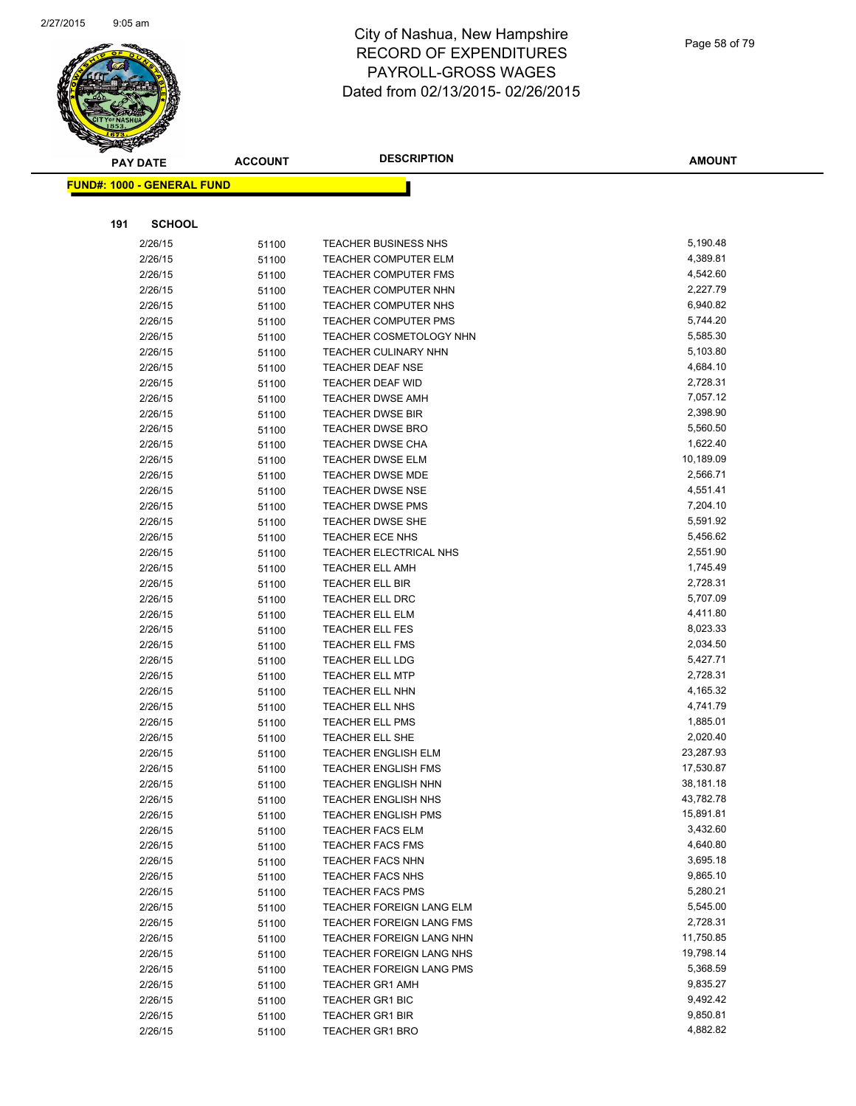

|     | <b>PAY DATE</b>                   | <b>ACCOUNT</b> | <b>DESCRIPTION</b>              | <b>AMOUNT</b>        |
|-----|-----------------------------------|----------------|---------------------------------|----------------------|
|     | <b>FUND#: 1000 - GENERAL FUND</b> |                |                                 |                      |
|     |                                   |                |                                 |                      |
| 191 | <b>SCHOOL</b>                     |                |                                 |                      |
|     | 2/26/15                           | 51100          | <b>TEACHER BUSINESS NHS</b>     | 5,190.48             |
|     | 2/26/15                           | 51100          | <b>TEACHER COMPUTER ELM</b>     | 4,389.81             |
|     | 2/26/15                           | 51100          | <b>TEACHER COMPUTER FMS</b>     | 4,542.60             |
|     | 2/26/15                           | 51100          | <b>TEACHER COMPUTER NHN</b>     | 2,227.79             |
|     | 2/26/15                           | 51100          | TEACHER COMPUTER NHS            | 6,940.82             |
|     | 2/26/15                           | 51100          | <b>TEACHER COMPUTER PMS</b>     | 5,744.20             |
|     | 2/26/15                           | 51100          | TEACHER COSMETOLOGY NHN         | 5,585.30             |
|     | 2/26/15                           | 51100          | <b>TEACHER CULINARY NHN</b>     | 5,103.80             |
|     | 2/26/15                           | 51100          | <b>TEACHER DEAF NSE</b>         | 4,684.10             |
|     | 2/26/15                           | 51100          | <b>TEACHER DEAF WID</b>         | 2,728.31             |
|     | 2/26/15                           | 51100          | <b>TEACHER DWSE AMH</b>         | 7,057.12             |
|     | 2/26/15                           | 51100          | <b>TEACHER DWSE BIR</b>         | 2,398.90             |
|     | 2/26/15                           | 51100          | <b>TEACHER DWSE BRO</b>         | 5,560.50             |
|     | 2/26/15                           | 51100          | <b>TEACHER DWSE CHA</b>         | 1,622.40             |
|     | 2/26/15                           | 51100          | <b>TEACHER DWSE ELM</b>         | 10,189.09            |
|     | 2/26/15                           | 51100          | <b>TEACHER DWSE MDE</b>         | 2,566.71             |
|     | 2/26/15                           | 51100          | <b>TEACHER DWSE NSE</b>         | 4,551.41             |
|     | 2/26/15                           | 51100          | <b>TEACHER DWSE PMS</b>         | 7,204.10             |
|     | 2/26/15                           | 51100          | TEACHER DWSE SHE                | 5,591.92             |
|     | 2/26/15                           | 51100          | <b>TEACHER ECE NHS</b>          | 5,456.62             |
|     | 2/26/15                           | 51100          | TEACHER ELECTRICAL NHS          | 2,551.90             |
|     | 2/26/15                           | 51100          | <b>TEACHER ELL AMH</b>          | 1,745.49             |
|     | 2/26/15                           | 51100          | <b>TEACHER ELL BIR</b>          | 2,728.31             |
|     | 2/26/15                           | 51100          | <b>TEACHER ELL DRC</b>          | 5,707.09             |
|     | 2/26/15                           | 51100          | <b>TEACHER ELL ELM</b>          | 4,411.80             |
|     | 2/26/15                           | 51100          | <b>TEACHER ELL FES</b>          | 8,023.33             |
|     | 2/26/15                           | 51100          | <b>TEACHER ELL FMS</b>          | 2,034.50             |
|     | 2/26/15                           | 51100          | <b>TEACHER ELL LDG</b>          | 5,427.71             |
|     | 2/26/15                           | 51100          | <b>TEACHER ELL MTP</b>          | 2,728.31             |
|     | 2/26/15                           | 51100          | TEACHER ELL NHN                 | 4,165.32             |
|     | 2/26/15                           | 51100          | TEACHER ELL NHS                 | 4,741.79             |
|     | 2/26/15                           | 51100          | <b>TEACHER ELL PMS</b>          | 1,885.01             |
|     | 2/26/15                           | 51100          | TEACHER ELL SHE                 | 2,020.40             |
|     | 2/26/15                           | 51100          | <b>TEACHER ENGLISH ELM</b>      | 23,287.93            |
|     | 2/26/15                           | 51100          | <b>TEACHER ENGLISH FMS</b>      | 17,530.87            |
|     | 2/26/15                           | 51100          | <b>TEACHER ENGLISH NHN</b>      | 38,181.18            |
|     | 2/26/15                           | 51100          | <b>TEACHER ENGLISH NHS</b>      | 43,782.78            |
|     | 2/26/15                           | 51100          | <b>TEACHER ENGLISH PMS</b>      | 15,891.81            |
|     | 2/26/15                           | 51100          | <b>TEACHER FACS ELM</b>         | 3,432.60             |
|     | 2/26/15                           | 51100          | <b>TEACHER FACS FMS</b>         | 4,640.80             |
|     | 2/26/15                           | 51100          | <b>TEACHER FACS NHN</b>         | 3,695.18             |
|     | 2/26/15                           | 51100          | <b>TEACHER FACS NHS</b>         | 9,865.10             |
|     | 2/26/15                           | 51100          | <b>TEACHER FACS PMS</b>         | 5,280.21             |
|     | 2/26/15                           | 51100          | TEACHER FOREIGN LANG ELM        | 5,545.00             |
|     | 2/26/15                           | 51100          | <b>TEACHER FOREIGN LANG FMS</b> | 2,728.31             |
|     | 2/26/15                           | 51100          | TEACHER FOREIGN LANG NHN        | 11,750.85            |
|     | 2/26/15                           | 51100          | TEACHER FOREIGN LANG NHS        | 19,798.14            |
|     | 2/26/15                           | 51100          | <b>TEACHER FOREIGN LANG PMS</b> | 5,368.59             |
|     | 2/26/15                           | 51100          | <b>TEACHER GR1 AMH</b>          | 9,835.27             |
|     | 2/26/15                           | 51100          | <b>TEACHER GR1 BIC</b>          | 9,492.42             |
|     | 2/26/15                           | 51100          | <b>TEACHER GR1 BIR</b>          | 9,850.81<br>4,882.82 |
|     | 2/26/15                           | 51100          | <b>TEACHER GR1 BRO</b>          |                      |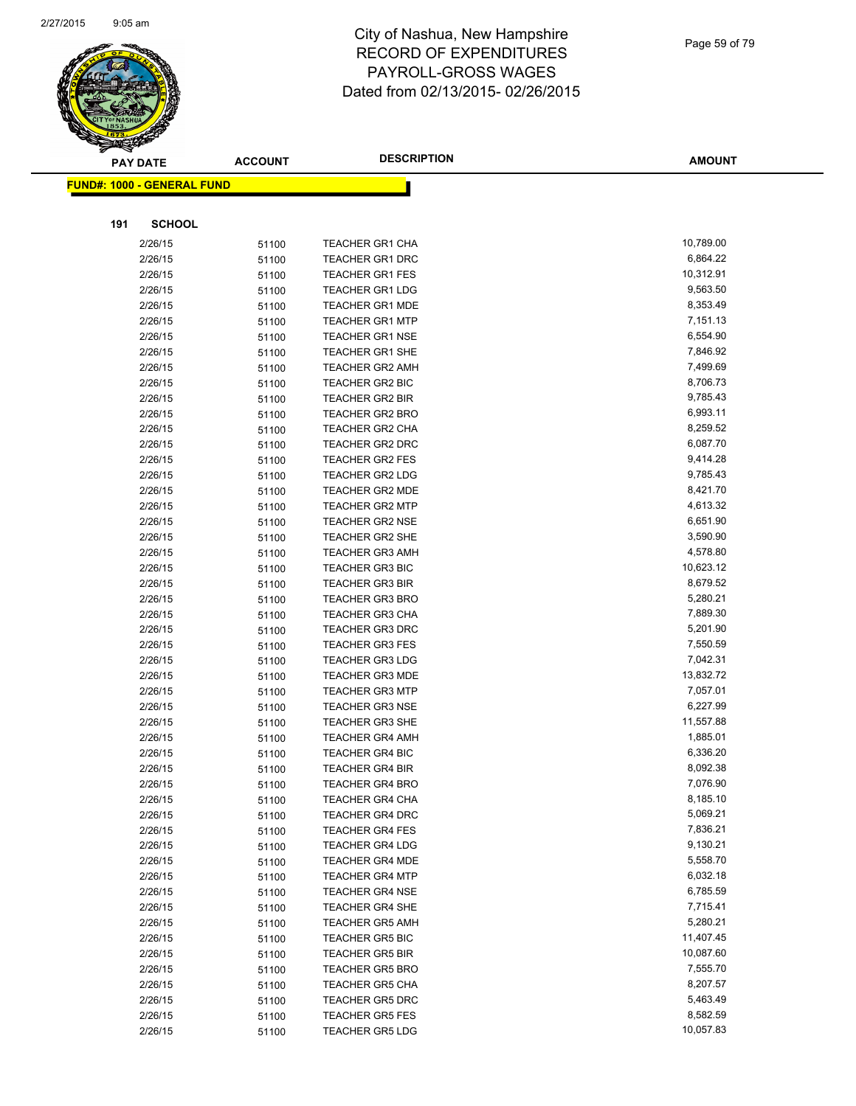

| <b>PAY DATE</b>            | <b>ACCOUNT</b> | <b>DESCRIPTION</b>                               | <b>AMOUNT</b>        |
|----------------------------|----------------|--------------------------------------------------|----------------------|
| FUND#: 1000 - GENERAL FUND |                |                                                  |                      |
|                            |                |                                                  |                      |
|                            |                |                                                  |                      |
| 191<br><b>SCHOOL</b>       |                |                                                  |                      |
| 2/26/15                    | 51100          | <b>TEACHER GR1 CHA</b>                           | 10,789.00            |
| 2/26/15                    | 51100          | <b>TEACHER GR1 DRC</b>                           | 6,864.22             |
| 2/26/15                    | 51100          | <b>TEACHER GR1 FES</b>                           | 10,312.91            |
| 2/26/15                    | 51100          | <b>TEACHER GR1 LDG</b>                           | 9,563.50             |
| 2/26/15                    | 51100          | <b>TEACHER GR1 MDE</b>                           | 8,353.49             |
| 2/26/15                    | 51100          | <b>TEACHER GR1 MTP</b>                           | 7,151.13             |
| 2/26/15                    | 51100          | <b>TEACHER GR1 NSE</b>                           | 6,554.90             |
| 2/26/15                    | 51100          | <b>TEACHER GR1 SHE</b>                           | 7,846.92             |
| 2/26/15                    | 51100          | <b>TEACHER GR2 AMH</b>                           | 7,499.69             |
| 2/26/15                    | 51100          | TEACHER GR2 BIC                                  | 8,706.73             |
| 2/26/15                    | 51100          | <b>TEACHER GR2 BIR</b>                           | 9,785.43             |
| 2/26/15                    | 51100          | <b>TEACHER GR2 BRO</b>                           | 6,993.11             |
| 2/26/15                    | 51100          | <b>TEACHER GR2 CHA</b>                           | 8,259.52             |
| 2/26/15                    | 51100          | TEACHER GR2 DRC                                  | 6,087.70             |
| 2/26/15                    | 51100          | TEACHER GR2 FES                                  | 9,414.28             |
| 2/26/15                    | 51100          | TEACHER GR2 LDG                                  | 9,785.43             |
| 2/26/15                    | 51100          | <b>TEACHER GR2 MDE</b>                           | 8,421.70             |
| 2/26/15                    | 51100          | <b>TEACHER GR2 MTP</b>                           | 4,613.32             |
| 2/26/15                    | 51100          | <b>TEACHER GR2 NSE</b>                           | 6,651.90             |
| 2/26/15                    | 51100          | <b>TEACHER GR2 SHE</b>                           | 3,590.90             |
| 2/26/15                    | 51100          | <b>TEACHER GR3 AMH</b>                           | 4,578.80             |
| 2/26/15                    | 51100          | <b>TEACHER GR3 BIC</b>                           | 10,623.12            |
| 2/26/15                    | 51100          | <b>TEACHER GR3 BIR</b>                           | 8,679.52             |
| 2/26/15                    | 51100          | <b>TEACHER GR3 BRO</b>                           | 5,280.21             |
| 2/26/15                    | 51100          | <b>TEACHER GR3 CHA</b>                           | 7,889.30             |
| 2/26/15                    | 51100          | <b>TEACHER GR3 DRC</b>                           | 5,201.90<br>7,550.59 |
| 2/26/15<br>2/26/15         | 51100          | <b>TEACHER GR3 FES</b><br><b>TEACHER GR3 LDG</b> | 7,042.31             |
| 2/26/15                    | 51100<br>51100 | <b>TEACHER GR3 MDE</b>                           | 13,832.72            |
| 2/26/15                    | 51100          | <b>TEACHER GR3 MTP</b>                           | 7,057.01             |
| 2/26/15                    | 51100          | <b>TEACHER GR3 NSE</b>                           | 6,227.99             |
| 2/26/15                    | 51100          | <b>TEACHER GR3 SHE</b>                           | 11,557.88            |
| 2/26/15                    | 51100          | <b>TEACHER GR4 AMH</b>                           | 1,885.01             |
| 2/26/15                    | 51100          | <b>TEACHER GR4 BIC</b>                           | 6,336.20             |
| 2/26/15                    | 51100          | <b>TEACHER GR4 BIR</b>                           | 8,092.38             |
| 2/26/15                    | 51100          | TEACHER GR4 BRO                                  | 7,076.90             |
| 2/26/15                    | 51100          | <b>TEACHER GR4 CHA</b>                           | 8,185.10             |
| 2/26/15                    | 51100          | <b>TEACHER GR4 DRC</b>                           | 5,069.21             |
| 2/26/15                    | 51100          | <b>TEACHER GR4 FES</b>                           | 7,836.21             |
| 2/26/15                    | 51100          | <b>TEACHER GR4 LDG</b>                           | 9,130.21             |
| 2/26/15                    | 51100          | <b>TEACHER GR4 MDE</b>                           | 5,558.70             |
| 2/26/15                    | 51100          | <b>TEACHER GR4 MTP</b>                           | 6,032.18             |
| 2/26/15                    | 51100          | <b>TEACHER GR4 NSE</b>                           | 6,785.59             |
| 2/26/15                    | 51100          | TEACHER GR4 SHE                                  | 7,715.41             |
| 2/26/15                    | 51100          | <b>TEACHER GR5 AMH</b>                           | 5,280.21             |
| 2/26/15                    | 51100          | <b>TEACHER GR5 BIC</b>                           | 11,407.45            |
| 2/26/15                    | 51100          | <b>TEACHER GR5 BIR</b>                           | 10,087.60            |
| 2/26/15                    | 51100          | <b>TEACHER GR5 BRO</b>                           | 7,555.70             |
| 2/26/15                    | 51100          | <b>TEACHER GR5 CHA</b>                           | 8,207.57             |
| 2/26/15                    | 51100          | <b>TEACHER GR5 DRC</b>                           | 5,463.49             |
| 2/26/15                    | 51100          | <b>TEACHER GR5 FES</b>                           | 8,582.59             |
| 2/26/15                    | 51100          | <b>TEACHER GR5 LDG</b>                           | 10,057.83            |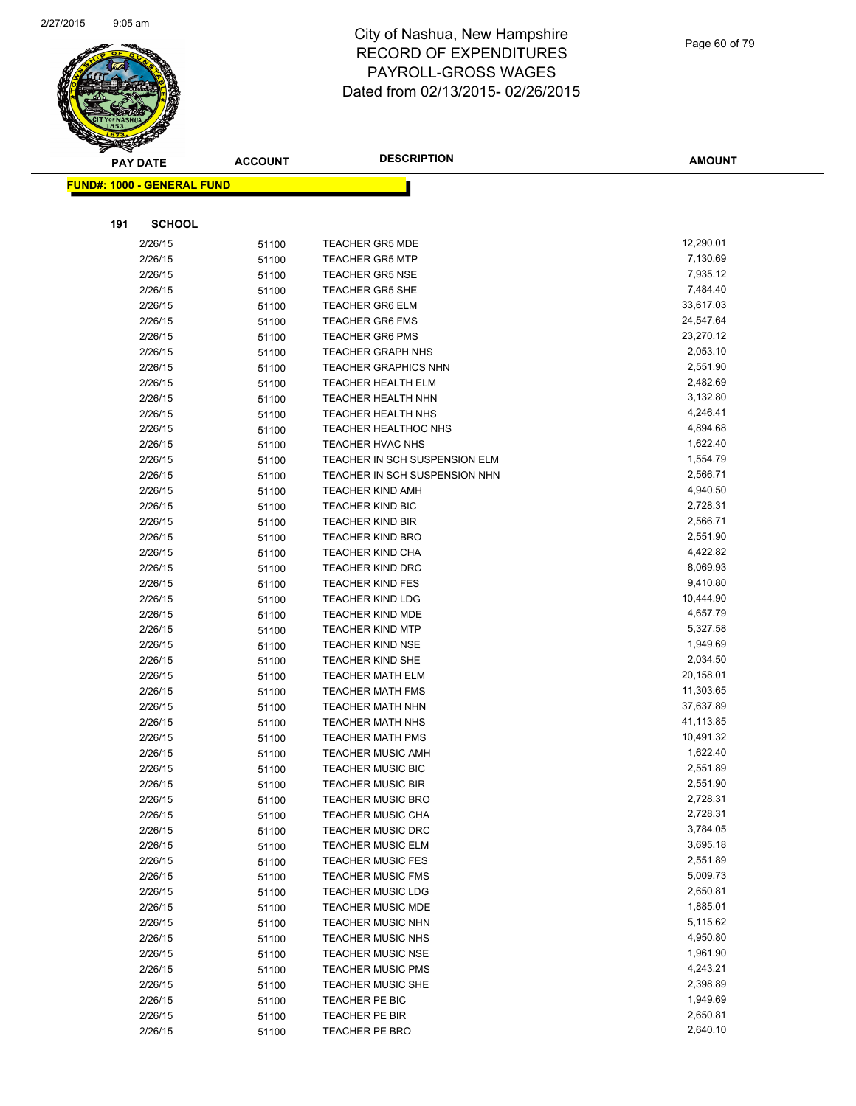

| <b>PAY DATE</b>                   | <b>ACCOUNT</b> | <b>DESCRIPTION</b>                                   | <b>AMOUNT</b>        |
|-----------------------------------|----------------|------------------------------------------------------|----------------------|
| <b>FUND#: 1000 - GENERAL FUND</b> |                |                                                      |                      |
|                                   |                |                                                      |                      |
| 191<br><b>SCHOOL</b>              |                |                                                      |                      |
|                                   |                |                                                      | 12,290.01            |
| 2/26/15<br>2/26/15                | 51100          | <b>TEACHER GR5 MDE</b><br><b>TEACHER GR5 MTP</b>     | 7,130.69             |
| 2/26/15                           | 51100          | <b>TEACHER GR5 NSE</b>                               | 7,935.12             |
| 2/26/15                           | 51100          | <b>TEACHER GR5 SHE</b>                               | 7,484.40             |
| 2/26/15                           | 51100          | <b>TEACHER GR6 ELM</b>                               | 33,617.03            |
| 2/26/15                           | 51100          | <b>TEACHER GR6 FMS</b>                               | 24,547.64            |
| 2/26/15                           | 51100<br>51100 | <b>TEACHER GR6 PMS</b>                               | 23,270.12            |
| 2/26/15                           | 51100          | <b>TEACHER GRAPH NHS</b>                             | 2,053.10             |
| 2/26/15                           | 51100          | <b>TEACHER GRAPHICS NHN</b>                          | 2,551.90             |
| 2/26/15                           | 51100          | <b>TEACHER HEALTH ELM</b>                            | 2,482.69             |
| 2/26/15                           | 51100          | TEACHER HEALTH NHN                                   | 3,132.80             |
| 2/26/15                           | 51100          | TEACHER HEALTH NHS                                   | 4,246.41             |
| 2/26/15                           | 51100          | TEACHER HEALTHOC NHS                                 | 4,894.68             |
| 2/26/15                           | 51100          | <b>TEACHER HVAC NHS</b>                              | 1,622.40             |
| 2/26/15                           | 51100          | TEACHER IN SCH SUSPENSION ELM                        | 1,554.79             |
| 2/26/15                           | 51100          | TEACHER IN SCH SUSPENSION NHN                        | 2,566.71             |
| 2/26/15                           | 51100          | <b>TEACHER KIND AMH</b>                              | 4,940.50             |
| 2/26/15                           | 51100          | TEACHER KIND BIC                                     | 2,728.31             |
| 2/26/15                           | 51100          | <b>TEACHER KIND BIR</b>                              | 2,566.71             |
| 2/26/15                           | 51100          | <b>TEACHER KIND BRO</b>                              | 2,551.90             |
| 2/26/15                           | 51100          | <b>TEACHER KIND CHA</b>                              | 4,422.82             |
| 2/26/15                           | 51100          | <b>TEACHER KIND DRC</b>                              | 8,069.93             |
| 2/26/15                           | 51100          | <b>TEACHER KIND FES</b>                              | 9,410.80             |
| 2/26/15                           | 51100          | <b>TEACHER KIND LDG</b>                              | 10,444.90            |
| 2/26/15                           | 51100          | <b>TEACHER KIND MDE</b>                              | 4,657.79             |
| 2/26/15                           | 51100          | <b>TEACHER KIND MTP</b>                              | 5,327.58             |
| 2/26/15                           | 51100          | <b>TEACHER KIND NSE</b>                              | 1,949.69             |
| 2/26/15                           | 51100          | <b>TEACHER KIND SHE</b>                              | 2,034.50             |
| 2/26/15                           | 51100          | <b>TEACHER MATH ELM</b>                              | 20,158.01            |
| 2/26/15                           | 51100          | <b>TEACHER MATH FMS</b>                              | 11,303.65            |
| 2/26/15                           | 51100          | <b>TEACHER MATH NHN</b>                              | 37,637.89            |
| 2/26/15                           | 51100          | <b>TEACHER MATH NHS</b>                              | 41,113.85            |
| 2/26/15                           | 51100          | <b>TEACHER MATH PMS</b>                              | 10,491.32            |
| 2/26/15                           | 51100          | <b>TEACHER MUSIC AMH</b>                             | 1,622.40             |
| 2/26/15                           | 51100          | <b>TEACHER MUSIC BIC</b>                             | 2,551.89             |
| 2/26/15                           | 51100          | <b>TEACHER MUSIC BIR</b>                             | 2,551.90             |
| 2/26/15                           | 51100          | <b>TEACHER MUSIC BRO</b>                             | 2,728.31             |
| 2/26/15                           | 51100          | <b>TEACHER MUSIC CHA</b>                             | 2,728.31             |
| 2/26/15                           | 51100          | <b>TEACHER MUSIC DRC</b>                             | 3,784.05<br>3,695.18 |
| 2/26/15                           | 51100          | <b>TEACHER MUSIC ELM</b><br><b>TEACHER MUSIC FES</b> | 2,551.89             |
| 2/26/15<br>2/26/15                | 51100          | <b>TEACHER MUSIC FMS</b>                             | 5,009.73             |
| 2/26/15                           | 51100          | <b>TEACHER MUSIC LDG</b>                             | 2,650.81             |
| 2/26/15                           | 51100<br>51100 | <b>TEACHER MUSIC MDE</b>                             | 1,885.01             |
| 2/26/15                           | 51100          | <b>TEACHER MUSIC NHN</b>                             | 5,115.62             |
| 2/26/15                           | 51100          | TEACHER MUSIC NHS                                    | 4,950.80             |
| 2/26/15                           | 51100          | <b>TEACHER MUSIC NSE</b>                             | 1,961.90             |
| 2/26/15                           | 51100          | <b>TEACHER MUSIC PMS</b>                             | 4,243.21             |
| 2/26/15                           | 51100          | <b>TEACHER MUSIC SHE</b>                             | 2,398.89             |
| 2/26/15                           | 51100          | TEACHER PE BIC                                       | 1,949.69             |
| 2/26/15                           | 51100          | TEACHER PE BIR                                       | 2,650.81             |
| 2/26/15                           | 51100          | TEACHER PE BRO                                       | 2,640.10             |
|                                   |                |                                                      |                      |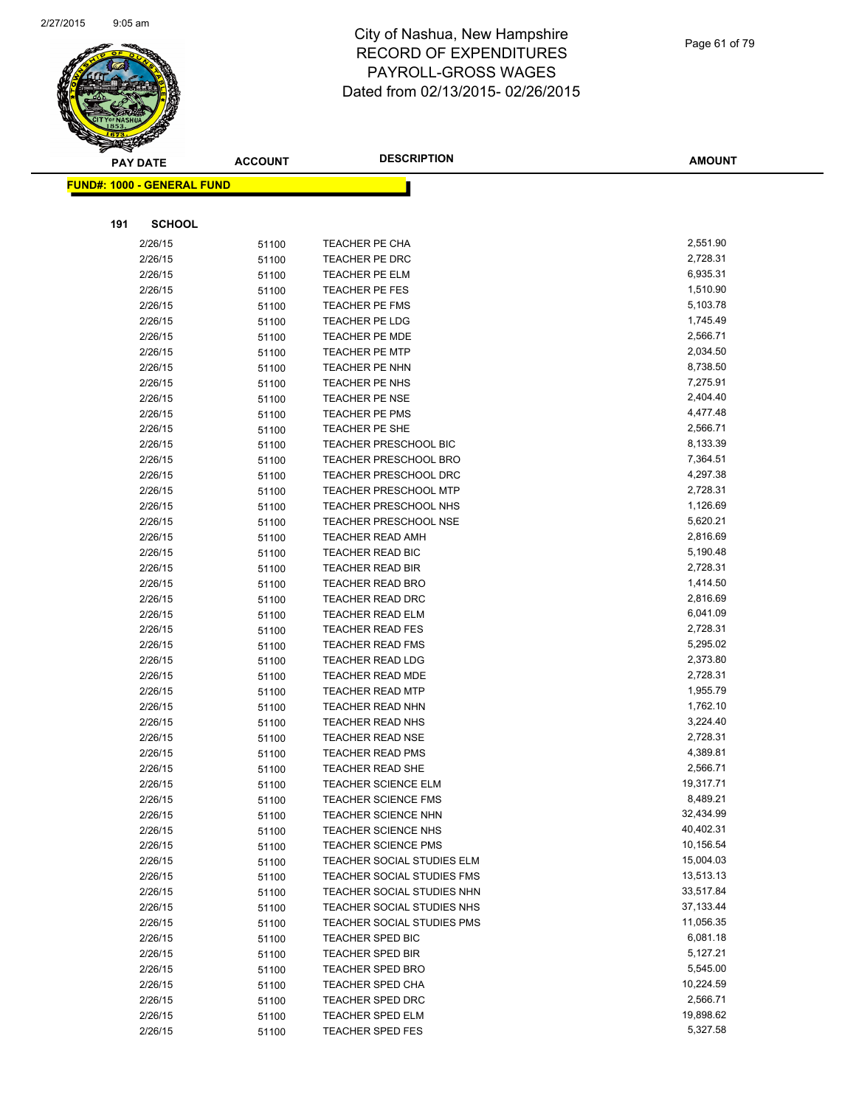

|     | <b>PAY DATE</b>                   | <b>ACCOUNT</b> | <b>DESCRIPTION</b>                                 | <b>AMOUNT</b>        |
|-----|-----------------------------------|----------------|----------------------------------------------------|----------------------|
|     | <b>FUND#: 1000 - GENERAL FUND</b> |                |                                                    |                      |
|     |                                   |                |                                                    |                      |
| 191 | <b>SCHOOL</b>                     |                |                                                    |                      |
|     | 2/26/15                           | 51100          | TEACHER PE CHA                                     | 2,551.90             |
|     | 2/26/15                           | 51100          | TEACHER PE DRC                                     | 2,728.31             |
|     | 2/26/15                           | 51100          | TEACHER PE ELM                                     | 6,935.31             |
|     | 2/26/15                           | 51100          | TEACHER PE FES                                     | 1,510.90             |
|     | 2/26/15                           | 51100          | <b>TEACHER PE FMS</b>                              | 5,103.78             |
|     | 2/26/15                           | 51100          | TEACHER PE LDG                                     | 1,745.49             |
|     | 2/26/15                           | 51100          | TEACHER PE MDE                                     | 2,566.71             |
|     | 2/26/15                           | 51100          | <b>TEACHER PE MTP</b>                              | 2,034.50             |
|     | 2/26/15                           | 51100          | TEACHER PE NHN                                     | 8,738.50             |
|     | 2/26/15                           | 51100          | TEACHER PE NHS                                     | 7,275.91             |
|     | 2/26/15                           | 51100          | <b>TEACHER PE NSE</b>                              | 2,404.40             |
|     | 2/26/15                           | 51100          | <b>TEACHER PE PMS</b>                              | 4,477.48             |
|     | 2/26/15                           | 51100          | TEACHER PE SHE                                     | 2,566.71             |
|     | 2/26/15                           | 51100          | <b>TEACHER PRESCHOOL BIC</b>                       | 8,133.39             |
|     | 2/26/15                           | 51100          | <b>TEACHER PRESCHOOL BRO</b>                       | 7,364.51             |
|     | 2/26/15                           | 51100          | <b>TEACHER PRESCHOOL DRC</b>                       | 4,297.38             |
|     | 2/26/15                           | 51100          | <b>TEACHER PRESCHOOL MTP</b>                       | 2,728.31             |
|     | 2/26/15                           | 51100          | <b>TEACHER PRESCHOOL NHS</b>                       | 1,126.69             |
|     | 2/26/15                           | 51100          | <b>TEACHER PRESCHOOL NSE</b>                       | 5,620.21             |
|     | 2/26/15                           | 51100          | <b>TEACHER READ AMH</b>                            | 2,816.69             |
|     | 2/26/15                           | 51100          | TEACHER READ BIC                                   | 5,190.48             |
|     | 2/26/15                           | 51100          | <b>TEACHER READ BIR</b>                            | 2,728.31             |
|     | 2/26/15                           | 51100          | <b>TEACHER READ BRO</b>                            | 1,414.50             |
|     | 2/26/15                           | 51100          | <b>TEACHER READ DRC</b>                            | 2,816.69             |
|     | 2/26/15                           | 51100          | <b>TEACHER READ ELM</b>                            | 6,041.09             |
|     | 2/26/15                           | 51100          | <b>TEACHER READ FES</b>                            | 2,728.31             |
|     | 2/26/15                           | 51100          | <b>TEACHER READ FMS</b>                            | 5,295.02             |
|     | 2/26/15                           | 51100          | <b>TEACHER READ LDG</b>                            | 2,373.80<br>2,728.31 |
|     | 2/26/15<br>2/26/15                | 51100          | <b>TEACHER READ MDE</b><br><b>TEACHER READ MTP</b> | 1,955.79             |
|     | 2/26/15                           | 51100          | <b>TEACHER READ NHN</b>                            | 1,762.10             |
|     | 2/26/15                           | 51100<br>51100 | <b>TEACHER READ NHS</b>                            | 3,224.40             |
|     | 2/26/15                           | 51100          | <b>TEACHER READ NSE</b>                            | 2,728.31             |
|     | 2/26/15                           | 51100          | <b>TEACHER READ PMS</b>                            | 4,389.81             |
|     | 2/26/15                           | 51100          | <b>TEACHER READ SHE</b>                            | 2,566.71             |
|     | 2/26/15                           | 51100          | <b>TEACHER SCIENCE ELM</b>                         | 19,317.71            |
|     | 2/26/15                           | 51100          | <b>TEACHER SCIENCE FMS</b>                         | 8,489.21             |
|     | 2/26/15                           | 51100          | <b>TEACHER SCIENCE NHN</b>                         | 32,434.99            |
|     | 2/26/15                           | 51100          | <b>TEACHER SCIENCE NHS</b>                         | 40,402.31            |
|     | 2/26/15                           | 51100          | <b>TEACHER SCIENCE PMS</b>                         | 10,156.54            |
|     | 2/26/15                           | 51100          | TEACHER SOCIAL STUDIES ELM                         | 15,004.03            |
|     | 2/26/15                           | 51100          | TEACHER SOCIAL STUDIES FMS                         | 13,513.13            |
|     | 2/26/15                           | 51100          | TEACHER SOCIAL STUDIES NHN                         | 33,517.84            |
|     | 2/26/15                           | 51100          | TEACHER SOCIAL STUDIES NHS                         | 37,133.44            |
|     | 2/26/15                           | 51100          | TEACHER SOCIAL STUDIES PMS                         | 11,056.35            |
|     | 2/26/15                           | 51100          | TEACHER SPED BIC                                   | 6,081.18             |
|     | 2/26/15                           | 51100          | <b>TEACHER SPED BIR</b>                            | 5,127.21             |
|     | 2/26/15                           | 51100          | <b>TEACHER SPED BRO</b>                            | 5,545.00             |
|     | 2/26/15                           | 51100          | <b>TEACHER SPED CHA</b>                            | 10,224.59            |
|     | 2/26/15                           | 51100          | <b>TEACHER SPED DRC</b>                            | 2,566.71             |
|     | 2/26/15                           | 51100          | TEACHER SPED ELM                                   | 19,898.62            |
|     | 2/26/15                           | 51100          | <b>TEACHER SPED FES</b>                            | 5,327.58             |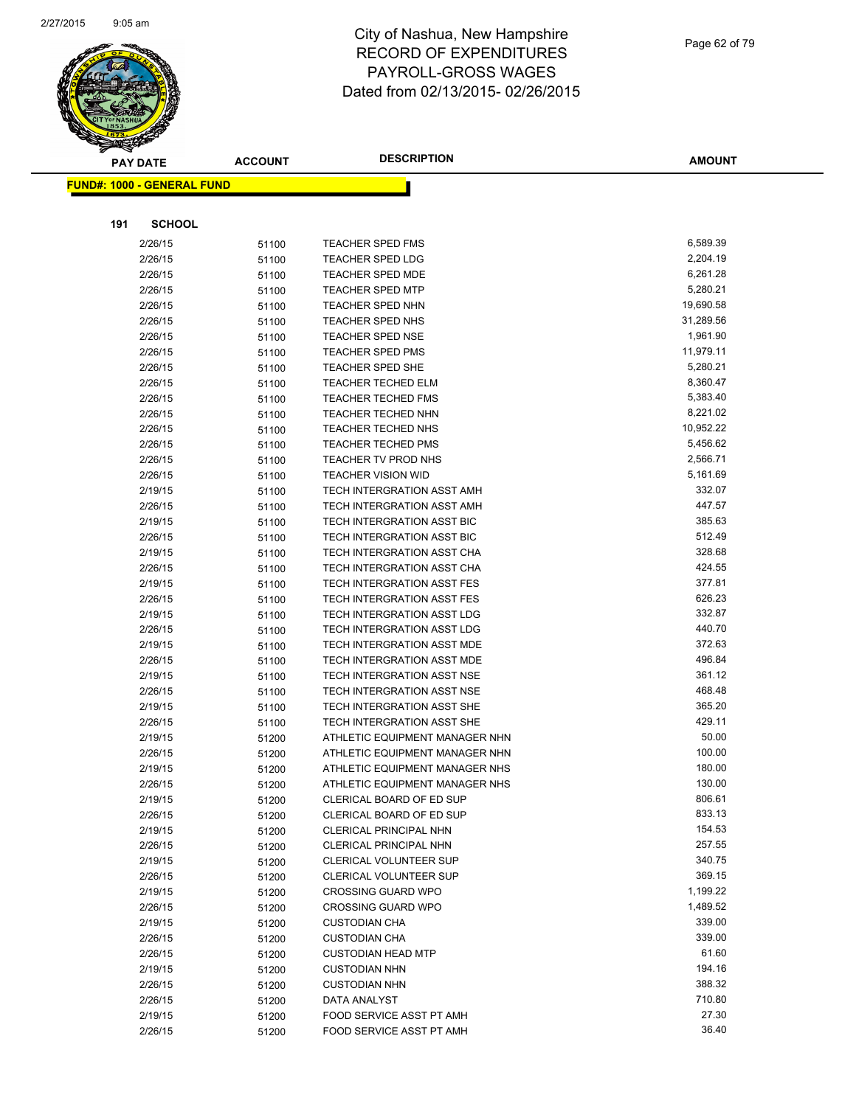

|     | <b>PAY DATE</b>                   | <b>ACCOUNT</b> | <b>DESCRIPTION</b>                                 | <b>AMOUNT</b>         |
|-----|-----------------------------------|----------------|----------------------------------------------------|-----------------------|
|     | <b>FUND#: 1000 - GENERAL FUND</b> |                |                                                    |                       |
|     |                                   |                |                                                    |                       |
| 191 | <b>SCHOOL</b>                     |                |                                                    |                       |
|     |                                   |                |                                                    |                       |
|     | 2/26/15                           | 51100          | <b>TEACHER SPED FMS</b>                            | 6,589.39              |
|     | 2/26/15                           | 51100          | <b>TEACHER SPED LDG</b>                            | 2,204.19              |
|     | 2/26/15                           | 51100          | <b>TEACHER SPED MDE</b><br><b>TEACHER SPED MTP</b> | 6,261.28              |
|     | 2/26/15                           | 51100          |                                                    | 5,280.21              |
|     | 2/26/15                           | 51100          | <b>TEACHER SPED NHN</b>                            | 19,690.58             |
|     | 2/26/15                           | 51100          | <b>TEACHER SPED NHS</b>                            | 31,289.56             |
|     | 2/26/15                           | 51100          | <b>TEACHER SPED NSE</b><br><b>TEACHER SPED PMS</b> | 1,961.90<br>11,979.11 |
|     | 2/26/15                           | 51100          | <b>TEACHER SPED SHE</b>                            | 5,280.21              |
|     | 2/26/15<br>2/26/15                | 51100          | <b>TEACHER TECHED ELM</b>                          | 8,360.47              |
|     | 2/26/15                           | 51100          | <b>TEACHER TECHED FMS</b>                          | 5,383.40              |
|     | 2/26/15                           | 51100          | <b>TEACHER TECHED NHN</b>                          | 8,221.02              |
|     | 2/26/15                           | 51100<br>51100 | <b>TEACHER TECHED NHS</b>                          | 10,952.22             |
|     | 2/26/15                           | 51100          | <b>TEACHER TECHED PMS</b>                          | 5,456.62              |
|     | 2/26/15                           | 51100          | TEACHER TV PROD NHS                                | 2,566.71              |
|     | 2/26/15                           | 51100          | <b>TEACHER VISION WID</b>                          | 5,161.69              |
|     | 2/19/15                           | 51100          | TECH INTERGRATION ASST AMH                         | 332.07                |
|     | 2/26/15                           | 51100          | TECH INTERGRATION ASST AMH                         | 447.57                |
|     | 2/19/15                           | 51100          | TECH INTERGRATION ASST BIC                         | 385.63                |
|     | 2/26/15                           | 51100          | TECH INTERGRATION ASST BIC                         | 512.49                |
|     | 2/19/15                           | 51100          | TECH INTERGRATION ASST CHA                         | 328.68                |
|     | 2/26/15                           | 51100          | TECH INTERGRATION ASST CHA                         | 424.55                |
|     | 2/19/15                           | 51100          | TECH INTERGRATION ASST FES                         | 377.81                |
|     | 2/26/15                           | 51100          | TECH INTERGRATION ASST FES                         | 626.23                |
|     | 2/19/15                           | 51100          | TECH INTERGRATION ASST LDG                         | 332.87                |
|     | 2/26/15                           | 51100          | TECH INTERGRATION ASST LDG                         | 440.70                |
|     | 2/19/15                           | 51100          | TECH INTERGRATION ASST MDE                         | 372.63                |
|     | 2/26/15                           | 51100          | TECH INTERGRATION ASST MDE                         | 496.84                |
|     | 2/19/15                           | 51100          | TECH INTERGRATION ASST NSE                         | 361.12                |
|     | 2/26/15                           | 51100          | TECH INTERGRATION ASST NSE                         | 468.48                |
|     | 2/19/15                           | 51100          | TECH INTERGRATION ASST SHE                         | 365.20                |
|     | 2/26/15                           | 51100          | TECH INTERGRATION ASST SHE                         | 429.11                |
|     | 2/19/15                           | 51200          | ATHLETIC EQUIPMENT MANAGER NHN                     | 50.00                 |
|     | 2/26/15                           | 51200          | ATHLETIC EQUIPMENT MANAGER NHN                     | 100.00                |
|     | 2/19/15                           | 51200          | ATHLETIC EQUIPMENT MANAGER NHS                     | 180.00                |
|     | 2/26/15                           | 51200          | ATHLETIC EQUIPMENT MANAGER NHS                     | 130.00                |
|     | 2/19/15                           | 51200          | <b>CLERICAL BOARD OF ED SUP</b>                    | 806.61                |
|     | 2/26/15                           | 51200          | CLERICAL BOARD OF ED SUP                           | 833.13                |
|     | 2/19/15                           | 51200          | <b>CLERICAL PRINCIPAL NHN</b>                      | 154.53                |
|     | 2/26/15                           | 51200          | <b>CLERICAL PRINCIPAL NHN</b>                      | 257.55                |
|     | 2/19/15                           | 51200          | CLERICAL VOLUNTEER SUP                             | 340.75                |
|     | 2/26/15                           | 51200          | CLERICAL VOLUNTEER SUP                             | 369.15                |
|     | 2/19/15                           | 51200          | <b>CROSSING GUARD WPO</b>                          | 1,199.22<br>1,489.52  |
|     | 2/26/15                           | 51200          | <b>CROSSING GUARD WPO</b>                          | 339.00                |
|     | 2/19/15                           | 51200          | <b>CUSTODIAN CHA</b>                               | 339.00                |
|     | 2/26/15<br>2/26/15                | 51200          | <b>CUSTODIAN CHA</b><br><b>CUSTODIAN HEAD MTP</b>  | 61.60                 |
|     | 2/19/15                           | 51200<br>51200 | <b>CUSTODIAN NHN</b>                               | 194.16                |
|     | 2/26/15                           | 51200          | <b>CUSTODIAN NHN</b>                               | 388.32                |
|     | 2/26/15                           | 51200          | DATA ANALYST                                       | 710.80                |
|     | 2/19/15                           | 51200          | FOOD SERVICE ASST PT AMH                           | 27.30                 |
|     | 2/26/15                           | 51200          | FOOD SERVICE ASST PT AMH                           | 36.40                 |
|     |                                   |                |                                                    |                       |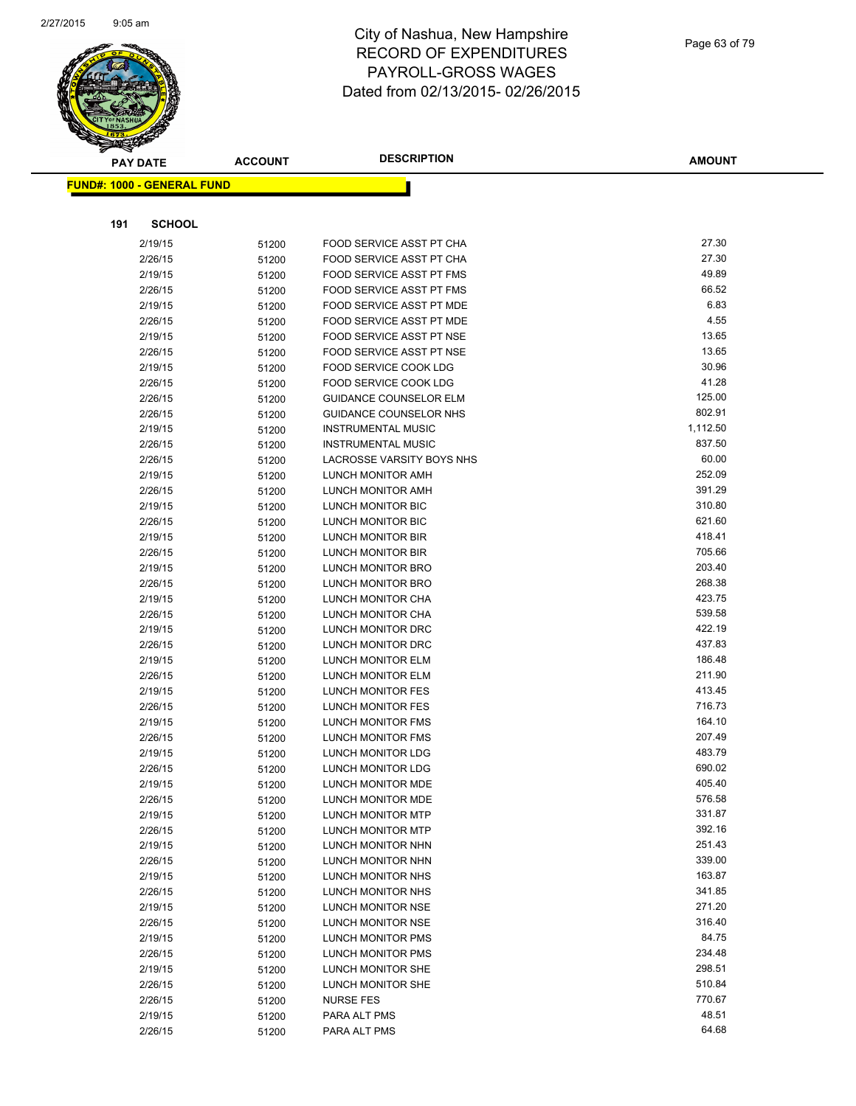

| <b>PAY DATE</b>                   | <b>ACCOUNT</b> | <b>DESCRIPTION</b>                                     | <b>AMOUNT</b>      |
|-----------------------------------|----------------|--------------------------------------------------------|--------------------|
| <b>FUND#: 1000 - GENERAL FUND</b> |                |                                                        |                    |
|                                   |                |                                                        |                    |
|                                   |                |                                                        |                    |
| 191                               | <b>SCHOOL</b>  |                                                        |                    |
| 2/19/15                           | 51200          | FOOD SERVICE ASST PT CHA                               | 27.30              |
| 2/26/15                           | 51200          | FOOD SERVICE ASST PT CHA                               | 27.30              |
| 2/19/15                           | 51200          | FOOD SERVICE ASST PT FMS                               | 49.89              |
| 2/26/15                           | 51200          | FOOD SERVICE ASST PT FMS                               | 66.52              |
| 2/19/15                           | 51200          | FOOD SERVICE ASST PT MDE                               | 6.83               |
| 2/26/15                           | 51200          | FOOD SERVICE ASST PT MDE                               | 4.55               |
| 2/19/15                           | 51200          | FOOD SERVICE ASST PT NSE                               | 13.65              |
| 2/26/15                           | 51200          | FOOD SERVICE ASST PT NSE                               | 13.65              |
| 2/19/15                           | 51200          | <b>FOOD SERVICE COOK LDG</b>                           | 30.96              |
| 2/26/15                           | 51200          | <b>FOOD SERVICE COOK LDG</b>                           | 41.28              |
| 2/26/15                           | 51200          | <b>GUIDANCE COUNSELOR ELM</b>                          | 125.00             |
| 2/26/15                           | 51200          | GUIDANCE COUNSELOR NHS                                 | 802.91             |
| 2/19/15                           | 51200          | <b>INSTRUMENTAL MUSIC</b>                              | 1,112.50<br>837.50 |
| 2/26/15                           | 51200          | <b>INSTRUMENTAL MUSIC</b><br>LACROSSE VARSITY BOYS NHS | 60.00              |
| 2/26/15                           | 51200          | LUNCH MONITOR AMH                                      | 252.09             |
| 2/19/15<br>2/26/15                | 51200          | LUNCH MONITOR AMH                                      | 391.29             |
| 2/19/15                           | 51200          | LUNCH MONITOR BIC                                      | 310.80             |
| 2/26/15                           | 51200<br>51200 | LUNCH MONITOR BIC                                      | 621.60             |
| 2/19/15                           | 51200          | LUNCH MONITOR BIR                                      | 418.41             |
| 2/26/15                           | 51200          | LUNCH MONITOR BIR                                      | 705.66             |
| 2/19/15                           | 51200          | LUNCH MONITOR BRO                                      | 203.40             |
| 2/26/15                           | 51200          | LUNCH MONITOR BRO                                      | 268.38             |
| 2/19/15                           | 51200          | LUNCH MONITOR CHA                                      | 423.75             |
| 2/26/15                           | 51200          | LUNCH MONITOR CHA                                      | 539.58             |
| 2/19/15                           | 51200          | LUNCH MONITOR DRC                                      | 422.19             |
| 2/26/15                           | 51200          | LUNCH MONITOR DRC                                      | 437.83             |
| 2/19/15                           | 51200          | LUNCH MONITOR ELM                                      | 186.48             |
| 2/26/15                           | 51200          | LUNCH MONITOR ELM                                      | 211.90             |
| 2/19/15                           | 51200          | LUNCH MONITOR FES                                      | 413.45             |
| 2/26/15                           | 51200          | LUNCH MONITOR FES                                      | 716.73             |
| 2/19/15                           | 51200          | LUNCH MONITOR FMS                                      | 164.10             |
| 2/26/15                           | 51200          | LUNCH MONITOR FMS                                      | 207.49             |
| 2/19/15                           | 51200          | <b>LUNCH MONITOR LDG</b>                               | 483.79             |
| 2/26/15                           | 51200          | <b>LUNCH MONITOR LDG</b>                               | 690.02             |
| 2/19/15                           | 51200          | LUNCH MONITOR MDE                                      | 405.40             |
| 2/26/15                           | 51200          | LUNCH MONITOR MDE                                      | 576.58             |
| 2/19/15                           | 51200          | LUNCH MONITOR MTP                                      | 331.87             |
| 2/26/15                           | 51200          | LUNCH MONITOR MTP                                      | 392.16             |
| 2/19/15                           | 51200          | LUNCH MONITOR NHN                                      | 251.43             |
| 2/26/15                           | 51200          | LUNCH MONITOR NHN                                      | 339.00             |
| 2/19/15                           | 51200          | LUNCH MONITOR NHS                                      | 163.87             |
| 2/26/15                           | 51200          | LUNCH MONITOR NHS                                      | 341.85             |
| 2/19/15                           | 51200          | LUNCH MONITOR NSE                                      | 271.20             |
| 2/26/15                           | 51200          | LUNCH MONITOR NSE                                      | 316.40             |
| 2/19/15                           | 51200          | LUNCH MONITOR PMS                                      | 84.75              |
| 2/26/15                           | 51200          | LUNCH MONITOR PMS                                      | 234.48             |
| 2/19/15                           | 51200          | LUNCH MONITOR SHE                                      | 298.51             |
| 2/26/15                           | 51200          | LUNCH MONITOR SHE                                      | 510.84<br>770.67   |
| 2/26/15                           | 51200          | <b>NURSE FES</b>                                       | 48.51              |
| 2/19/15                           | 51200          | PARA ALT PMS                                           | 64.68              |
| 2/26/15                           | 51200          | PARA ALT PMS                                           |                    |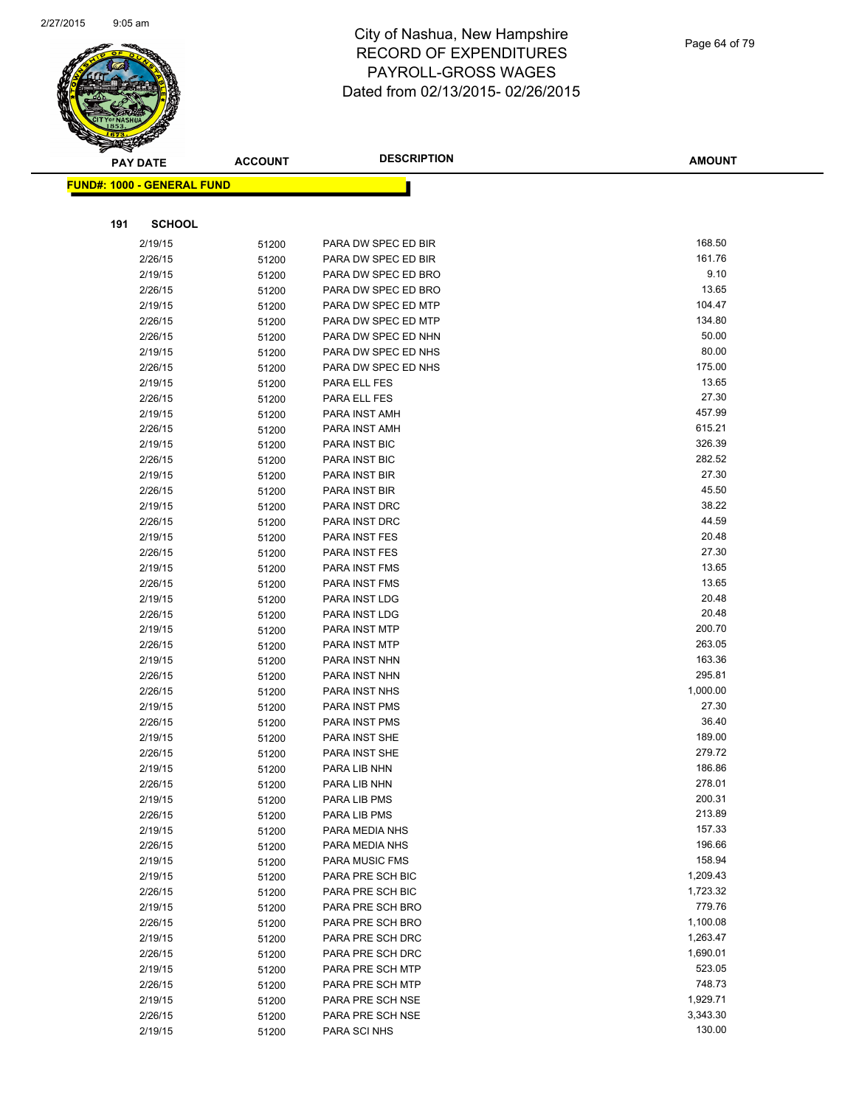

|     | <b>PAY DATE</b>                   | <b>ACCOUNT</b> | <b>DESCRIPTION</b>             | <b>AMOUNT</b>   |
|-----|-----------------------------------|----------------|--------------------------------|-----------------|
|     | <b>FUND#: 1000 - GENERAL FUND</b> |                |                                |                 |
|     |                                   |                |                                |                 |
|     |                                   |                |                                |                 |
| 191 | <b>SCHOOL</b>                     |                |                                |                 |
|     | 2/19/15                           | 51200          | PARA DW SPEC ED BIR            | 168.50          |
|     | 2/26/15                           | 51200          | PARA DW SPEC ED BIR            | 161.76          |
|     | 2/19/15                           | 51200          | PARA DW SPEC ED BRO            | 9.10            |
|     | 2/26/15                           | 51200          | PARA DW SPEC ED BRO            | 13.65           |
|     | 2/19/15                           | 51200          | PARA DW SPEC ED MTP            | 104.47          |
|     | 2/26/15                           | 51200          | PARA DW SPEC ED MTP            | 134.80          |
|     | 2/26/15                           | 51200          | PARA DW SPEC ED NHN            | 50.00           |
|     | 2/19/15                           | 51200          | PARA DW SPEC ED NHS            | 80.00           |
|     | 2/26/15                           | 51200          | PARA DW SPEC ED NHS            | 175.00          |
|     | 2/19/15                           | 51200          | PARA ELL FES                   | 13.65           |
|     | 2/26/15                           | 51200          | PARA ELL FES                   | 27.30           |
|     | 2/19/15                           | 51200          | PARA INST AMH                  | 457.99          |
|     | 2/26/15                           | 51200          | PARA INST AMH                  | 615.21          |
|     | 2/19/15                           | 51200          | <b>PARA INST BIC</b>           | 326.39          |
|     | 2/26/15                           | 51200          | PARA INST BIC                  | 282.52<br>27.30 |
|     | 2/19/15                           | 51200          | PARA INST BIR                  |                 |
|     | 2/26/15                           | 51200          | PARA INST BIR                  | 45.50<br>38.22  |
|     | 2/19/15                           | 51200          | PARA INST DRC                  |                 |
|     | 2/26/15                           | 51200          | PARA INST DRC                  | 44.59<br>20.48  |
|     | 2/19/15                           | 51200          | PARA INST FES                  | 27.30           |
|     | 2/26/15<br>2/19/15                | 51200          | PARA INST FES                  | 13.65           |
|     | 2/26/15                           | 51200          | PARA INST FMS<br>PARA INST FMS | 13.65           |
|     | 2/19/15                           | 51200          | PARA INST LDG                  | 20.48           |
|     | 2/26/15                           | 51200          | PARA INST LDG                  | 20.48           |
|     | 2/19/15                           | 51200          | PARA INST MTP                  | 200.70          |
|     | 2/26/15                           | 51200          | PARA INST MTP                  | 263.05          |
|     | 2/19/15                           | 51200<br>51200 | PARA INST NHN                  | 163.36          |
|     | 2/26/15                           | 51200          | PARA INST NHN                  | 295.81          |
|     | 2/26/15                           | 51200          | PARA INST NHS                  | 1,000.00        |
|     | 2/19/15                           | 51200          | PARA INST PMS                  | 27.30           |
|     | 2/26/15                           | 51200          | PARA INST PMS                  | 36.40           |
|     | 2/19/15                           | 51200          | PARA INST SHE                  | 189.00          |
|     | 2/26/15                           | 51200          | PARA INST SHE                  | 279.72          |
|     | 2/19/15                           | 51200          | PARA LIB NHN                   | 186.86          |
|     | 2/26/15                           | 51200          | PARA LIB NHN                   | 278.01          |
|     | 2/19/15                           | 51200          | PARA LIB PMS                   | 200.31          |
|     | 2/26/15                           | 51200          | PARA LIB PMS                   | 213.89          |
|     | 2/19/15                           | 51200          | PARA MEDIA NHS                 | 157.33          |
|     | 2/26/15                           | 51200          | PARA MEDIA NHS                 | 196.66          |
|     | 2/19/15                           | 51200          | PARA MUSIC FMS                 | 158.94          |
|     | 2/19/15                           | 51200          | PARA PRE SCH BIC               | 1,209.43        |
|     | 2/26/15                           | 51200          | PARA PRE SCH BIC               | 1,723.32        |
|     | 2/19/15                           | 51200          | PARA PRE SCH BRO               | 779.76          |
|     | 2/26/15                           | 51200          | PARA PRE SCH BRO               | 1,100.08        |
|     | 2/19/15                           | 51200          | PARA PRE SCH DRC               | 1,263.47        |
|     | 2/26/15                           | 51200          | PARA PRE SCH DRC               | 1,690.01        |
|     | 2/19/15                           | 51200          | PARA PRE SCH MTP               | 523.05          |
|     | 2/26/15                           | 51200          | PARA PRE SCH MTP               | 748.73          |
|     | 2/19/15                           | 51200          | PARA PRE SCH NSE               | 1,929.71        |
|     | 2/26/15                           | 51200          | PARA PRE SCH NSE               | 3,343.30        |
|     | 2/19/15                           | 51200          | PARA SCI NHS                   | 130.00          |
|     |                                   |                |                                |                 |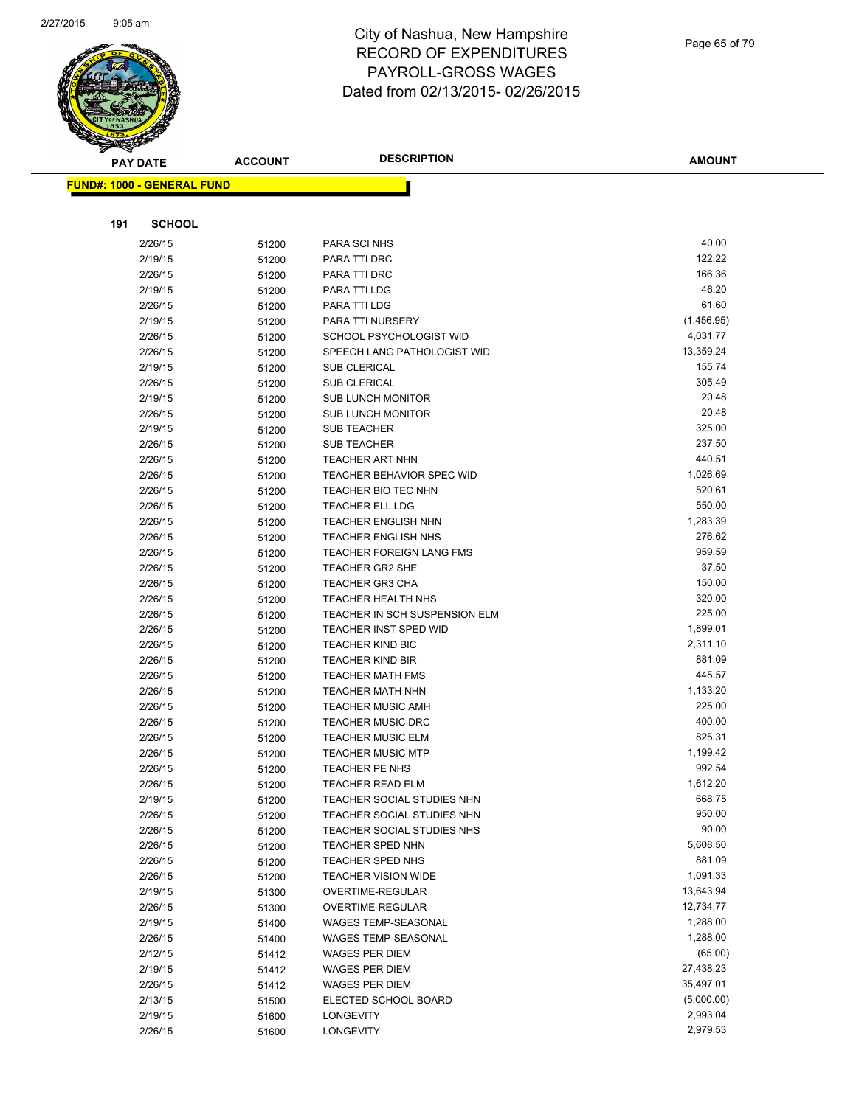

Page 65 of 79

| <b>PAY DATE</b>                   | <b>ACCOUNT</b> | <b>DESCRIPTION</b>                             | <b>AMOUNT</b>          |
|-----------------------------------|----------------|------------------------------------------------|------------------------|
| <b>FUND#: 1000 - GENERAL FUND</b> |                |                                                |                        |
|                                   |                |                                                |                        |
|                                   |                |                                                |                        |
| 191<br><b>SCHOOL</b>              |                |                                                |                        |
| 2/26/15                           | 51200          | PARA SCI NHS                                   | 40.00                  |
| 2/19/15                           | 51200          | PARA TTI DRC                                   | 122.22                 |
| 2/26/15                           | 51200          | PARA TTI DRC                                   | 166.36                 |
| 2/19/15                           | 51200          | PARA TTI LDG                                   | 46.20                  |
| 2/26/15                           | 51200          | PARA TTI LDG                                   | 61.60                  |
| 2/19/15                           | 51200          | PARA TTI NURSERY                               | (1,456.95)             |
| 2/26/15                           | 51200          | SCHOOL PSYCHOLOGIST WID                        | 4,031.77               |
| 2/26/15                           | 51200          | SPEECH LANG PATHOLOGIST WID                    | 13,359.24              |
| 2/19/15                           | 51200          | <b>SUB CLERICAL</b>                            | 155.74<br>305.49       |
| 2/26/15                           | 51200          | SUB CLERICAL                                   |                        |
| 2/19/15                           | 51200          | <b>SUB LUNCH MONITOR</b>                       | 20.48<br>20.48         |
| 2/26/15<br>2/19/15                | 51200          | <b>SUB LUNCH MONITOR</b><br><b>SUB TEACHER</b> | 325.00                 |
| 2/26/15                           | 51200<br>51200 | <b>SUB TEACHER</b>                             | 237.50                 |
| 2/26/15                           |                | <b>TEACHER ART NHN</b>                         | 440.51                 |
| 2/26/15                           | 51200<br>51200 | <b>TEACHER BEHAVIOR SPEC WID</b>               | 1,026.69               |
| 2/26/15                           | 51200          | TEACHER BIO TEC NHN                            | 520.61                 |
| 2/26/15                           | 51200          | <b>TEACHER ELL LDG</b>                         | 550.00                 |
| 2/26/15                           | 51200          | <b>TEACHER ENGLISH NHN</b>                     | 1,283.39               |
| 2/26/15                           | 51200          | <b>TEACHER ENGLISH NHS</b>                     | 276.62                 |
| 2/26/15                           | 51200          | <b>TEACHER FOREIGN LANG FMS</b>                | 959.59                 |
| 2/26/15                           | 51200          | TEACHER GR2 SHE                                | 37.50                  |
| 2/26/15                           | 51200          | TEACHER GR3 CHA                                | 150.00                 |
| 2/26/15                           | 51200          | TEACHER HEALTH NHS                             | 320.00                 |
| 2/26/15                           | 51200          | TEACHER IN SCH SUSPENSION ELM                  | 225.00                 |
| 2/26/15                           | 51200          | <b>TEACHER INST SPED WID</b>                   | 1,899.01               |
| 2/26/15                           | 51200          | <b>TEACHER KIND BIC</b>                        | 2,311.10               |
| 2/26/15                           | 51200          | <b>TEACHER KIND BIR</b>                        | 881.09                 |
| 2/26/15                           | 51200          | <b>TEACHER MATH FMS</b>                        | 445.57                 |
| 2/26/15                           | 51200          | <b>TEACHER MATH NHN</b>                        | 1,133.20               |
| 2/26/15                           | 51200          | <b>TEACHER MUSIC AMH</b>                       | 225.00                 |
| 2/26/15                           | 51200          | <b>TEACHER MUSIC DRC</b>                       | 400.00                 |
| 2/26/15                           | 51200          | <b>TEACHER MUSIC ELM</b>                       | 825.31                 |
| 2/26/15                           | 51200          | <b>TEACHER MUSIC MTP</b>                       | 1,199.42               |
| 2/26/15                           | 51200          | TEACHER PE NHS                                 | 992.54                 |
| 2/26/15                           | 51200          | TEACHER READ ELM                               | 1,612.20               |
| 2/19/15                           | 51200          | TEACHER SOCIAL STUDIES NHN                     | 668.75                 |
| 2/26/15                           | 51200          | TEACHER SOCIAL STUDIES NHN                     | 950.00                 |
| 2/26/15                           | 51200          | TEACHER SOCIAL STUDIES NHS                     | 90.00                  |
| 2/26/15                           | 51200          | <b>TEACHER SPED NHN</b>                        | 5,608.50               |
| 2/26/15                           | 51200          | TEACHER SPED NHS                               | 881.09<br>1,091.33     |
| 2/26/15                           | 51200          | <b>TEACHER VISION WIDE</b>                     |                        |
| 2/19/15                           | 51300          | OVERTIME-REGULAR<br>OVERTIME-REGULAR           | 13,643.94<br>12,734.77 |
| 2/26/15<br>2/19/15                | 51300          | <b>WAGES TEMP-SEASONAL</b>                     | 1,288.00               |
| 2/26/15                           | 51400<br>51400 | WAGES TEMP-SEASONAL                            | 1,288.00               |
| 2/12/15                           |                | WAGES PER DIEM                                 | (65.00)                |
| 2/19/15                           | 51412<br>51412 | WAGES PER DIEM                                 | 27,438.23              |
| 2/26/15                           | 51412          | WAGES PER DIEM                                 | 35,497.01              |
| 2/13/15                           | 51500          | ELECTED SCHOOL BOARD                           | (5,000.00)             |
| 2/19/15                           | 51600          | LONGEVITY                                      | 2,993.04               |
| 2/26/15                           | 51600          | LONGEVITY                                      | 2,979.53               |
|                                   |                |                                                |                        |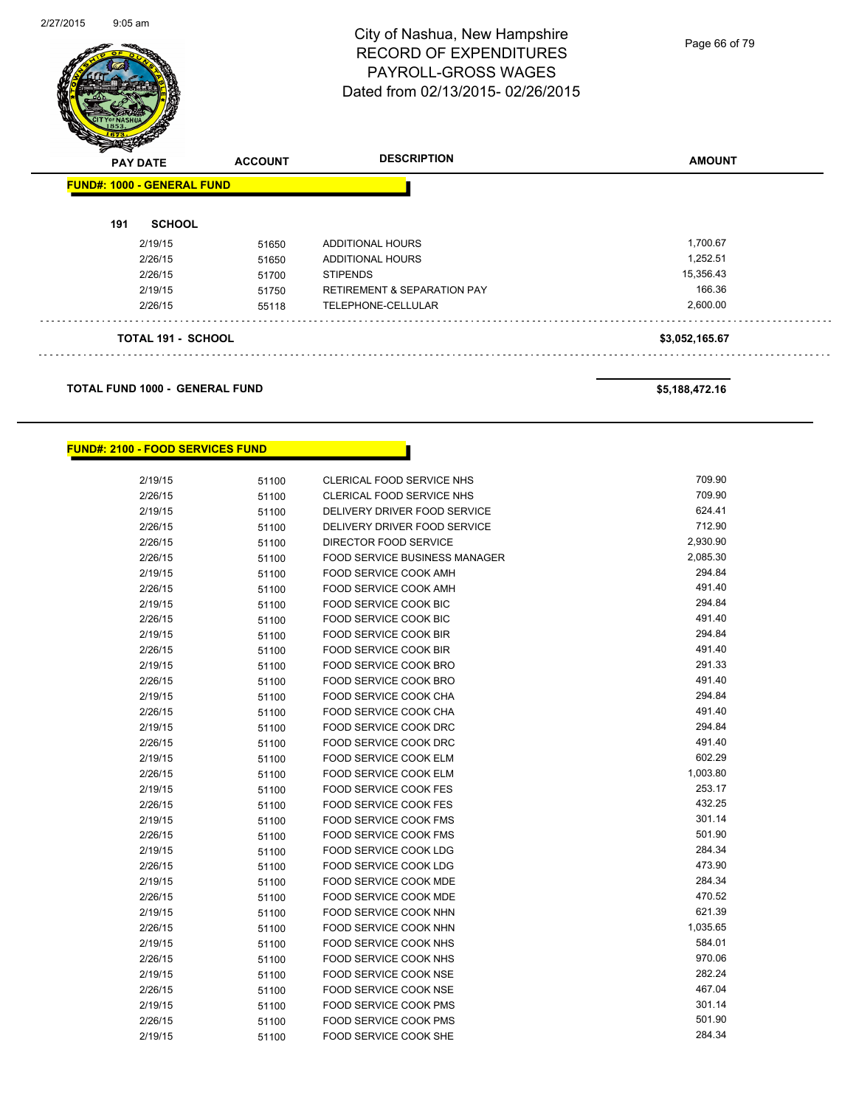

Page 66 of 79

| <b>PAY DATE</b> | <b>FUND#: 1000 - GENERAL FUND</b> | <b>ACCOUNT</b> | <b>DESCRIPTION</b>                     | <b>AMOUNT</b>  |
|-----------------|-----------------------------------|----------------|----------------------------------------|----------------|
|                 |                                   |                |                                        |                |
| 191             | <b>SCHOOL</b>                     |                |                                        |                |
|                 | 2/19/15                           | 51650          | <b>ADDITIONAL HOURS</b>                | 1,700.67       |
|                 | 2/26/15                           | 51650          | <b>ADDITIONAL HOURS</b>                | 1,252.51       |
|                 | 2/26/15                           | 51700          | <b>STIPENDS</b>                        | 15,356.43      |
|                 | 2/19/15                           | 51750          | <b>RETIREMENT &amp; SEPARATION PAY</b> | 166.36         |
|                 | 2/26/15                           | 55118          | TELEPHONE-CELLULAR                     | 2,600.00       |
|                 | <b>TOTAL 191 - SCHOOL</b>         |                |                                        | \$3,052,165.67 |

#### **TOTAL FUND 1000 - GENERAL FUND \$5,188,472.16**

#### **FUND#: 2100 - FOOD SERVICES FUND**

| 2/19/15 | 51100 | CLERICAL FOOD SERVICE NHS            | 709.90   |
|---------|-------|--------------------------------------|----------|
| 2/26/15 | 51100 | CLERICAL FOOD SERVICE NHS            | 709.90   |
| 2/19/15 | 51100 | DELIVERY DRIVER FOOD SERVICE         | 624.41   |
| 2/26/15 | 51100 | DELIVERY DRIVER FOOD SERVICE         | 712.90   |
| 2/26/15 | 51100 | DIRECTOR FOOD SERVICE                | 2,930.90 |
| 2/26/15 | 51100 | <b>FOOD SERVICE BUSINESS MANAGER</b> | 2,085.30 |
| 2/19/15 | 51100 | FOOD SERVICE COOK AMH                | 294.84   |
| 2/26/15 | 51100 | FOOD SERVICE COOK AMH                | 491.40   |
| 2/19/15 | 51100 | FOOD SERVICE COOK BIC                | 294.84   |
| 2/26/15 | 51100 | FOOD SERVICE COOK BIC                | 491.40   |
| 2/19/15 | 51100 | FOOD SERVICE COOK BIR                | 294.84   |
| 2/26/15 | 51100 | <b>FOOD SERVICE COOK BIR</b>         | 491.40   |
| 2/19/15 | 51100 | FOOD SERVICE COOK BRO                | 291.33   |
| 2/26/15 | 51100 | FOOD SERVICE COOK BRO                | 491.40   |
| 2/19/15 | 51100 | FOOD SERVICE COOK CHA                | 294.84   |
| 2/26/15 | 51100 | FOOD SERVICE COOK CHA                | 491.40   |
| 2/19/15 | 51100 | FOOD SERVICE COOK DRC                | 294.84   |
| 2/26/15 | 51100 | FOOD SERVICE COOK DRC                | 491.40   |
| 2/19/15 | 51100 | FOOD SERVICE COOK ELM                | 602.29   |
| 2/26/15 | 51100 | FOOD SERVICE COOK ELM                | 1,003.80 |
| 2/19/15 | 51100 | FOOD SERVICE COOK FES                | 253.17   |
| 2/26/15 | 51100 | <b>FOOD SERVICE COOK FES</b>         | 432.25   |
| 2/19/15 | 51100 | <b>FOOD SERVICE COOK FMS</b>         | 301.14   |
| 2/26/15 | 51100 | FOOD SERVICE COOK FMS                | 501.90   |
| 2/19/15 | 51100 | <b>FOOD SERVICE COOK LDG</b>         | 284.34   |
| 2/26/15 | 51100 | FOOD SERVICE COOK LDG                | 473.90   |
| 2/19/15 | 51100 | FOOD SERVICE COOK MDE                | 284.34   |
| 2/26/15 | 51100 | FOOD SERVICE COOK MDE                | 470.52   |
| 2/19/15 | 51100 | FOOD SERVICE COOK NHN                | 621.39   |
| 2/26/15 | 51100 | FOOD SERVICE COOK NHN                | 1,035.65 |
| 2/19/15 | 51100 | FOOD SERVICE COOK NHS                | 584.01   |
| 2/26/15 | 51100 | FOOD SERVICE COOK NHS                | 970.06   |
| 2/19/15 | 51100 | FOOD SERVICE COOK NSE                | 282.24   |
| 2/26/15 | 51100 | FOOD SERVICE COOK NSE                | 467.04   |
| 2/19/15 | 51100 | <b>FOOD SERVICE COOK PMS</b>         | 301.14   |
| 2/26/15 | 51100 | FOOD SERVICE COOK PMS                | 501.90   |
| 2/19/15 | 51100 | FOOD SERVICE COOK SHE                | 284.34   |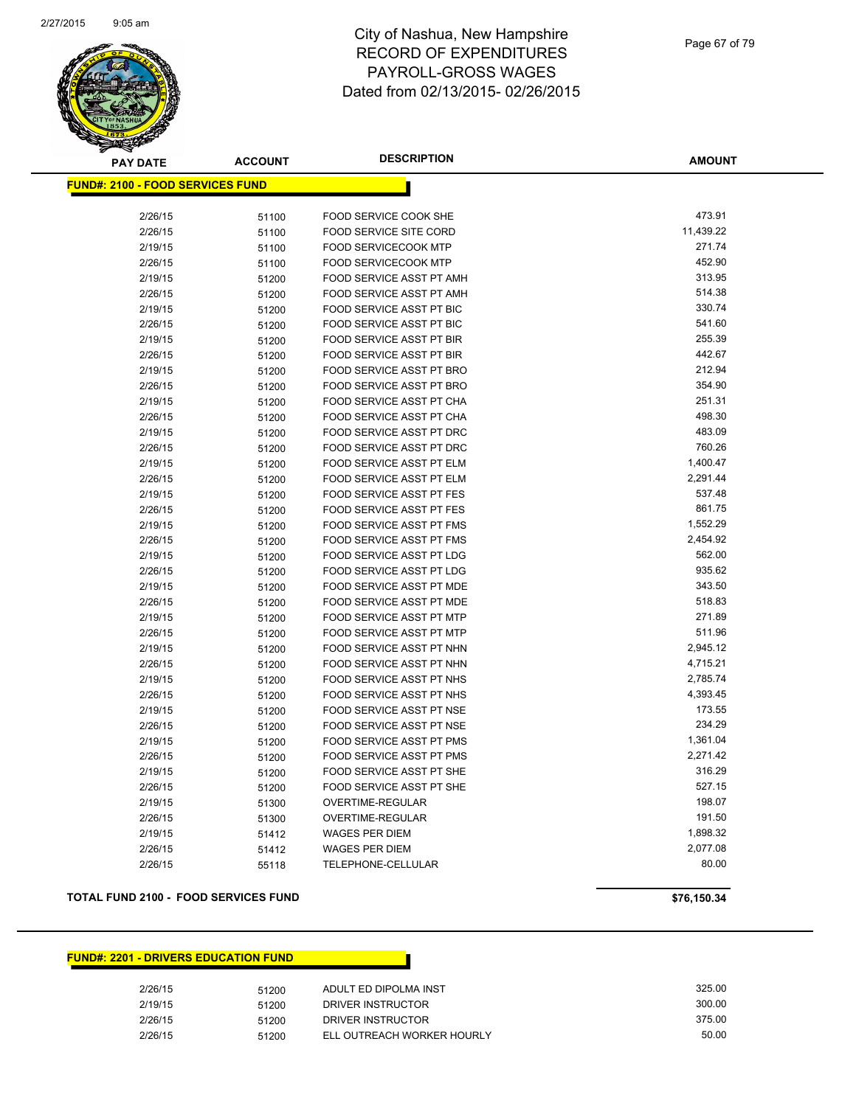

| <b>PAY DATE</b>                         | <b>ACCOUNT</b> | <b>DESCRIPTION</b>              | <b>AMOUNT</b> |
|-----------------------------------------|----------------|---------------------------------|---------------|
| <b>FUND#: 2100 - FOOD SERVICES FUND</b> |                |                                 |               |
|                                         |                |                                 |               |
| 2/26/15                                 | 51100          | FOOD SERVICE COOK SHE           | 473.91        |
| 2/26/15                                 | 51100          | <b>FOOD SERVICE SITE CORD</b>   | 11,439.22     |
| 2/19/15                                 | 51100          | FOOD SERVICECOOK MTP            | 271.74        |
| 2/26/15                                 | 51100          | <b>FOOD SERVICECOOK MTP</b>     | 452.90        |
| 2/19/15                                 | 51200          | FOOD SERVICE ASST PT AMH        | 313.95        |
| 2/26/15                                 | 51200          | FOOD SERVICE ASST PT AMH        | 514.38        |
| 2/19/15                                 | 51200          | <b>FOOD SERVICE ASST PT BIC</b> | 330.74        |
| 2/26/15                                 | 51200          | FOOD SERVICE ASST PT BIC        | 541.60        |
| 2/19/15                                 | 51200          | <b>FOOD SERVICE ASST PT BIR</b> | 255.39        |
| 2/26/15                                 | 51200          | FOOD SERVICE ASST PT BIR        | 442.67        |
| 2/19/15                                 | 51200          | FOOD SERVICE ASST PT BRO        | 212.94        |
| 2/26/15                                 | 51200          | FOOD SERVICE ASST PT BRO        | 354.90        |
| 2/19/15                                 | 51200          | FOOD SERVICE ASST PT CHA        | 251.31        |
| 2/26/15                                 | 51200          | FOOD SERVICE ASST PT CHA        | 498.30        |
| 2/19/15                                 | 51200          | FOOD SERVICE ASST PT DRC        | 483.09        |
| 2/26/15                                 | 51200          | FOOD SERVICE ASST PT DRC        | 760.26        |
| 2/19/15                                 | 51200          | FOOD SERVICE ASST PT ELM        | 1,400.47      |
| 2/26/15                                 | 51200          | FOOD SERVICE ASST PT ELM        | 2,291.44      |
| 2/19/15                                 | 51200          | FOOD SERVICE ASST PT FES        | 537.48        |
| 2/26/15                                 | 51200          | <b>FOOD SERVICE ASST PT FES</b> | 861.75        |
| 2/19/15                                 | 51200          | FOOD SERVICE ASST PT FMS        | 1,552.29      |
| 2/26/15                                 | 51200          | FOOD SERVICE ASST PT FMS        | 2,454.92      |
| 2/19/15                                 | 51200          | FOOD SERVICE ASST PT LDG        | 562.00        |
| 2/26/15                                 | 51200          | FOOD SERVICE ASST PT LDG        | 935.62        |
| 2/19/15                                 | 51200          | FOOD SERVICE ASST PT MDE        | 343.50        |
| 2/26/15                                 | 51200          | FOOD SERVICE ASST PT MDE        | 518.83        |
| 2/19/15                                 | 51200          | FOOD SERVICE ASST PT MTP        | 271.89        |
| 2/26/15                                 | 51200          | FOOD SERVICE ASST PT MTP        | 511.96        |
| 2/19/15                                 | 51200          | FOOD SERVICE ASST PT NHN        | 2,945.12      |
| 2/26/15                                 | 51200          | FOOD SERVICE ASST PT NHN        | 4,715.21      |
| 2/19/15                                 | 51200          | FOOD SERVICE ASST PT NHS        | 2,785.74      |
| 2/26/15                                 | 51200          | <b>FOOD SERVICE ASST PT NHS</b> | 4,393.45      |
| 2/19/15                                 | 51200          | FOOD SERVICE ASST PT NSE        | 173.55        |
| 2/26/15                                 | 51200          | FOOD SERVICE ASST PT NSE        | 234.29        |
| 2/19/15                                 | 51200          | <b>FOOD SERVICE ASST PT PMS</b> | 1,361.04      |
| 2/26/15                                 | 51200          | FOOD SERVICE ASST PT PMS        | 2,271.42      |
| 2/19/15                                 | 51200          | FOOD SERVICE ASST PT SHE        | 316.29        |
| 2/26/15                                 | 51200          | FOOD SERVICE ASST PT SHE        | 527.15        |
| 2/19/15                                 | 51300          | OVERTIME-REGULAR                | 198.07        |
| 2/26/15                                 | 51300          | OVERTIME-REGULAR                | 191.50        |
| 2/19/15                                 | 51412          | <b>WAGES PER DIEM</b>           | 1,898.32      |
| 2/26/15                                 | 51412          | <b>WAGES PER DIEM</b>           | 2,077.08      |
| 2/26/15                                 | 55118          | TELEPHONE-CELLULAR              | 80.00         |

#### **TOTAL FUND 2100 - FOOD SERVICES FUND \$76,150.34**

#### **FUND#: 2201 - DRIVERS EDUCATION FUND**

| 2/26/15 | 51200 | ADULT ED DIPOLMA INST      | 325.00 |
|---------|-------|----------------------------|--------|
| 2/19/15 | 51200 | DRIVER INSTRUCTOR          | 300.00 |
| 2/26/15 | 51200 | DRIVER INSTRUCTOR          | 375.00 |
| 2/26/15 | 51200 | ELL OUTREACH WORKER HOURLY | 50.00  |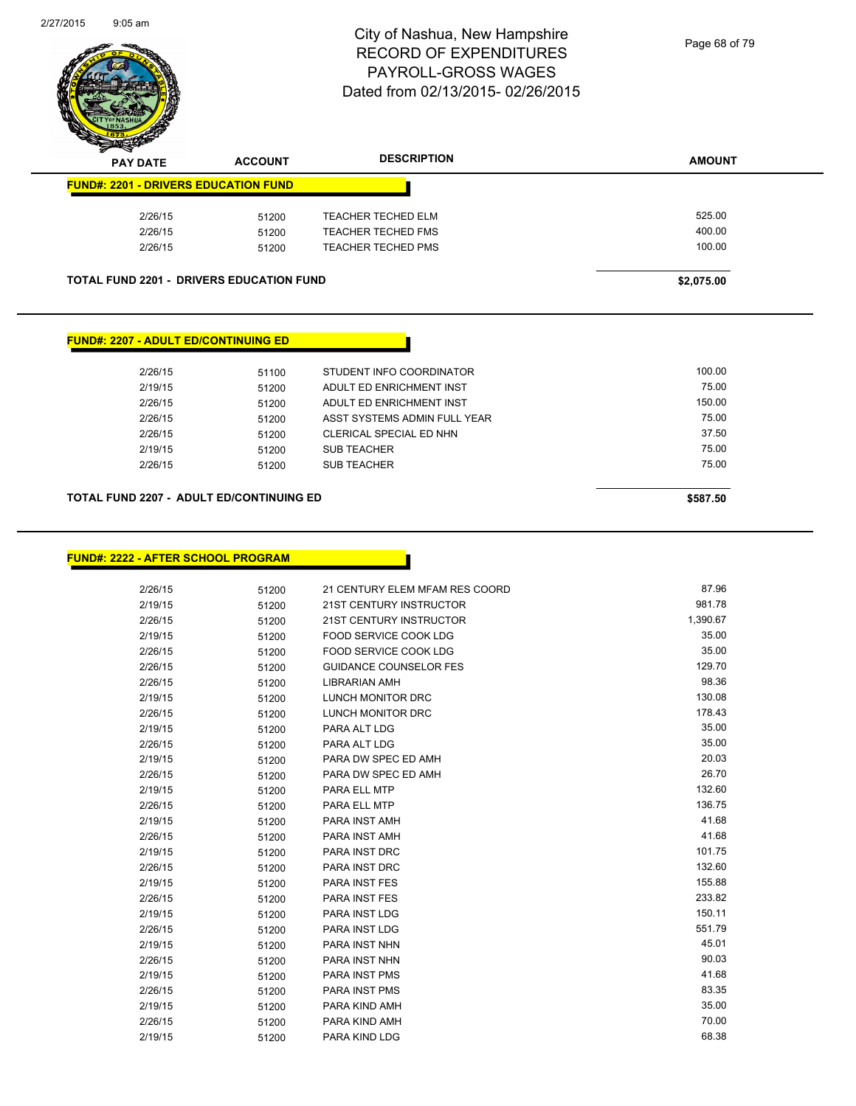

| T<br>$\tilde{\phantom{a}}$<br><b>PAY DATE</b> | <b>ACCOUNT</b> | <b>DESCRIPTION</b>        | <b>AMOUNT</b> |
|-----------------------------------------------|----------------|---------------------------|---------------|
| <b>FUND#: 2201 - DRIVERS EDUCATION FUND</b>   |                |                           |               |
| 2/26/15                                       | 51200          | <b>TEACHER TECHED ELM</b> | 525.00        |
| 2/26/15                                       | 51200          | <b>TEACHER TECHED FMS</b> | 400.00        |
| 2/26/15                                       | 51200          | <b>TEACHER TECHED PMS</b> | 100.00        |
|                                               |                |                           |               |

**TOTAL FUND 2201 - DRIVERS EDUCATION FUND \$2,075.00** 

#### **FUND#: 2207 - ADULT ED/CONTINUING ED**

| 2/26/15 | 51100 | STUDENT INFO COORDINATOR     | 100.00 |
|---------|-------|------------------------------|--------|
| 2/19/15 | 51200 | ADULT ED ENRICHMENT INST     | 75.00  |
| 2/26/15 | 51200 | ADULT ED ENRICHMENT INST     | 150.00 |
| 2/26/15 | 51200 | ASST SYSTEMS ADMIN FULL YEAR | 75.00  |
| 2/26/15 | 51200 | CLERICAL SPECIAL ED NHN      | 37.50  |
| 2/19/15 | 51200 | <b>SUB TEACHER</b>           | 75.00  |
| 2/26/15 | 51200 | <b>SUB TEACHER</b>           | 75.00  |
|         |       |                              |        |

**TOTAL FUND 2207 - ADULT ED/CONTINUING ED \$587.50** 

**FUND#: 2222 - AFTER SCHOOL PROGRAM**

| 2/26/15 | 51200 | 21 CENTURY ELEM MFAM RES COORD | 87.96    |
|---------|-------|--------------------------------|----------|
| 2/19/15 | 51200 | <b>21ST CENTURY INSTRUCTOR</b> | 981.78   |
| 2/26/15 | 51200 | 21ST CENTURY INSTRUCTOR        | 1,390.67 |
| 2/19/15 | 51200 | <b>FOOD SERVICE COOK LDG</b>   | 35.00    |
| 2/26/15 | 51200 | <b>FOOD SERVICE COOK LDG</b>   | 35.00    |
| 2/26/15 | 51200 | <b>GUIDANCE COUNSELOR FES</b>  | 129.70   |
| 2/26/15 | 51200 | <b>LIBRARIAN AMH</b>           | 98.36    |
| 2/19/15 | 51200 | <b>LUNCH MONITOR DRC</b>       | 130.08   |
| 2/26/15 | 51200 | <b>LUNCH MONITOR DRC</b>       | 178.43   |
| 2/19/15 | 51200 | PARA ALT LDG                   | 35.00    |
| 2/26/15 | 51200 | PARA ALT LDG                   | 35.00    |
| 2/19/15 | 51200 | PARA DW SPEC ED AMH            | 20.03    |
| 2/26/15 | 51200 | PARA DW SPEC ED AMH            | 26.70    |
| 2/19/15 | 51200 | PARA ELL MTP                   | 132.60   |
| 2/26/15 | 51200 | PARA ELL MTP                   | 136.75   |
| 2/19/15 | 51200 | PARA INST AMH                  | 41.68    |
| 2/26/15 | 51200 | PARA INST AMH                  | 41.68    |
| 2/19/15 | 51200 | <b>PARA INST DRC</b>           | 101.75   |
| 2/26/15 | 51200 | <b>PARA INST DRC</b>           | 132.60   |
| 2/19/15 | 51200 | <b>PARA INST FES</b>           | 155.88   |
| 2/26/15 | 51200 | <b>PARA INST FES</b>           | 233.82   |
| 2/19/15 | 51200 | <b>PARA INST LDG</b>           | 150.11   |
| 2/26/15 | 51200 | <b>PARA INST LDG</b>           | 551.79   |
| 2/19/15 | 51200 | PARA INST NHN                  | 45.01    |
| 2/26/15 | 51200 | PARA INST NHN                  | 90.03    |
| 2/19/15 | 51200 | <b>PARA INST PMS</b>           | 41.68    |
| 2/26/15 | 51200 | <b>PARA INST PMS</b>           | 83.35    |
| 2/19/15 | 51200 | PARA KIND AMH                  | 35.00    |
| 2/26/15 | 51200 | PARA KIND AMH                  | 70.00    |
| 2/19/15 | 51200 | PARA KIND LDG                  | 68.38    |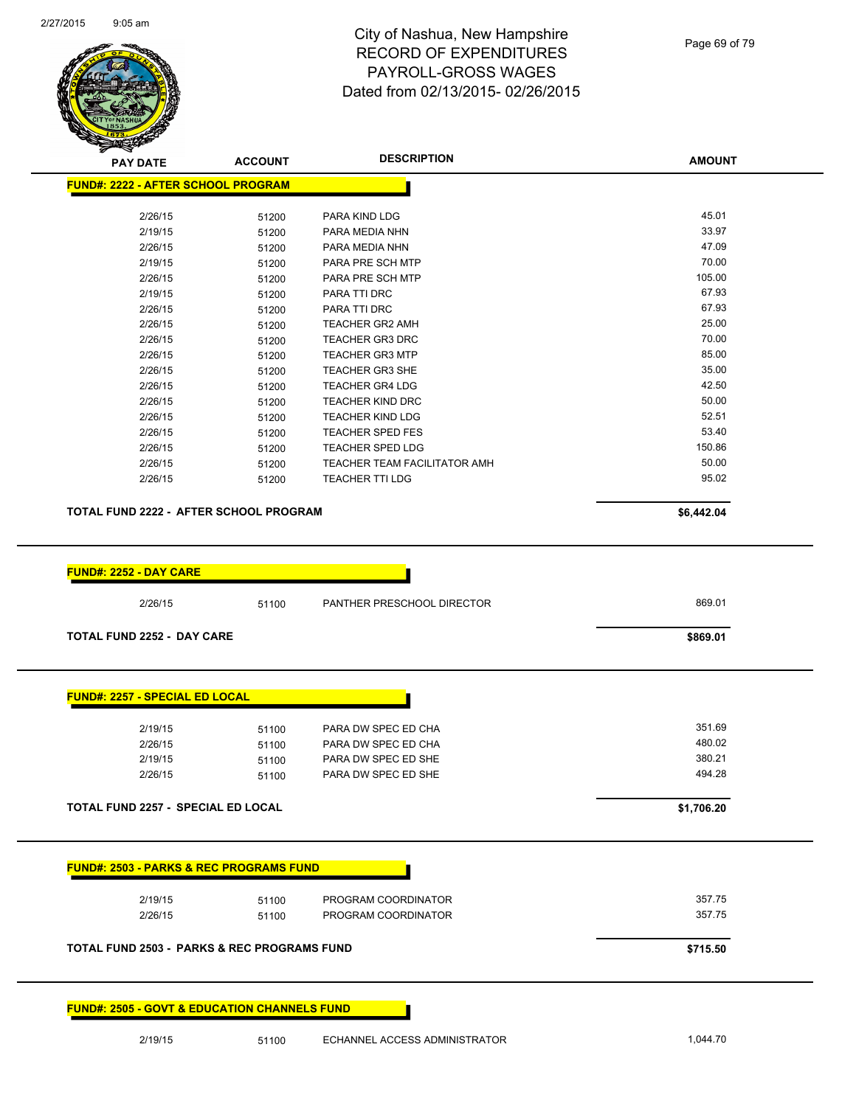

| FUND#: 2222 - AFTER SCHOOL PROGRAM<br>2/26/15<br>PARA KIND LDG<br>51200<br>2/19/15<br>PARA MEDIA NHN<br>51200<br>2/26/15<br>PARA MEDIA NHN<br>51200<br>2/19/15<br>PARA PRE SCH MTP<br>51200<br>2/26/15<br>PARA PRE SCH MTP<br>51200<br>2/19/15<br>PARA TTI DRC<br>51200<br>2/26/15<br>PARA TTI DRC<br>51200<br>2/26/15<br>51200<br><b>TEACHER GR2 AMH</b><br>2/26/15<br><b>TEACHER GR3 DRC</b><br>51200<br>2/26/15<br><b>TEACHER GR3 MTP</b><br>51200<br>2/26/15<br><b>TEACHER GR3 SHE</b><br>51200<br>2/26/15<br><b>TEACHER GR4 LDG</b><br>51200<br>2/26/15<br><b>TEACHER KIND DRC</b><br>51200<br>2/26/15<br><b>TEACHER KIND LDG</b><br>51200<br>2/26/15<br><b>TEACHER SPED FES</b><br>51200<br>2/26/15<br><b>TEACHER SPED LDG</b><br>51200<br>2/26/15<br>TEACHER TEAM FACILITATOR AMH<br>51200<br>2/26/15<br><b>TEACHER TTI LDG</b><br>51200<br>TOTAL FUND 2222 - AFTER SCHOOL PROGRAM | 45.01<br>33.97<br>47.09<br>70.00<br>105.00<br>67.93<br>67.93<br>25.00<br>70.00<br>85.00<br>35.00<br>42.50<br>50.00<br>52.51<br>53.40<br>150.86<br>50.00<br>95.02<br>\$6,442.04 |
|-------------------------------------------------------------------------------------------------------------------------------------------------------------------------------------------------------------------------------------------------------------------------------------------------------------------------------------------------------------------------------------------------------------------------------------------------------------------------------------------------------------------------------------------------------------------------------------------------------------------------------------------------------------------------------------------------------------------------------------------------------------------------------------------------------------------------------------------------------------------------------------------|--------------------------------------------------------------------------------------------------------------------------------------------------------------------------------|
|                                                                                                                                                                                                                                                                                                                                                                                                                                                                                                                                                                                                                                                                                                                                                                                                                                                                                           |                                                                                                                                                                                |
|                                                                                                                                                                                                                                                                                                                                                                                                                                                                                                                                                                                                                                                                                                                                                                                                                                                                                           |                                                                                                                                                                                |
|                                                                                                                                                                                                                                                                                                                                                                                                                                                                                                                                                                                                                                                                                                                                                                                                                                                                                           |                                                                                                                                                                                |
|                                                                                                                                                                                                                                                                                                                                                                                                                                                                                                                                                                                                                                                                                                                                                                                                                                                                                           |                                                                                                                                                                                |
|                                                                                                                                                                                                                                                                                                                                                                                                                                                                                                                                                                                                                                                                                                                                                                                                                                                                                           |                                                                                                                                                                                |
|                                                                                                                                                                                                                                                                                                                                                                                                                                                                                                                                                                                                                                                                                                                                                                                                                                                                                           |                                                                                                                                                                                |
|                                                                                                                                                                                                                                                                                                                                                                                                                                                                                                                                                                                                                                                                                                                                                                                                                                                                                           |                                                                                                                                                                                |
|                                                                                                                                                                                                                                                                                                                                                                                                                                                                                                                                                                                                                                                                                                                                                                                                                                                                                           |                                                                                                                                                                                |
|                                                                                                                                                                                                                                                                                                                                                                                                                                                                                                                                                                                                                                                                                                                                                                                                                                                                                           |                                                                                                                                                                                |
|                                                                                                                                                                                                                                                                                                                                                                                                                                                                                                                                                                                                                                                                                                                                                                                                                                                                                           |                                                                                                                                                                                |
|                                                                                                                                                                                                                                                                                                                                                                                                                                                                                                                                                                                                                                                                                                                                                                                                                                                                                           |                                                                                                                                                                                |
|                                                                                                                                                                                                                                                                                                                                                                                                                                                                                                                                                                                                                                                                                                                                                                                                                                                                                           |                                                                                                                                                                                |
|                                                                                                                                                                                                                                                                                                                                                                                                                                                                                                                                                                                                                                                                                                                                                                                                                                                                                           |                                                                                                                                                                                |
|                                                                                                                                                                                                                                                                                                                                                                                                                                                                                                                                                                                                                                                                                                                                                                                                                                                                                           |                                                                                                                                                                                |
|                                                                                                                                                                                                                                                                                                                                                                                                                                                                                                                                                                                                                                                                                                                                                                                                                                                                                           |                                                                                                                                                                                |
|                                                                                                                                                                                                                                                                                                                                                                                                                                                                                                                                                                                                                                                                                                                                                                                                                                                                                           |                                                                                                                                                                                |
|                                                                                                                                                                                                                                                                                                                                                                                                                                                                                                                                                                                                                                                                                                                                                                                                                                                                                           |                                                                                                                                                                                |
|                                                                                                                                                                                                                                                                                                                                                                                                                                                                                                                                                                                                                                                                                                                                                                                                                                                                                           |                                                                                                                                                                                |
|                                                                                                                                                                                                                                                                                                                                                                                                                                                                                                                                                                                                                                                                                                                                                                                                                                                                                           |                                                                                                                                                                                |
|                                                                                                                                                                                                                                                                                                                                                                                                                                                                                                                                                                                                                                                                                                                                                                                                                                                                                           |                                                                                                                                                                                |
|                                                                                                                                                                                                                                                                                                                                                                                                                                                                                                                                                                                                                                                                                                                                                                                                                                                                                           |                                                                                                                                                                                |
| <u> FUND#: 2252 - DAY CARE</u>                                                                                                                                                                                                                                                                                                                                                                                                                                                                                                                                                                                                                                                                                                                                                                                                                                                            |                                                                                                                                                                                |
|                                                                                                                                                                                                                                                                                                                                                                                                                                                                                                                                                                                                                                                                                                                                                                                                                                                                                           |                                                                                                                                                                                |
| PANTHER PRESCHOOL DIRECTOR<br>2/26/15<br>51100                                                                                                                                                                                                                                                                                                                                                                                                                                                                                                                                                                                                                                                                                                                                                                                                                                            | 869.01                                                                                                                                                                         |
| <b>TOTAL FUND 2252 - DAY CARE</b>                                                                                                                                                                                                                                                                                                                                                                                                                                                                                                                                                                                                                                                                                                                                                                                                                                                         | \$869.01                                                                                                                                                                       |
| <b>FUND#: 2257 - SPECIAL ED LOCAL</b>                                                                                                                                                                                                                                                                                                                                                                                                                                                                                                                                                                                                                                                                                                                                                                                                                                                     |                                                                                                                                                                                |
|                                                                                                                                                                                                                                                                                                                                                                                                                                                                                                                                                                                                                                                                                                                                                                                                                                                                                           |                                                                                                                                                                                |
| 2/19/15<br>PARA DW SPEC ED CHA<br>51100                                                                                                                                                                                                                                                                                                                                                                                                                                                                                                                                                                                                                                                                                                                                                                                                                                                   | 351.69                                                                                                                                                                         |
| 2/26/15<br>PARA DW SPEC ED CHA<br>51100                                                                                                                                                                                                                                                                                                                                                                                                                                                                                                                                                                                                                                                                                                                                                                                                                                                   | 480.02                                                                                                                                                                         |
| 2/19/15<br>PARA DW SPEC ED SHE<br>51100                                                                                                                                                                                                                                                                                                                                                                                                                                                                                                                                                                                                                                                                                                                                                                                                                                                   | 380.21                                                                                                                                                                         |
| 2/26/15<br>PARA DW SPEC ED SHE<br>51100                                                                                                                                                                                                                                                                                                                                                                                                                                                                                                                                                                                                                                                                                                                                                                                                                                                   | 494.28                                                                                                                                                                         |

#### **FUND#: 2505 - GOVT & EDUCATION CHANNELS FUND**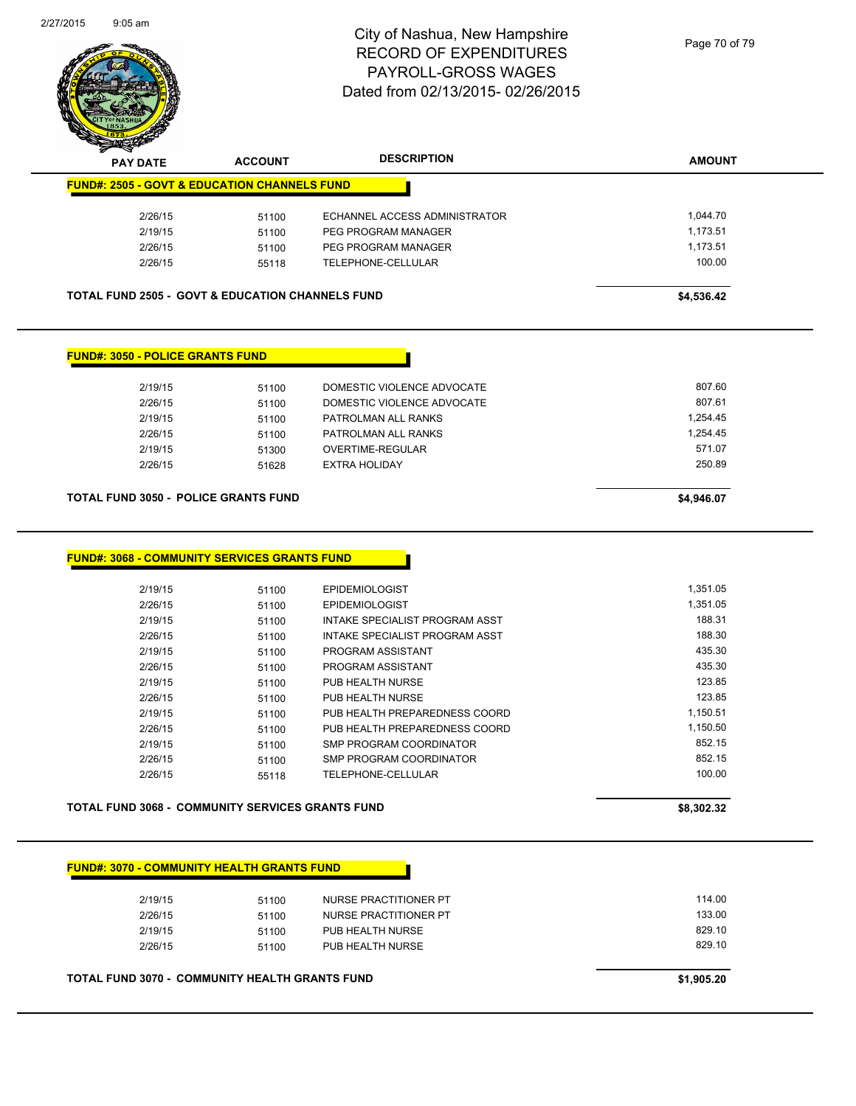

| <b>FUND#: 2505 - GOVT &amp; EDUCATION CHANNELS FUND</b>                                            |       |                                |                      |
|----------------------------------------------------------------------------------------------------|-------|--------------------------------|----------------------|
|                                                                                                    |       |                                |                      |
| 2/26/15                                                                                            | 51100 | ECHANNEL ACCESS ADMINISTRATOR  | 1,044.70             |
| 2/19/15                                                                                            | 51100 | PEG PROGRAM MANAGER            | 1,173.51             |
| 2/26/15                                                                                            | 51100 | PEG PROGRAM MANAGER            | 1,173.51             |
| 2/26/15                                                                                            | 55118 | TELEPHONE-CELLULAR             | 100.00               |
| <b>TOTAL FUND 2505 - GOVT &amp; EDUCATION CHANNELS FUND</b>                                        |       |                                | \$4,536.42           |
| <b>FUND#: 3050 - POLICE GRANTS FUND</b>                                                            |       |                                |                      |
| 2/19/15                                                                                            | 51100 | DOMESTIC VIOLENCE ADVOCATE     | 807.60               |
| 2/26/15                                                                                            | 51100 | DOMESTIC VIOLENCE ADVOCATE     | 807.61               |
| 2/19/15                                                                                            | 51100 | PATROLMAN ALL RANKS            | 1,254.45             |
| 2/26/15                                                                                            | 51100 | PATROLMAN ALL RANKS            | 1,254.45             |
| 2/19/15                                                                                            | 51300 | <b>OVERTIME-REGULAR</b>        | 571.07               |
|                                                                                                    |       |                                |                      |
| 2/26/15                                                                                            | 51628 | <b>EXTRA HOLIDAY</b>           | 250.89<br>\$4,946.07 |
| <b>TOTAL FUND 3050 - POLICE GRANTS FUND</b><br><b>FUND#: 3068 - COMMUNITY SERVICES GRANTS FUND</b> |       |                                |                      |
| 2/19/15                                                                                            | 51100 | <b>EPIDEMIOLOGIST</b>          | 1,351.05             |
| 2/26/15                                                                                            | 51100 | <b>EPIDEMIOLOGIST</b>          | 1,351.05             |
| 2/19/15                                                                                            | 51100 | INTAKE SPECIALIST PROGRAM ASST | 188.31               |
| 2/26/15                                                                                            | 51100 | INTAKE SPECIALIST PROGRAM ASST | 188.30               |
| 2/19/15                                                                                            | 51100 | PROGRAM ASSISTANT              | 435.30               |
| 2/26/15                                                                                            | 51100 | PROGRAM ASSISTANT              | 435.30               |
| 2/19/15                                                                                            | 51100 | PUB HEALTH NURSE               | 123.85               |
| 2/26/15                                                                                            | 51100 | PUB HEALTH NURSE               | 123.85               |
| 2/19/15                                                                                            | 51100 | PUB HEALTH PREPAREDNESS COORD  | 1,150.51             |
| 2/26/15                                                                                            | 51100 | PUB HEALTH PREPAREDNESS COORD  | 1,150.50             |
| 2/19/15                                                                                            | 51100 | SMP PROGRAM COORDINATOR        | 852.15               |
| 2/26/15                                                                                            | 51100 | SMP PROGRAM COORDINATOR        | 852.15               |
| 2/26/15                                                                                            | 55118 | TELEPHONE-CELLULAR             | 100.00               |

| 2/19/15 | 51100 | NURSE PRACTITIONER PT | 114.00 |
|---------|-------|-----------------------|--------|
| 2/26/15 | 51100 | NURSE PRACTITIONER PT | 133.00 |
| 2/19/15 | 51100 | PUB HEALTH NURSE      | 829.10 |
| 2/26/15 | 51100 | PUB HEALTH NURSE      | 829.10 |
|         |       |                       |        |

**TOTAL FUND 3070 - COMMUNITY HEALTH GRANTS FUND <b>EXAMPLE 20 ASSESSMENT ASSAULT ASSAULT** \$1,905.20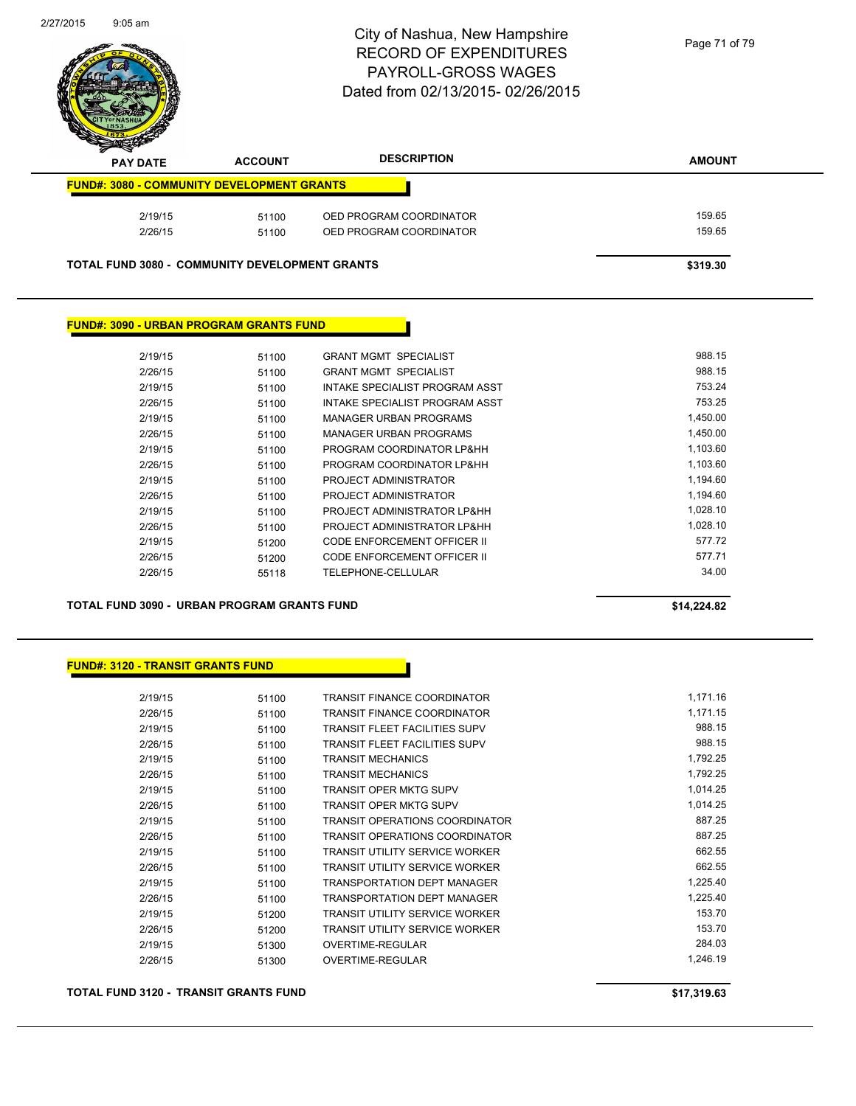

| $\boldsymbol{\nu}$<br>--<br><b>PAY DATE</b>           | <b>ACCOUNT</b> | <b>DESCRIPTION</b>      | <b>AMOUNT</b> |
|-------------------------------------------------------|----------------|-------------------------|---------------|
| <b>FUND#: 3080 - COMMUNITY DEVELOPMENT GRANTS</b>     |                |                         |               |
| 2/19/15                                               | 51100          | OED PROGRAM COORDINATOR | 159.65        |
| 2/26/15                                               | 51100          | OED PROGRAM COORDINATOR | 159.65        |
| <b>TOTAL FUND 3080 - COMMUNITY DEVELOPMENT GRANTS</b> |                |                         | \$319.30      |

#### **FUND#: 3090 - URBAN PROGRAM GRANTS FUND**

| 2/19/15 | 51100 | <b>GRANT MGMT SPECIALIST</b>   | 988.15   |
|---------|-------|--------------------------------|----------|
| 2/26/15 | 51100 | <b>GRANT MGMT SPECIALIST</b>   | 988.15   |
| 2/19/15 | 51100 | INTAKE SPECIALIST PROGRAM ASST | 753.24   |
| 2/26/15 | 51100 | INTAKE SPECIALIST PROGRAM ASST | 753.25   |
| 2/19/15 | 51100 | MANAGER URBAN PROGRAMS         | 1,450.00 |
| 2/26/15 | 51100 | MANAGER URBAN PROGRAMS         | 1,450.00 |
| 2/19/15 | 51100 | PROGRAM COORDINATOR LP&HH      | 1,103.60 |
| 2/26/15 | 51100 | PROGRAM COORDINATOR LP&HH      | 1,103.60 |
| 2/19/15 | 51100 | PROJECT ADMINISTRATOR          | 1,194.60 |
| 2/26/15 | 51100 | PROJECT ADMINISTRATOR          | 1.194.60 |
| 2/19/15 | 51100 | PROJECT ADMINISTRATOR LP&HH    | 1.028.10 |
| 2/26/15 | 51100 | PROJECT ADMINISTRATOR LP&HH    | 1.028.10 |
| 2/19/15 | 51200 | CODE ENFORCEMENT OFFICER II    | 577.72   |
| 2/26/15 | 51200 | CODE ENFORCEMENT OFFICER II    | 577.71   |
| 2/26/15 | 55118 | TELEPHONE-CELLULAR             | 34.00    |
|         |       |                                |          |

**TOTAL FUND 3090 - URBAN PROGRAM GRANTS FUND \$14,224.82** 

#### **FUND#: 3120 - TRANSIT GRANTS FUND**

| 2/19/15 | 51100 | TRANSIT FINANCE COORDINATOR           | 1,171.16 |
|---------|-------|---------------------------------------|----------|
| 2/26/15 | 51100 | <b>TRANSIT FINANCE COORDINATOR</b>    | 1,171.15 |
| 2/19/15 | 51100 | TRANSIT FLEET FACILITIES SUPV         | 988.15   |
| 2/26/15 | 51100 | <b>TRANSIT FLEET FACILITIES SUPV</b>  | 988.15   |
| 2/19/15 | 51100 | <b>TRANSIT MECHANICS</b>              | 1,792.25 |
| 2/26/15 | 51100 | <b>TRANSIT MECHANICS</b>              | 1,792.25 |
| 2/19/15 | 51100 | <b>TRANSIT OPER MKTG SUPV</b>         | 1,014.25 |
| 2/26/15 | 51100 | <b>TRANSIT OPER MKTG SUPV</b>         | 1,014.25 |
| 2/19/15 | 51100 | <b>TRANSIT OPERATIONS COORDINATOR</b> | 887.25   |
| 2/26/15 | 51100 | <b>TRANSIT OPERATIONS COORDINATOR</b> | 887.25   |
| 2/19/15 | 51100 | <b>TRANSIT UTILITY SERVICE WORKER</b> | 662.55   |
| 2/26/15 | 51100 | <b>TRANSIT UTILITY SERVICE WORKER</b> | 662.55   |
| 2/19/15 | 51100 | <b>TRANSPORTATION DEPT MANAGER</b>    | 1,225.40 |
| 2/26/15 | 51100 | <b>TRANSPORTATION DEPT MANAGER</b>    | 1,225.40 |
| 2/19/15 | 51200 | <b>TRANSIT UTILITY SERVICE WORKER</b> | 153.70   |
| 2/26/15 | 51200 | <b>TRANSIT UTILITY SERVICE WORKER</b> | 153.70   |
| 2/19/15 | 51300 | <b>OVERTIME-REGULAR</b>               | 284.03   |
| 2/26/15 | 51300 | OVERTIME-REGULAR                      | 1,246.19 |
|         |       |                                       |          |

**TOTAL FUND 3120 - TRANSIT GRANTS FUND \$17,319.63**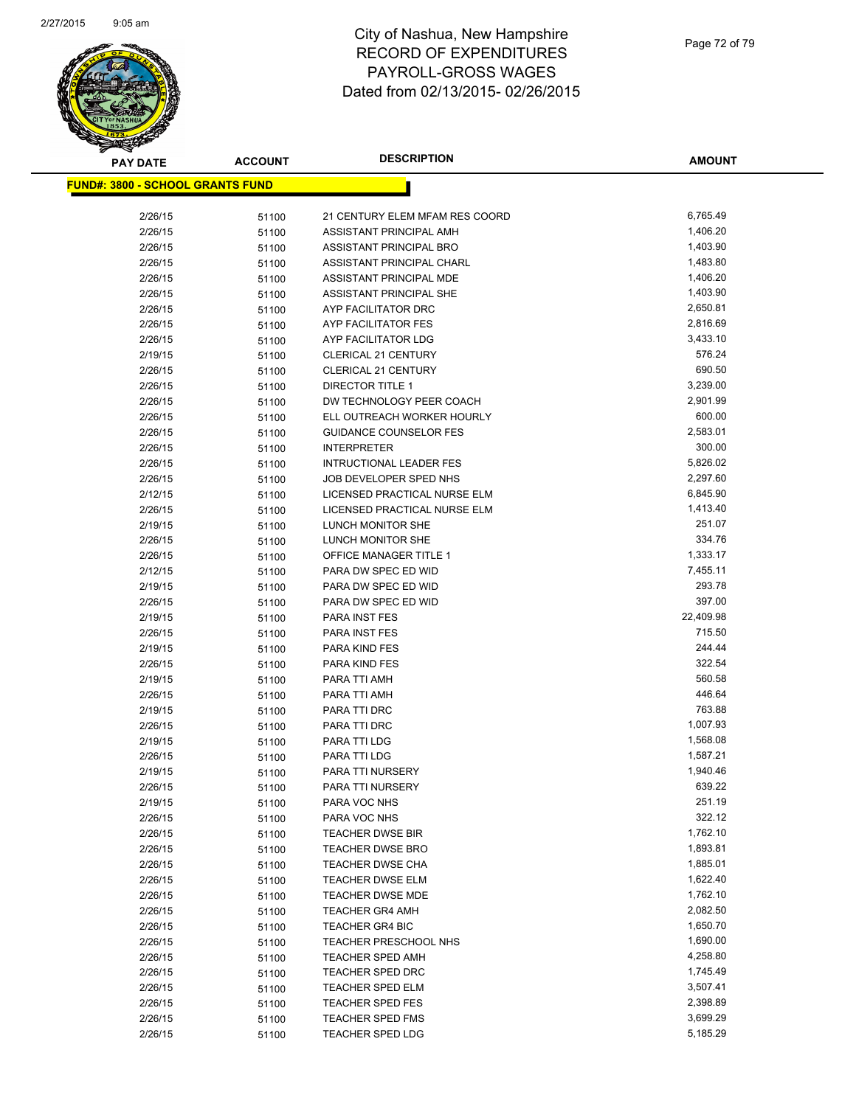

| <b>PAY DATE</b>                          | <b>ACCOUNT</b> | <b>DESCRIPTION</b>             | <b>AMOUNT</b> |
|------------------------------------------|----------------|--------------------------------|---------------|
| <u> FUND#: 3800 - SCHOOL GRANTS FUND</u> |                |                                |               |
|                                          |                |                                |               |
| 2/26/15                                  | 51100          | 21 CENTURY ELEM MFAM RES COORD | 6,765.49      |
| 2/26/15                                  | 51100          | ASSISTANT PRINCIPAL AMH        | 1,406.20      |
| 2/26/15                                  | 51100          | ASSISTANT PRINCIPAL BRO        | 1,403.90      |
| 2/26/15                                  | 51100          | ASSISTANT PRINCIPAL CHARL      | 1,483.80      |
| 2/26/15                                  | 51100          | ASSISTANT PRINCIPAL MDE        | 1,406.20      |
| 2/26/15                                  | 51100          | ASSISTANT PRINCIPAL SHE        | 1,403.90      |
| 2/26/15                                  | 51100          | AYP FACILITATOR DRC            | 2,650.81      |
| 2/26/15                                  | 51100          | <b>AYP FACILITATOR FES</b>     | 2,816.69      |
| 2/26/15                                  | 51100          | AYP FACILITATOR LDG            | 3,433.10      |
| 2/19/15                                  | 51100          | <b>CLERICAL 21 CENTURY</b>     | 576.24        |
| 2/26/15                                  | 51100          | <b>CLERICAL 21 CENTURY</b>     | 690.50        |
| 2/26/15                                  | 51100          | <b>DIRECTOR TITLE 1</b>        | 3,239.00      |
| 2/26/15                                  | 51100          | DW TECHNOLOGY PEER COACH       | 2,901.99      |
| 2/26/15                                  | 51100          | ELL OUTREACH WORKER HOURLY     | 600.00        |
| 2/26/15                                  | 51100          | <b>GUIDANCE COUNSELOR FES</b>  | 2,583.01      |
| 2/26/15                                  | 51100          | <b>INTERPRETER</b>             | 300.00        |
| 2/26/15                                  | 51100          | <b>INTRUCTIONAL LEADER FES</b> | 5,826.02      |
| 2/26/15                                  | 51100          | JOB DEVELOPER SPED NHS         | 2,297.60      |
| 2/12/15                                  | 51100          | LICENSED PRACTICAL NURSE ELM   | 6,845.90      |
| 2/26/15                                  | 51100          | LICENSED PRACTICAL NURSE ELM   | 1,413.40      |
| 2/19/15                                  | 51100          | LUNCH MONITOR SHE              | 251.07        |
| 2/26/15                                  | 51100          | LUNCH MONITOR SHE              | 334.76        |
| 2/26/15                                  | 51100          | <b>OFFICE MANAGER TITLE 1</b>  | 1,333.17      |
| 2/12/15                                  | 51100          | PARA DW SPEC ED WID            | 7,455.11      |
| 2/19/15                                  | 51100          | PARA DW SPEC ED WID            | 293.78        |
| 2/26/15                                  | 51100          | PARA DW SPEC ED WID            | 397.00        |
| 2/19/15                                  | 51100          | PARA INST FES                  | 22,409.98     |
| 2/26/15                                  | 51100          | PARA INST FES                  | 715.50        |
| 2/19/15                                  | 51100          | PARA KIND FES                  | 244.44        |
| 2/26/15                                  | 51100          | PARA KIND FES                  | 322.54        |
| 2/19/15                                  | 51100          | PARA TTI AMH                   | 560.58        |
| 2/26/15                                  | 51100          | PARA TTI AMH                   | 446.64        |
| 2/19/15                                  | 51100          | PARA TTI DRC                   | 763.88        |
| 2/26/15                                  | 51100          | PARA TTI DRC                   | 1,007.93      |
| 2/19/15                                  | 51100          | PARA TTI LDG                   | 1,568.08      |
| 2/26/15                                  | 51100          | PARA TTI LDG                   | 1,587.21      |
| 2/19/15                                  | 51100          | PARA TTI NURSERY               | 1,940.46      |
| 2/26/15                                  | 51100          | PARA TTI NURSERY               | 639.22        |
| 2/19/15                                  | 51100          | PARA VOC NHS                   | 251.19        |
| 2/26/15                                  | 51100          | PARA VOC NHS                   | 322.12        |
| 2/26/15                                  | 51100          | <b>TEACHER DWSE BIR</b>        | 1,762.10      |
| 2/26/15                                  | 51100          | <b>TEACHER DWSE BRO</b>        | 1,893.81      |
| 2/26/15                                  | 51100          | <b>TEACHER DWSE CHA</b>        | 1,885.01      |
| 2/26/15                                  | 51100          | TEACHER DWSE ELM               | 1,622.40      |
| 2/26/15                                  | 51100          | <b>TEACHER DWSE MDE</b>        | 1,762.10      |
| 2/26/15                                  | 51100          | <b>TEACHER GR4 AMH</b>         | 2,082.50      |
| 2/26/15                                  | 51100          | <b>TEACHER GR4 BIC</b>         | 1,650.70      |
| 2/26/15                                  | 51100          | <b>TEACHER PRESCHOOL NHS</b>   | 1,690.00      |
| 2/26/15                                  | 51100          | <b>TEACHER SPED AMH</b>        | 4,258.80      |
| 2/26/15                                  | 51100          | <b>TEACHER SPED DRC</b>        | 1,745.49      |
| 2/26/15                                  | 51100          | <b>TEACHER SPED ELM</b>        | 3,507.41      |
| 2/26/15                                  | 51100          | <b>TEACHER SPED FES</b>        | 2,398.89      |
| 2/26/15                                  | 51100          | TEACHER SPED FMS               | 3,699.29      |
| 2/26/15                                  | 51100          | <b>TEACHER SPED LDG</b>        | 5,185.29      |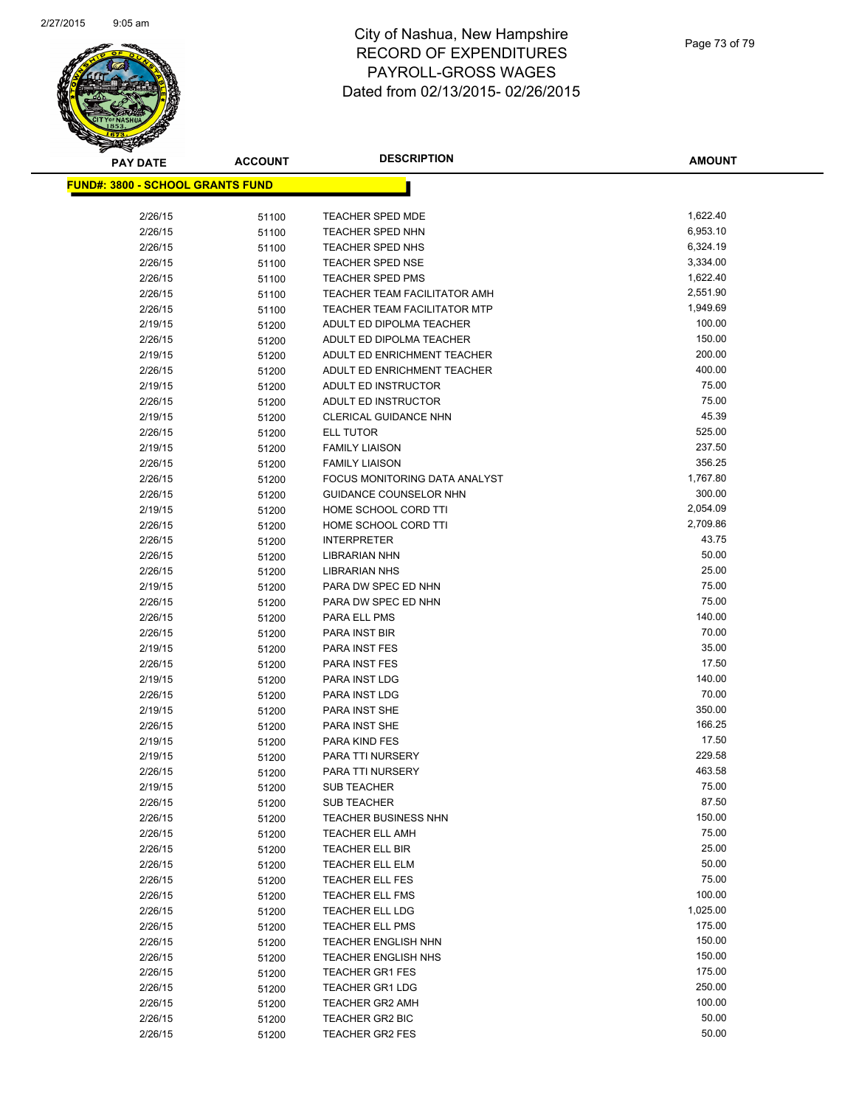

| <b>PAY DATE</b>                          | <b>ACCOUNT</b> | <b>DESCRIPTION</b>                  | <b>AMOUNT</b>  |
|------------------------------------------|----------------|-------------------------------------|----------------|
| <u> FUND#: 3800 - SCHOOL GRANTS FUND</u> |                |                                     |                |
|                                          |                |                                     |                |
| 2/26/15                                  | 51100          | <b>TEACHER SPED MDE</b>             | 1,622.40       |
| 2/26/15                                  | 51100          | <b>TEACHER SPED NHN</b>             | 6,953.10       |
| 2/26/15                                  | 51100          | TEACHER SPED NHS                    | 6,324.19       |
| 2/26/15                                  | 51100          | <b>TEACHER SPED NSE</b>             | 3,334.00       |
| 2/26/15                                  | 51100          | <b>TEACHER SPED PMS</b>             | 1,622.40       |
| 2/26/15                                  | 51100          | <b>TEACHER TEAM FACILITATOR AMH</b> | 2,551.90       |
| 2/26/15                                  | 51100          | <b>TEACHER TEAM FACILITATOR MTP</b> | 1,949.69       |
| 2/19/15                                  | 51200          | ADULT ED DIPOLMA TEACHER            | 100.00         |
| 2/26/15                                  | 51200          | ADULT ED DIPOLMA TEACHER            | 150.00         |
| 2/19/15                                  | 51200          | ADULT ED ENRICHMENT TEACHER         | 200.00         |
| 2/26/15                                  | 51200          | ADULT ED ENRICHMENT TEACHER         | 400.00         |
| 2/19/15                                  | 51200          | ADULT ED INSTRUCTOR                 | 75.00          |
| 2/26/15                                  | 51200          | ADULT ED INSTRUCTOR                 | 75.00          |
| 2/19/15                                  | 51200          | CLERICAL GUIDANCE NHN               | 45.39          |
| 2/26/15                                  | 51200          | <b>ELL TUTOR</b>                    | 525.00         |
| 2/19/15                                  | 51200          | <b>FAMILY LIAISON</b>               | 237.50         |
| 2/26/15                                  | 51200          | <b>FAMILY LIAISON</b>               | 356.25         |
| 2/26/15                                  | 51200          | FOCUS MONITORING DATA ANALYST       | 1,767.80       |
| 2/26/15                                  | 51200          | <b>GUIDANCE COUNSELOR NHN</b>       | 300.00         |
| 2/19/15                                  | 51200          | HOME SCHOOL CORD TTI                | 2,054.09       |
| 2/26/15                                  | 51200          | HOME SCHOOL CORD TTI                | 2,709.86       |
| 2/26/15                                  | 51200          | <b>INTERPRETER</b>                  | 43.75          |
| 2/26/15                                  | 51200          | LIBRARIAN NHN                       | 50.00          |
| 2/26/15                                  | 51200          | <b>LIBRARIAN NHS</b>                | 25.00          |
| 2/19/15                                  | 51200          | PARA DW SPEC ED NHN                 | 75.00          |
| 2/26/15                                  | 51200          | PARA DW SPEC ED NHN                 | 75.00          |
| 2/26/15                                  | 51200          | PARA ELL PMS                        | 140.00         |
| 2/26/15                                  | 51200          | PARA INST BIR                       | 70.00          |
| 2/19/15                                  | 51200          | PARA INST FES                       | 35.00<br>17.50 |
| 2/26/15                                  | 51200          | PARA INST FES                       | 140.00         |
| 2/19/15                                  | 51200          | PARA INST LDG                       | 70.00          |
| 2/26/15                                  | 51200          | <b>PARA INST LDG</b>                | 350.00         |
| 2/19/15                                  | 51200          | PARA INST SHE                       | 166.25         |
| 2/26/15<br>2/19/15                       | 51200          | PARA INST SHE<br>PARA KIND FES      | 17.50          |
| 2/19/15                                  | 51200          | PARA TTI NURSERY                    | 229.58         |
| 2/26/15                                  | 51200<br>51200 | <b>PARA TTI NURSERY</b>             | 463.58         |
| 2/19/15                                  |                | <b>SUB TEACHER</b>                  | 75.00          |
| 2/26/15                                  | 51200<br>51200 | <b>SUB TEACHER</b>                  | 87.50          |
| 2/26/15                                  | 51200          | TEACHER BUSINESS NHN                | 150.00         |
| 2/26/15                                  | 51200          | <b>TEACHER ELL AMH</b>              | 75.00          |
| 2/26/15                                  | 51200          | TEACHER ELL BIR                     | 25.00          |
| 2/26/15                                  | 51200          | TEACHER ELL ELM                     | 50.00          |
| 2/26/15                                  | 51200          | <b>TEACHER ELL FES</b>              | 75.00          |
| 2/26/15                                  | 51200          | <b>TEACHER ELL FMS</b>              | 100.00         |
| 2/26/15                                  | 51200          | <b>TEACHER ELL LDG</b>              | 1,025.00       |
| 2/26/15                                  | 51200          | <b>TEACHER ELL PMS</b>              | 175.00         |
| 2/26/15                                  | 51200          | <b>TEACHER ENGLISH NHN</b>          | 150.00         |
| 2/26/15                                  | 51200          | <b>TEACHER ENGLISH NHS</b>          | 150.00         |
| 2/26/15                                  | 51200          | <b>TEACHER GR1 FES</b>              | 175.00         |
| 2/26/15                                  | 51200          | <b>TEACHER GR1 LDG</b>              | 250.00         |
| 2/26/15                                  | 51200          | <b>TEACHER GR2 AMH</b>              | 100.00         |
| 2/26/15                                  | 51200          | <b>TEACHER GR2 BIC</b>              | 50.00          |
| 2/26/15                                  | 51200          | TEACHER GR2 FES                     | 50.00          |
|                                          |                |                                     |                |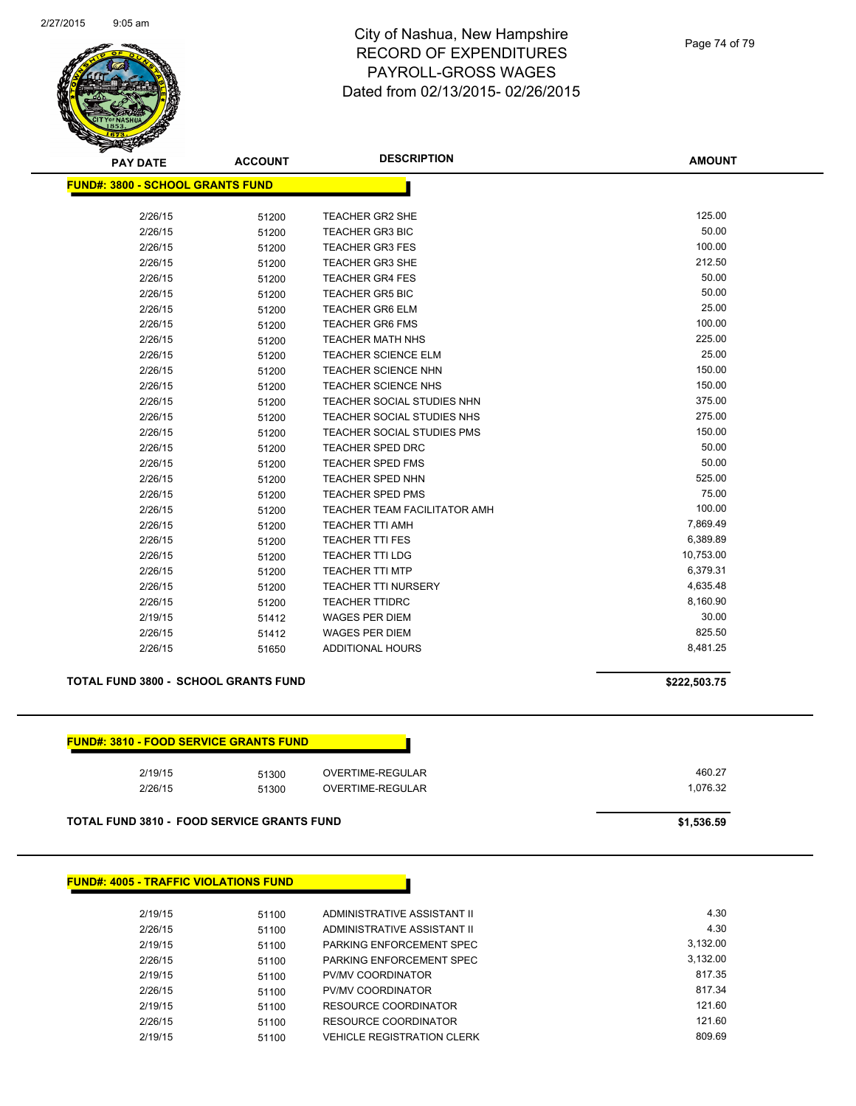

#### Page 74 of 79

**AMOUNT**

| <b>FUND#: 3800 - SCHOOL GRANTS FUND</b> |       |                                   |           |
|-----------------------------------------|-------|-----------------------------------|-----------|
|                                         |       |                                   |           |
| 2/26/15                                 | 51200 | <b>TEACHER GR2 SHE</b>            | 125.00    |
| 2/26/15                                 | 51200 | <b>TEACHER GR3 BIC</b>            | 50.00     |
| 2/26/15                                 | 51200 | <b>TEACHER GR3 FES</b>            | 100.00    |
| 2/26/15                                 | 51200 | <b>TEACHER GR3 SHE</b>            | 212.50    |
| 2/26/15                                 | 51200 | <b>TEACHER GR4 FES</b>            | 50.00     |
| 2/26/15                                 | 51200 | <b>TEACHER GR5 BIC</b>            | 50.00     |
| 2/26/15                                 | 51200 | <b>TEACHER GR6 ELM</b>            | 25.00     |
| 2/26/15                                 | 51200 | <b>TEACHER GR6 FMS</b>            | 100.00    |
| 2/26/15                                 | 51200 | <b>TEACHER MATH NHS</b>           | 225.00    |
| 2/26/15                                 | 51200 | <b>TEACHER SCIENCE ELM</b>        | 25.00     |
| 2/26/15                                 | 51200 | <b>TEACHER SCIENCE NHN</b>        | 150.00    |
| 2/26/15                                 | 51200 | <b>TEACHER SCIENCE NHS</b>        | 150.00    |
| 2/26/15                                 | 51200 | <b>TEACHER SOCIAL STUDIES NHN</b> | 375.00    |
| 2/26/15                                 | 51200 | TEACHER SOCIAL STUDIES NHS        | 275.00    |
| 2/26/15                                 | 51200 | <b>TEACHER SOCIAL STUDIES PMS</b> | 150.00    |
| 2/26/15                                 | 51200 | <b>TEACHER SPED DRC</b>           | 50.00     |
| 2/26/15                                 | 51200 | <b>TEACHER SPED FMS</b>           | 50.00     |
| 2/26/15                                 | 51200 | TEACHER SPED NHN                  | 525.00    |
| 2/26/15                                 | 51200 | <b>TEACHER SPED PMS</b>           | 75.00     |
| 2/26/15                                 | 51200 | TEACHER TEAM FACILITATOR AMH      | 100.00    |
| 2/26/15                                 | 51200 | <b>TEACHER TTI AMH</b>            | 7,869.49  |
| 2/26/15                                 | 51200 | <b>TEACHER TTI FES</b>            | 6,389.89  |
| 2/26/15                                 | 51200 | <b>TEACHER TTI LDG</b>            | 10,753.00 |
| 2/26/15                                 | 51200 | <b>TEACHER TTI MTP</b>            | 6,379.31  |
| 2/26/15                                 | 51200 | <b>TEACHER TTI NURSERY</b>        | 4,635.48  |
| 2/26/15                                 | 51200 | <b>TEACHER TTIDRC</b>             | 8,160.90  |
| 2/19/15                                 | 51412 | <b>WAGES PER DIEM</b>             | 30.00     |
| 2/26/15                                 | 51412 | <b>WAGES PER DIEM</b>             | 825.50    |
| 2/26/15                                 | 51650 | <b>ADDITIONAL HOURS</b>           | 8,481.25  |

### **TOTAL FUND 3800 - SCHOOL GRANTS FUND \$222,503.75**

| <b>FUND#: 3810 - FOOD SERVICE GRANTS FUND</b> |
|-----------------------------------------------|
| 2/19/15<br>OVERTIME-REGULAR<br>51300          |
| 2/26/15<br>OVERTIME-REGULAR<br>51300          |

**TOTAL FUND 3810 - FOOD SERVICE GRANTS FUND \$1,536.59** 

### **FUND#: 4005 - TRAFFIC VIOLATIONS FUND**

| 2/19/15 | 51100 | ADMINISTRATIVE ASSISTANT II       | 4.30     |
|---------|-------|-----------------------------------|----------|
| 2/26/15 | 51100 | ADMINISTRATIVE ASSISTANT II       | 4.30     |
| 2/19/15 | 51100 | PARKING ENFORCEMENT SPEC          | 3.132.00 |
| 2/26/15 | 51100 | PARKING ENFORCEMENT SPEC          | 3.132.00 |
| 2/19/15 | 51100 | PV/MV COORDINATOR                 | 817.35   |
| 2/26/15 | 51100 | PV/MV COORDINATOR                 | 817.34   |
| 2/19/15 | 51100 | RESOURCE COORDINATOR              | 121.60   |
| 2/26/15 | 51100 | RESOURCE COORDINATOR              | 121.60   |
| 2/19/15 | 51100 | <b>VEHICLE REGISTRATION CLERK</b> | 809.69   |
|         |       |                                   |          |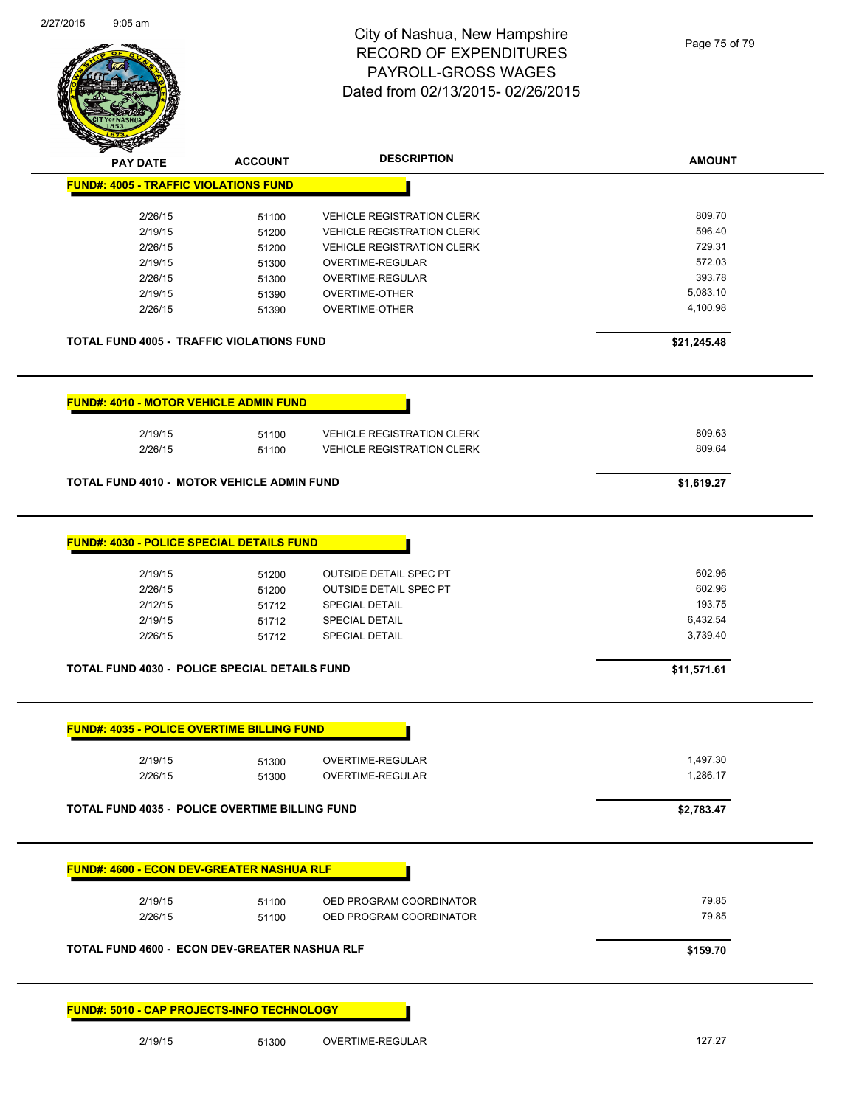| 2/27/2015 | $9:05$ am                                             |                | City of Nashua, New Hampshire<br><b>RECORD OF EXPENDITURES</b><br>PAYROLL-GROSS WAGES<br>Dated from 02/13/2015-02/26/2015 | Page 75 of 79      |
|-----------|-------------------------------------------------------|----------------|---------------------------------------------------------------------------------------------------------------------------|--------------------|
|           | PAY DATE                                              | <b>ACCOUNT</b> | <b>DESCRIPTION</b>                                                                                                        | <b>AMOUNT</b>      |
|           | <b>FUND#: 4005 - TRAFFIC VIOLATIONS FUND</b>          |                |                                                                                                                           |                    |
|           | 2/26/15                                               | 51100          | <b>VEHICLE REGISTRATION CLERK</b>                                                                                         | 809.70             |
|           | 2/19/15                                               | 51200          | <b>VEHICLE REGISTRATION CLERK</b>                                                                                         | 596.40             |
|           | 2/26/15                                               | 51200          | <b>VEHICLE REGISTRATION CLERK</b>                                                                                         | 729.31             |
|           | 2/19/15                                               | 51300          | OVERTIME-REGULAR                                                                                                          | 572.03             |
|           | 2/26/15                                               | 51300          | OVERTIME-REGULAR                                                                                                          | 393.78<br>5,083.10 |
|           | 2/19/15<br>2/26/15                                    | 51390          | <b>OVERTIME-OTHER</b>                                                                                                     | 4,100.98           |
|           |                                                       | 51390          | OVERTIME-OTHER                                                                                                            |                    |
|           | TOTAL FUND 4005 - TRAFFIC VIOLATIONS FUND             |                |                                                                                                                           | \$21,245.48        |
|           | <b>FUND#: 4010 - MOTOR VEHICLE ADMIN FUND</b>         |                |                                                                                                                           |                    |
|           |                                                       |                |                                                                                                                           |                    |
|           | 2/19/15                                               | 51100          | <b>VEHICLE REGISTRATION CLERK</b>                                                                                         | 809.63             |
|           | 2/26/15                                               | 51100          | <b>VEHICLE REGISTRATION CLERK</b>                                                                                         | 809.64             |
|           | TOTAL FUND 4010 - MOTOR VEHICLE ADMIN FUND            |                |                                                                                                                           | \$1,619.27         |
|           |                                                       |                |                                                                                                                           |                    |
|           | FUND#: 4030 - POLICE SPECIAL DETAILS FUND             |                |                                                                                                                           |                    |
|           | 2/19/15                                               | 51200          | <b>OUTSIDE DETAIL SPEC PT</b>                                                                                             | 602.96             |
|           | 2/26/15                                               | 51200          | <b>OUTSIDE DETAIL SPEC PT</b>                                                                                             | 602.96             |
|           | 2/12/15                                               | 51712          | SPECIAL DETAIL                                                                                                            | 193.75             |
|           | 2/19/15                                               | 51712          | <b>SPECIAL DETAIL</b>                                                                                                     | 6,432.54           |
|           | 2/26/15                                               | 51712          | <b>SPECIAL DETAIL</b>                                                                                                     | 3,739.40           |
|           | TOTAL FUND 4030 - POLICE SPECIAL DETAILS FUND         |                |                                                                                                                           | \$11,571.61        |
|           |                                                       |                |                                                                                                                           |                    |
|           | <b>FUND#: 4035 - POLICE OVERTIME BILLING FUND</b>     |                |                                                                                                                           |                    |
|           | 2/19/15                                               | 51300          | OVERTIME-REGULAR                                                                                                          | 1,497.30           |
|           | 2/26/15                                               | 51300          | OVERTIME-REGULAR                                                                                                          | 1,286.17           |
|           |                                                       |                |                                                                                                                           |                    |
|           | <b>TOTAL FUND 4035 - POLICE OVERTIME BILLING FUND</b> |                |                                                                                                                           | \$2,783.47         |
|           | <b>FUND#: 4600 - ECON DEV-GREATER NASHUA RLF</b>      |                |                                                                                                                           |                    |
|           |                                                       |                |                                                                                                                           | 79.85              |
|           | 2/19/15<br>2/26/15                                    | 51100<br>51100 | OED PROGRAM COORDINATOR<br>OED PROGRAM COORDINATOR                                                                        | 79.85              |
|           |                                                       |                |                                                                                                                           |                    |
|           | TOTAL FUND 4600 - ECON DEV-GREATER NASHUA RLF         |                |                                                                                                                           | \$159.70           |
|           | FUND#: 5010 - CAP PROJECTS-INFO TECHNOLOGY            |                |                                                                                                                           |                    |
|           | 2/19/15                                               | 51300          | OVERTIME-REGULAR                                                                                                          | 127.27             |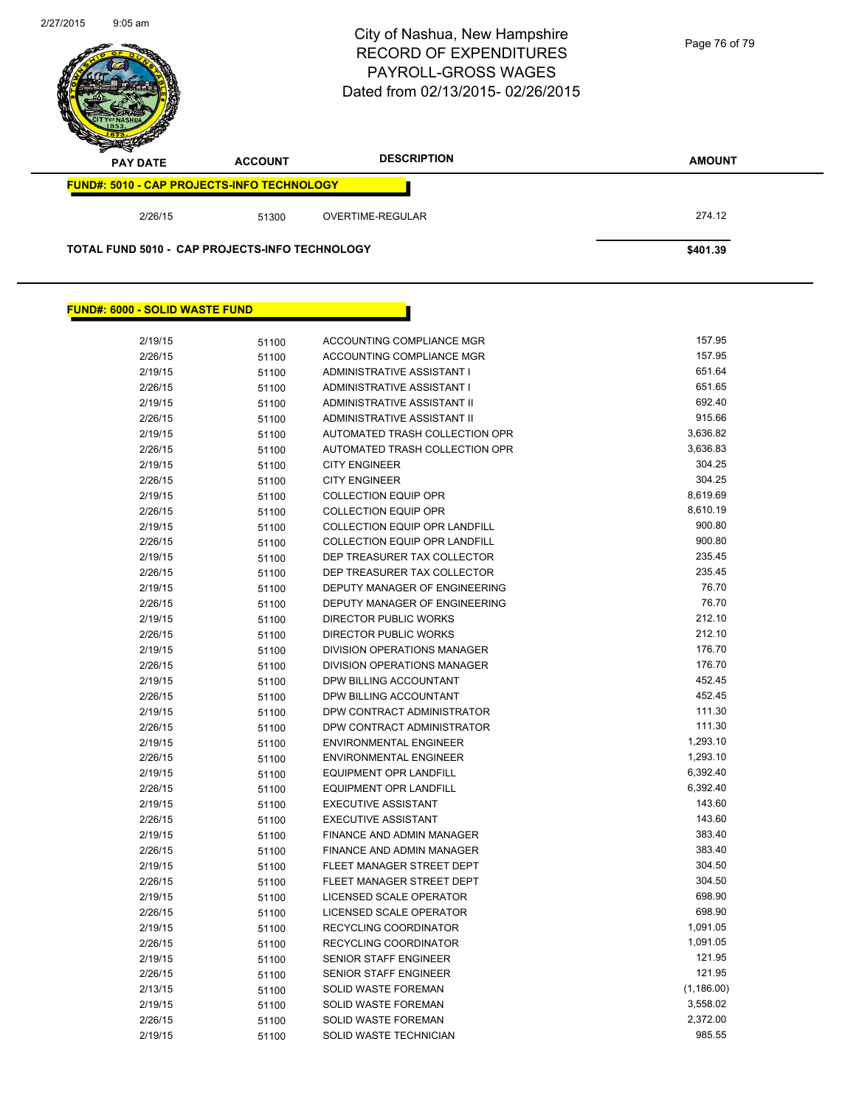

### **FUND#: 6000 - SOLID WASTE FUND**

| 2/19/15 | 51100 | ACCOUNTING COMPLIANCE MGR            | 157.95      |
|---------|-------|--------------------------------------|-------------|
| 2/26/15 | 51100 | <b>ACCOUNTING COMPLIANCE MGR</b>     | 157.95      |
| 2/19/15 | 51100 | <b>ADMINISTRATIVE ASSISTANT I</b>    | 651.64      |
| 2/26/15 | 51100 | <b>ADMINISTRATIVE ASSISTANT I</b>    | 651.65      |
| 2/19/15 | 51100 | <b>ADMINISTRATIVE ASSISTANT II</b>   | 692.40      |
| 2/26/15 | 51100 | ADMINISTRATIVE ASSISTANT II          | 915.66      |
| 2/19/15 | 51100 | AUTOMATED TRASH COLLECTION OPR       | 3,636.82    |
| 2/26/15 | 51100 | AUTOMATED TRASH COLLECTION OPR       | 3,636.83    |
| 2/19/15 | 51100 | <b>CITY ENGINEER</b>                 | 304.25      |
| 2/26/15 | 51100 | <b>CITY ENGINEER</b>                 | 304.25      |
| 2/19/15 | 51100 | <b>COLLECTION EQUIP OPR</b>          | 8,619.69    |
| 2/26/15 | 51100 | <b>COLLECTION EQUIP OPR</b>          | 8,610.19    |
| 2/19/15 | 51100 | <b>COLLECTION EQUIP OPR LANDFILL</b> | 900.80      |
| 2/26/15 | 51100 | <b>COLLECTION EQUIP OPR LANDFILL</b> | 900.80      |
| 2/19/15 | 51100 | DEP TREASURER TAX COLLECTOR          | 235.45      |
| 2/26/15 | 51100 | DEP TREASURER TAX COLLECTOR          | 235.45      |
| 2/19/15 | 51100 | DEPUTY MANAGER OF ENGINEERING        | 76.70       |
| 2/26/15 | 51100 | DEPUTY MANAGER OF ENGINEERING        | 76.70       |
| 2/19/15 | 51100 | <b>DIRECTOR PUBLIC WORKS</b>         | 212.10      |
| 2/26/15 | 51100 | <b>DIRECTOR PUBLIC WORKS</b>         | 212.10      |
| 2/19/15 | 51100 | <b>DIVISION OPERATIONS MANAGER</b>   | 176.70      |
| 2/26/15 | 51100 | DIVISION OPERATIONS MANAGER          | 176.70      |
| 2/19/15 | 51100 | DPW BILLING ACCOUNTANT               | 452.45      |
| 2/26/15 | 51100 | DPW BILLING ACCOUNTANT               | 452.45      |
| 2/19/15 | 51100 | DPW CONTRACT ADMINISTRATOR           | 111.30      |
| 2/26/15 | 51100 | DPW CONTRACT ADMINISTRATOR           | 111.30      |
| 2/19/15 | 51100 | <b>ENVIRONMENTAL ENGINEER</b>        | 1,293.10    |
| 2/26/15 | 51100 | <b>ENVIRONMENTAL ENGINEER</b>        | 1,293.10    |
| 2/19/15 | 51100 | <b>EQUIPMENT OPR LANDFILL</b>        | 6,392.40    |
| 2/26/15 | 51100 | <b>EQUIPMENT OPR LANDFILL</b>        | 6,392.40    |
| 2/19/15 | 51100 | <b>EXECUTIVE ASSISTANT</b>           | 143.60      |
| 2/26/15 | 51100 | <b>EXECUTIVE ASSISTANT</b>           | 143.60      |
| 2/19/15 | 51100 | <b>FINANCE AND ADMIN MANAGER</b>     | 383.40      |
| 2/26/15 | 51100 | FINANCE AND ADMIN MANAGER            | 383.40      |
| 2/19/15 | 51100 | FLEET MANAGER STREET DEPT            | 304.50      |
| 2/26/15 | 51100 | FLEET MANAGER STREET DEPT            | 304.50      |
| 2/19/15 | 51100 | <b>LICENSED SCALE OPERATOR</b>       | 698.90      |
| 2/26/15 | 51100 | <b>LICENSED SCALE OPERATOR</b>       | 698.90      |
| 2/19/15 | 51100 | RECYCLING COORDINATOR                | 1,091.05    |
| 2/26/15 | 51100 | RECYCLING COORDINATOR                | 1,091.05    |
| 2/19/15 | 51100 | SENIOR STAFF ENGINEER                | 121.95      |
| 2/26/15 | 51100 | <b>SENIOR STAFF ENGINEER</b>         | 121.95      |
| 2/13/15 | 51100 | <b>SOLID WASTE FOREMAN</b>           | (1, 186.00) |
| 2/19/15 | 51100 | <b>SOLID WASTE FOREMAN</b>           | 3,558.02    |
| 2/26/15 | 51100 | <b>SOLID WASTE FOREMAN</b>           | 2,372.00    |
| 2/19/15 | 51100 | SOLID WASTE TECHNICIAN               | 985.55      |
|         |       |                                      |             |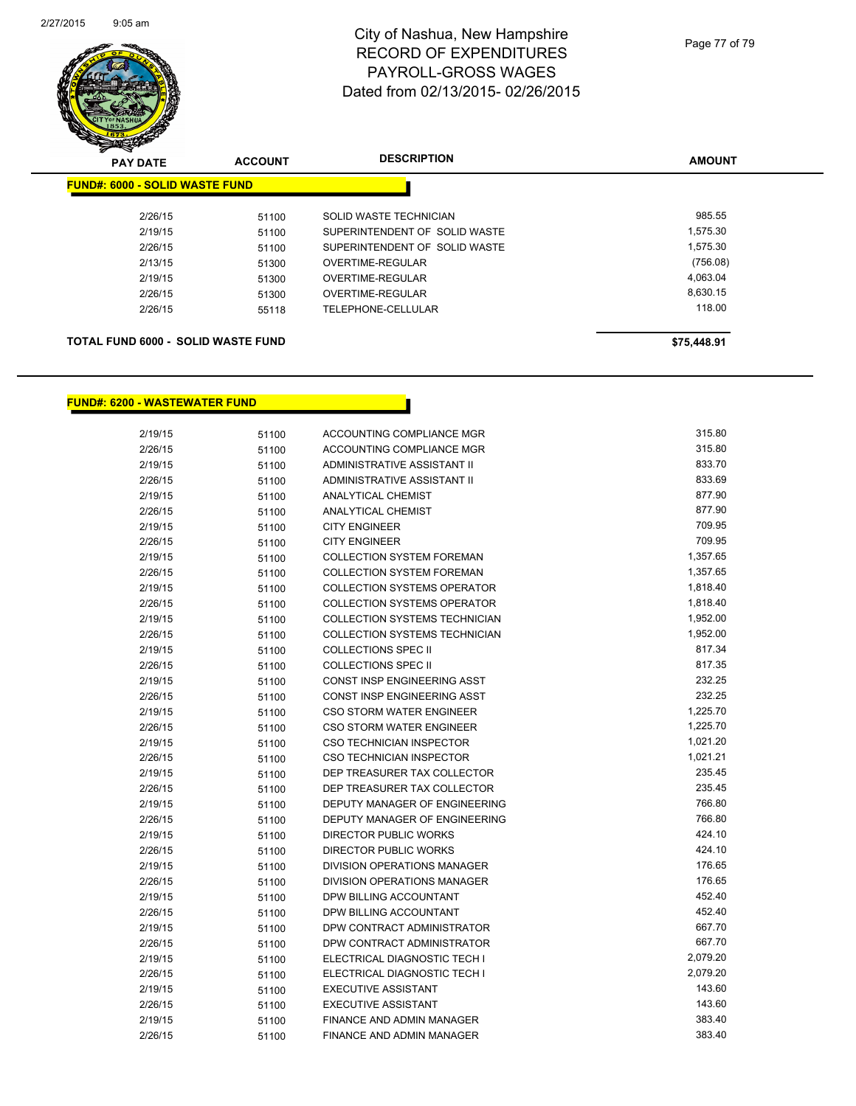

| <b>PAY DATE</b> |                                           | <b>ACCOUNT</b> | <b>DESCRIPTION</b>            | <b>AMOUNT</b> |  |
|-----------------|-------------------------------------------|----------------|-------------------------------|---------------|--|
|                 | <b>FUND#: 6000 - SOLID WASTE FUND</b>     |                |                               |               |  |
|                 | 2/26/15                                   | 51100          | SOLID WASTE TECHNICIAN        | 985.55        |  |
|                 | 2/19/15                                   | 51100          | SUPERINTENDENT OF SOLID WASTE | 1,575.30      |  |
|                 | 2/26/15                                   | 51100          | SUPERINTENDENT OF SOLID WASTE | 1,575.30      |  |
|                 | 2/13/15                                   | 51300          | OVERTIME-REGULAR              | (756.08)      |  |
|                 | 2/19/15                                   | 51300          | OVERTIME-REGULAR              | 4.063.04      |  |
|                 | 2/26/15                                   | 51300          | OVERTIME-REGULAR              | 8.630.15      |  |
|                 | 2/26/15                                   | 55118          | TELEPHONE-CELLULAR            | 118.00        |  |
|                 | <b>TOTAL FUND 6000 - SOLID WASTE FUND</b> | \$75,448.91    |                               |               |  |

## **FUND#: 6200 - WASTEWATER FUND**

| 2/19/15 | 51100 | ACCOUNTING COMPLIANCE MGR            | 315.80   |
|---------|-------|--------------------------------------|----------|
| 2/26/15 | 51100 | ACCOUNTING COMPLIANCE MGR            | 315.80   |
| 2/19/15 | 51100 | ADMINISTRATIVE ASSISTANT II          | 833.70   |
| 2/26/15 | 51100 | ADMINISTRATIVE ASSISTANT II          | 833.69   |
| 2/19/15 | 51100 | <b>ANALYTICAL CHEMIST</b>            | 877.90   |
| 2/26/15 | 51100 | <b>ANALYTICAL CHEMIST</b>            | 877.90   |
| 2/19/15 | 51100 | <b>CITY ENGINEER</b>                 | 709.95   |
| 2/26/15 | 51100 | <b>CITY ENGINEER</b>                 | 709.95   |
| 2/19/15 | 51100 | <b>COLLECTION SYSTEM FOREMAN</b>     | 1,357.65 |
| 2/26/15 | 51100 | <b>COLLECTION SYSTEM FOREMAN</b>     | 1,357.65 |
| 2/19/15 | 51100 | <b>COLLECTION SYSTEMS OPERATOR</b>   | 1,818.40 |
| 2/26/15 | 51100 | <b>COLLECTION SYSTEMS OPERATOR</b>   | 1,818.40 |
| 2/19/15 | 51100 | <b>COLLECTION SYSTEMS TECHNICIAN</b> | 1,952.00 |
| 2/26/15 | 51100 | COLLECTION SYSTEMS TECHNICIAN        | 1,952.00 |
| 2/19/15 | 51100 | <b>COLLECTIONS SPEC II</b>           | 817.34   |
| 2/26/15 | 51100 | <b>COLLECTIONS SPEC II</b>           | 817.35   |
| 2/19/15 | 51100 | <b>CONST INSP ENGINEERING ASST</b>   | 232.25   |
| 2/26/15 | 51100 | CONST INSP ENGINEERING ASST          | 232.25   |
| 2/19/15 | 51100 | CSO STORM WATER ENGINEER             | 1,225.70 |
| 2/26/15 | 51100 | CSO STORM WATER ENGINEER             | 1,225.70 |
| 2/19/15 | 51100 | CSO TECHNICIAN INSPECTOR             | 1,021.20 |
| 2/26/15 | 51100 | CSO TECHNICIAN INSPECTOR             | 1,021.21 |
| 2/19/15 | 51100 | DEP TREASURER TAX COLLECTOR          | 235.45   |
| 2/26/15 | 51100 | DEP TREASURER TAX COLLECTOR          | 235.45   |
| 2/19/15 | 51100 | DEPUTY MANAGER OF ENGINEERING        | 766.80   |
| 2/26/15 | 51100 | DEPUTY MANAGER OF ENGINEERING        | 766.80   |
| 2/19/15 | 51100 | <b>DIRECTOR PUBLIC WORKS</b>         | 424.10   |
| 2/26/15 | 51100 | DIRECTOR PUBLIC WORKS                | 424.10   |
| 2/19/15 | 51100 | DIVISION OPERATIONS MANAGER          | 176.65   |
| 2/26/15 | 51100 | DIVISION OPERATIONS MANAGER          | 176.65   |
| 2/19/15 | 51100 | DPW BILLING ACCOUNTANT               | 452.40   |
| 2/26/15 | 51100 | DPW BILLING ACCOUNTANT               | 452.40   |
| 2/19/15 | 51100 | DPW CONTRACT ADMINISTRATOR           | 667.70   |
| 2/26/15 | 51100 | DPW CONTRACT ADMINISTRATOR           | 667.70   |
| 2/19/15 | 51100 | ELECTRICAL DIAGNOSTIC TECH I         | 2,079.20 |
| 2/26/15 | 51100 | ELECTRICAL DIAGNOSTIC TECH I         | 2,079.20 |
| 2/19/15 | 51100 | <b>EXECUTIVE ASSISTANT</b>           | 143.60   |
| 2/26/15 | 51100 | <b>EXECUTIVE ASSISTANT</b>           | 143.60   |
| 2/19/15 | 51100 | FINANCE AND ADMIN MANAGER            | 383.40   |
| 2/26/15 | 51100 | FINANCE AND ADMIN MANAGER            | 383.40   |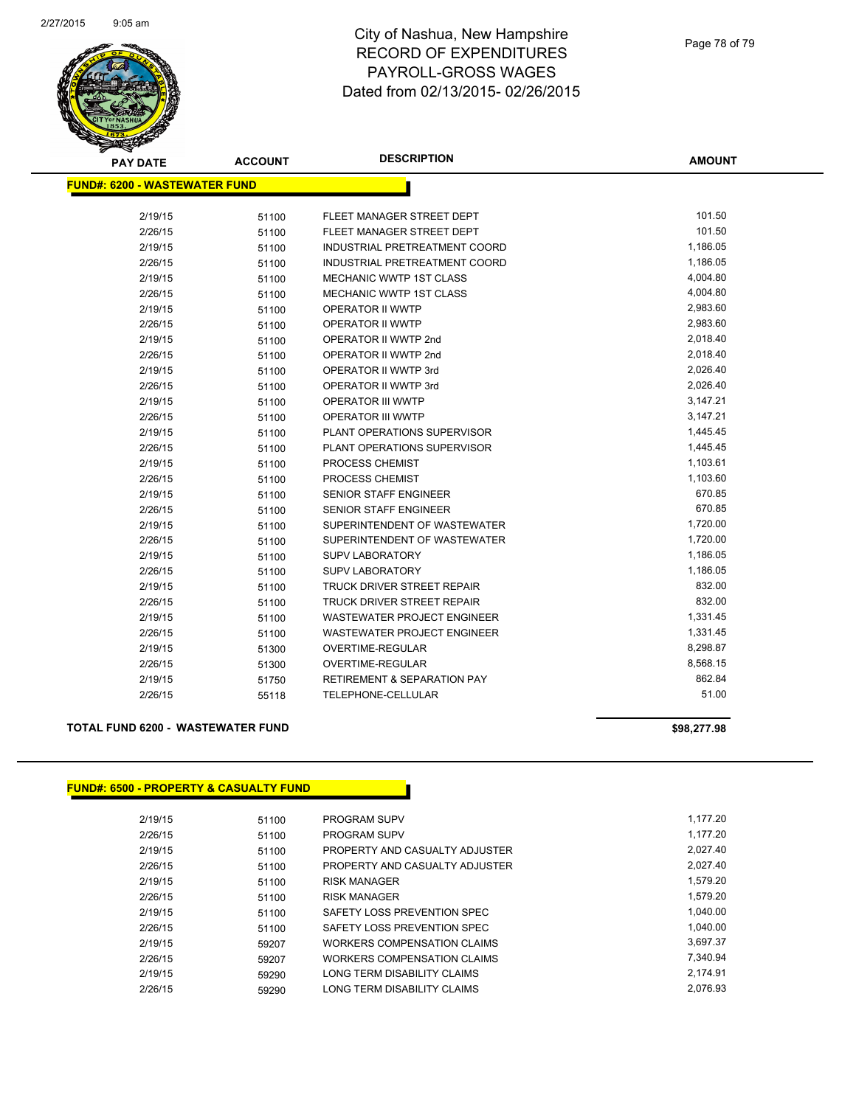

| <b>PAY DATE</b>                      | <b>ACCOUNT</b> | <b>DESCRIPTION</b>                     | <b>AMOUNT</b> |
|--------------------------------------|----------------|----------------------------------------|---------------|
| <b>FUND#: 6200 - WASTEWATER FUND</b> |                |                                        |               |
|                                      |                |                                        |               |
| 2/19/15                              | 51100          | FLEET MANAGER STREET DEPT              | 101.50        |
| 2/26/15                              | 51100          | FLEET MANAGER STREET DEPT              | 101.50        |
| 2/19/15                              | 51100          | INDUSTRIAL PRETREATMENT COORD          | 1,186.05      |
| 2/26/15                              | 51100          | INDUSTRIAL PRETREATMENT COORD          | 1,186.05      |
| 2/19/15                              | 51100          | MECHANIC WWTP 1ST CLASS                | 4,004.80      |
| 2/26/15                              | 51100          | <b>MECHANIC WWTP 1ST CLASS</b>         | 4,004.80      |
| 2/19/15                              | 51100          | OPERATOR II WWTP                       | 2,983.60      |
| 2/26/15                              | 51100          | OPERATOR II WWTP                       | 2,983.60      |
| 2/19/15                              | 51100          | OPERATOR II WWTP 2nd                   | 2,018.40      |
| 2/26/15                              | 51100          | OPERATOR II WWTP 2nd                   | 2,018.40      |
| 2/19/15                              | 51100          | OPERATOR II WWTP 3rd                   | 2,026.40      |
| 2/26/15                              | 51100          | OPERATOR II WWTP 3rd                   | 2,026.40      |
| 2/19/15                              | 51100          | <b>OPERATOR III WWTP</b>               | 3,147.21      |
| 2/26/15                              | 51100          | <b>OPERATOR III WWTP</b>               | 3,147.21      |
| 2/19/15                              | 51100          | PLANT OPERATIONS SUPERVISOR            | 1,445.45      |
| 2/26/15                              | 51100          | PLANT OPERATIONS SUPERVISOR            | 1,445.45      |
| 2/19/15                              | 51100          | PROCESS CHEMIST                        | 1,103.61      |
| 2/26/15                              | 51100          | PROCESS CHEMIST                        | 1,103.60      |
| 2/19/15                              | 51100          | <b>SENIOR STAFF ENGINEER</b>           | 670.85        |
| 2/26/15                              | 51100          | <b>SENIOR STAFF ENGINEER</b>           | 670.85        |
| 2/19/15                              | 51100          | SUPERINTENDENT OF WASTEWATER           | 1,720.00      |
| 2/26/15                              | 51100          | SUPERINTENDENT OF WASTEWATER           | 1,720.00      |
| 2/19/15                              | 51100          | <b>SUPV LABORATORY</b>                 | 1,186.05      |
| 2/26/15                              | 51100          | <b>SUPV LABORATORY</b>                 | 1,186.05      |
| 2/19/15                              | 51100          | TRUCK DRIVER STREET REPAIR             | 832.00        |
| 2/26/15                              | 51100          | TRUCK DRIVER STREET REPAIR             | 832.00        |
| 2/19/15                              | 51100          | WASTEWATER PROJECT ENGINEER            | 1,331.45      |
| 2/26/15                              | 51100          | WASTEWATER PROJECT ENGINEER            | 1,331.45      |
| 2/19/15                              | 51300          | OVERTIME-REGULAR                       | 8,298.87      |
| 2/26/15                              | 51300          | OVERTIME-REGULAR                       | 8,568.15      |
| 2/19/15                              | 51750          | <b>RETIREMENT &amp; SEPARATION PAY</b> | 862.84        |
| 2/26/15                              | 55118          | <b>TELEPHONE-CELLULAR</b>              | 51.00         |
|                                      |                |                                        |               |

## **TOTAL FUND 6200 - WASTEWATER FUND \$98,277.98**

## **FUND#: 6500 - PROPERTY & CASUALTY FUND**

| 2/19/15 | 51100 | <b>PROGRAM SUPV</b>            | 1,177.20 |
|---------|-------|--------------------------------|----------|
| 2/26/15 | 51100 | <b>PROGRAM SUPV</b>            | 1.177.20 |
| 2/19/15 | 51100 | PROPERTY AND CASUALTY ADJUSTER | 2,027.40 |
| 2/26/15 | 51100 | PROPERTY AND CASUALTY ADJUSTER | 2.027.40 |
| 2/19/15 | 51100 | <b>RISK MANAGER</b>            | 1.579.20 |
| 2/26/15 | 51100 | <b>RISK MANAGER</b>            | 1.579.20 |
| 2/19/15 | 51100 | SAFETY LOSS PREVENTION SPEC    | 1.040.00 |
| 2/26/15 | 51100 | SAFETY LOSS PREVENTION SPEC    | 1.040.00 |
| 2/19/15 | 59207 | WORKERS COMPENSATION CLAIMS    | 3.697.37 |
| 2/26/15 | 59207 | WORKERS COMPENSATION CLAIMS    | 7.340.94 |
| 2/19/15 | 59290 | LONG TERM DISABILITY CLAIMS    | 2.174.91 |
| 2/26/15 | 59290 | LONG TERM DISABILITY CLAIMS    | 2.076.93 |